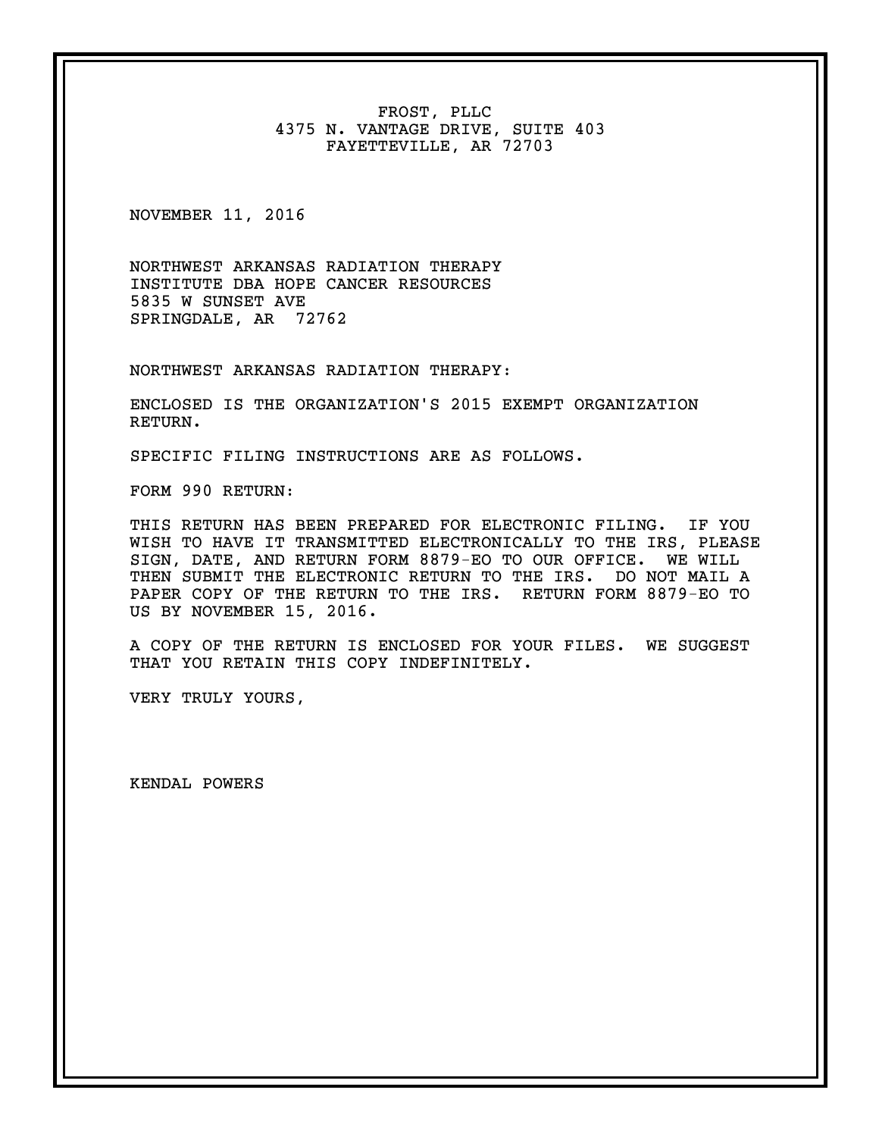FROST, PLLC 4375 N. VANTAGE DRIVE, SUITE 403 FAYETTEVILLE, AR 72703

NOVEMBER 11, 2016

NORTHWEST ARKANSAS RADIATION THERAPY INSTITUTE DBA HOPE CANCER RESOURCES 5835 W SUNSET AVE SPRINGDALE, AR 72762

NORTHWEST ARKANSAS RADIATION THERAPY:

ENCLOSED IS THE ORGANIZATION'S 2015 EXEMPT ORGANIZATION RETURN.

SPECIFIC FILING INSTRUCTIONS ARE AS FOLLOWS.

FORM 990 RETURN:

THIS RETURN HAS BEEN PREPARED FOR ELECTRONIC FILING. IF YOU WISH TO HAVE IT TRANSMITTED ELECTRONICALLY TO THE IRS, PLEASE SIGN, DATE, AND RETURN FORM 8879-EO TO OUR OFFICE. WE WILL THEN SUBMIT THE ELECTRONIC RETURN TO THE IRS. DO NOT MAIL A PAPER COPY OF THE RETURN TO THE IRS. RETURN FORM 8879-EO TO US BY NOVEMBER 15, 2016.

A COPY OF THE RETURN IS ENCLOSED FOR YOUR FILES. WE SUGGEST THAT YOU RETAIN THIS COPY INDEFINITELY.

VERY TRULY YOURS,

KENDAL POWERS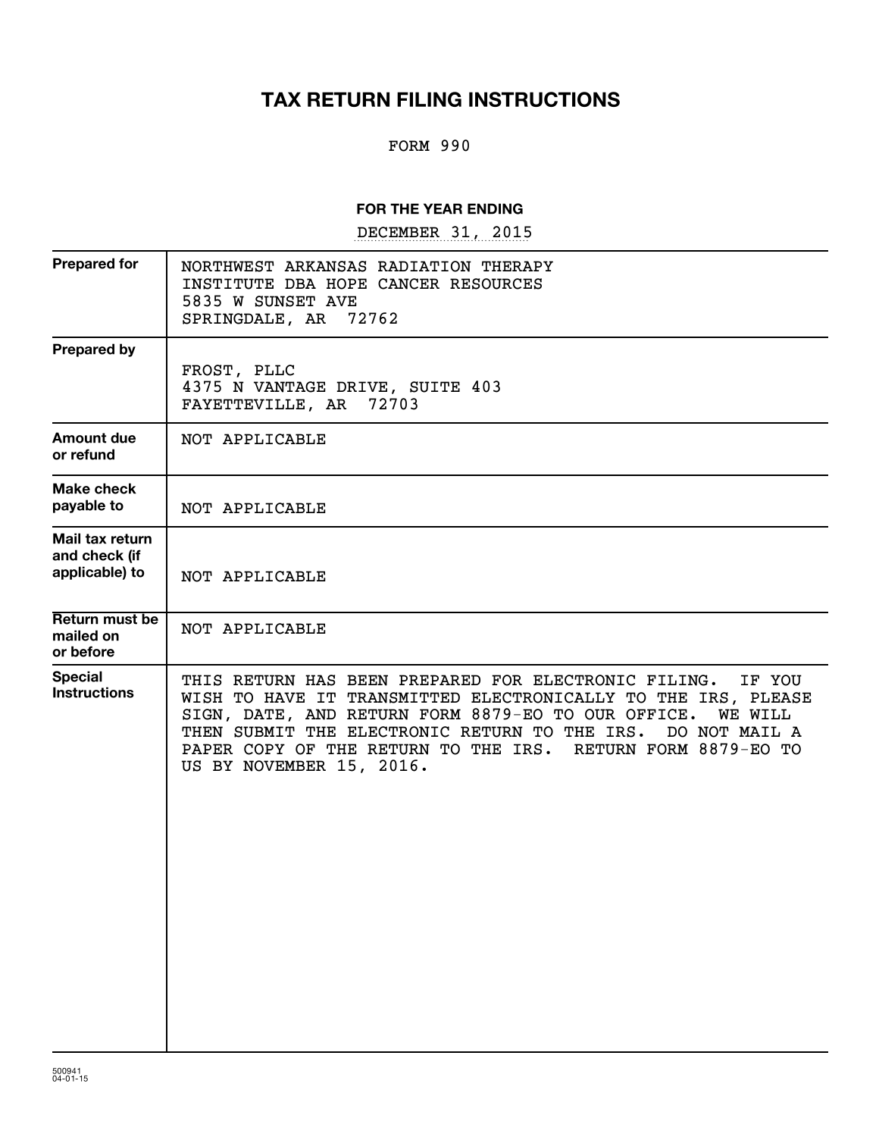# **TAX RETURN FILING INSTRUCTIONS**

#### FORM 990

#### **FOR THE YEAR ENDING**

DECEMBER 31, 2015

| NORTHWEST ARKANSAS RADIATION THERAPY<br>INSTITUTE DBA HOPE CANCER RESOURCES<br>5835 W SUNSET AVE<br>72762<br>SPRINGDALE, AR                                                                                                                                                                                                                                          |
|----------------------------------------------------------------------------------------------------------------------------------------------------------------------------------------------------------------------------------------------------------------------------------------------------------------------------------------------------------------------|
| FROST, PLLC<br>4375 N VANTAGE DRIVE, SUITE 403<br>FAYETTEVILLE, AR<br>72703                                                                                                                                                                                                                                                                                          |
| NOT APPLICABLE                                                                                                                                                                                                                                                                                                                                                       |
| NOT APPLICABLE                                                                                                                                                                                                                                                                                                                                                       |
| NOT APPLICABLE                                                                                                                                                                                                                                                                                                                                                       |
| NOT APPLICABLE                                                                                                                                                                                                                                                                                                                                                       |
| THIS RETURN HAS BEEN PREPARED FOR ELECTRONIC FILING.<br>IF YOU<br>WISH TO HAVE IT TRANSMITTED ELECTRONICALLY TO THE IRS, PLEASE<br>SIGN, DATE, AND RETURN FORM 8879-EO TO OUR OFFICE.<br><b>WE WILL</b><br>THEN SUBMIT THE ELECTRONIC RETURN TO THE IRS.<br>DO NOT MAIL A<br>PAPER COPY OF THE RETURN TO THE IRS. RETURN FORM 8879-EO TO<br>US BY NOVEMBER 15, 2016. |
|                                                                                                                                                                                                                                                                                                                                                                      |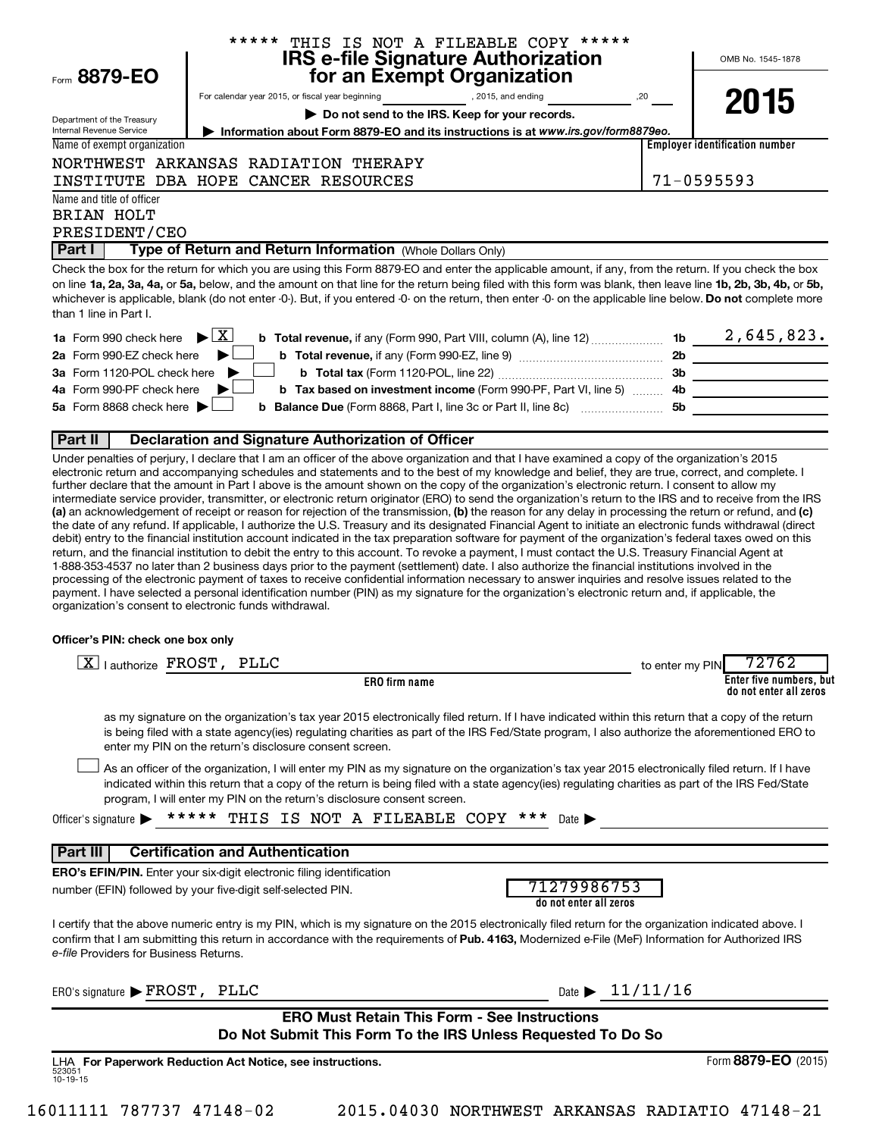| Form 8879-EO                                                  | ***** THIS IS NOT A FILEABLE COPY *****<br><b>IRS e-file Signature Authorization<br/>for an Exempt Organization</b>                                                                                                                                                                                                                                                                                                                                                                                                                                                                                                                                                                                                                                                                                                                   |                 | OMB No. 1545-1878                                 |
|---------------------------------------------------------------|---------------------------------------------------------------------------------------------------------------------------------------------------------------------------------------------------------------------------------------------------------------------------------------------------------------------------------------------------------------------------------------------------------------------------------------------------------------------------------------------------------------------------------------------------------------------------------------------------------------------------------------------------------------------------------------------------------------------------------------------------------------------------------------------------------------------------------------|-----------------|---------------------------------------------------|
|                                                               | For calendar year 2015, or fiscal year beginning<br>$\begin{array}{c} 2015, \text{ and ending} \end{array}$                                                                                                                                                                                                                                                                                                                                                                                                                                                                                                                                                                                                                                                                                                                           |                 |                                                   |
|                                                               | Do not send to the IRS. Keep for your records.                                                                                                                                                                                                                                                                                                                                                                                                                                                                                                                                                                                                                                                                                                                                                                                        |                 | 2015                                              |
| Department of the Treasury<br><b>Internal Revenue Service</b> | Information about Form 8879-EO and its instructions is at www.irs.gov/form8879eo.                                                                                                                                                                                                                                                                                                                                                                                                                                                                                                                                                                                                                                                                                                                                                     |                 |                                                   |
| Name of exempt organization                                   |                                                                                                                                                                                                                                                                                                                                                                                                                                                                                                                                                                                                                                                                                                                                                                                                                                       |                 | <b>Employer identification number</b>             |
|                                                               | NORTHWEST ARKANSAS RADIATION THERAPY                                                                                                                                                                                                                                                                                                                                                                                                                                                                                                                                                                                                                                                                                                                                                                                                  |                 |                                                   |
|                                                               | INSTITUTE DBA HOPE CANCER RESOURCES                                                                                                                                                                                                                                                                                                                                                                                                                                                                                                                                                                                                                                                                                                                                                                                                   |                 | 71-0595593                                        |
| Name and title of officer<br>BRIAN HOLT<br>PRESIDENT/CEO      |                                                                                                                                                                                                                                                                                                                                                                                                                                                                                                                                                                                                                                                                                                                                                                                                                                       |                 |                                                   |
| Part I                                                        | Type of Return and Return Information (Whole Dollars Only)                                                                                                                                                                                                                                                                                                                                                                                                                                                                                                                                                                                                                                                                                                                                                                            |                 |                                                   |
| than 1 line in Part I.                                        | Check the box for the return for which you are using this Form 8879-EO and enter the applicable amount, if any, from the return. If you check the box<br>on line 1a, 2a, 3a, 4a, or 5a, below, and the amount on that line for the return being filed with this form was blank, then leave line 1b, 2b, 3b, 4b, or 5b,<br>whichever is applicable, blank (do not enter -0-). But, if you entered -0- on the return, then enter -0- on the applicable line below. Do not complete more                                                                                                                                                                                                                                                                                                                                                 |                 |                                                   |
| <b>1a</b> Form 990 check here                                 | $\blacktriangleright$ $\mathbf{X}$                                                                                                                                                                                                                                                                                                                                                                                                                                                                                                                                                                                                                                                                                                                                                                                                    |                 |                                                   |
| 2a Form 990-EZ check here                                     |                                                                                                                                                                                                                                                                                                                                                                                                                                                                                                                                                                                                                                                                                                                                                                                                                                       |                 |                                                   |
| 3a Form 1120-POL check here                                   |                                                                                                                                                                                                                                                                                                                                                                                                                                                                                                                                                                                                                                                                                                                                                                                                                                       |                 |                                                   |
| 4a Form 990-PF check here                                     | b Tax based on investment income (Form 990-PF, Part VI, line 5)  4b                                                                                                                                                                                                                                                                                                                                                                                                                                                                                                                                                                                                                                                                                                                                                                   |                 |                                                   |
| 5a Form 8868 check here                                       | <b>b</b> Balance Due (Form 8868, Part I, line 3c or Part II, line 8c) <i>manument</i> 5b                                                                                                                                                                                                                                                                                                                                                                                                                                                                                                                                                                                                                                                                                                                                              |                 |                                                   |
| Part II                                                       | <b>Declaration and Signature Authorization of Officer</b>                                                                                                                                                                                                                                                                                                                                                                                                                                                                                                                                                                                                                                                                                                                                                                             |                 |                                                   |
| Officer's PIN: check one box only                             | debit) entry to the financial institution account indicated in the tax preparation software for payment of the organization's federal taxes owed on this<br>return, and the financial institution to debit the entry to this account. To revoke a payment, I must contact the U.S. Treasury Financial Agent at<br>1-888-353-4537 no later than 2 business days prior to the payment (settlement) date. I also authorize the financial institutions involved in the<br>processing of the electronic payment of taxes to receive confidential information necessary to answer inquiries and resolve issues related to the<br>payment. I have selected a personal identification number (PIN) as my signature for the organization's electronic return and, if applicable, the<br>organization's consent to electronic funds withdrawal. |                 |                                                   |
| X   authorize FROST, PLLC                                     |                                                                                                                                                                                                                                                                                                                                                                                                                                                                                                                                                                                                                                                                                                                                                                                                                                       | to enter my PIN | 72762                                             |
|                                                               | ERO firm name                                                                                                                                                                                                                                                                                                                                                                                                                                                                                                                                                                                                                                                                                                                                                                                                                         |                 | Enter five numbers, but<br>do not enter all zeros |
|                                                               | as my signature on the organization's tax year 2015 electronically filed return. If I have indicated within this return that a copy of the return<br>is being filed with a state agency(ies) regulating charities as part of the IRS Fed/State program, I also authorize the aforementioned ERO to<br>enter my PIN on the return's disclosure consent screen.                                                                                                                                                                                                                                                                                                                                                                                                                                                                         |                 |                                                   |
|                                                               | As an officer of the organization, I will enter my PIN as my signature on the organization's tax year 2015 electronically filed return. If I have<br>indicated within this return that a copy of the return is being filed with a state agency(ies) regulating charities as part of the IRS Fed/State<br>program, I will enter my PIN on the return's disclosure consent screen.                                                                                                                                                                                                                                                                                                                                                                                                                                                      |                 |                                                   |
| Officer's signature $\blacktriangleright$                     | *****<br>THIS IS NOT A FILEABLE COPY<br>$***$<br>Date I                                                                                                                                                                                                                                                                                                                                                                                                                                                                                                                                                                                                                                                                                                                                                                               |                 |                                                   |
| Part III                                                      | <b>Certification and Authentication</b>                                                                                                                                                                                                                                                                                                                                                                                                                                                                                                                                                                                                                                                                                                                                                                                               |                 |                                                   |
|                                                               | <b>ERO's EFIN/PIN.</b> Enter your six-digit electronic filing identification<br>71279986753<br>number (EFIN) followed by your five-digit self-selected PIN.<br>do not enter all zeros                                                                                                                                                                                                                                                                                                                                                                                                                                                                                                                                                                                                                                                 |                 |                                                   |
| <i>e-file</i> Providers for Business Returns.                 | I certify that the above numeric entry is my PIN, which is my signature on the 2015 electronically filed return for the organization indicated above. I<br>confirm that I am submitting this return in accordance with the requirements of Pub. 4163, Modernized e-File (MeF) Information for Authorized IRS                                                                                                                                                                                                                                                                                                                                                                                                                                                                                                                          |                 |                                                   |
| ERO's signature FROST, PLLC                                   | Date $\triangleright$ 11/11/16                                                                                                                                                                                                                                                                                                                                                                                                                                                                                                                                                                                                                                                                                                                                                                                                        |                 |                                                   |
|                                                               | <b>ERO Must Retain This Form - See Instructions</b>                                                                                                                                                                                                                                                                                                                                                                                                                                                                                                                                                                                                                                                                                                                                                                                   |                 |                                                   |

| ERO Must Retain This Form - See Instructions                 |  |  |
|--------------------------------------------------------------|--|--|
| Do Not Submit This Form To the IRS Unless Requested To Do So |  |  |

523051 10-19-15 **For Paperwork Reduction Act Notice, see instructions.** LHA Form (2015) **8879-EO**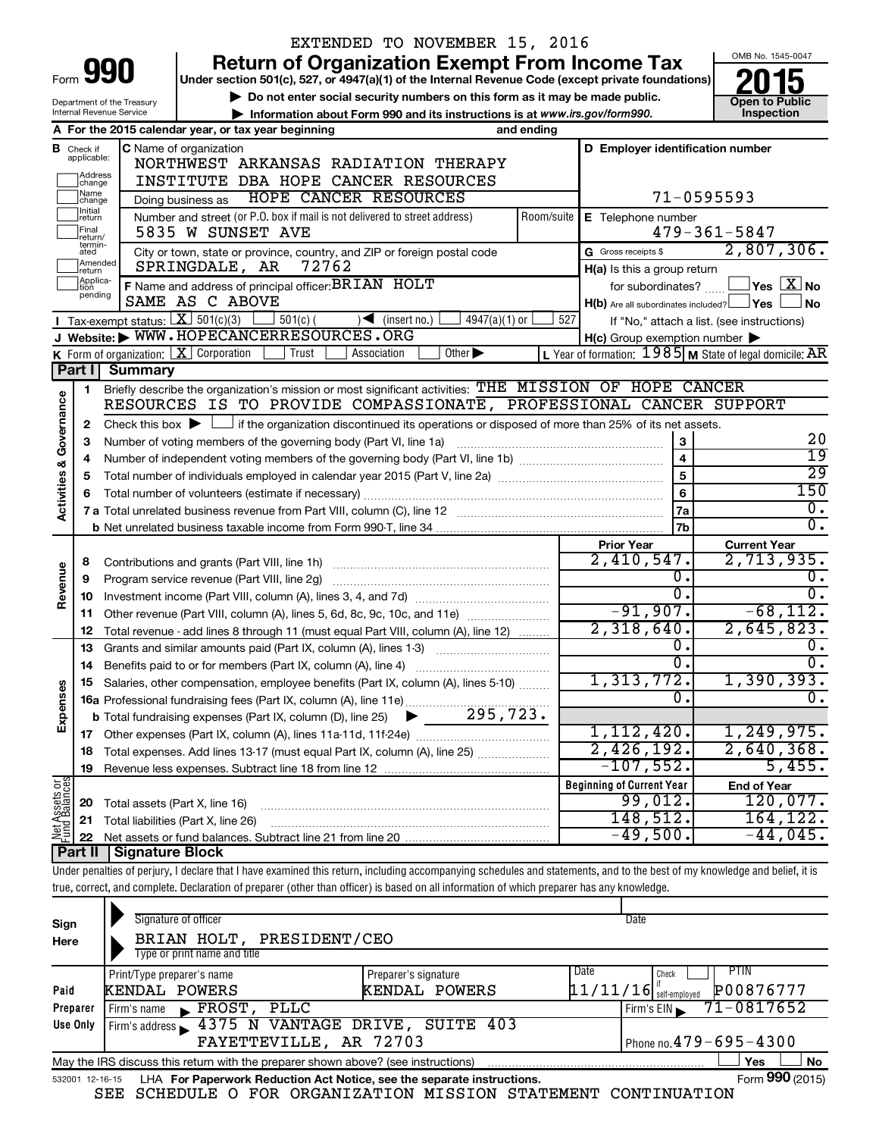|                                                                                                                   |                                                                                                           |                                                   | EXTENDED TO NOVEMBER 15, 2016                                                                                                                                              |            |                                                     |                                                           |  |  |
|-------------------------------------------------------------------------------------------------------------------|-----------------------------------------------------------------------------------------------------------|---------------------------------------------------|----------------------------------------------------------------------------------------------------------------------------------------------------------------------------|------------|-----------------------------------------------------|-----------------------------------------------------------|--|--|
|                                                                                                                   |                                                                                                           |                                                   | <b>Return of Organization Exempt From Income Tax</b>                                                                                                                       |            |                                                     | OMB No. 1545-0047                                         |  |  |
| 990<br>Form<br>Under section 501(c), 527, or 4947(a)(1) of the Internal Revenue Code (except private foundations) |                                                                                                           |                                                   |                                                                                                                                                                            |            |                                                     |                                                           |  |  |
|                                                                                                                   | Do not enter social security numbers on this form as it may be made public.<br>Department of the Treasury |                                                   |                                                                                                                                                                            |            |                                                     |                                                           |  |  |
|                                                                                                                   |                                                                                                           | Internal Revenue Service                          | Information about Form 990 and its instructions is at www.irs.gov/form990.                                                                                                 |            |                                                     | Inspection                                                |  |  |
|                                                                                                                   |                                                                                                           |                                                   | A For the 2015 calendar year, or tax year beginning<br>and ending                                                                                                          |            |                                                     |                                                           |  |  |
|                                                                                                                   | <b>B</b> Check if<br>applicable:                                                                          |                                                   | C Name of organization                                                                                                                                                     |            | D Employer identification number                    |                                                           |  |  |
|                                                                                                                   | Address                                                                                                   |                                                   | NORTHWEST ARKANSAS RADIATION THERAPY                                                                                                                                       |            |                                                     |                                                           |  |  |
|                                                                                                                   | change<br> Name                                                                                           |                                                   | INSTITUTE DBA HOPE CANCER RESOURCES                                                                                                                                        |            |                                                     |                                                           |  |  |
|                                                                                                                   | change<br>Initial                                                                                         |                                                   | HOPE CANCER RESOURCES<br>Doing business as                                                                                                                                 |            |                                                     | 71-0595593                                                |  |  |
|                                                                                                                   | return<br>Final                                                                                           |                                                   | Number and street (or P.O. box if mail is not delivered to street address)<br>5835 W SUNSET AVE                                                                            | Room/suite | E Telephone number                                  | $479 - 361 - 5847$                                        |  |  |
|                                                                                                                   | return/<br>termin-                                                                                        |                                                   |                                                                                                                                                                            |            | G Gross receipts \$                                 | 2,807,306.                                                |  |  |
|                                                                                                                   | ated<br>Amended                                                                                           |                                                   | City or town, state or province, country, and ZIP or foreign postal code<br>SPRINGDALE, AR<br>72762                                                                        |            |                                                     |                                                           |  |  |
|                                                                                                                   | return<br>Applica-                                                                                        |                                                   | F Name and address of principal officer: BRIAN HOLT                                                                                                                        |            | H(a) Is this a group return<br>for subordinates?    | $\Box$ Yes $[X]$ No                                       |  |  |
|                                                                                                                   | tion<br>pending                                                                                           |                                                   | SAME AS C ABOVE                                                                                                                                                            |            | $H(b)$ Are all subordinates included? $\Box$ Yes    | No                                                        |  |  |
|                                                                                                                   |                                                                                                           | Tax-exempt status: $\boxed{\textbf{X}}$ 501(c)(3) | $501(c)$ (<br>$4947(a)(1)$ or<br>$\sqrt{\frac{1}{1}}$ (insert no.)                                                                                                         | 527        |                                                     | If "No," attach a list. (see instructions)                |  |  |
|                                                                                                                   |                                                                                                           |                                                   | J Website: WWW.HOPECANCERRESOURCES.ORG                                                                                                                                     |            | $H(c)$ Group exemption number $\blacktriangleright$ |                                                           |  |  |
|                                                                                                                   |                                                                                                           |                                                   | K Form of organization: $X$ Corporation<br>Other $\blacktriangleright$<br>Trust<br>Association                                                                             |            |                                                     | L Year of formation: $1985$ M State of legal domicile: AR |  |  |
|                                                                                                                   | Part I                                                                                                    | <b>Summary</b>                                    |                                                                                                                                                                            |            |                                                     |                                                           |  |  |
|                                                                                                                   | 1.                                                                                                        |                                                   | Briefly describe the organization's mission or most significant activities: THE MISSION OF HOPE CANCER                                                                     |            |                                                     |                                                           |  |  |
| Governance                                                                                                        |                                                                                                           |                                                   | RESOURCES IS TO PROVIDE COMPASSIONATE, PROFESSIONAL CANCER SUPPORT                                                                                                         |            |                                                     |                                                           |  |  |
|                                                                                                                   | $\mathbf{2}$                                                                                              |                                                   | Check this box $\blacktriangleright$ $\Box$ if the organization discontinued its operations or disposed of more than 25% of its net assets.                                |            |                                                     |                                                           |  |  |
|                                                                                                                   | 3                                                                                                         |                                                   | Number of voting members of the governing body (Part VI, line 1a)                                                                                                          |            | ${\bf 3}$                                           | 20                                                        |  |  |
|                                                                                                                   | 4                                                                                                         |                                                   |                                                                                                                                                                            |            | $\overline{4}$                                      | $\overline{19}$                                           |  |  |
| <b>Activities &amp;</b>                                                                                           | 5                                                                                                         |                                                   |                                                                                                                                                                            |            | 5                                                   | $\overline{29}$                                           |  |  |
|                                                                                                                   | 6                                                                                                         |                                                   |                                                                                                                                                                            |            | 6                                                   | 150                                                       |  |  |
|                                                                                                                   |                                                                                                           |                                                   |                                                                                                                                                                            |            | 7a                                                  | 0.                                                        |  |  |
|                                                                                                                   |                                                                                                           |                                                   |                                                                                                                                                                            |            | 7b                                                  | σ.                                                        |  |  |
|                                                                                                                   |                                                                                                           |                                                   |                                                                                                                                                                            |            | <b>Prior Year</b>                                   | <b>Current Year</b>                                       |  |  |
|                                                                                                                   | 8                                                                                                         |                                                   |                                                                                                                                                                            |            | 2,410,547.                                          | 2,713,935.                                                |  |  |
| Revenue                                                                                                           | 9                                                                                                         |                                                   | Program service revenue (Part VIII, line 2g)                                                                                                                               |            | о.<br>$\overline{0}$ .                              | о.<br>σ.                                                  |  |  |
|                                                                                                                   | 10                                                                                                        |                                                   |                                                                                                                                                                            |            | $-91,907.$                                          | $-68, 112.$                                               |  |  |
|                                                                                                                   | 11                                                                                                        |                                                   | Other revenue (Part VIII, column (A), lines 5, 6d, 8c, 9c, 10c, and 11e)                                                                                                   |            | 2,318,640.                                          | 2,645,823.                                                |  |  |
|                                                                                                                   | 12<br>13                                                                                                  |                                                   | Total revenue - add lines 8 through 11 (must equal Part VIII, column (A), line 12)<br>Grants and similar amounts paid (Part IX, column (A), lines 1-3)                     |            | 0.                                                  |                                                           |  |  |
|                                                                                                                   | 14                                                                                                        |                                                   | <u> 1986 - Januar Stein, martin a</u><br>Benefits paid to or for members (Part IX, column (A), line 4)                                                                     |            | σ.                                                  | σ.                                                        |  |  |
|                                                                                                                   |                                                                                                           |                                                   | Salaries, other compensation, employee benefits (Part IX, column (A), lines 5-10)                                                                                          |            | 1,313,772.                                          | $1,390,393$ .                                             |  |  |
|                                                                                                                   |                                                                                                           |                                                   |                                                                                                                                                                            |            | 0.                                                  |                                                           |  |  |
| Expenses                                                                                                          |                                                                                                           |                                                   |                                                                                                                                                                            |            |                                                     |                                                           |  |  |
|                                                                                                                   | 17                                                                                                        |                                                   |                                                                                                                                                                            |            | 1,112,420.                                          | 1,249,975.                                                |  |  |
|                                                                                                                   | 18                                                                                                        |                                                   | Total expenses. Add lines 13-17 (must equal Part IX, column (A), line 25)                                                                                                  |            | 2,426,192.                                          | 2,640,368.                                                |  |  |
|                                                                                                                   | 19                                                                                                        |                                                   |                                                                                                                                                                            |            | $-107,552.$                                         | 5,455.                                                    |  |  |
|                                                                                                                   |                                                                                                           |                                                   |                                                                                                                                                                            |            | <b>Beginning of Current Year</b>                    | <b>End of Year</b>                                        |  |  |
| Net Assets or<br>Fund Balances                                                                                    | 20                                                                                                        | Total assets (Part X, line 16)                    |                                                                                                                                                                            |            | 99,012.                                             | 120,077.                                                  |  |  |
|                                                                                                                   | 21                                                                                                        |                                                   | Total liabilities (Part X, line 26)                                                                                                                                        |            | 148,512.                                            | 164,122.                                                  |  |  |
|                                                                                                                   | 22                                                                                                        |                                                   |                                                                                                                                                                            |            | $-49,500$ .                                         | $-44,045$ .                                               |  |  |
|                                                                                                                   | Part II                                                                                                   | <b>Signature Block</b>                            |                                                                                                                                                                            |            |                                                     |                                                           |  |  |
|                                                                                                                   |                                                                                                           |                                                   | Under penalties of perjury, I declare that I have examined this return, including accompanying schedules and statements, and to the best of my knowledge and belief, it is |            |                                                     |                                                           |  |  |
|                                                                                                                   |                                                                                                           |                                                   | true, correct, and complete. Declaration of preparer (other than officer) is based on all information of which preparer has any knowledge.                                 |            |                                                     |                                                           |  |  |
|                                                                                                                   |                                                                                                           |                                                   |                                                                                                                                                                            |            |                                                     |                                                           |  |  |

| Sign<br>Here    | Signature of officer<br>BRIAN HOLT, PRESIDENT/CEO<br>Type or print name and title                        |                                       |      | Date                                                   |  |
|-----------------|----------------------------------------------------------------------------------------------------------|---------------------------------------|------|--------------------------------------------------------|--|
| Paid            | Print/Type preparer's name<br>KENDAL POWERS                                                              | Preparer's signature<br>KENDAL POWERS | Date | PTIN<br>Check<br>P00876777<br>$11/11/16$ self-employed |  |
| Preparer        | FROST,<br>PLLC<br>Firm's name                                                                            |                                       |      | 71-0817652<br>Firm's EIN                               |  |
| Use Only        | Firm's address 1375 N VANTAGE DRIVE, SUITE 403<br>FAYETTEVILLE, AR 72703<br>Phone no. $479 - 695 - 4300$ |                                       |      |                                                        |  |
|                 | <b>No</b><br>May the IRS discuss this return with the preparer shown above? (see instructions)<br>Yes    |                                       |      |                                                        |  |
| 532001 12-16-15 | LHA For Paperwork Reduction Act Notice, see the separate instructions.                                   |                                       |      | Form 990 (2015)                                        |  |

SEE SCHEDULE O FOR ORGANIZATION MISSION STATEMENT CONTINUATION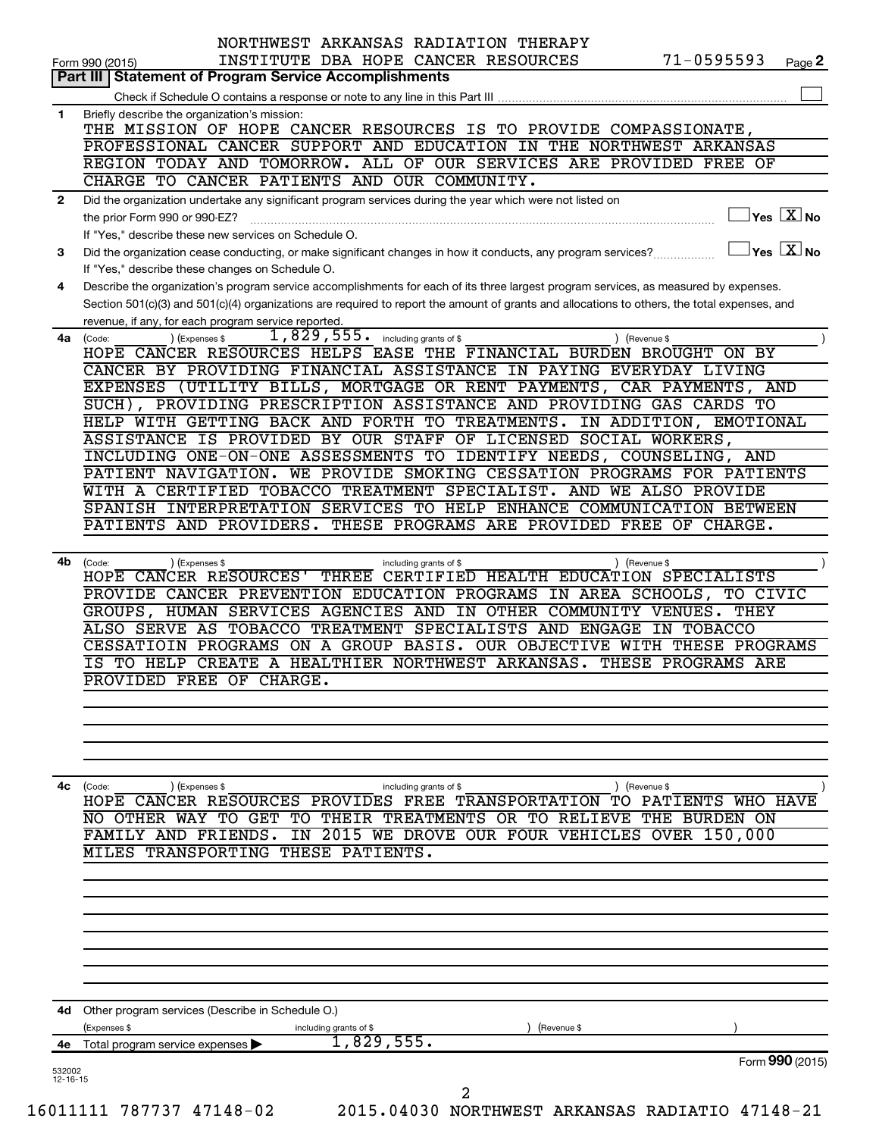|                | NORTHWEST ARKANSAS RADIATION THERAPY<br>$71 - 0595593$<br>INSTITUTE DBA HOPE CANCER RESOURCES                                                                       |
|----------------|---------------------------------------------------------------------------------------------------------------------------------------------------------------------|
|                | Page 2<br>Form 990 (2015)<br><b>Statement of Program Service Accomplishments</b><br>Part III                                                                        |
|                |                                                                                                                                                                     |
| 1              | Briefly describe the organization's mission:                                                                                                                        |
|                | THE MISSION OF HOPE CANCER RESOURCES IS TO PROVIDE COMPASSIONATE,                                                                                                   |
|                | PROFESSIONAL CANCER SUPPORT AND EDUCATION IN THE NORTHWEST ARKANSAS                                                                                                 |
|                | REGION TODAY AND TOMORROW. ALL OF OUR SERVICES ARE PROVIDED FREE OF                                                                                                 |
|                | CHARGE TO CANCER PATIENTS AND OUR COMMUNITY.                                                                                                                        |
| 2              | Did the organization undertake any significant program services during the year which were not listed on<br>$\sqrt{\mathsf{Yes}\ \mathbb{X}}$ No                    |
|                | the prior Form 990 or 990-EZ?                                                                                                                                       |
|                | If "Yes," describe these new services on Schedule O.<br>$\sqrt{\ }$ Yes $\sqrt{\ \text{X}}$ No                                                                      |
| 3              | Did the organization cease conducting, or make significant changes in how it conducts, any program services?<br>If "Yes," describe these changes on Schedule O.     |
| 4              | Describe the organization's program service accomplishments for each of its three largest program services, as measured by expenses.                                |
|                | Section 501(c)(3) and 501(c)(4) organizations are required to report the amount of grants and allocations to others, the total expenses, and                        |
|                | revenue, if any, for each program service reported.                                                                                                                 |
|                | $1,829,555$ $\cdot$ including grants of \$<br>4a (Code:<br>(Expenses \$<br>Gevenue \$                                                                               |
|                | HOPE CANCER RESOURCES HELPS EASE THE FINANCIAL BURDEN BROUGHT ON BY                                                                                                 |
|                | CANCER BY PROVIDING FINANCIAL ASSISTANCE IN PAYING EVERYDAY LIVING                                                                                                  |
|                | EXPENSES (UTILITY BILLS, MORTGAGE OR RENT PAYMENTS, CAR PAYMENTS, AND                                                                                               |
|                | SUCH), PROVIDING PRESCRIPTION ASSISTANCE AND PROVIDING GAS CARDS TO                                                                                                 |
|                | HELP WITH GETTING BACK AND FORTH TO TREATMENTS. IN ADDITION, EMOTIONAL                                                                                              |
|                | ASSISTANCE IS PROVIDED BY OUR STAFF OF LICENSED SOCIAL WORKERS,                                                                                                     |
|                | INCLUDING ONE-ON-ONE ASSESSMENTS TO IDENTIFY NEEDS, COUNSELING, AND                                                                                                 |
|                | PATIENT NAVIGATION. WE PROVIDE SMOKING CESSATION PROGRAMS FOR PATIENTS                                                                                              |
|                | WITH A CERTIFIED TOBACCO TREATMENT SPECIALIST. AND WE ALSO PROVIDE<br>SPANISH INTERPRETATION SERVICES TO HELP ENHANCE COMMUNICATION BETWEEN                         |
|                | PATIENTS AND PROVIDERS. THESE PROGRAMS ARE PROVIDED FREE OF CHARGE.                                                                                                 |
|                |                                                                                                                                                                     |
|                | 4b (Code:<br>) (Revenue \$<br>(Expenses \$<br>including grants of \$                                                                                                |
|                | HOPE CANCER RESOURCES' THREE CERTIFIED HEALTH EDUCATION SPECIALISTS                                                                                                 |
|                | PROVIDE CANCER PREVENTION EDUCATION PROGRAMS IN AREA SCHOOLS, TO CIVIC                                                                                              |
|                | GROUPS, HUMAN SERVICES AGENCIES AND IN OTHER COMMUNITY VENUES.<br><b>THEY</b>                                                                                       |
|                | ALSO SERVE AS TOBACCO TREATMENT SPECIALISTS AND ENGAGE IN TOBACCO                                                                                                   |
|                | CESSATIOIN PROGRAMS ON A GROUP BASIS. OUR OBJECTIVE WITH THESE PROGRAMS                                                                                             |
|                | TO HELP CREATE A HEALTHIER NORTHWEST ARKANSAS. THESE PROGRAMS ARE<br>ΙS                                                                                             |
|                | PROVIDED FREE OF CHARGE                                                                                                                                             |
|                |                                                                                                                                                                     |
|                |                                                                                                                                                                     |
|                |                                                                                                                                                                     |
|                |                                                                                                                                                                     |
| 4с             |                                                                                                                                                                     |
|                | (Expenses \$<br>(Revenue \$<br>(Code:<br>including grants of \$<br>CANCER RESOURCES PROVIDES<br>PATIENTS<br>FREE<br>TО<br>WHO HAVE<br>HOPE<br><b>TRANSPORTATION</b> |
|                | <b>BURDEN ON</b><br>OTHER<br>TO<br>GET TO<br>THEIR<br>TREATMENTS OR TO<br><b>RELIEVE</b><br>THE<br><b>WAY</b><br>NO                                                 |
|                | 2015 WE DROVE OUR FOUR VEHICLES<br>150,000<br>FAMILY AND<br>FRIENDS.<br>$\overline{\texttt{IN}}$<br><b>OVER</b>                                                     |
|                | MILES TRANSPORTING THESE PATIENTS.                                                                                                                                  |
|                |                                                                                                                                                                     |
|                |                                                                                                                                                                     |
|                |                                                                                                                                                                     |
|                |                                                                                                                                                                     |
|                |                                                                                                                                                                     |
|                |                                                                                                                                                                     |
|                |                                                                                                                                                                     |
|                |                                                                                                                                                                     |
|                | 4d Other program services (Describe in Schedule O.)                                                                                                                 |
|                | (Expenses \$<br>(Revenue \$<br>including grants of \$<br>1,829,555.<br>Total program service expenses                                                               |
|                |                                                                                                                                                                     |
| 4е             |                                                                                                                                                                     |
| 532002         | Form 990 (2015)                                                                                                                                                     |
| $12 - 16 - 15$ | 2                                                                                                                                                                   |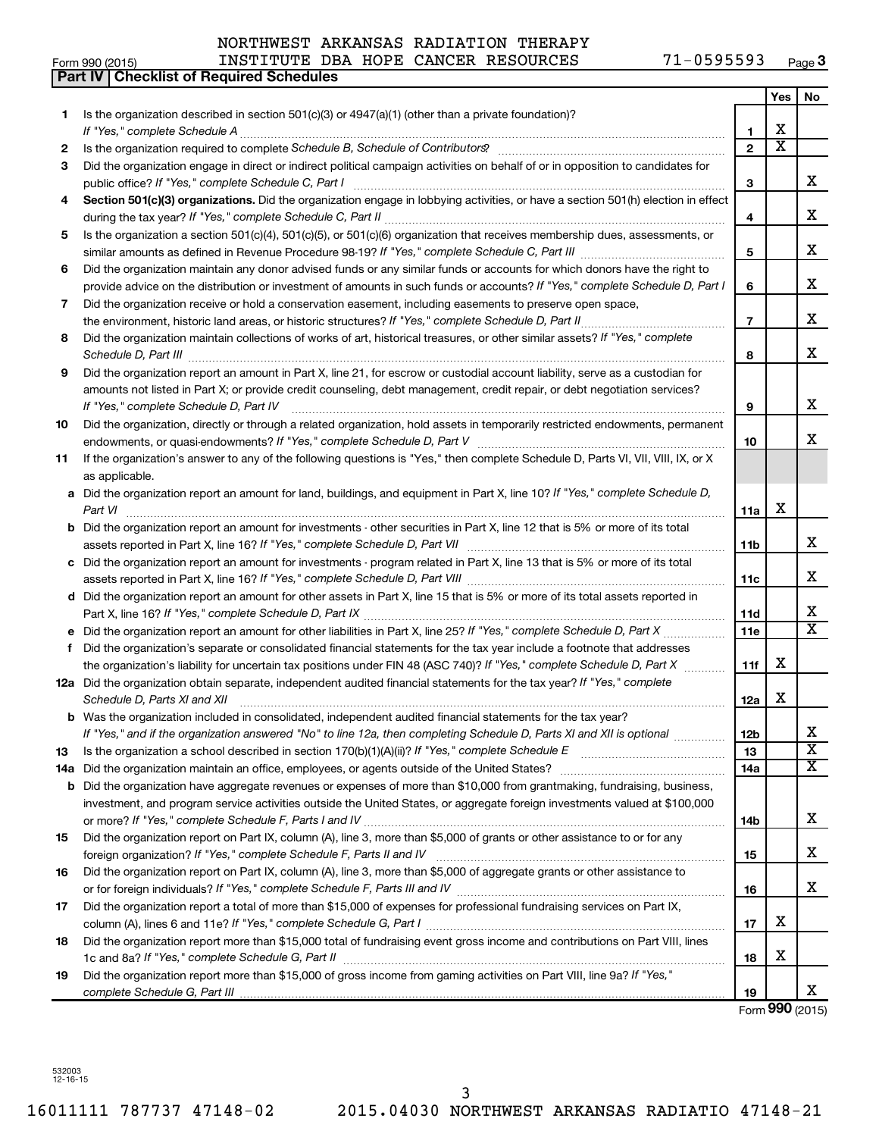**Part IV Checklist of Required Schedules**

#### Form 990 (2015) INSTITUTE DBA HOPE CANCER RESOURCES 71-0595593 <sub>Page</sub> **3**

|     |                                                                                                                                                                                         |                | Yes                   | No                      |
|-----|-----------------------------------------------------------------------------------------------------------------------------------------------------------------------------------------|----------------|-----------------------|-------------------------|
| 1.  | Is the organization described in section 501(c)(3) or 4947(a)(1) (other than a private foundation)?                                                                                     |                |                       |                         |
|     | If "Yes," complete Schedule A                                                                                                                                                           | 1.             | X                     |                         |
| 2   |                                                                                                                                                                                         | $\overline{2}$ | $\overline{\text{x}}$ |                         |
| 3   | Did the organization engage in direct or indirect political campaign activities on behalf of or in opposition to candidates for<br>public office? If "Yes," complete Schedule C, Part I | З              |                       | x                       |
| 4   | Section 501(c)(3) organizations. Did the organization engage in lobbying activities, or have a section 501(h) election in effect                                                        |                |                       |                         |
|     |                                                                                                                                                                                         | 4              |                       | x                       |
| 5   | Is the organization a section 501(c)(4), 501(c)(5), or 501(c)(6) organization that receives membership dues, assessments, or                                                            |                |                       |                         |
|     |                                                                                                                                                                                         | 5              |                       | x                       |
| 6   | Did the organization maintain any donor advised funds or any similar funds or accounts for which donors have the right to                                                               |                |                       |                         |
|     | provide advice on the distribution or investment of amounts in such funds or accounts? If "Yes," complete Schedule D, Part I                                                            | 6              |                       | x                       |
| 7   | Did the organization receive or hold a conservation easement, including easements to preserve open space,                                                                               |                |                       |                         |
|     | the environment, historic land areas, or historic structures? If "Yes," complete Schedule D, Part II                                                                                    | $\overline{7}$ |                       | x                       |
| 8   | Did the organization maintain collections of works of art, historical treasures, or other similar assets? If "Yes," complete<br>Schedule D, Part III                                    | 8              |                       | x                       |
| 9   | Did the organization report an amount in Part X, line 21, for escrow or custodial account liability, serve as a custodian for                                                           |                |                       |                         |
|     | amounts not listed in Part X; or provide credit counseling, debt management, credit repair, or debt negotiation services?                                                               |                |                       |                         |
|     | If "Yes," complete Schedule D, Part IV                                                                                                                                                  | 9              |                       | x                       |
| 10  | Did the organization, directly or through a related organization, hold assets in temporarily restricted endowments, permanent                                                           | 10             |                       | x                       |
| 11  | If the organization's answer to any of the following questions is "Yes," then complete Schedule D, Parts VI, VII, VIII, IX, or X                                                        |                |                       |                         |
|     | as applicable.                                                                                                                                                                          |                |                       |                         |
| а   | Did the organization report an amount for land, buildings, and equipment in Part X, line 10? If "Yes," complete Schedule D,                                                             |                |                       |                         |
|     | Part VI                                                                                                                                                                                 | 11a            | X                     |                         |
| b   | Did the organization report an amount for investments - other securities in Part X, line 12 that is 5% or more of its total                                                             |                |                       |                         |
|     |                                                                                                                                                                                         | 11b            |                       | x                       |
| с   | Did the organization report an amount for investments - program related in Part X, line 13 that is 5% or more of its total                                                              |                |                       |                         |
|     |                                                                                                                                                                                         | 11c            |                       | x                       |
| d   | Did the organization report an amount for other assets in Part X, line 15 that is 5% or more of its total assets reported in                                                            |                |                       |                         |
|     |                                                                                                                                                                                         | 11d            |                       | x                       |
| е   | Did the organization report an amount for other liabilities in Part X, line 25? If "Yes," complete Schedule D, Part X                                                                   | 11e            |                       | $\overline{\mathbf{x}}$ |
| f   | Did the organization's separate or consolidated financial statements for the tax year include a footnote that addresses                                                                 |                |                       |                         |
|     | the organization's liability for uncertain tax positions under FIN 48 (ASC 740)? If "Yes," complete Schedule D, Part X                                                                  | 11f            | X                     |                         |
|     | 12a Did the organization obtain separate, independent audited financial statements for the tax year? If "Yes," complete                                                                 |                |                       |                         |
|     | Schedule D, Parts XI and XII                                                                                                                                                            | 12a            | x                     |                         |
|     | <b>b</b> Was the organization included in consolidated, independent audited financial statements for the tax year?                                                                      |                |                       |                         |
|     | If "Yes," and if the organization answered "No" to line 12a, then completing Schedule D, Parts XI and XII is optional                                                                   | 12b            |                       | ▵                       |
| 13  | Is the organization a school described in section 170(b)(1)(A)(ii)? If "Yes," complete Schedule E                                                                                       | 13             |                       | $\overline{\textbf{x}}$ |
| 14a | Did the organization maintain an office, employees, or agents outside of the United States?                                                                                             | 14a            |                       | $\overline{\mathbf{X}}$ |
| b   | Did the organization have aggregate revenues or expenses of more than \$10,000 from grantmaking, fundraising, business,                                                                 |                |                       |                         |
|     | investment, and program service activities outside the United States, or aggregate foreign investments valued at \$100,000                                                              |                |                       | x                       |
|     | Did the organization report on Part IX, column (A), line 3, more than \$5,000 of grants or other assistance to or for any                                                               | 14b            |                       |                         |
| 15  |                                                                                                                                                                                         | 15             |                       | x                       |
| 16  | Did the organization report on Part IX, column (A), line 3, more than \$5,000 of aggregate grants or other assistance to                                                                |                |                       |                         |
|     |                                                                                                                                                                                         | 16             |                       | x                       |
| 17  | Did the organization report a total of more than \$15,000 of expenses for professional fundraising services on Part IX,                                                                 |                |                       |                         |
|     |                                                                                                                                                                                         | 17             | х                     |                         |
| 18  | Did the organization report more than \$15,000 total of fundraising event gross income and contributions on Part VIII, lines                                                            |                |                       |                         |
|     |                                                                                                                                                                                         | 18             | х                     |                         |
| 19  | Did the organization report more than \$15,000 of gross income from gaming activities on Part VIII, line 9a? If "Yes,"                                                                  |                |                       |                         |
|     |                                                                                                                                                                                         | 19             |                       | x                       |
|     |                                                                                                                                                                                         |                |                       | Form 990 (2015)         |

532003 12-16-15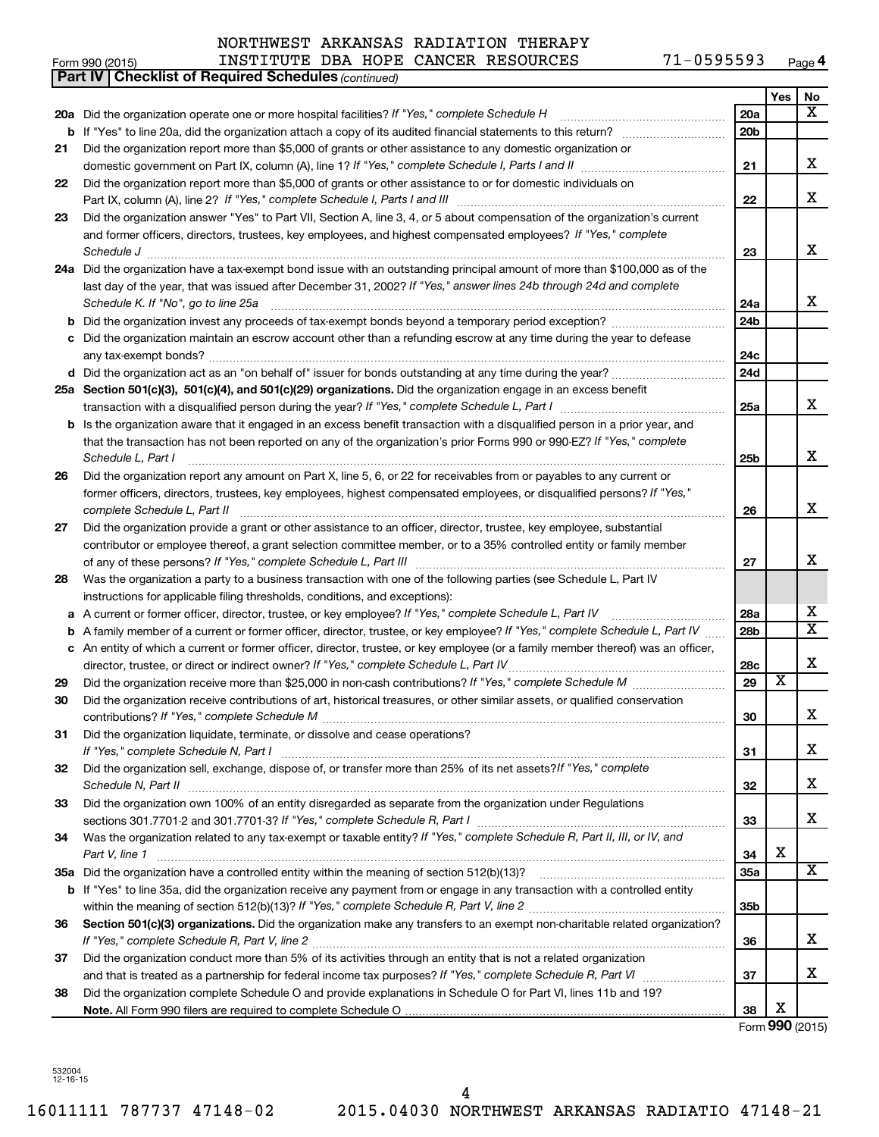#### **Yes No 20 a** *If "Yes," complete Schedule H* Did the organization operate one or more hospital facilities? ~~~~~~~~~~~~~~~~ **21 22 23** Did the organization answer "Yes" to Part VII, Section A, line 3, 4, or 5 about compensation of the organization's current **24 a** Did the organization have a tax-exempt bond issue with an outstanding principal amount of more than \$100,000 as of the **25 a Section 501(c)(3), 501(c)(4), and 501(c)(29) organizations.**  Did the organization engage in an excess benefit **26 27 28 29 30 31 32 33 34 35 a** Did the organization have a controlled entity within the meaning of section 512(b)(13)? **36 37 38 b** If "Yes" to line 20a, did the organization attach a copy of its audited financial statements to this return? ~~~~~~~~~~ **20a 20b 21 22 23 24a 24b 24c 24d 25a 25b 26 27 28a 28b 28c 29 30 31 32 33 34 35a 35b 36 37 38 b** Did the organization invest any proceeds of tax-exempt bonds beyond a temporary period exception? *www.communimi* **c** Did the organization maintain an escrow account other than a refunding escrow at any time during the year to defease **d** Did the organization act as an "on behalf of" issuer for bonds outstanding at any time during the year? ~~~~~~~~~~~ **b** Is the organization aware that it engaged in an excess benefit transaction with a disqualified person in a prior year, and **a** *If "Yes," complete Schedule L, Part IV* A current or former officer, director, trustee, or key employee? ~~~~~~~~~~~ **b c b** If "Yes" to line 35a, did the organization receive any payment from or engage in any transaction with a controlled entity Section 501(c)(3) organizations. Did the organization make any transfers to an exempt non-charitable related organization? **Note.**  All Form 990 filers are required to complete Schedule O *(continued)* **Part IV Checklist of Required Schedules** domestic government on Part IX, column (A), line 1? If "Yes," complete Schedule I, Parts I and II medicinoment on Part IX, column (A), line 1? If "Yes," complete Schedule I, Parts I and II Part IX, column (A), line 2? If "Yes," complete Schedule I, Parts I and III [11] [12] [12] [12] [12] [12] [12] [ and former officers, directors, trustees, key employees, and highest compensated employees? If "Yes," complete *Schedule J* ~~~~~~~~~~~~~~~~~~~~~~~~~~~~~~~~~~~~~~~~~~~~~~~~~~~~~~~~ last day of the year, that was issued after December 31, 2002? If "Yes," answer lines 24b through 24d and complete *Schedule K. If "No", go to line 25a* transaction with a disqualified person during the year? If "Yes," complete Schedule L, Part I \_\_\_\_\_\_\_\_\_\_\_\_\_\_\_\_\_\_\_\_\_\_\_\_\_ that the transaction has not been reported on any of the organization's prior Forms 990 or 990-EZ? If "Yes," complete *Schedule L, Part I* former officers, directors, trustees, key employees, highest compensated employees, or disqualified persons? If "Yes," *complete Schedule L, Part II* ~~~~~~~~~~~~~~~~~~~~~~~~~~~~~~~~~~~~~~~~~~~~~~~ *If "Yes," complete Schedule L, Part III* of any of these persons? ~~~~~~~~~~~~~~~~~~~~~~~~~~~~~~ A family member of a current or former officer, director, trustee, or key employee? If "Yes," complete Schedule L, Part IV ...... *If "Yes," complete Schedule L, Part IV* director, trustee, or direct or indirect owner? ~~~~~~~~~~~~~~~~~~~~~ *If "Yes," complete Schedule M* Did the organization receive more than \$25,000 in non-cash contributions? ~~~~~~~~~ *If "Yes," complete Schedule M* contributions? ~~~~~~~~~~~~~~~~~~~~~~~~~~~~~~~~~~~~~~~ *If "Yes," complete Schedule N, Part I* ~~~~~~~~~~~~~~~~~~~~~~~~~~~~~~~~~~~~~~~~~~~ Did the organization sell, exchange, dispose of, or transfer more than 25% of its net assets?*If "Yes," complete Schedule N, Part II* ~~~~~~~~~~~~~~~~~~~~~~~~~~~~~~~~~~~~~~~~~~~~~~~~~~~~ *If "Yes," complete Schedule R, Part I* sections 301.7701-2 and 301.7701-3? ~~~~~~~~~~~~~~~~~~~~~~~~ Was the organization related to any tax-exempt or taxable entity? If "Yes," complete Schedule R, Part II, III, or IV, and *Part V, line 1 If "Yes," complete Schedule R, Part V, line 2* within the meaning of section 512(b)(13)? ~~~~~~~~~~~~~~~~~~~ *If "Yes," complete Schedule R, Part V, line 2* ~~~~~~~~~~~~~~~~~~~~~~~~~~~~~~~~~~~~~~~~ and that is treated as a partnership for federal income tax purposes? If "Yes," complete Schedule R, Part VI medi Did the organization report more than \$5,000 of grants or other assistance to any domestic organization or Did the organization report more than \$5,000 of grants or other assistance to or for domestic individuals on ~~~~~~~~~~~~~~~~~~~~~~~~~~~~~~~~~~~~~~~~~~~~ any tax-exempt bonds? ~~~~~~~~~~~~~~~~~~~~~~~~~~~~~~~~~~~~~~~~~~~~~~~~~~ ~~~~~~~~~~~~~~~~~~~~~~~~~~~~~~~~~~~~~~~~~~~~~~~~~~~~ Did the organization report any amount on Part X, line 5, 6, or 22 for receivables from or payables to any current or Did the organization provide a grant or other assistance to an officer, director, trustee, key employee, substantial contributor or employee thereof, a grant selection committee member, or to a 35% controlled entity or family member Was the organization a party to a business transaction with one of the following parties (see Schedule L, Part IV instructions for applicable filing thresholds, conditions, and exceptions): An entity of which a current or former officer, director, trustee, or key employee (or a family member thereof) was an officer, Did the organization receive contributions of art, historical treasures, or other similar assets, or qualified conservation Did the organization liquidate, terminate, or dissolve and cease operations? Did the organization own 100% of an entity disregarded as separate from the organization under Regulations ~~~~~~~~~~~~~~~~~~ Did the organization conduct more than 5% of its activities through an entity that is not a related organization Did the organization complete Schedule O and provide explanations in Schedule O for Part VI, lines 11b and 19? X X X X X X X X X X  $\overline{\mathtt{x}}$ X X X X X X X X X X X

Form **990** (2015)

532004 12-16-15

NORTHWEST ARKANSAS RADIATION THERAPY

Form 990 (2015) INSTITUTE DBA HOPE CANCER RESOURCES 71-0595593 <sub>Page</sub>

| INSTITUTE |  |
|-----------|--|
|           |  |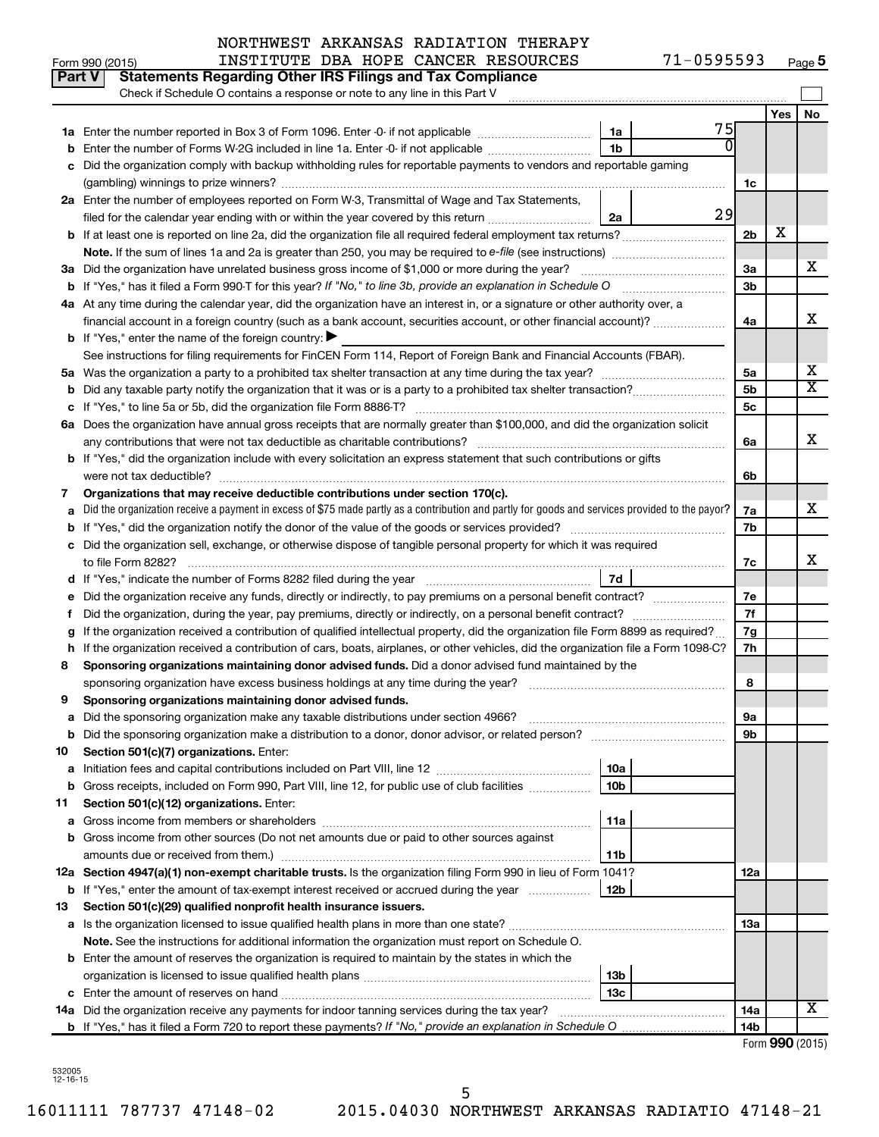| <b>Yes</b><br>No<br>75<br>1a<br>$\Omega$<br>1 <sub>b</sub><br>Enter the number of Forms W-2G included in line 1a. Enter -0- if not applicable<br>Did the organization comply with backup withholding rules for reportable payments to vendors and reportable gaming<br>1c<br>2a Enter the number of employees reported on Form W-3, Transmittal of Wage and Tax Statements,<br>29<br>filed for the calendar year ending with or within the year covered by this return<br>2a<br>х<br>2 <sub>b</sub><br>х<br>3a Did the organization have unrelated business gross income of \$1,000 or more during the year?<br>За<br>3 <sub>b</sub><br><b>b</b> If "Yes," has it filed a Form 990-T for this year? If "No," to line 3b, provide an explanation in Schedule O<br>4a At any time during the calendar year, did the organization have an interest in, or a signature or other authority over, a<br>X<br>financial account in a foreign country (such as a bank account, securities account, or other financial account)?<br>4a<br><b>b</b> If "Yes," enter the name of the foreign country: $\blacktriangleright$<br>See instructions for filing requirements for FinCEN Form 114, Report of Foreign Bank and Financial Accounts (FBAR).<br>х<br>5a<br>5а<br>$\overline{\text{X}}$<br>5 <sub>b</sub><br>Did any taxable party notify the organization that it was or is a party to a prohibited tax shelter transaction?<br>5с<br>с<br>6a Does the organization have annual gross receipts that are normally greater than \$100,000, and did the organization solicit<br>X<br>6a<br>b If "Yes," did the organization include with every solicitation an express statement that such contributions or gifts<br>were not tax deductible?<br>6b<br>Organizations that may receive deductible contributions under section 170(c).<br>7<br>х<br>Did the organization receive a payment in excess of \$75 made partly as a contribution and partly for goods and services provided to the payor?<br>7a<br>7b<br>Did the organization sell, exchange, or otherwise dispose of tangible personal property for which it was required<br>с<br>x<br>7c<br>  7d<br>7е<br>7f<br>Did the organization, during the year, pay premiums, directly or indirectly, on a personal benefit contract?<br>t<br>If the organization received a contribution of qualified intellectual property, did the organization file Form 8899 as required?<br>7g<br>If the organization received a contribution of cars, boats, airplanes, or other vehicles, did the organization file a Form 1098-C?<br>7h<br>h<br>Sponsoring organizations maintaining donor advised funds. Did a donor advised fund maintained by the<br>8<br>8<br>Sponsoring organizations maintaining donor advised funds.<br>9<br>эа<br><b>b</b> Did the sponsoring organization make a distribution to a donor, donor advisor, or related person?<br>9b<br>Section 501(c)(7) organizations. Enter:<br>10<br>10a<br>а<br>10 <sub>b</sub><br>b Gross receipts, included on Form 990, Part VIII, line 12, for public use of club facilities<br>Section 501(c)(12) organizations. Enter:<br>11<br>11a<br>а<br>b Gross income from other sources (Do not net amounts due or paid to other sources against<br>amounts due or received from them.)<br>11b<br>12a Section 4947(a)(1) non-exempt charitable trusts. Is the organization filing Form 990 in lieu of Form 1041?<br>12a<br>b If "Yes," enter the amount of tax-exempt interest received or accrued during the year<br>12b<br>Section 501(c)(29) qualified nonprofit health insurance issuers.<br>13<br>a Is the organization licensed to issue qualified health plans in more than one state?<br>13a<br>Note. See the instructions for additional information the organization must report on Schedule O.<br><b>b</b> Enter the amount of reserves the organization is required to maintain by the states in which the<br>13b<br>13c<br>х<br>14a Did the organization receive any payments for indoor tanning services during the tax year?<br>14a<br>14b | Part V<br><b>Statements Regarding Other IRS Filings and Tax Compliance</b><br>Check if Schedule O contains a response or note to any line in this Part V |  |  |
|---------------------------------------------------------------------------------------------------------------------------------------------------------------------------------------------------------------------------------------------------------------------------------------------------------------------------------------------------------------------------------------------------------------------------------------------------------------------------------------------------------------------------------------------------------------------------------------------------------------------------------------------------------------------------------------------------------------------------------------------------------------------------------------------------------------------------------------------------------------------------------------------------------------------------------------------------------------------------------------------------------------------------------------------------------------------------------------------------------------------------------------------------------------------------------------------------------------------------------------------------------------------------------------------------------------------------------------------------------------------------------------------------------------------------------------------------------------------------------------------------------------------------------------------------------------------------------------------------------------------------------------------------------------------------------------------------------------------------------------------------------------------------------------------------------------------------------------------------------------------------------------------------------------------------------------------------------------------------------------------------------------------------------------------------------------------------------------------------------------------------------------------------------------------------------------------------------------------------------------------------------------------------------------------------------------------------------------------------------------------------------------------------------------------------------------------------------------------------------------------------------------------------------------------------------------------------------------------------------------------------------------------------------------------------------------------------------------------------------------------------------------------------------------------------------------------------------------------------------------------------------------------------------------------------------------------------------------------------------------------------------------------------------------------------------------------------------------------------------------------------------------------------------------------------------------------------------------------------------------------------------------------------------------------------------------------------------------------------------------------------------------------------------------------------------------------------------------------------------------------------------------------------------------------------------------------------------------------------------------------------------------------------------------------------------------------------------------------------------------------------------------------------------------------------------------------------------------------------------------------------------------------------------------------------------------------------------------------------------------------------------------------------------------------------|----------------------------------------------------------------------------------------------------------------------------------------------------------|--|--|
|                                                                                                                                                                                                                                                                                                                                                                                                                                                                                                                                                                                                                                                                                                                                                                                                                                                                                                                                                                                                                                                                                                                                                                                                                                                                                                                                                                                                                                                                                                                                                                                                                                                                                                                                                                                                                                                                                                                                                                                                                                                                                                                                                                                                                                                                                                                                                                                                                                                                                                                                                                                                                                                                                                                                                                                                                                                                                                                                                                                                                                                                                                                                                                                                                                                                                                                                                                                                                                                                                                                                                                                                                                                                                                                                                                                                                                                                                                                                                                                                                                                   |                                                                                                                                                          |  |  |
|                                                                                                                                                                                                                                                                                                                                                                                                                                                                                                                                                                                                                                                                                                                                                                                                                                                                                                                                                                                                                                                                                                                                                                                                                                                                                                                                                                                                                                                                                                                                                                                                                                                                                                                                                                                                                                                                                                                                                                                                                                                                                                                                                                                                                                                                                                                                                                                                                                                                                                                                                                                                                                                                                                                                                                                                                                                                                                                                                                                                                                                                                                                                                                                                                                                                                                                                                                                                                                                                                                                                                                                                                                                                                                                                                                                                                                                                                                                                                                                                                                                   |                                                                                                                                                          |  |  |
|                                                                                                                                                                                                                                                                                                                                                                                                                                                                                                                                                                                                                                                                                                                                                                                                                                                                                                                                                                                                                                                                                                                                                                                                                                                                                                                                                                                                                                                                                                                                                                                                                                                                                                                                                                                                                                                                                                                                                                                                                                                                                                                                                                                                                                                                                                                                                                                                                                                                                                                                                                                                                                                                                                                                                                                                                                                                                                                                                                                                                                                                                                                                                                                                                                                                                                                                                                                                                                                                                                                                                                                                                                                                                                                                                                                                                                                                                                                                                                                                                                                   |                                                                                                                                                          |  |  |
|                                                                                                                                                                                                                                                                                                                                                                                                                                                                                                                                                                                                                                                                                                                                                                                                                                                                                                                                                                                                                                                                                                                                                                                                                                                                                                                                                                                                                                                                                                                                                                                                                                                                                                                                                                                                                                                                                                                                                                                                                                                                                                                                                                                                                                                                                                                                                                                                                                                                                                                                                                                                                                                                                                                                                                                                                                                                                                                                                                                                                                                                                                                                                                                                                                                                                                                                                                                                                                                                                                                                                                                                                                                                                                                                                                                                                                                                                                                                                                                                                                                   |                                                                                                                                                          |  |  |
|                                                                                                                                                                                                                                                                                                                                                                                                                                                                                                                                                                                                                                                                                                                                                                                                                                                                                                                                                                                                                                                                                                                                                                                                                                                                                                                                                                                                                                                                                                                                                                                                                                                                                                                                                                                                                                                                                                                                                                                                                                                                                                                                                                                                                                                                                                                                                                                                                                                                                                                                                                                                                                                                                                                                                                                                                                                                                                                                                                                                                                                                                                                                                                                                                                                                                                                                                                                                                                                                                                                                                                                                                                                                                                                                                                                                                                                                                                                                                                                                                                                   |                                                                                                                                                          |  |  |
|                                                                                                                                                                                                                                                                                                                                                                                                                                                                                                                                                                                                                                                                                                                                                                                                                                                                                                                                                                                                                                                                                                                                                                                                                                                                                                                                                                                                                                                                                                                                                                                                                                                                                                                                                                                                                                                                                                                                                                                                                                                                                                                                                                                                                                                                                                                                                                                                                                                                                                                                                                                                                                                                                                                                                                                                                                                                                                                                                                                                                                                                                                                                                                                                                                                                                                                                                                                                                                                                                                                                                                                                                                                                                                                                                                                                                                                                                                                                                                                                                                                   |                                                                                                                                                          |  |  |
|                                                                                                                                                                                                                                                                                                                                                                                                                                                                                                                                                                                                                                                                                                                                                                                                                                                                                                                                                                                                                                                                                                                                                                                                                                                                                                                                                                                                                                                                                                                                                                                                                                                                                                                                                                                                                                                                                                                                                                                                                                                                                                                                                                                                                                                                                                                                                                                                                                                                                                                                                                                                                                                                                                                                                                                                                                                                                                                                                                                                                                                                                                                                                                                                                                                                                                                                                                                                                                                                                                                                                                                                                                                                                                                                                                                                                                                                                                                                                                                                                                                   |                                                                                                                                                          |  |  |
|                                                                                                                                                                                                                                                                                                                                                                                                                                                                                                                                                                                                                                                                                                                                                                                                                                                                                                                                                                                                                                                                                                                                                                                                                                                                                                                                                                                                                                                                                                                                                                                                                                                                                                                                                                                                                                                                                                                                                                                                                                                                                                                                                                                                                                                                                                                                                                                                                                                                                                                                                                                                                                                                                                                                                                                                                                                                                                                                                                                                                                                                                                                                                                                                                                                                                                                                                                                                                                                                                                                                                                                                                                                                                                                                                                                                                                                                                                                                                                                                                                                   |                                                                                                                                                          |  |  |
|                                                                                                                                                                                                                                                                                                                                                                                                                                                                                                                                                                                                                                                                                                                                                                                                                                                                                                                                                                                                                                                                                                                                                                                                                                                                                                                                                                                                                                                                                                                                                                                                                                                                                                                                                                                                                                                                                                                                                                                                                                                                                                                                                                                                                                                                                                                                                                                                                                                                                                                                                                                                                                                                                                                                                                                                                                                                                                                                                                                                                                                                                                                                                                                                                                                                                                                                                                                                                                                                                                                                                                                                                                                                                                                                                                                                                                                                                                                                                                                                                                                   |                                                                                                                                                          |  |  |
|                                                                                                                                                                                                                                                                                                                                                                                                                                                                                                                                                                                                                                                                                                                                                                                                                                                                                                                                                                                                                                                                                                                                                                                                                                                                                                                                                                                                                                                                                                                                                                                                                                                                                                                                                                                                                                                                                                                                                                                                                                                                                                                                                                                                                                                                                                                                                                                                                                                                                                                                                                                                                                                                                                                                                                                                                                                                                                                                                                                                                                                                                                                                                                                                                                                                                                                                                                                                                                                                                                                                                                                                                                                                                                                                                                                                                                                                                                                                                                                                                                                   |                                                                                                                                                          |  |  |
|                                                                                                                                                                                                                                                                                                                                                                                                                                                                                                                                                                                                                                                                                                                                                                                                                                                                                                                                                                                                                                                                                                                                                                                                                                                                                                                                                                                                                                                                                                                                                                                                                                                                                                                                                                                                                                                                                                                                                                                                                                                                                                                                                                                                                                                                                                                                                                                                                                                                                                                                                                                                                                                                                                                                                                                                                                                                                                                                                                                                                                                                                                                                                                                                                                                                                                                                                                                                                                                                                                                                                                                                                                                                                                                                                                                                                                                                                                                                                                                                                                                   |                                                                                                                                                          |  |  |
|                                                                                                                                                                                                                                                                                                                                                                                                                                                                                                                                                                                                                                                                                                                                                                                                                                                                                                                                                                                                                                                                                                                                                                                                                                                                                                                                                                                                                                                                                                                                                                                                                                                                                                                                                                                                                                                                                                                                                                                                                                                                                                                                                                                                                                                                                                                                                                                                                                                                                                                                                                                                                                                                                                                                                                                                                                                                                                                                                                                                                                                                                                                                                                                                                                                                                                                                                                                                                                                                                                                                                                                                                                                                                                                                                                                                                                                                                                                                                                                                                                                   |                                                                                                                                                          |  |  |
|                                                                                                                                                                                                                                                                                                                                                                                                                                                                                                                                                                                                                                                                                                                                                                                                                                                                                                                                                                                                                                                                                                                                                                                                                                                                                                                                                                                                                                                                                                                                                                                                                                                                                                                                                                                                                                                                                                                                                                                                                                                                                                                                                                                                                                                                                                                                                                                                                                                                                                                                                                                                                                                                                                                                                                                                                                                                                                                                                                                                                                                                                                                                                                                                                                                                                                                                                                                                                                                                                                                                                                                                                                                                                                                                                                                                                                                                                                                                                                                                                                                   |                                                                                                                                                          |  |  |
|                                                                                                                                                                                                                                                                                                                                                                                                                                                                                                                                                                                                                                                                                                                                                                                                                                                                                                                                                                                                                                                                                                                                                                                                                                                                                                                                                                                                                                                                                                                                                                                                                                                                                                                                                                                                                                                                                                                                                                                                                                                                                                                                                                                                                                                                                                                                                                                                                                                                                                                                                                                                                                                                                                                                                                                                                                                                                                                                                                                                                                                                                                                                                                                                                                                                                                                                                                                                                                                                                                                                                                                                                                                                                                                                                                                                                                                                                                                                                                                                                                                   |                                                                                                                                                          |  |  |
|                                                                                                                                                                                                                                                                                                                                                                                                                                                                                                                                                                                                                                                                                                                                                                                                                                                                                                                                                                                                                                                                                                                                                                                                                                                                                                                                                                                                                                                                                                                                                                                                                                                                                                                                                                                                                                                                                                                                                                                                                                                                                                                                                                                                                                                                                                                                                                                                                                                                                                                                                                                                                                                                                                                                                                                                                                                                                                                                                                                                                                                                                                                                                                                                                                                                                                                                                                                                                                                                                                                                                                                                                                                                                                                                                                                                                                                                                                                                                                                                                                                   |                                                                                                                                                          |  |  |
|                                                                                                                                                                                                                                                                                                                                                                                                                                                                                                                                                                                                                                                                                                                                                                                                                                                                                                                                                                                                                                                                                                                                                                                                                                                                                                                                                                                                                                                                                                                                                                                                                                                                                                                                                                                                                                                                                                                                                                                                                                                                                                                                                                                                                                                                                                                                                                                                                                                                                                                                                                                                                                                                                                                                                                                                                                                                                                                                                                                                                                                                                                                                                                                                                                                                                                                                                                                                                                                                                                                                                                                                                                                                                                                                                                                                                                                                                                                                                                                                                                                   |                                                                                                                                                          |  |  |
|                                                                                                                                                                                                                                                                                                                                                                                                                                                                                                                                                                                                                                                                                                                                                                                                                                                                                                                                                                                                                                                                                                                                                                                                                                                                                                                                                                                                                                                                                                                                                                                                                                                                                                                                                                                                                                                                                                                                                                                                                                                                                                                                                                                                                                                                                                                                                                                                                                                                                                                                                                                                                                                                                                                                                                                                                                                                                                                                                                                                                                                                                                                                                                                                                                                                                                                                                                                                                                                                                                                                                                                                                                                                                                                                                                                                                                                                                                                                                                                                                                                   |                                                                                                                                                          |  |  |
|                                                                                                                                                                                                                                                                                                                                                                                                                                                                                                                                                                                                                                                                                                                                                                                                                                                                                                                                                                                                                                                                                                                                                                                                                                                                                                                                                                                                                                                                                                                                                                                                                                                                                                                                                                                                                                                                                                                                                                                                                                                                                                                                                                                                                                                                                                                                                                                                                                                                                                                                                                                                                                                                                                                                                                                                                                                                                                                                                                                                                                                                                                                                                                                                                                                                                                                                                                                                                                                                                                                                                                                                                                                                                                                                                                                                                                                                                                                                                                                                                                                   |                                                                                                                                                          |  |  |
|                                                                                                                                                                                                                                                                                                                                                                                                                                                                                                                                                                                                                                                                                                                                                                                                                                                                                                                                                                                                                                                                                                                                                                                                                                                                                                                                                                                                                                                                                                                                                                                                                                                                                                                                                                                                                                                                                                                                                                                                                                                                                                                                                                                                                                                                                                                                                                                                                                                                                                                                                                                                                                                                                                                                                                                                                                                                                                                                                                                                                                                                                                                                                                                                                                                                                                                                                                                                                                                                                                                                                                                                                                                                                                                                                                                                                                                                                                                                                                                                                                                   |                                                                                                                                                          |  |  |
|                                                                                                                                                                                                                                                                                                                                                                                                                                                                                                                                                                                                                                                                                                                                                                                                                                                                                                                                                                                                                                                                                                                                                                                                                                                                                                                                                                                                                                                                                                                                                                                                                                                                                                                                                                                                                                                                                                                                                                                                                                                                                                                                                                                                                                                                                                                                                                                                                                                                                                                                                                                                                                                                                                                                                                                                                                                                                                                                                                                                                                                                                                                                                                                                                                                                                                                                                                                                                                                                                                                                                                                                                                                                                                                                                                                                                                                                                                                                                                                                                                                   |                                                                                                                                                          |  |  |
|                                                                                                                                                                                                                                                                                                                                                                                                                                                                                                                                                                                                                                                                                                                                                                                                                                                                                                                                                                                                                                                                                                                                                                                                                                                                                                                                                                                                                                                                                                                                                                                                                                                                                                                                                                                                                                                                                                                                                                                                                                                                                                                                                                                                                                                                                                                                                                                                                                                                                                                                                                                                                                                                                                                                                                                                                                                                                                                                                                                                                                                                                                                                                                                                                                                                                                                                                                                                                                                                                                                                                                                                                                                                                                                                                                                                                                                                                                                                                                                                                                                   |                                                                                                                                                          |  |  |
|                                                                                                                                                                                                                                                                                                                                                                                                                                                                                                                                                                                                                                                                                                                                                                                                                                                                                                                                                                                                                                                                                                                                                                                                                                                                                                                                                                                                                                                                                                                                                                                                                                                                                                                                                                                                                                                                                                                                                                                                                                                                                                                                                                                                                                                                                                                                                                                                                                                                                                                                                                                                                                                                                                                                                                                                                                                                                                                                                                                                                                                                                                                                                                                                                                                                                                                                                                                                                                                                                                                                                                                                                                                                                                                                                                                                                                                                                                                                                                                                                                                   |                                                                                                                                                          |  |  |
|                                                                                                                                                                                                                                                                                                                                                                                                                                                                                                                                                                                                                                                                                                                                                                                                                                                                                                                                                                                                                                                                                                                                                                                                                                                                                                                                                                                                                                                                                                                                                                                                                                                                                                                                                                                                                                                                                                                                                                                                                                                                                                                                                                                                                                                                                                                                                                                                                                                                                                                                                                                                                                                                                                                                                                                                                                                                                                                                                                                                                                                                                                                                                                                                                                                                                                                                                                                                                                                                                                                                                                                                                                                                                                                                                                                                                                                                                                                                                                                                                                                   |                                                                                                                                                          |  |  |
|                                                                                                                                                                                                                                                                                                                                                                                                                                                                                                                                                                                                                                                                                                                                                                                                                                                                                                                                                                                                                                                                                                                                                                                                                                                                                                                                                                                                                                                                                                                                                                                                                                                                                                                                                                                                                                                                                                                                                                                                                                                                                                                                                                                                                                                                                                                                                                                                                                                                                                                                                                                                                                                                                                                                                                                                                                                                                                                                                                                                                                                                                                                                                                                                                                                                                                                                                                                                                                                                                                                                                                                                                                                                                                                                                                                                                                                                                                                                                                                                                                                   |                                                                                                                                                          |  |  |
|                                                                                                                                                                                                                                                                                                                                                                                                                                                                                                                                                                                                                                                                                                                                                                                                                                                                                                                                                                                                                                                                                                                                                                                                                                                                                                                                                                                                                                                                                                                                                                                                                                                                                                                                                                                                                                                                                                                                                                                                                                                                                                                                                                                                                                                                                                                                                                                                                                                                                                                                                                                                                                                                                                                                                                                                                                                                                                                                                                                                                                                                                                                                                                                                                                                                                                                                                                                                                                                                                                                                                                                                                                                                                                                                                                                                                                                                                                                                                                                                                                                   |                                                                                                                                                          |  |  |
|                                                                                                                                                                                                                                                                                                                                                                                                                                                                                                                                                                                                                                                                                                                                                                                                                                                                                                                                                                                                                                                                                                                                                                                                                                                                                                                                                                                                                                                                                                                                                                                                                                                                                                                                                                                                                                                                                                                                                                                                                                                                                                                                                                                                                                                                                                                                                                                                                                                                                                                                                                                                                                                                                                                                                                                                                                                                                                                                                                                                                                                                                                                                                                                                                                                                                                                                                                                                                                                                                                                                                                                                                                                                                                                                                                                                                                                                                                                                                                                                                                                   |                                                                                                                                                          |  |  |
|                                                                                                                                                                                                                                                                                                                                                                                                                                                                                                                                                                                                                                                                                                                                                                                                                                                                                                                                                                                                                                                                                                                                                                                                                                                                                                                                                                                                                                                                                                                                                                                                                                                                                                                                                                                                                                                                                                                                                                                                                                                                                                                                                                                                                                                                                                                                                                                                                                                                                                                                                                                                                                                                                                                                                                                                                                                                                                                                                                                                                                                                                                                                                                                                                                                                                                                                                                                                                                                                                                                                                                                                                                                                                                                                                                                                                                                                                                                                                                                                                                                   |                                                                                                                                                          |  |  |
|                                                                                                                                                                                                                                                                                                                                                                                                                                                                                                                                                                                                                                                                                                                                                                                                                                                                                                                                                                                                                                                                                                                                                                                                                                                                                                                                                                                                                                                                                                                                                                                                                                                                                                                                                                                                                                                                                                                                                                                                                                                                                                                                                                                                                                                                                                                                                                                                                                                                                                                                                                                                                                                                                                                                                                                                                                                                                                                                                                                                                                                                                                                                                                                                                                                                                                                                                                                                                                                                                                                                                                                                                                                                                                                                                                                                                                                                                                                                                                                                                                                   |                                                                                                                                                          |  |  |
|                                                                                                                                                                                                                                                                                                                                                                                                                                                                                                                                                                                                                                                                                                                                                                                                                                                                                                                                                                                                                                                                                                                                                                                                                                                                                                                                                                                                                                                                                                                                                                                                                                                                                                                                                                                                                                                                                                                                                                                                                                                                                                                                                                                                                                                                                                                                                                                                                                                                                                                                                                                                                                                                                                                                                                                                                                                                                                                                                                                                                                                                                                                                                                                                                                                                                                                                                                                                                                                                                                                                                                                                                                                                                                                                                                                                                                                                                                                                                                                                                                                   |                                                                                                                                                          |  |  |
|                                                                                                                                                                                                                                                                                                                                                                                                                                                                                                                                                                                                                                                                                                                                                                                                                                                                                                                                                                                                                                                                                                                                                                                                                                                                                                                                                                                                                                                                                                                                                                                                                                                                                                                                                                                                                                                                                                                                                                                                                                                                                                                                                                                                                                                                                                                                                                                                                                                                                                                                                                                                                                                                                                                                                                                                                                                                                                                                                                                                                                                                                                                                                                                                                                                                                                                                                                                                                                                                                                                                                                                                                                                                                                                                                                                                                                                                                                                                                                                                                                                   |                                                                                                                                                          |  |  |
|                                                                                                                                                                                                                                                                                                                                                                                                                                                                                                                                                                                                                                                                                                                                                                                                                                                                                                                                                                                                                                                                                                                                                                                                                                                                                                                                                                                                                                                                                                                                                                                                                                                                                                                                                                                                                                                                                                                                                                                                                                                                                                                                                                                                                                                                                                                                                                                                                                                                                                                                                                                                                                                                                                                                                                                                                                                                                                                                                                                                                                                                                                                                                                                                                                                                                                                                                                                                                                                                                                                                                                                                                                                                                                                                                                                                                                                                                                                                                                                                                                                   |                                                                                                                                                          |  |  |
|                                                                                                                                                                                                                                                                                                                                                                                                                                                                                                                                                                                                                                                                                                                                                                                                                                                                                                                                                                                                                                                                                                                                                                                                                                                                                                                                                                                                                                                                                                                                                                                                                                                                                                                                                                                                                                                                                                                                                                                                                                                                                                                                                                                                                                                                                                                                                                                                                                                                                                                                                                                                                                                                                                                                                                                                                                                                                                                                                                                                                                                                                                                                                                                                                                                                                                                                                                                                                                                                                                                                                                                                                                                                                                                                                                                                                                                                                                                                                                                                                                                   |                                                                                                                                                          |  |  |
|                                                                                                                                                                                                                                                                                                                                                                                                                                                                                                                                                                                                                                                                                                                                                                                                                                                                                                                                                                                                                                                                                                                                                                                                                                                                                                                                                                                                                                                                                                                                                                                                                                                                                                                                                                                                                                                                                                                                                                                                                                                                                                                                                                                                                                                                                                                                                                                                                                                                                                                                                                                                                                                                                                                                                                                                                                                                                                                                                                                                                                                                                                                                                                                                                                                                                                                                                                                                                                                                                                                                                                                                                                                                                                                                                                                                                                                                                                                                                                                                                                                   |                                                                                                                                                          |  |  |
|                                                                                                                                                                                                                                                                                                                                                                                                                                                                                                                                                                                                                                                                                                                                                                                                                                                                                                                                                                                                                                                                                                                                                                                                                                                                                                                                                                                                                                                                                                                                                                                                                                                                                                                                                                                                                                                                                                                                                                                                                                                                                                                                                                                                                                                                                                                                                                                                                                                                                                                                                                                                                                                                                                                                                                                                                                                                                                                                                                                                                                                                                                                                                                                                                                                                                                                                                                                                                                                                                                                                                                                                                                                                                                                                                                                                                                                                                                                                                                                                                                                   |                                                                                                                                                          |  |  |
|                                                                                                                                                                                                                                                                                                                                                                                                                                                                                                                                                                                                                                                                                                                                                                                                                                                                                                                                                                                                                                                                                                                                                                                                                                                                                                                                                                                                                                                                                                                                                                                                                                                                                                                                                                                                                                                                                                                                                                                                                                                                                                                                                                                                                                                                                                                                                                                                                                                                                                                                                                                                                                                                                                                                                                                                                                                                                                                                                                                                                                                                                                                                                                                                                                                                                                                                                                                                                                                                                                                                                                                                                                                                                                                                                                                                                                                                                                                                                                                                                                                   |                                                                                                                                                          |  |  |
|                                                                                                                                                                                                                                                                                                                                                                                                                                                                                                                                                                                                                                                                                                                                                                                                                                                                                                                                                                                                                                                                                                                                                                                                                                                                                                                                                                                                                                                                                                                                                                                                                                                                                                                                                                                                                                                                                                                                                                                                                                                                                                                                                                                                                                                                                                                                                                                                                                                                                                                                                                                                                                                                                                                                                                                                                                                                                                                                                                                                                                                                                                                                                                                                                                                                                                                                                                                                                                                                                                                                                                                                                                                                                                                                                                                                                                                                                                                                                                                                                                                   |                                                                                                                                                          |  |  |
|                                                                                                                                                                                                                                                                                                                                                                                                                                                                                                                                                                                                                                                                                                                                                                                                                                                                                                                                                                                                                                                                                                                                                                                                                                                                                                                                                                                                                                                                                                                                                                                                                                                                                                                                                                                                                                                                                                                                                                                                                                                                                                                                                                                                                                                                                                                                                                                                                                                                                                                                                                                                                                                                                                                                                                                                                                                                                                                                                                                                                                                                                                                                                                                                                                                                                                                                                                                                                                                                                                                                                                                                                                                                                                                                                                                                                                                                                                                                                                                                                                                   |                                                                                                                                                          |  |  |
|                                                                                                                                                                                                                                                                                                                                                                                                                                                                                                                                                                                                                                                                                                                                                                                                                                                                                                                                                                                                                                                                                                                                                                                                                                                                                                                                                                                                                                                                                                                                                                                                                                                                                                                                                                                                                                                                                                                                                                                                                                                                                                                                                                                                                                                                                                                                                                                                                                                                                                                                                                                                                                                                                                                                                                                                                                                                                                                                                                                                                                                                                                                                                                                                                                                                                                                                                                                                                                                                                                                                                                                                                                                                                                                                                                                                                                                                                                                                                                                                                                                   |                                                                                                                                                          |  |  |
|                                                                                                                                                                                                                                                                                                                                                                                                                                                                                                                                                                                                                                                                                                                                                                                                                                                                                                                                                                                                                                                                                                                                                                                                                                                                                                                                                                                                                                                                                                                                                                                                                                                                                                                                                                                                                                                                                                                                                                                                                                                                                                                                                                                                                                                                                                                                                                                                                                                                                                                                                                                                                                                                                                                                                                                                                                                                                                                                                                                                                                                                                                                                                                                                                                                                                                                                                                                                                                                                                                                                                                                                                                                                                                                                                                                                                                                                                                                                                                                                                                                   |                                                                                                                                                          |  |  |
|                                                                                                                                                                                                                                                                                                                                                                                                                                                                                                                                                                                                                                                                                                                                                                                                                                                                                                                                                                                                                                                                                                                                                                                                                                                                                                                                                                                                                                                                                                                                                                                                                                                                                                                                                                                                                                                                                                                                                                                                                                                                                                                                                                                                                                                                                                                                                                                                                                                                                                                                                                                                                                                                                                                                                                                                                                                                                                                                                                                                                                                                                                                                                                                                                                                                                                                                                                                                                                                                                                                                                                                                                                                                                                                                                                                                                                                                                                                                                                                                                                                   |                                                                                                                                                          |  |  |
|                                                                                                                                                                                                                                                                                                                                                                                                                                                                                                                                                                                                                                                                                                                                                                                                                                                                                                                                                                                                                                                                                                                                                                                                                                                                                                                                                                                                                                                                                                                                                                                                                                                                                                                                                                                                                                                                                                                                                                                                                                                                                                                                                                                                                                                                                                                                                                                                                                                                                                                                                                                                                                                                                                                                                                                                                                                                                                                                                                                                                                                                                                                                                                                                                                                                                                                                                                                                                                                                                                                                                                                                                                                                                                                                                                                                                                                                                                                                                                                                                                                   |                                                                                                                                                          |  |  |
|                                                                                                                                                                                                                                                                                                                                                                                                                                                                                                                                                                                                                                                                                                                                                                                                                                                                                                                                                                                                                                                                                                                                                                                                                                                                                                                                                                                                                                                                                                                                                                                                                                                                                                                                                                                                                                                                                                                                                                                                                                                                                                                                                                                                                                                                                                                                                                                                                                                                                                                                                                                                                                                                                                                                                                                                                                                                                                                                                                                                                                                                                                                                                                                                                                                                                                                                                                                                                                                                                                                                                                                                                                                                                                                                                                                                                                                                                                                                                                                                                                                   |                                                                                                                                                          |  |  |
|                                                                                                                                                                                                                                                                                                                                                                                                                                                                                                                                                                                                                                                                                                                                                                                                                                                                                                                                                                                                                                                                                                                                                                                                                                                                                                                                                                                                                                                                                                                                                                                                                                                                                                                                                                                                                                                                                                                                                                                                                                                                                                                                                                                                                                                                                                                                                                                                                                                                                                                                                                                                                                                                                                                                                                                                                                                                                                                                                                                                                                                                                                                                                                                                                                                                                                                                                                                                                                                                                                                                                                                                                                                                                                                                                                                                                                                                                                                                                                                                                                                   |                                                                                                                                                          |  |  |
|                                                                                                                                                                                                                                                                                                                                                                                                                                                                                                                                                                                                                                                                                                                                                                                                                                                                                                                                                                                                                                                                                                                                                                                                                                                                                                                                                                                                                                                                                                                                                                                                                                                                                                                                                                                                                                                                                                                                                                                                                                                                                                                                                                                                                                                                                                                                                                                                                                                                                                                                                                                                                                                                                                                                                                                                                                                                                                                                                                                                                                                                                                                                                                                                                                                                                                                                                                                                                                                                                                                                                                                                                                                                                                                                                                                                                                                                                                                                                                                                                                                   |                                                                                                                                                          |  |  |
|                                                                                                                                                                                                                                                                                                                                                                                                                                                                                                                                                                                                                                                                                                                                                                                                                                                                                                                                                                                                                                                                                                                                                                                                                                                                                                                                                                                                                                                                                                                                                                                                                                                                                                                                                                                                                                                                                                                                                                                                                                                                                                                                                                                                                                                                                                                                                                                                                                                                                                                                                                                                                                                                                                                                                                                                                                                                                                                                                                                                                                                                                                                                                                                                                                                                                                                                                                                                                                                                                                                                                                                                                                                                                                                                                                                                                                                                                                                                                                                                                                                   |                                                                                                                                                          |  |  |
|                                                                                                                                                                                                                                                                                                                                                                                                                                                                                                                                                                                                                                                                                                                                                                                                                                                                                                                                                                                                                                                                                                                                                                                                                                                                                                                                                                                                                                                                                                                                                                                                                                                                                                                                                                                                                                                                                                                                                                                                                                                                                                                                                                                                                                                                                                                                                                                                                                                                                                                                                                                                                                                                                                                                                                                                                                                                                                                                                                                                                                                                                                                                                                                                                                                                                                                                                                                                                                                                                                                                                                                                                                                                                                                                                                                                                                                                                                                                                                                                                                                   |                                                                                                                                                          |  |  |
|                                                                                                                                                                                                                                                                                                                                                                                                                                                                                                                                                                                                                                                                                                                                                                                                                                                                                                                                                                                                                                                                                                                                                                                                                                                                                                                                                                                                                                                                                                                                                                                                                                                                                                                                                                                                                                                                                                                                                                                                                                                                                                                                                                                                                                                                                                                                                                                                                                                                                                                                                                                                                                                                                                                                                                                                                                                                                                                                                                                                                                                                                                                                                                                                                                                                                                                                                                                                                                                                                                                                                                                                                                                                                                                                                                                                                                                                                                                                                                                                                                                   |                                                                                                                                                          |  |  |
|                                                                                                                                                                                                                                                                                                                                                                                                                                                                                                                                                                                                                                                                                                                                                                                                                                                                                                                                                                                                                                                                                                                                                                                                                                                                                                                                                                                                                                                                                                                                                                                                                                                                                                                                                                                                                                                                                                                                                                                                                                                                                                                                                                                                                                                                                                                                                                                                                                                                                                                                                                                                                                                                                                                                                                                                                                                                                                                                                                                                                                                                                                                                                                                                                                                                                                                                                                                                                                                                                                                                                                                                                                                                                                                                                                                                                                                                                                                                                                                                                                                   |                                                                                                                                                          |  |  |
|                                                                                                                                                                                                                                                                                                                                                                                                                                                                                                                                                                                                                                                                                                                                                                                                                                                                                                                                                                                                                                                                                                                                                                                                                                                                                                                                                                                                                                                                                                                                                                                                                                                                                                                                                                                                                                                                                                                                                                                                                                                                                                                                                                                                                                                                                                                                                                                                                                                                                                                                                                                                                                                                                                                                                                                                                                                                                                                                                                                                                                                                                                                                                                                                                                                                                                                                                                                                                                                                                                                                                                                                                                                                                                                                                                                                                                                                                                                                                                                                                                                   |                                                                                                                                                          |  |  |
|                                                                                                                                                                                                                                                                                                                                                                                                                                                                                                                                                                                                                                                                                                                                                                                                                                                                                                                                                                                                                                                                                                                                                                                                                                                                                                                                                                                                                                                                                                                                                                                                                                                                                                                                                                                                                                                                                                                                                                                                                                                                                                                                                                                                                                                                                                                                                                                                                                                                                                                                                                                                                                                                                                                                                                                                                                                                                                                                                                                                                                                                                                                                                                                                                                                                                                                                                                                                                                                                                                                                                                                                                                                                                                                                                                                                                                                                                                                                                                                                                                                   |                                                                                                                                                          |  |  |
|                                                                                                                                                                                                                                                                                                                                                                                                                                                                                                                                                                                                                                                                                                                                                                                                                                                                                                                                                                                                                                                                                                                                                                                                                                                                                                                                                                                                                                                                                                                                                                                                                                                                                                                                                                                                                                                                                                                                                                                                                                                                                                                                                                                                                                                                                                                                                                                                                                                                                                                                                                                                                                                                                                                                                                                                                                                                                                                                                                                                                                                                                                                                                                                                                                                                                                                                                                                                                                                                                                                                                                                                                                                                                                                                                                                                                                                                                                                                                                                                                                                   |                                                                                                                                                          |  |  |
|                                                                                                                                                                                                                                                                                                                                                                                                                                                                                                                                                                                                                                                                                                                                                                                                                                                                                                                                                                                                                                                                                                                                                                                                                                                                                                                                                                                                                                                                                                                                                                                                                                                                                                                                                                                                                                                                                                                                                                                                                                                                                                                                                                                                                                                                                                                                                                                                                                                                                                                                                                                                                                                                                                                                                                                                                                                                                                                                                                                                                                                                                                                                                                                                                                                                                                                                                                                                                                                                                                                                                                                                                                                                                                                                                                                                                                                                                                                                                                                                                                                   |                                                                                                                                                          |  |  |
|                                                                                                                                                                                                                                                                                                                                                                                                                                                                                                                                                                                                                                                                                                                                                                                                                                                                                                                                                                                                                                                                                                                                                                                                                                                                                                                                                                                                                                                                                                                                                                                                                                                                                                                                                                                                                                                                                                                                                                                                                                                                                                                                                                                                                                                                                                                                                                                                                                                                                                                                                                                                                                                                                                                                                                                                                                                                                                                                                                                                                                                                                                                                                                                                                                                                                                                                                                                                                                                                                                                                                                                                                                                                                                                                                                                                                                                                                                                                                                                                                                                   |                                                                                                                                                          |  |  |

Form (2015) **990**

532005 12-16-15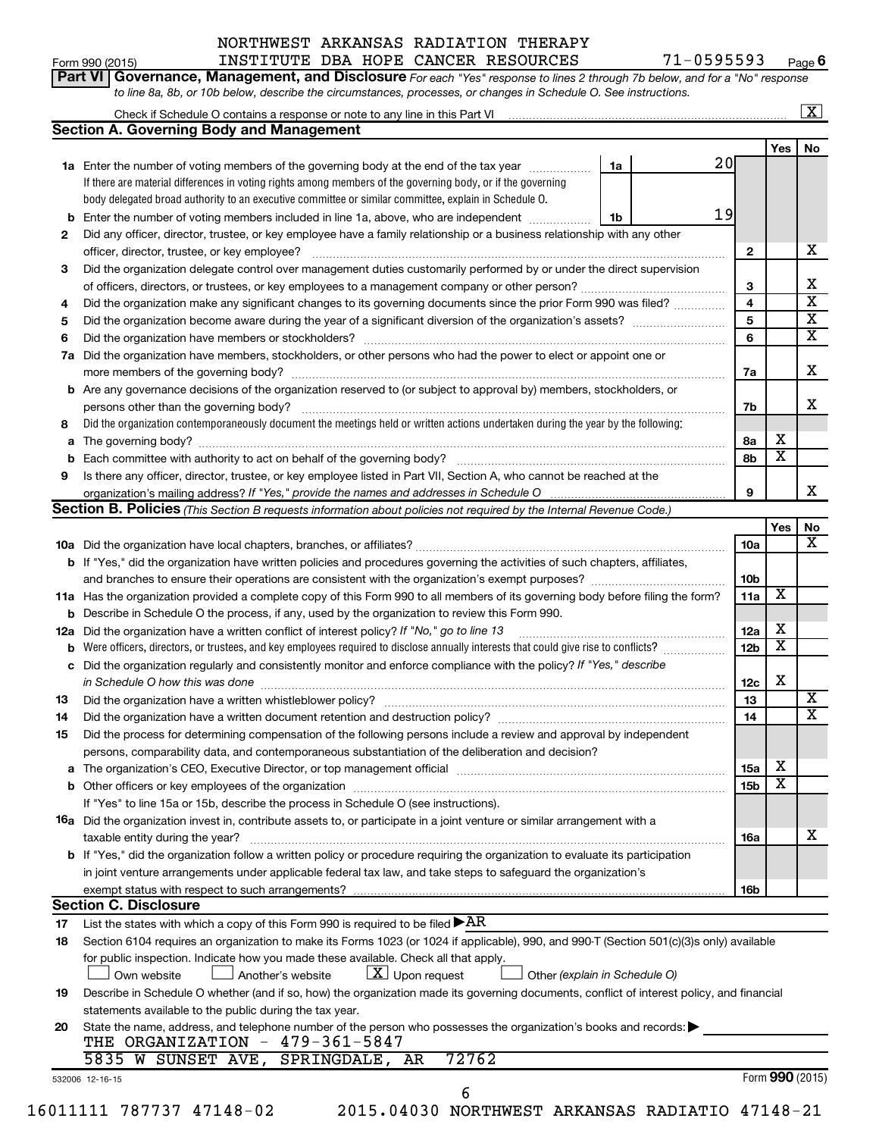#### Form 990 (2015) INSTITUTE DBA HOPE CANCER RESOURCES 71-0595593 <sub>Page</sub> NORTHWEST ARKANSAS RADIATION THERAPY

71-0595593 Page 6

| Part VI   Governance, Management, and Disclosure For each "Yes" response to lines 2 through 7b below, and for a "No" response |  |
|-------------------------------------------------------------------------------------------------------------------------------|--|
| to line 8a, 8b, or 10b below, describe the circumstances, processes, or changes in Schedule O. See instructions.              |  |

|             | Check if Schedule O contains a response or note to any line in this Part VI [11] [12] Check if Schedule O contains a response or note to any line in this Part VI                                                              |    |    |                 |                         | $\vert$ X $\vert$       |
|-------------|--------------------------------------------------------------------------------------------------------------------------------------------------------------------------------------------------------------------------------|----|----|-----------------|-------------------------|-------------------------|
|             | <b>Section A. Governing Body and Management</b>                                                                                                                                                                                |    |    |                 |                         |                         |
|             |                                                                                                                                                                                                                                |    |    |                 | Yes                     | No                      |
|             | 1a Enter the number of voting members of the governing body at the end of the tax year                                                                                                                                         | 1a | 20 |                 |                         |                         |
|             | If there are material differences in voting rights among members of the governing body, or if the governing                                                                                                                    |    |    |                 |                         |                         |
|             | body delegated broad authority to an executive committee or similar committee, explain in Schedule O.                                                                                                                          |    |    |                 |                         |                         |
| b           | Enter the number of voting members included in line 1a, above, who are independent                                                                                                                                             | 1b | 19 |                 |                         |                         |
| 2           | Did any officer, director, trustee, or key employee have a family relationship or a business relationship with any other                                                                                                       |    |    |                 |                         |                         |
|             | officer, director, trustee, or key employee?                                                                                                                                                                                   |    |    | $\mathbf{2}$    |                         | х                       |
| 3           | Did the organization delegate control over management duties customarily performed by or under the direct supervision                                                                                                          |    |    |                 |                         |                         |
|             |                                                                                                                                                                                                                                |    |    | 3               |                         | х                       |
| 4           | Did the organization make any significant changes to its governing documents since the prior Form 990 was filed?                                                                                                               |    |    | $\overline{4}$  |                         | $\overline{\textbf{x}}$ |
| 5           |                                                                                                                                                                                                                                |    |    | 5               |                         | $\overline{\mathbf{X}}$ |
| 6           |                                                                                                                                                                                                                                |    |    | 6               |                         | $\overline{\mathbf{X}}$ |
| 7a          | Did the organization have members, stockholders, or other persons who had the power to elect or appoint one or                                                                                                                 |    |    |                 |                         |                         |
|             |                                                                                                                                                                                                                                |    |    | 7a              |                         | х                       |
|             | <b>b</b> Are any governance decisions of the organization reserved to (or subject to approval by) members, stockholders, or                                                                                                    |    |    |                 |                         |                         |
|             | persons other than the governing body?                                                                                                                                                                                         |    |    | 7b              |                         | х                       |
| 8           | Did the organization contemporaneously document the meetings held or written actions undertaken during the year by the following:                                                                                              |    |    |                 |                         |                         |
| a           |                                                                                                                                                                                                                                |    |    | 8а              | х                       |                         |
| $\mathbf b$ |                                                                                                                                                                                                                                |    |    | 8b              | $\overline{\mathbf{x}}$ |                         |
| 9           | Is there any officer, director, trustee, or key employee listed in Part VII, Section A, who cannot be reached at the                                                                                                           |    |    |                 |                         |                         |
|             |                                                                                                                                                                                                                                |    |    | 9               |                         | X.                      |
|             | Section B. Policies (This Section B requests information about policies not required by the Internal Revenue Code.)                                                                                                            |    |    |                 |                         |                         |
|             |                                                                                                                                                                                                                                |    |    |                 | Yes                     | No                      |
|             |                                                                                                                                                                                                                                |    |    | 10a             |                         | $\overline{\mathbf{X}}$ |
|             | <b>b</b> If "Yes," did the organization have written policies and procedures governing the activities of such chapters, affiliates,                                                                                            |    |    |                 |                         |                         |
|             |                                                                                                                                                                                                                                |    |    | 10 <sub>b</sub> |                         |                         |
|             | 11a Has the organization provided a complete copy of this Form 990 to all members of its governing body before filing the form?                                                                                                |    |    | 11a             | $\overline{\mathbf{X}}$ |                         |
|             | <b>b</b> Describe in Schedule O the process, if any, used by the organization to review this Form 990.                                                                                                                         |    |    |                 |                         |                         |
| 12a         | Did the organization have a written conflict of interest policy? If "No," go to line 13                                                                                                                                        |    |    | 12a             | х                       |                         |
| b           | Were officers, directors, or trustees, and key employees required to disclose annually interests that could give rise to conflicts?                                                                                            |    |    | 12 <sub>b</sub> | $\overline{\textbf{x}}$ |                         |
| c           | Did the organization regularly and consistently monitor and enforce compliance with the policy? If "Yes," describe                                                                                                             |    |    |                 |                         |                         |
|             | in Schedule O how this was done manufactured and contain an according to the state of the state of the state o                                                                                                                 |    |    | 12c             | Х                       |                         |
| 13          | Did the organization have a written whistleblower policy?                                                                                                                                                                      |    |    | 13              |                         | X                       |
| 14          |                                                                                                                                                                                                                                |    |    | 14              |                         | $\overline{\texttt{x}}$ |
| 15          |                                                                                                                                                                                                                                |    |    |                 |                         |                         |
|             | Did the process for determining compensation of the following persons include a review and approval by independent<br>persons, comparability data, and contemporaneous substantiation of the deliberation and decision?        |    |    |                 |                         |                         |
|             |                                                                                                                                                                                                                                |    |    |                 | х                       |                         |
|             | The organization's CEO, Executive Director, or top management official manufactured content of the organization's CEO, Executive Director, or top management official manufactured content of the state of the state of the st |    |    | 15a             | X                       |                         |
|             | If "Yes" to line 15a or 15b, describe the process in Schedule O (see instructions).                                                                                                                                            |    |    | 15 <sub>b</sub> |                         |                         |
|             |                                                                                                                                                                                                                                |    |    |                 |                         |                         |
|             | <b>16a</b> Did the organization invest in, contribute assets to, or participate in a joint venture or similar arrangement with a                                                                                               |    |    |                 |                         | х                       |
|             | taxable entity during the year?<br><b>b</b> If "Yes," did the organization follow a written policy or procedure requiring the organization to evaluate its participation                                                       |    |    | 16a             |                         |                         |
|             |                                                                                                                                                                                                                                |    |    |                 |                         |                         |
|             | in joint venture arrangements under applicable federal tax law, and take steps to safeguard the organization's                                                                                                                 |    |    |                 |                         |                         |
|             | exempt status with respect to such arrangements?                                                                                                                                                                               |    |    | 16b             |                         |                         |
|             | <b>Section C. Disclosure</b>                                                                                                                                                                                                   |    |    |                 |                         |                         |
| 17          | List the states with which a copy of this Form 990 is required to be filed $\blacktriangleright$ AR                                                                                                                            |    |    |                 |                         |                         |
| 18          | Section 6104 requires an organization to make its Forms 1023 (or 1024 if applicable), 990, and 990-T (Section 501(c)(3)s only) available                                                                                       |    |    |                 |                         |                         |
|             | for public inspection. Indicate how you made these available. Check all that apply.                                                                                                                                            |    |    |                 |                         |                         |
|             | $ \underline{X} $ Upon request<br>Another's website<br>Other (explain in Schedule O)<br>Own website                                                                                                                            |    |    |                 |                         |                         |
| 19          | Describe in Schedule O whether (and if so, how) the organization made its governing documents, conflict of interest policy, and financial                                                                                      |    |    |                 |                         |                         |
|             | statements available to the public during the tax year.                                                                                                                                                                        |    |    |                 |                         |                         |
| 20          | State the name, address, and telephone number of the person who possesses the organization's books and records:<br>THE ORGANIZATION - 479-361-5847                                                                             |    |    |                 |                         |                         |
|             | 72762<br>5835 W SUNSET AVE,<br>SPRINGDALE, AR                                                                                                                                                                                  |    |    |                 |                         |                         |
|             |                                                                                                                                                                                                                                |    |    |                 |                         |                         |
|             | 532006 12-16-15<br>6                                                                                                                                                                                                           |    |    |                 |                         | Form 990 (2015)         |
|             |                                                                                                                                                                                                                                |    |    |                 |                         |                         |

<sup>16011111 787737 47148-02 2015.04030</sup> NORTHWEST ARKANSAS RADIATIO 47148-21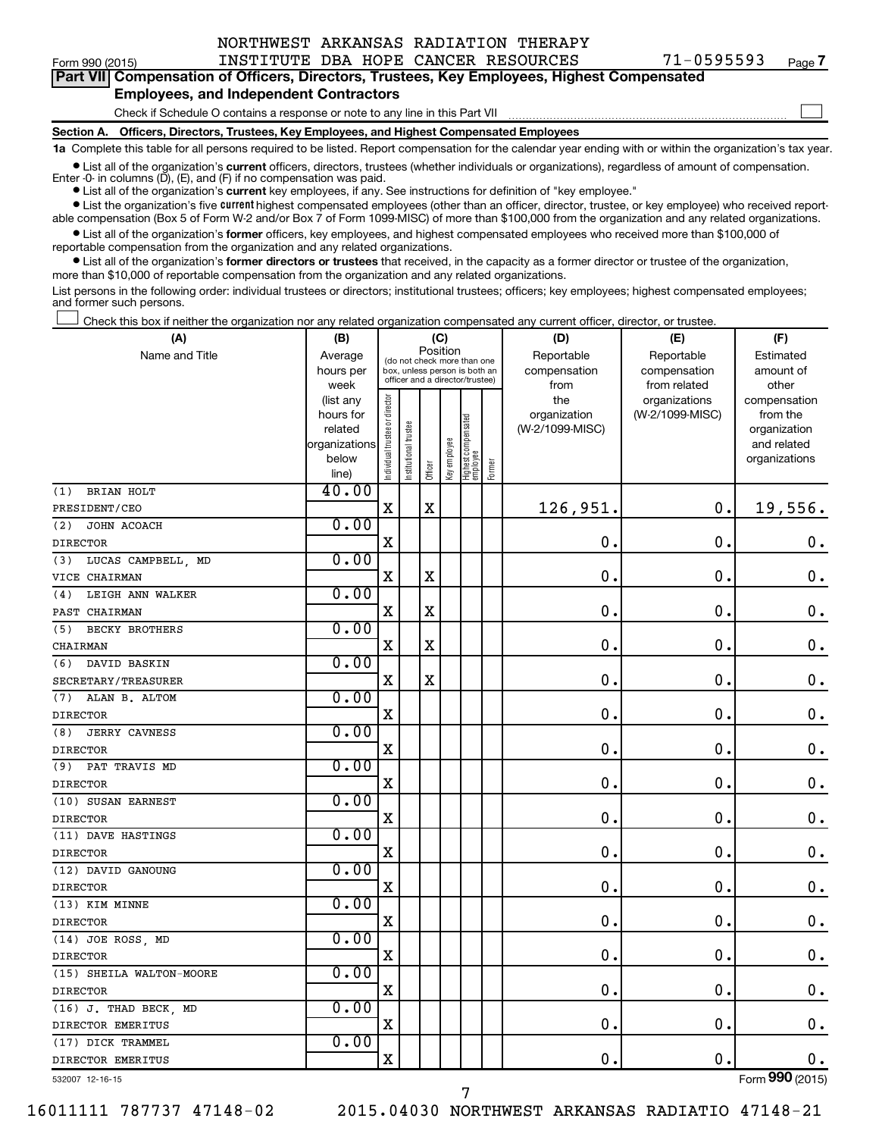|  | Form 990 (2015 |
|--|----------------|
|--|----------------|

Form 990 (2015) INSTITUTE DBA HOPE CANCER RESOURCES 71-0595593 <sub>Page</sub> **Part VII Compensation of Officers, Directors, Trustees, Key Employees, Highest Compensated**

#### **Employees, and Independent Contractors**

Check if Schedule O contains a response or note to any line in this Part VII

**Section A. Officers, Directors, Trustees, Key Employees, and Highest Compensated Employees**

**1a**  Complete this table for all persons required to be listed. Report compensation for the calendar year ending with or within the organization's tax year.

**•** List all of the organization's current officers, directors, trustees (whether individuals or organizations), regardless of amount of compensation. Enter -0- in columns  $(D)$ ,  $(E)$ , and  $(F)$  if no compensation was paid.

**•** List all of the organization's **current** key employees, if any. See instructions for definition of "key employee."

**•** List the organization's five current highest compensated employees (other than an officer, director, trustee, or key employee) who received reportable compensation (Box 5 of Form W-2 and/or Box 7 of Form 1099-MISC) of more than \$100,000 from the organization and any related organizations.

**•** List all of the organization's former officers, key employees, and highest compensated employees who received more than \$100,000 of reportable compensation from the organization and any related organizations.

**•** List all of the organization's former directors or trustees that received, in the capacity as a former director or trustee of the organization, more than \$10,000 of reportable compensation from the organization and any related organizations.

List persons in the following order: individual trustees or directors; institutional trustees; officers; key employees; highest compensated employees; and former such persons.

Check this box if neither the organization nor any related organization compensated any current officer, director, or trustee.  $\Box$ 

| (A)                          | (B)                  |                                |                                                              | (C)         |              |                                   |        | (D)                        | (E)                        | (F)                    |
|------------------------------|----------------------|--------------------------------|--------------------------------------------------------------|-------------|--------------|-----------------------------------|--------|----------------------------|----------------------------|------------------------|
| Name and Title               | Average<br>hours per |                                | (do not check more than one<br>box, unless person is both an | Position    |              |                                   |        | Reportable<br>compensation | Reportable<br>compensation | Estimated<br>amount of |
|                              | week                 |                                | officer and a director/trustee)                              |             |              |                                   |        | from                       | from related               | other                  |
|                              | (list any            |                                |                                                              |             |              |                                   |        | the                        | organizations              | compensation           |
|                              | hours for            |                                |                                                              |             |              |                                   |        | organization               | (W-2/1099-MISC)            | from the               |
|                              | related              |                                | trustee                                                      |             |              |                                   |        | (W-2/1099-MISC)            |                            | organization           |
|                              | organizations        |                                |                                                              |             |              |                                   |        |                            |                            | and related            |
|                              | below<br>line)       | Individual trustee or director | Institutional t                                              | Officer     | Key employee | Highest compensated<br>  employee | Former |                            |                            | organizations          |
| BRIAN HOLT<br>(1)            | 40.00                |                                |                                                              |             |              |                                   |        |                            |                            |                        |
| PRESIDENT/CEO                |                      | $\mathbf x$                    |                                                              | $\mathbf X$ |              |                                   |        | 126,951.                   | $\mathbf 0$ .              | 19,556.                |
| (2)<br>JOHN ACOACH           | 0.00                 |                                |                                                              |             |              |                                   |        |                            |                            |                        |
| <b>DIRECTOR</b>              |                      | $\mathbf X$                    |                                                              |             |              |                                   |        | $\mathbf 0$ .              | $\mathbf 0$ .              | $\mathbf 0$ .          |
| LUCAS CAMPBELL, MD<br>(3)    | 0.00                 |                                |                                                              |             |              |                                   |        |                            |                            |                        |
| VICE CHAIRMAN                |                      | $\mathbf X$                    |                                                              | $\mathbf X$ |              |                                   |        | $\mathbf 0$ .              | $\mathbf 0$ .              | $\mathbf 0$ .          |
| LEIGH ANN WALKER<br>(4)      | 0.00                 |                                |                                                              |             |              |                                   |        |                            |                            |                        |
| PAST CHAIRMAN                |                      | $\mathbf x$                    |                                                              | X           |              |                                   |        | $\mathbf 0$ .              | $\mathbf 0$ .              | $\mathbf 0$ .          |
| <b>BECKY BROTHERS</b><br>(5) | 0.00                 |                                |                                                              |             |              |                                   |        |                            |                            |                        |
| CHAIRMAN                     |                      | $\mathbf x$                    |                                                              | $\mathbf X$ |              |                                   |        | $\mathbf 0$ .              | $\mathbf 0$ .              | $\mathbf 0$ .          |
| (6) DAVID BASKIN             | 0.00                 |                                |                                                              |             |              |                                   |        |                            |                            |                        |
| SECRETARY/TREASURER          |                      | $\mathbf X$                    |                                                              | X           |              |                                   |        | $\mathbf 0$ .              | О.                         | $\mathbf 0$ .          |
| (7) ALAN B. ALTOM            | 0.00                 |                                |                                                              |             |              |                                   |        |                            |                            |                        |
| <b>DIRECTOR</b>              |                      | $\mathbf X$                    |                                                              |             |              |                                   |        | $\mathbf 0$ .              | $\mathbf 0$ .              | $\mathbf 0$ .          |
| (8)<br><b>JERRY CAVNESS</b>  | 0.00                 |                                |                                                              |             |              |                                   |        |                            |                            |                        |
| <b>DIRECTOR</b>              |                      | $\mathbf x$                    |                                                              |             |              |                                   |        | $\mathbf 0$ .              | $\mathbf 0$ .              | $\mathbf 0$ .          |
| (9) PAT TRAVIS MD            | 0.00                 |                                |                                                              |             |              |                                   |        |                            |                            |                        |
| <b>DIRECTOR</b>              |                      | $\mathbf X$                    |                                                              |             |              |                                   |        | $\mathbf 0$ .              | $\mathbf 0$ .              | $\mathbf 0$ .          |
| (10) SUSAN EARNEST           | 0.00                 |                                |                                                              |             |              |                                   |        |                            |                            |                        |
| <b>DIRECTOR</b>              |                      | $\mathbf X$                    |                                                              |             |              |                                   |        | 0.                         | $\mathbf 0$ .              | $0$ .                  |
| (11) DAVE HASTINGS           | 0.00                 |                                |                                                              |             |              |                                   |        |                            |                            |                        |
| <b>DIRECTOR</b>              |                      | $\mathbf X$                    |                                                              |             |              |                                   |        | $\mathbf 0$ .              | $\mathbf 0$ .              | $\mathbf 0$ .          |
| (12) DAVID GANOUNG           | 0.00                 |                                |                                                              |             |              |                                   |        |                            |                            |                        |
| <b>DIRECTOR</b>              |                      | $\mathbf X$                    |                                                              |             |              |                                   |        | $\mathbf 0$ .              | $\mathbf 0$ .              | $\mathbf 0$ .          |
| (13) KIM MINNE               | 0.00                 |                                |                                                              |             |              |                                   |        |                            |                            |                        |
| <b>DIRECTOR</b>              |                      | $\mathbf X$                    |                                                              |             |              |                                   |        | $\mathbf 0$ .              | $\mathbf 0$ .              | $\boldsymbol{0}$ .     |
| (14) JOE ROSS, MD            | 0.00                 |                                |                                                              |             |              |                                   |        |                            |                            |                        |
| <b>DIRECTOR</b>              |                      | X                              |                                                              |             |              |                                   |        | 0.                         | $\mathbf 0$ .              | $\mathbf 0$ .          |
| (15) SHEILA WALTON-MOORE     | 0.00                 |                                |                                                              |             |              |                                   |        |                            |                            |                        |
| <b>DIRECTOR</b>              |                      | $\mathbf X$                    |                                                              |             |              |                                   |        | 0.                         | $\mathbf 0$ .              | 0.                     |
| (16) J. THAD BECK, MD        | 0.00                 |                                |                                                              |             |              |                                   |        |                            |                            |                        |
| DIRECTOR EMERITUS            |                      | $\overline{\mathbf{X}}$        |                                                              |             |              |                                   |        | $\mathbf 0$ .              | $\mathbf 0$ .              | 0.                     |
| (17) DICK TRAMMEL            | 0.00                 |                                |                                                              |             |              |                                   |        |                            |                            |                        |
| DIRECTOR EMERITUS            |                      | $\mathbf x$                    |                                                              |             |              |                                   |        | $\mathbf 0$ .              | $\mathbf 0$ .              | $\mathbf 0$ .          |

7

532007 12-16-15

16011111 787737 47148-02 2015.04030 NORTHWEST ARKANSAS RADIATIO 47148-21

**7**

 $\Box$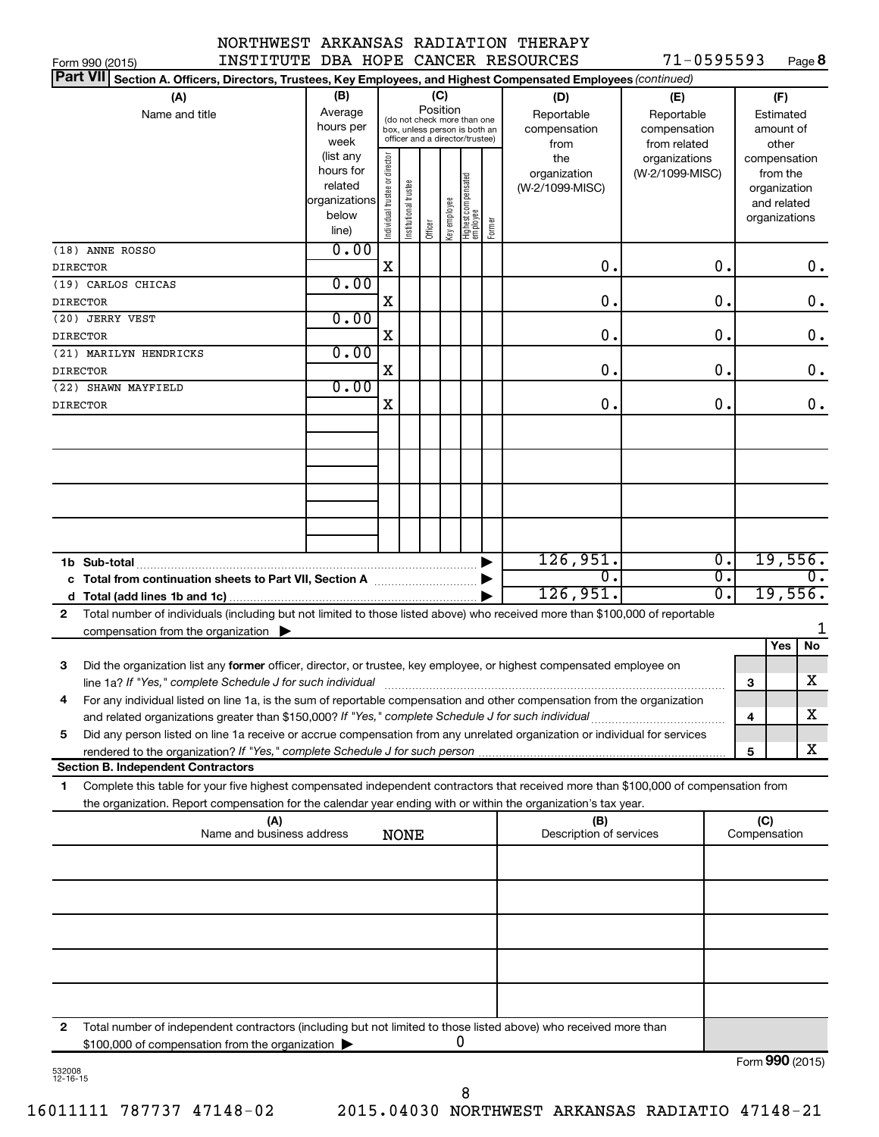|  | $71 - 0595593$ | Page 8 |
|--|----------------|--------|
|--|----------------|--------|

| INSTITUTE DBA HOPE CANCER RESOURCES<br>Form 990 (2015)                                                                                    |                      |                                |                                                              |         |              |                                   |        |                         | 71-0595593      |                  |              |                              | Page 8        |
|-------------------------------------------------------------------------------------------------------------------------------------------|----------------------|--------------------------------|--------------------------------------------------------------|---------|--------------|-----------------------------------|--------|-------------------------|-----------------|------------------|--------------|------------------------------|---------------|
| <b>Part VII</b><br>Section A. Officers, Directors, Trustees, Key Employees, and Highest Compensated Employees (continued)                 |                      |                                |                                                              |         |              |                                   |        |                         |                 |                  |              |                              |               |
| (A)                                                                                                                                       | (B)                  |                                |                                                              | (C)     |              |                                   |        | (D)                     | (E)             |                  |              | (F)                          |               |
| Name and title                                                                                                                            | Average              |                                |                                                              |         | Position     |                                   |        | Reportable              | Reportable      |                  |              | Estimated                    |               |
|                                                                                                                                           | hours per            |                                | (do not check more than one<br>box, unless person is both an |         |              |                                   |        | compensation            | compensation    |                  |              | amount of                    |               |
|                                                                                                                                           | week                 |                                | officer and a director/trustee)                              |         |              |                                   |        | from                    | from related    |                  |              | other                        |               |
|                                                                                                                                           | (list any            |                                |                                                              |         |              |                                   |        | the                     | organizations   |                  |              | compensation                 |               |
|                                                                                                                                           | hours for<br>related |                                |                                                              |         |              |                                   |        | organization            | (W-2/1099-MISC) |                  |              | from the                     |               |
|                                                                                                                                           | organizations        |                                |                                                              |         |              |                                   |        | (W-2/1099-MISC)         |                 |                  |              | organization                 |               |
|                                                                                                                                           | below                |                                |                                                              |         |              |                                   |        |                         |                 |                  |              | and related<br>organizations |               |
|                                                                                                                                           | line)                | Individual trustee or director | Institutional trustee                                        | Officer | Key employee | Highest compensated<br>  employee | Former |                         |                 |                  |              |                              |               |
| (18) ANNE ROSSO                                                                                                                           | 0.00                 |                                |                                                              |         |              |                                   |        |                         |                 |                  |              |                              |               |
| <b>DIRECTOR</b>                                                                                                                           |                      | X                              |                                                              |         |              |                                   |        | 0.                      |                 | 0.               |              |                              | 0.            |
| (19) CARLOS CHICAS                                                                                                                        | 0.00                 |                                |                                                              |         |              |                                   |        |                         |                 |                  |              |                              |               |
| <b>DIRECTOR</b>                                                                                                                           |                      | X                              |                                                              |         |              |                                   |        | 0.                      |                 | 0.               |              |                              | $\mathbf 0$ . |
| (20) JERRY VEST                                                                                                                           | 0.00                 |                                |                                                              |         |              |                                   |        |                         |                 |                  |              |                              |               |
| <b>DIRECTOR</b>                                                                                                                           |                      | X                              |                                                              |         |              |                                   |        | 0.                      |                 | 0.               |              |                              | $\mathbf 0$ . |
| (21) MARILYN HENDRICKS                                                                                                                    | 0.00                 |                                |                                                              |         |              |                                   |        |                         |                 |                  |              |                              |               |
| <b>DIRECTOR</b>                                                                                                                           |                      | X                              |                                                              |         |              |                                   |        | 0.                      |                 | 0.               |              |                              | 0.            |
| (22) SHAWN MAYFIELD                                                                                                                       | 0.00                 |                                |                                                              |         |              |                                   |        |                         |                 |                  |              |                              |               |
| <b>DIRECTOR</b>                                                                                                                           |                      | X                              |                                                              |         |              |                                   |        | 0.                      |                 | 0.               |              |                              | 0.            |
|                                                                                                                                           |                      |                                |                                                              |         |              |                                   |        |                         |                 |                  |              |                              |               |
|                                                                                                                                           |                      |                                |                                                              |         |              |                                   |        |                         |                 |                  |              |                              |               |
|                                                                                                                                           |                      |                                |                                                              |         |              |                                   |        |                         |                 |                  |              |                              |               |
|                                                                                                                                           |                      |                                |                                                              |         |              |                                   |        |                         |                 |                  |              |                              |               |
|                                                                                                                                           |                      |                                |                                                              |         |              |                                   |        |                         |                 |                  |              |                              |               |
|                                                                                                                                           |                      |                                |                                                              |         |              |                                   |        |                         |                 |                  |              |                              |               |
|                                                                                                                                           |                      |                                |                                                              |         |              |                                   |        |                         |                 |                  |              |                              |               |
|                                                                                                                                           |                      |                                |                                                              |         |              |                                   |        |                         |                 |                  |              |                              |               |
|                                                                                                                                           |                      |                                |                                                              |         |              |                                   |        | 126,951.                |                 | $\overline{0}$ . |              |                              | 19,556.       |
| c Total from continuation sheets to Part VII, Section A manus and the set of the Section A                                                |                      |                                |                                                              |         |              |                                   |        | σ.                      |                 | $\overline{0}$ . |              |                              |               |
|                                                                                                                                           |                      |                                |                                                              |         |              |                                   |        | 126,951.                |                 | $\overline{0}$ . |              |                              | 19,556.       |
| Total number of individuals (including but not limited to those listed above) who received more than \$100,000 of reportable<br>2         |                      |                                |                                                              |         |              |                                   |        |                         |                 |                  |              |                              |               |
| compensation from the organization $\blacktriangleright$                                                                                  |                      |                                |                                                              |         |              |                                   |        |                         |                 |                  |              |                              |               |
|                                                                                                                                           |                      |                                |                                                              |         |              |                                   |        |                         |                 |                  |              | Yes                          | No            |
| 3<br>Did the organization list any former officer, director, or trustee, key employee, or highest compensated employee on                 |                      |                                |                                                              |         |              |                                   |        |                         |                 |                  |              |                              |               |
|                                                                                                                                           |                      |                                |                                                              |         |              |                                   |        |                         |                 |                  | 3            |                              | x             |
| For any individual listed on line 1a, is the sum of reportable compensation and other compensation from the organization                  |                      |                                |                                                              |         |              |                                   |        |                         |                 |                  |              |                              |               |
| and related organizations greater than \$150,000? If "Yes," complete Schedule J for such individual                                       |                      |                                |                                                              |         |              |                                   |        |                         |                 |                  | 4            |                              | х             |
| Did any person listed on line 1a receive or accrue compensation from any unrelated organization or individual for services<br>5           |                      |                                |                                                              |         |              |                                   |        |                         |                 |                  |              |                              |               |
|                                                                                                                                           |                      |                                |                                                              |         |              |                                   |        |                         |                 |                  | 5            |                              | x             |
| <b>Section B. Independent Contractors</b>                                                                                                 |                      |                                |                                                              |         |              |                                   |        |                         |                 |                  |              |                              |               |
| Complete this table for your five highest compensated independent contractors that received more than \$100,000 of compensation from<br>1 |                      |                                |                                                              |         |              |                                   |        |                         |                 |                  |              |                              |               |
| the organization. Report compensation for the calendar year ending with or within the organization's tax year.                            |                      |                                |                                                              |         |              |                                   |        |                         |                 |                  |              |                              |               |
| (A)                                                                                                                                       |                      |                                |                                                              |         |              |                                   |        | (B)                     |                 |                  | (C)          |                              |               |
| Name and business address                                                                                                                 |                      |                                | <b>NONE</b>                                                  |         |              |                                   |        | Description of services |                 |                  | Compensation |                              |               |
|                                                                                                                                           |                      |                                |                                                              |         |              |                                   |        |                         |                 |                  |              |                              |               |
|                                                                                                                                           |                      |                                |                                                              |         |              |                                   |        |                         |                 |                  |              |                              |               |
|                                                                                                                                           |                      |                                |                                                              |         |              |                                   |        |                         |                 |                  |              |                              |               |
|                                                                                                                                           |                      |                                |                                                              |         |              |                                   |        |                         |                 |                  |              |                              |               |
|                                                                                                                                           |                      |                                |                                                              |         |              |                                   |        |                         |                 |                  |              |                              |               |
|                                                                                                                                           |                      |                                |                                                              |         |              |                                   |        |                         |                 |                  |              |                              |               |
|                                                                                                                                           |                      |                                |                                                              |         |              |                                   |        |                         |                 |                  |              |                              |               |
|                                                                                                                                           |                      |                                |                                                              |         |              |                                   |        |                         |                 |                  |              |                              |               |
|                                                                                                                                           |                      |                                |                                                              |         |              |                                   |        |                         |                 |                  |              |                              |               |
| Total number of independent contractors (including but not limited to those listed above) who received more than<br>2                     |                      |                                |                                                              |         |              |                                   |        |                         |                 |                  |              |                              |               |
| \$100,000 of compensation from the organization                                                                                           |                      |                                |                                                              |         |              | U                                 |        |                         |                 |                  |              |                              |               |

532008 12-16-15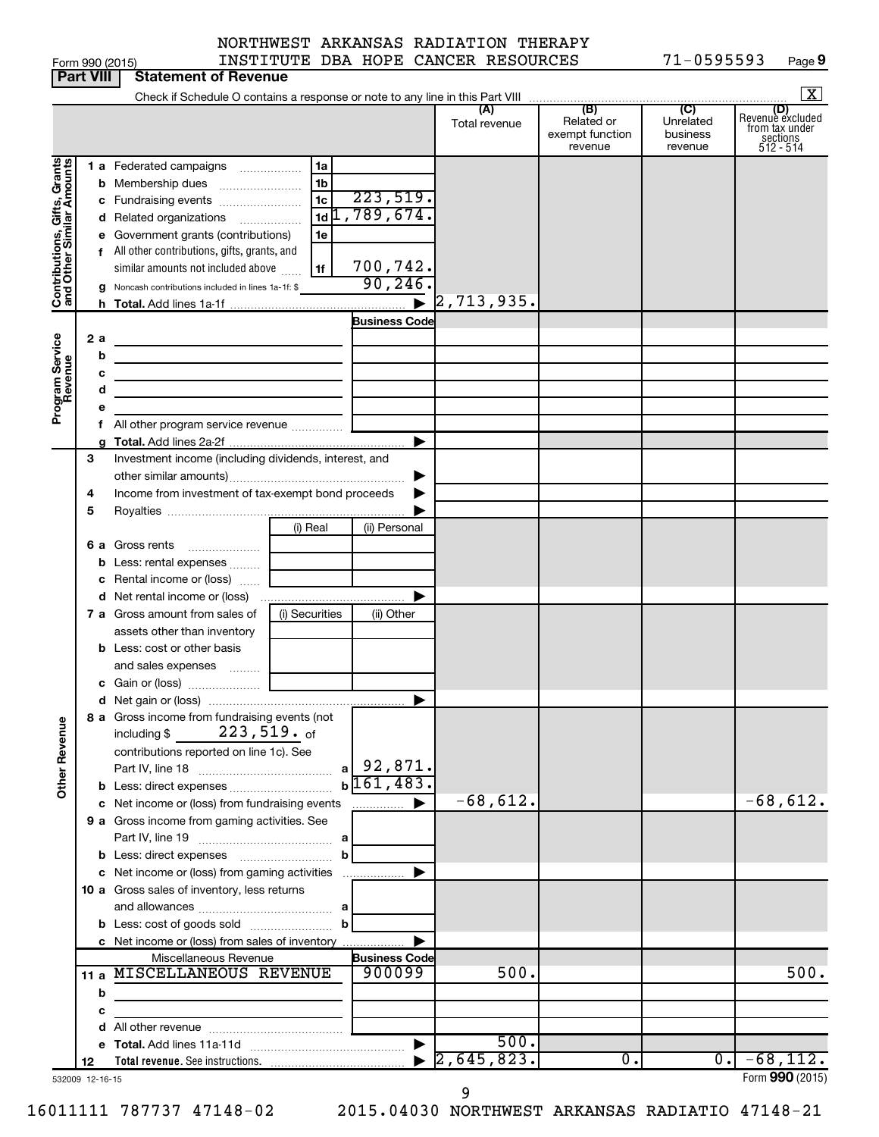| orm 990 (2015 |  |
|---------------|--|

Form 990 (2015) INSTITUTE DBA HOPE CANCER RESOURCES 71-0595593 Page 71-0595593 Page 9

|                                                                                         | <b>Part VIII</b>                      | <b>Statement of Revenue</b>                                                                                                                                                                                                                                                                                                                                                                                                                                                                                                                                                                              |                    |                                                 |                                                    |                                                                      |
|-----------------------------------------------------------------------------------------|---------------------------------------|----------------------------------------------------------------------------------------------------------------------------------------------------------------------------------------------------------------------------------------------------------------------------------------------------------------------------------------------------------------------------------------------------------------------------------------------------------------------------------------------------------------------------------------------------------------------------------------------------------|--------------------|-------------------------------------------------|----------------------------------------------------|----------------------------------------------------------------------|
|                                                                                         |                                       |                                                                                                                                                                                                                                                                                                                                                                                                                                                                                                                                                                                                          |                    |                                                 |                                                    | $\mathbf{X}$                                                         |
|                                                                                         |                                       |                                                                                                                                                                                                                                                                                                                                                                                                                                                                                                                                                                                                          | Total revenue      | (B)<br>Related or<br>exempt function<br>revenue | $\overline{C}$<br>Unrelated<br>business<br>revenue | (D)<br>Revenue excluded<br>from tax under<br>sections<br>$512 - 514$ |
| Contributions, Gifts, Grants<br>and Other Similar Amounts<br>Program Service<br>Revenue | b<br>е<br>g<br>2a<br>b<br>с<br>d<br>е | 1 a Federated campaigns<br>1a<br>1 <sub>b</sub><br>Membership dues<br>223,519.<br>1c<br>c Fundraising events<br>$1d$ <sub>1</sub> $789,674.$<br>d Related organizations<br>Government grants (contributions)<br>1e<br>f All other contributions, gifts, grants, and<br>700,742.<br>similar amounts not included above<br>1f<br>90, 246<br>Noncash contributions included in lines 1a-1f: \$<br>$\blacktriangleright$<br><b>Business Code</b><br>the control of the control of the control of the control of the control of<br>the control of the control of the control of the control of the control of | 2,713,935.         |                                                 |                                                    |                                                                      |
|                                                                                         |                                       |                                                                                                                                                                                                                                                                                                                                                                                                                                                                                                                                                                                                          |                    |                                                 |                                                    |                                                                      |
|                                                                                         | 3<br>4<br>5                           | Investment income (including dividends, interest, and<br>Income from investment of tax-exempt bond proceeds                                                                                                                                                                                                                                                                                                                                                                                                                                                                                              |                    |                                                 |                                                    |                                                                      |
|                                                                                         | b<br>c                                | (i) Real<br>(ii) Personal<br>6 a Gross rents<br>Less: rental expenses<br>Rental income or (loss)                                                                                                                                                                                                                                                                                                                                                                                                                                                                                                         |                    |                                                 |                                                    |                                                                      |
|                                                                                         |                                       | 7 a Gross amount from sales of<br>(i) Securities<br>(ii) Other<br>assets other than inventory<br><b>b</b> Less: cost or other basis                                                                                                                                                                                                                                                                                                                                                                                                                                                                      |                    |                                                 |                                                    |                                                                      |
|                                                                                         |                                       | and sales expenses<br>▶<br>8 a Gross income from fundraising events (not<br>$223$ ,519. $_{\rm of}$<br>including \$                                                                                                                                                                                                                                                                                                                                                                                                                                                                                      |                    |                                                 |                                                    |                                                                      |
| <b>Other Revenue</b>                                                                    |                                       | contributions reported on line 1c). See<br>$a$   92,871.<br>$b\overline{161,483}$ .<br>c Net income or (loss) from fundraising events<br>▶<br>.                                                                                                                                                                                                                                                                                                                                                                                                                                                          | $-68,612.$         |                                                 |                                                    | $-68,612.$                                                           |
|                                                                                         |                                       | 9 a Gross income from gaming activities. See<br>b                                                                                                                                                                                                                                                                                                                                                                                                                                                                                                                                                        |                    |                                                 |                                                    |                                                                      |
|                                                                                         |                                       | c Net income or (loss) from gaming activities<br>▶<br>10 a Gross sales of inventory, less returns<br>c Net income or (loss) from sales of inventory                                                                                                                                                                                                                                                                                                                                                                                                                                                      |                    |                                                 |                                                    |                                                                      |
|                                                                                         |                                       | Miscellaneous Revenue<br><b>Business Code</b><br>11 a MISCELLANEOUS REVENUE<br>900099                                                                                                                                                                                                                                                                                                                                                                                                                                                                                                                    | 500.               |                                                 |                                                    | 500.                                                                 |
|                                                                                         | b<br>с                                |                                                                                                                                                                                                                                                                                                                                                                                                                                                                                                                                                                                                          |                    |                                                 |                                                    |                                                                      |
|                                                                                         | 12                                    | $\blacktriangleright$                                                                                                                                                                                                                                                                                                                                                                                                                                                                                                                                                                                    | 500.<br>2,645,823. | 0.                                              | 0.1                                                | $-68,112.$                                                           |
|                                                                                         | 532009 12-16-15                       |                                                                                                                                                                                                                                                                                                                                                                                                                                                                                                                                                                                                          |                    |                                                 |                                                    | Form 990 (2015)                                                      |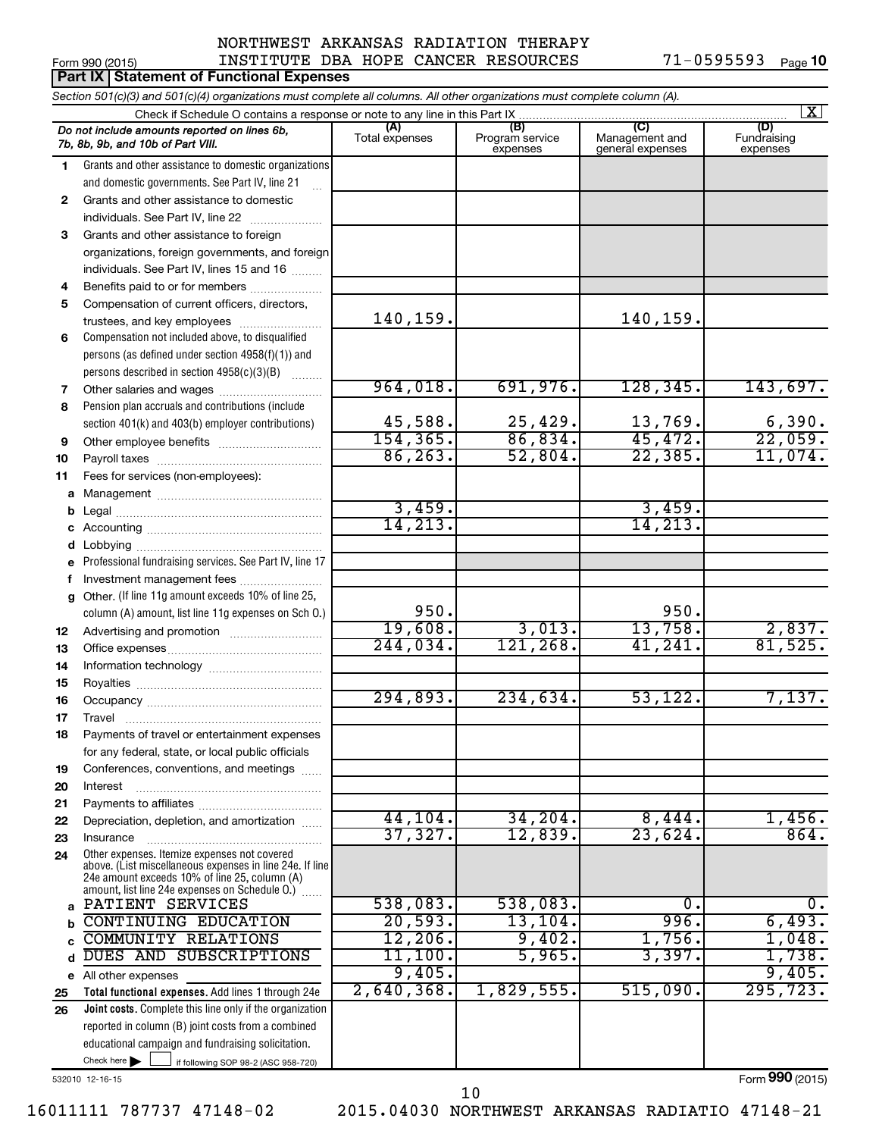#### Form 990 (2015) INSTITUTE DBA HOPE CANCER RESOURCES 71-0595593 Page NORTHWEST ARKANSAS RADIATION THERAPY

|              | Part IX   Statement of Functional Expenses                                                                                 |                       |                                    |                                           |                                |  |  |  |  |  |  |
|--------------|----------------------------------------------------------------------------------------------------------------------------|-----------------------|------------------------------------|-------------------------------------------|--------------------------------|--|--|--|--|--|--|
|              | Section 501(c)(3) and 501(c)(4) organizations must complete all columns. All other organizations must complete column (A). |                       |                                    |                                           |                                |  |  |  |  |  |  |
|              | Check if Schedule O contains a response or note to any line in this Part IX                                                |                       |                                    |                                           | $\vert$ X $\vert$              |  |  |  |  |  |  |
|              | Do not include amounts reported on lines 6b,<br>7b, 8b, 9b, and 10b of Part VIII.                                          | (A)<br>Total expenses | (B)<br>Program service<br>expenses | (C)<br>Management and<br>general expenses | (D)<br>Fundraising<br>expenses |  |  |  |  |  |  |
| 1            | Grants and other assistance to domestic organizations                                                                      |                       |                                    |                                           |                                |  |  |  |  |  |  |
|              | and domestic governments. See Part IV, line 21                                                                             |                       |                                    |                                           |                                |  |  |  |  |  |  |
| $\mathbf{2}$ | Grants and other assistance to domestic                                                                                    |                       |                                    |                                           |                                |  |  |  |  |  |  |
|              | individuals. See Part IV, line 22                                                                                          |                       |                                    |                                           |                                |  |  |  |  |  |  |
| 3            | Grants and other assistance to foreign                                                                                     |                       |                                    |                                           |                                |  |  |  |  |  |  |
|              | organizations, foreign governments, and foreign                                                                            |                       |                                    |                                           |                                |  |  |  |  |  |  |
|              | individuals. See Part IV, lines 15 and 16                                                                                  |                       |                                    |                                           |                                |  |  |  |  |  |  |
| 4            | Benefits paid to or for members                                                                                            |                       |                                    |                                           |                                |  |  |  |  |  |  |
| 5            | Compensation of current officers, directors,                                                                               | 140,159.              |                                    | 140,159.                                  |                                |  |  |  |  |  |  |
| 6            | trustees, and key employees<br>Compensation not included above, to disqualified                                            |                       |                                    |                                           |                                |  |  |  |  |  |  |
|              | persons (as defined under section 4958(f)(1)) and                                                                          |                       |                                    |                                           |                                |  |  |  |  |  |  |
|              | persons described in section 4958(c)(3)(B)                                                                                 |                       |                                    |                                           |                                |  |  |  |  |  |  |
| 7            |                                                                                                                            | 964,018.              | 691,976.                           | 128, 345.                                 | 143,697.                       |  |  |  |  |  |  |
| 8            | Pension plan accruals and contributions (include                                                                           |                       |                                    |                                           |                                |  |  |  |  |  |  |
|              | section 401(k) and 403(b) employer contributions)                                                                          | 45,588.               | 25,429.                            | 13,769.                                   |                                |  |  |  |  |  |  |
| 9            | Other employee benefits                                                                                                    | 154, 365.             | 86,834.                            | 45,472.                                   | $\frac{6,390}{22,059}$         |  |  |  |  |  |  |
| 10           |                                                                                                                            | 86, 263.              | 52,804.                            | 22, 385.                                  | 11,074.                        |  |  |  |  |  |  |
| 11           | Fees for services (non-employees):                                                                                         |                       |                                    |                                           |                                |  |  |  |  |  |  |
| а            |                                                                                                                            |                       |                                    |                                           |                                |  |  |  |  |  |  |
| b            |                                                                                                                            | 3,459.                |                                    | 3,459.                                    |                                |  |  |  |  |  |  |
|              |                                                                                                                            | 14, 213.              |                                    | 14, 213.                                  |                                |  |  |  |  |  |  |
| d            |                                                                                                                            |                       |                                    |                                           |                                |  |  |  |  |  |  |
| е            | Professional fundraising services. See Part IV, line 17                                                                    |                       |                                    |                                           |                                |  |  |  |  |  |  |
| f            | Investment management fees                                                                                                 |                       |                                    |                                           |                                |  |  |  |  |  |  |
| g            | Other. (If line 11g amount exceeds 10% of line 25,                                                                         |                       |                                    |                                           |                                |  |  |  |  |  |  |
|              | column (A) amount, list line 11g expenses on Sch O.)                                                                       | 950.                  |                                    | 950.                                      |                                |  |  |  |  |  |  |
| 12           |                                                                                                                            | 19,608.               | 3,013.                             | 13,758.                                   | $\frac{2,837}{81,525}$         |  |  |  |  |  |  |
| 13           |                                                                                                                            | 244,034.              | 121, 268.                          | 41, 241.                                  |                                |  |  |  |  |  |  |
| 14           |                                                                                                                            |                       |                                    |                                           |                                |  |  |  |  |  |  |
| 15           |                                                                                                                            |                       |                                    |                                           |                                |  |  |  |  |  |  |
| 16           |                                                                                                                            | 294,893.              | 234,634.                           | 53,122.                                   | 7,137.                         |  |  |  |  |  |  |
| 17           | Travel                                                                                                                     |                       |                                    |                                           |                                |  |  |  |  |  |  |
| 18           | Payments of travel or entertainment expenses                                                                               |                       |                                    |                                           |                                |  |  |  |  |  |  |
|              | for any federal, state, or local public officials<br>Conferences, conventions, and meetings                                |                       |                                    |                                           |                                |  |  |  |  |  |  |
| 19<br>20     | Interest                                                                                                                   |                       |                                    |                                           |                                |  |  |  |  |  |  |
| 21           |                                                                                                                            |                       |                                    |                                           |                                |  |  |  |  |  |  |
| 22           | Depreciation, depletion, and amortization                                                                                  | 44, 104.              | 34, 204.                           | 8,444.                                    | 1,456.                         |  |  |  |  |  |  |
| 23           | Insurance                                                                                                                  | 37,327.               | 12,839.                            | 23,624.                                   | 864.                           |  |  |  |  |  |  |
| 24           | Other expenses. Itemize expenses not covered                                                                               |                       |                                    |                                           |                                |  |  |  |  |  |  |
|              | above. (List miscellaneous expenses in line 24e. If line<br>24e amount exceeds 10% of line 25, column (A)                  |                       |                                    |                                           |                                |  |  |  |  |  |  |
|              | amount, list line 24e expenses on Schedule O.)                                                                             |                       |                                    |                                           |                                |  |  |  |  |  |  |
| a            | PATIENT SERVICES                                                                                                           | 538,083.              | 538,083.                           | 0.                                        | υ.                             |  |  |  |  |  |  |
| b            | <b>CONTINUING EDUCATION</b>                                                                                                | 20,593.               | 13, 104.                           | 996.                                      | 6,493.                         |  |  |  |  |  |  |
| C            | <b>COMMUNITY RELATIONS</b>                                                                                                 | $12,206$ .            | 9,402.                             | 1,756.                                    | 1,048.                         |  |  |  |  |  |  |
| d            | DUES AND SUBSCRIPTIONS                                                                                                     | 11,100.               | 5,965.                             | 3,397.                                    | 1,738.                         |  |  |  |  |  |  |
|              | e All other expenses                                                                                                       | 9,405.                |                                    |                                           | 9,405.                         |  |  |  |  |  |  |
| 25           | Total functional expenses. Add lines 1 through 24e                                                                         | 2,640,368.            | 1,829,555.                         | 515,090.                                  | 295, 723.                      |  |  |  |  |  |  |
| 26           | Joint costs. Complete this line only if the organization                                                                   |                       |                                    |                                           |                                |  |  |  |  |  |  |
|              | reported in column (B) joint costs from a combined                                                                         |                       |                                    |                                           |                                |  |  |  |  |  |  |
|              | educational campaign and fundraising solicitation.                                                                         |                       |                                    |                                           |                                |  |  |  |  |  |  |
|              | Check here $\blacktriangleright$<br>if following SOP 98-2 (ASC 958-720)                                                    |                       |                                    |                                           |                                |  |  |  |  |  |  |

532010 12-16-15

Form (2015) **990**

16011111 787737 47148-02 2015.04030 NORTHWEST ARKANSAS RADIATIO 47148-21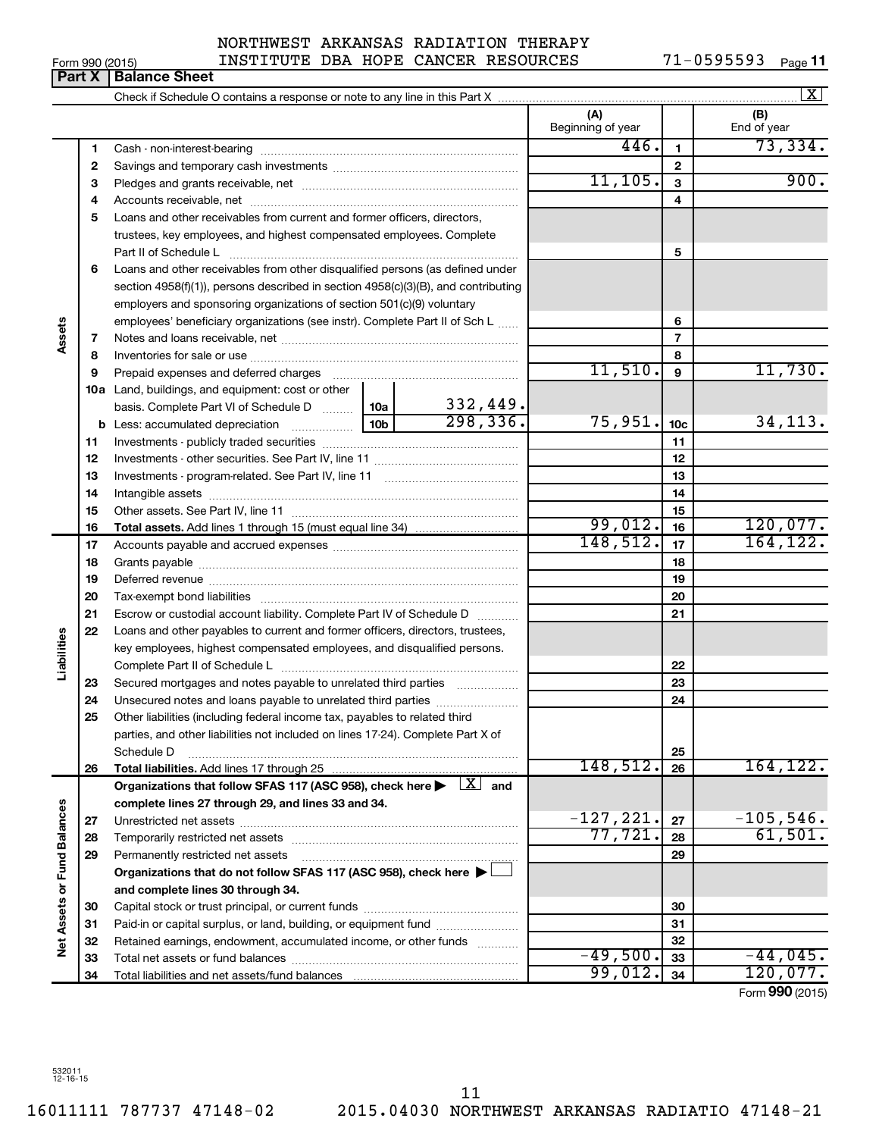# NORTHWEST ARKANSAS RADIATION THERAPY

|                 | <b>Deal V. Delease Obset</b> |                              |  |                                     |             |      |
|-----------------|------------------------------|------------------------------|--|-------------------------------------|-------------|------|
| Form 990 (2015) |                              |                              |  | INSTITUTE DBA HOPE CANCER RESOURCES | . - 0595593 | Page |
|                 |                              | NUNINNADI ANNANDAD NADIAIIUN |  | lnenarı                             |             |      |

|                             |          |                                                                                                                                                                                                                                |         |                           |                          |                | X                  |
|-----------------------------|----------|--------------------------------------------------------------------------------------------------------------------------------------------------------------------------------------------------------------------------------|---------|---------------------------|--------------------------|----------------|--------------------|
|                             |          |                                                                                                                                                                                                                                |         |                           | (A)<br>Beginning of year |                | (B)<br>End of year |
|                             | 1        |                                                                                                                                                                                                                                |         |                           | 446.                     | $\mathbf{1}$   | 73,334.            |
|                             | 2        |                                                                                                                                                                                                                                |         |                           |                          | $\mathbf{2}$   |                    |
|                             | 3        |                                                                                                                                                                                                                                |         |                           | 11, 105.                 | 3              | 900.               |
|                             | 4        |                                                                                                                                                                                                                                |         |                           |                          | 4              |                    |
|                             | 5        | Loans and other receivables from current and former officers, directors,                                                                                                                                                       |         |                           |                          |                |                    |
|                             |          | trustees, key employees, and highest compensated employees. Complete                                                                                                                                                           |         |                           |                          |                |                    |
|                             |          |                                                                                                                                                                                                                                |         |                           |                          | 5              |                    |
|                             | 6        | Loans and other receivables from other disqualified persons (as defined under                                                                                                                                                  |         |                           |                          |                |                    |
|                             |          | section 4958(f)(1)), persons described in section 4958(c)(3)(B), and contributing                                                                                                                                              |         |                           |                          |                |                    |
|                             |          | employers and sponsoring organizations of section 501(c)(9) voluntary                                                                                                                                                          |         |                           |                          |                |                    |
|                             |          | employees' beneficiary organizations (see instr). Complete Part II of Sch L                                                                                                                                                    |         | 6                         |                          |                |                    |
| Assets                      | 7        |                                                                                                                                                                                                                                |         |                           |                          | $\overline{7}$ |                    |
|                             | 8        |                                                                                                                                                                                                                                |         |                           |                          | 8              |                    |
|                             | 9        | Prepaid expenses and deferred charges                                                                                                                                                                                          |         |                           | 11,510.                  | 9              | 11,730.            |
|                             |          | <b>10a</b> Land, buildings, and equipment: cost or other                                                                                                                                                                       |         |                           |                          |                |                    |
|                             |          | basis. Complete Part VI of Schedule D  10a                                                                                                                                                                                     |         | $\frac{332,449}{298,336}$ |                          |                |                    |
|                             | b        |                                                                                                                                                                                                                                | 75,951. | 10 <sub>c</sub>           | 34, 113.                 |                |                    |
|                             | 11       |                                                                                                                                                                                                                                |         |                           | 11                       |                |                    |
|                             | 12       |                                                                                                                                                                                                                                |         |                           |                          | 12             |                    |
|                             | 13       |                                                                                                                                                                                                                                |         | 13                        |                          |                |                    |
|                             | 14       |                                                                                                                                                                                                                                |         | 14                        |                          |                |                    |
|                             | 15       |                                                                                                                                                                                                                                |         |                           |                          | 15             |                    |
|                             | 16       | <b>Total assets.</b> Add lines 1 through 15 (must equal line 34) <i></i>                                                                                                                                                       |         |                           | 99,012.                  | 16             | 120,077.           |
|                             | 17       |                                                                                                                                                                                                                                |         |                           | 148,512.                 | 17             | 164, 122.          |
|                             | 18       |                                                                                                                                                                                                                                |         | 18                        |                          |                |                    |
|                             | 19       | Deferred revenue manual contracts and contracts are contracted and contract and contract are contracted and contract are contracted and contract are contracted and contract are contracted and contract are contracted and co |         | 19                        |                          |                |                    |
|                             | 20       |                                                                                                                                                                                                                                |         |                           |                          | 20             |                    |
|                             | 21       | Escrow or custodial account liability. Complete Part IV of Schedule D                                                                                                                                                          |         |                           |                          | 21             |                    |
|                             | 22       | Loans and other payables to current and former officers, directors, trustees,                                                                                                                                                  |         |                           |                          |                |                    |
| Liabilities                 |          | key employees, highest compensated employees, and disqualified persons.                                                                                                                                                        |         |                           |                          |                |                    |
|                             |          |                                                                                                                                                                                                                                |         |                           |                          | 22             |                    |
|                             | 23       | Secured mortgages and notes payable to unrelated third parties                                                                                                                                                                 |         |                           |                          | 23             |                    |
|                             | 24       | Unsecured notes and loans payable to unrelated third parties                                                                                                                                                                   |         |                           |                          | 24             |                    |
|                             | 25       | Other liabilities (including federal income tax, payables to related third                                                                                                                                                     |         |                           |                          |                |                    |
|                             |          | parties, and other liabilities not included on lines 17-24). Complete Part X of                                                                                                                                                |         |                           |                          |                |                    |
|                             |          | Schedule D                                                                                                                                                                                                                     |         |                           | 148,512.                 | 25             | 164, 122.          |
|                             | 26       | Total liabilities. Add lines 17 through 25                                                                                                                                                                                     |         |                           |                          | 26             |                    |
|                             |          | Organizations that follow SFAS 117 (ASC 958), check here $\blacktriangleright \begin{array}{c} \boxed{X} \\ \end{array}$ and                                                                                                   |         |                           |                          |                |                    |
|                             |          | complete lines 27 through 29, and lines 33 and 34.                                                                                                                                                                             |         |                           | $-127, 221.$             | 27             | $-105,546.$        |
|                             | 27       |                                                                                                                                                                                                                                |         |                           | 77,721.                  | 28             | 61,501.            |
|                             | 28<br>29 |                                                                                                                                                                                                                                |         |                           |                          | 29             |                    |
|                             |          | Permanently restricted net assets<br>Organizations that do not follow SFAS 117 (ASC 958), check here ▶ □                                                                                                                       |         |                           |                          |                |                    |
|                             |          |                                                                                                                                                                                                                                |         |                           |                          |                |                    |
| Net Assets or Fund Balances |          | and complete lines 30 through 34.                                                                                                                                                                                              |         |                           |                          | 30             |                    |
|                             | 30<br>31 | Paid-in or capital surplus, or land, building, or equipment fund                                                                                                                                                               |         |                           |                          | 31             |                    |
|                             | 32       | Retained earnings, endowment, accumulated income, or other funds                                                                                                                                                               |         |                           |                          | 32             |                    |
|                             | 33       |                                                                                                                                                                                                                                |         |                           | $-49,500.$               | 33             | $-44,045.$         |
|                             | 34       |                                                                                                                                                                                                                                |         |                           | 99,012.                  | 34             | 120,077.           |
|                             |          |                                                                                                                                                                                                                                |         |                           |                          |                | Form 990 (2015)    |

**Part X** | Balance Sheet

 $\boxed{\text{X}}$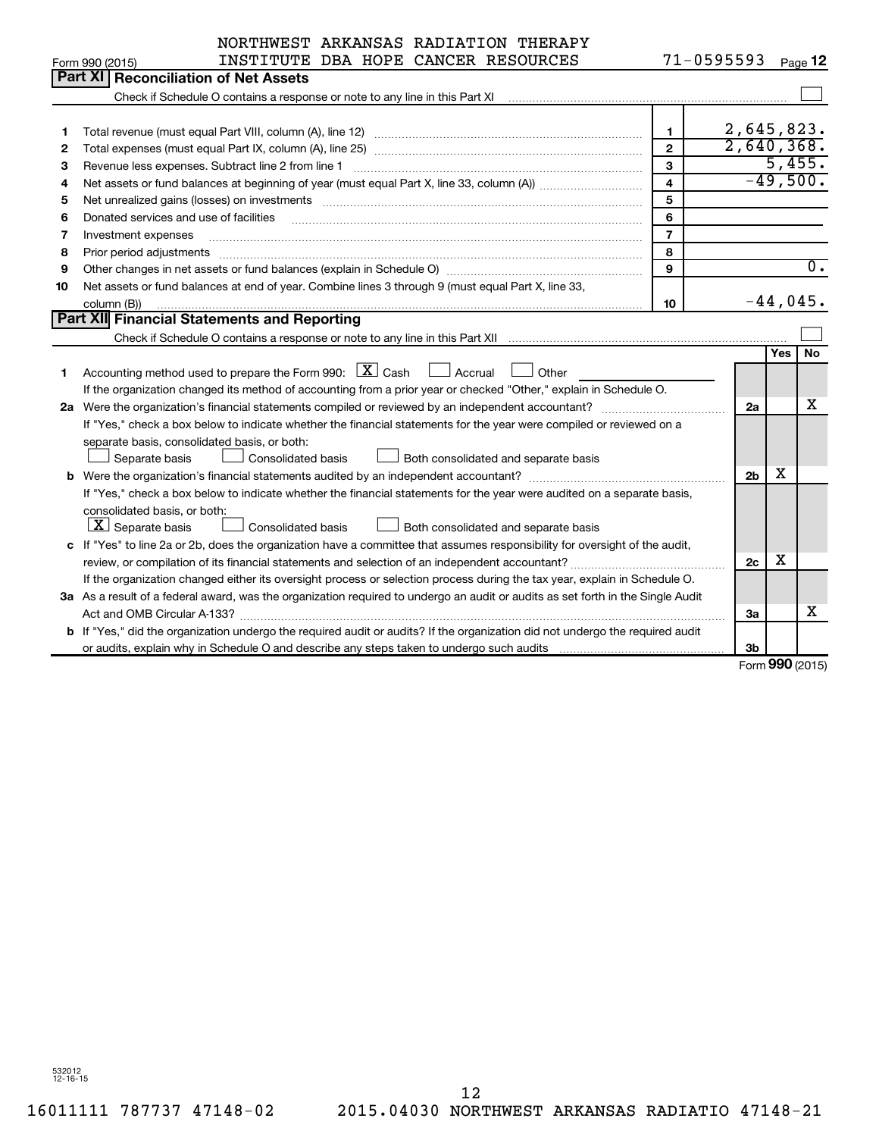| $71 - 0595593$<br>INSTITUTE DBA HOPE CANCER RESOURCES<br>Page 12<br>Form 990 (2015)<br>Part XI<br><b>Reconciliation of Net Assets</b><br>Check if Schedule O contains a response or note to any line in this Part XI [11] Check if Schedule O contains a response or note to any line in this Part XI<br>2,645,823.<br>$\mathbf{1}$<br>1<br>2,640,368.<br>$\overline{2}$<br>2<br>5,455.<br>$\mathbf{3}$<br>Revenue less expenses. Subtract line 2 from line 1<br>З<br>$-49,500.$<br>4<br>4<br>5<br>5<br>6<br>6<br>Donated services and use of facilities<br>$\overline{7}$<br>7<br>Investment expenses<br>8<br>8<br>Prior period adjustments<br>$\overline{0}$ .<br>9<br>9<br>Net assets or fund balances at end of year. Combine lines 3 through 9 (must equal Part X, line 33,<br>10<br>$-44,045$ .<br>10<br>column (B))<br>Part XII Financial Statements and Reporting<br>No<br>Yes<br>Accounting method used to prepare the Form 990: $X$ Cash<br>$\Box$ Accrual<br>Other<br>1<br>If the organization changed its method of accounting from a prior year or checked "Other," explain in Schedule O.<br>х<br>2a<br>If "Yes," check a box below to indicate whether the financial statements for the year were compiled or reviewed on a<br>separate basis, consolidated basis, or both:<br>Consolidated basis<br>Both consolidated and separate basis<br>Separate basis<br>X<br><b>b</b> Were the organization's financial statements audited by an independent accountant?<br>2 <sub>b</sub><br>If "Yes," check a box below to indicate whether the financial statements for the year were audited on a separate basis,<br>consolidated basis, or both:<br>$ \mathbf{X} $ Separate basis<br>Consolidated basis<br>Both consolidated and separate basis<br>c If "Yes" to line 2a or 2b, does the organization have a committee that assumes responsibility for oversight of the audit,<br>x<br>review, or compilation of its financial statements and selection of an independent accountant?<br>2c<br>If the organization changed either its oversight process or selection process during the tax year, explain in Schedule O.<br>3a As a result of a federal award, was the organization required to undergo an audit or audits as set forth in the Single Audit<br>x<br>За<br>b If "Yes," did the organization undergo the required audit or audits? If the organization did not undergo the required audit<br>3b | NORTHWEST ARKANSAS RADIATION THERAPY |  |              |  |
|--------------------------------------------------------------------------------------------------------------------------------------------------------------------------------------------------------------------------------------------------------------------------------------------------------------------------------------------------------------------------------------------------------------------------------------------------------------------------------------------------------------------------------------------------------------------------------------------------------------------------------------------------------------------------------------------------------------------------------------------------------------------------------------------------------------------------------------------------------------------------------------------------------------------------------------------------------------------------------------------------------------------------------------------------------------------------------------------------------------------------------------------------------------------------------------------------------------------------------------------------------------------------------------------------------------------------------------------------------------------------------------------------------------------------------------------------------------------------------------------------------------------------------------------------------------------------------------------------------------------------------------------------------------------------------------------------------------------------------------------------------------------------------------------------------------------------------------------------------------------------------------------------------------------------------------------------------------------------------------------------------------------------------------------------------------------------------------------------------------------------------------------------------------------------------------------------------------------------------------------------------------------------------------------------------------------------------------------------------------------------------------------------------------------------|--------------------------------------|--|--------------|--|
|                                                                                                                                                                                                                                                                                                                                                                                                                                                                                                                                                                                                                                                                                                                                                                                                                                                                                                                                                                                                                                                                                                                                                                                                                                                                                                                                                                                                                                                                                                                                                                                                                                                                                                                                                                                                                                                                                                                                                                                                                                                                                                                                                                                                                                                                                                                                                                                                                          |                                      |  |              |  |
|                                                                                                                                                                                                                                                                                                                                                                                                                                                                                                                                                                                                                                                                                                                                                                                                                                                                                                                                                                                                                                                                                                                                                                                                                                                                                                                                                                                                                                                                                                                                                                                                                                                                                                                                                                                                                                                                                                                                                                                                                                                                                                                                                                                                                                                                                                                                                                                                                          |                                      |  |              |  |
|                                                                                                                                                                                                                                                                                                                                                                                                                                                                                                                                                                                                                                                                                                                                                                                                                                                                                                                                                                                                                                                                                                                                                                                                                                                                                                                                                                                                                                                                                                                                                                                                                                                                                                                                                                                                                                                                                                                                                                                                                                                                                                                                                                                                                                                                                                                                                                                                                          |                                      |  |              |  |
|                                                                                                                                                                                                                                                                                                                                                                                                                                                                                                                                                                                                                                                                                                                                                                                                                                                                                                                                                                                                                                                                                                                                                                                                                                                                                                                                                                                                                                                                                                                                                                                                                                                                                                                                                                                                                                                                                                                                                                                                                                                                                                                                                                                                                                                                                                                                                                                                                          |                                      |  |              |  |
|                                                                                                                                                                                                                                                                                                                                                                                                                                                                                                                                                                                                                                                                                                                                                                                                                                                                                                                                                                                                                                                                                                                                                                                                                                                                                                                                                                                                                                                                                                                                                                                                                                                                                                                                                                                                                                                                                                                                                                                                                                                                                                                                                                                                                                                                                                                                                                                                                          |                                      |  |              |  |
|                                                                                                                                                                                                                                                                                                                                                                                                                                                                                                                                                                                                                                                                                                                                                                                                                                                                                                                                                                                                                                                                                                                                                                                                                                                                                                                                                                                                                                                                                                                                                                                                                                                                                                                                                                                                                                                                                                                                                                                                                                                                                                                                                                                                                                                                                                                                                                                                                          |                                      |  |              |  |
|                                                                                                                                                                                                                                                                                                                                                                                                                                                                                                                                                                                                                                                                                                                                                                                                                                                                                                                                                                                                                                                                                                                                                                                                                                                                                                                                                                                                                                                                                                                                                                                                                                                                                                                                                                                                                                                                                                                                                                                                                                                                                                                                                                                                                                                                                                                                                                                                                          |                                      |  |              |  |
|                                                                                                                                                                                                                                                                                                                                                                                                                                                                                                                                                                                                                                                                                                                                                                                                                                                                                                                                                                                                                                                                                                                                                                                                                                                                                                                                                                                                                                                                                                                                                                                                                                                                                                                                                                                                                                                                                                                                                                                                                                                                                                                                                                                                                                                                                                                                                                                                                          |                                      |  |              |  |
|                                                                                                                                                                                                                                                                                                                                                                                                                                                                                                                                                                                                                                                                                                                                                                                                                                                                                                                                                                                                                                                                                                                                                                                                                                                                                                                                                                                                                                                                                                                                                                                                                                                                                                                                                                                                                                                                                                                                                                                                                                                                                                                                                                                                                                                                                                                                                                                                                          |                                      |  |              |  |
|                                                                                                                                                                                                                                                                                                                                                                                                                                                                                                                                                                                                                                                                                                                                                                                                                                                                                                                                                                                                                                                                                                                                                                                                                                                                                                                                                                                                                                                                                                                                                                                                                                                                                                                                                                                                                                                                                                                                                                                                                                                                                                                                                                                                                                                                                                                                                                                                                          |                                      |  |              |  |
|                                                                                                                                                                                                                                                                                                                                                                                                                                                                                                                                                                                                                                                                                                                                                                                                                                                                                                                                                                                                                                                                                                                                                                                                                                                                                                                                                                                                                                                                                                                                                                                                                                                                                                                                                                                                                                                                                                                                                                                                                                                                                                                                                                                                                                                                                                                                                                                                                          |                                      |  |              |  |
|                                                                                                                                                                                                                                                                                                                                                                                                                                                                                                                                                                                                                                                                                                                                                                                                                                                                                                                                                                                                                                                                                                                                                                                                                                                                                                                                                                                                                                                                                                                                                                                                                                                                                                                                                                                                                                                                                                                                                                                                                                                                                                                                                                                                                                                                                                                                                                                                                          |                                      |  |              |  |
|                                                                                                                                                                                                                                                                                                                                                                                                                                                                                                                                                                                                                                                                                                                                                                                                                                                                                                                                                                                                                                                                                                                                                                                                                                                                                                                                                                                                                                                                                                                                                                                                                                                                                                                                                                                                                                                                                                                                                                                                                                                                                                                                                                                                                                                                                                                                                                                                                          |                                      |  |              |  |
|                                                                                                                                                                                                                                                                                                                                                                                                                                                                                                                                                                                                                                                                                                                                                                                                                                                                                                                                                                                                                                                                                                                                                                                                                                                                                                                                                                                                                                                                                                                                                                                                                                                                                                                                                                                                                                                                                                                                                                                                                                                                                                                                                                                                                                                                                                                                                                                                                          |                                      |  |              |  |
|                                                                                                                                                                                                                                                                                                                                                                                                                                                                                                                                                                                                                                                                                                                                                                                                                                                                                                                                                                                                                                                                                                                                                                                                                                                                                                                                                                                                                                                                                                                                                                                                                                                                                                                                                                                                                                                                                                                                                                                                                                                                                                                                                                                                                                                                                                                                                                                                                          |                                      |  |              |  |
|                                                                                                                                                                                                                                                                                                                                                                                                                                                                                                                                                                                                                                                                                                                                                                                                                                                                                                                                                                                                                                                                                                                                                                                                                                                                                                                                                                                                                                                                                                                                                                                                                                                                                                                                                                                                                                                                                                                                                                                                                                                                                                                                                                                                                                                                                                                                                                                                                          |                                      |  |              |  |
|                                                                                                                                                                                                                                                                                                                                                                                                                                                                                                                                                                                                                                                                                                                                                                                                                                                                                                                                                                                                                                                                                                                                                                                                                                                                                                                                                                                                                                                                                                                                                                                                                                                                                                                                                                                                                                                                                                                                                                                                                                                                                                                                                                                                                                                                                                                                                                                                                          |                                      |  |              |  |
|                                                                                                                                                                                                                                                                                                                                                                                                                                                                                                                                                                                                                                                                                                                                                                                                                                                                                                                                                                                                                                                                                                                                                                                                                                                                                                                                                                                                                                                                                                                                                                                                                                                                                                                                                                                                                                                                                                                                                                                                                                                                                                                                                                                                                                                                                                                                                                                                                          |                                      |  |              |  |
|                                                                                                                                                                                                                                                                                                                                                                                                                                                                                                                                                                                                                                                                                                                                                                                                                                                                                                                                                                                                                                                                                                                                                                                                                                                                                                                                                                                                                                                                                                                                                                                                                                                                                                                                                                                                                                                                                                                                                                                                                                                                                                                                                                                                                                                                                                                                                                                                                          |                                      |  |              |  |
|                                                                                                                                                                                                                                                                                                                                                                                                                                                                                                                                                                                                                                                                                                                                                                                                                                                                                                                                                                                                                                                                                                                                                                                                                                                                                                                                                                                                                                                                                                                                                                                                                                                                                                                                                                                                                                                                                                                                                                                                                                                                                                                                                                                                                                                                                                                                                                                                                          |                                      |  |              |  |
|                                                                                                                                                                                                                                                                                                                                                                                                                                                                                                                                                                                                                                                                                                                                                                                                                                                                                                                                                                                                                                                                                                                                                                                                                                                                                                                                                                                                                                                                                                                                                                                                                                                                                                                                                                                                                                                                                                                                                                                                                                                                                                                                                                                                                                                                                                                                                                                                                          |                                      |  |              |  |
|                                                                                                                                                                                                                                                                                                                                                                                                                                                                                                                                                                                                                                                                                                                                                                                                                                                                                                                                                                                                                                                                                                                                                                                                                                                                                                                                                                                                                                                                                                                                                                                                                                                                                                                                                                                                                                                                                                                                                                                                                                                                                                                                                                                                                                                                                                                                                                                                                          |                                      |  |              |  |
|                                                                                                                                                                                                                                                                                                                                                                                                                                                                                                                                                                                                                                                                                                                                                                                                                                                                                                                                                                                                                                                                                                                                                                                                                                                                                                                                                                                                                                                                                                                                                                                                                                                                                                                                                                                                                                                                                                                                                                                                                                                                                                                                                                                                                                                                                                                                                                                                                          |                                      |  |              |  |
|                                                                                                                                                                                                                                                                                                                                                                                                                                                                                                                                                                                                                                                                                                                                                                                                                                                                                                                                                                                                                                                                                                                                                                                                                                                                                                                                                                                                                                                                                                                                                                                                                                                                                                                                                                                                                                                                                                                                                                                                                                                                                                                                                                                                                                                                                                                                                                                                                          |                                      |  |              |  |
|                                                                                                                                                                                                                                                                                                                                                                                                                                                                                                                                                                                                                                                                                                                                                                                                                                                                                                                                                                                                                                                                                                                                                                                                                                                                                                                                                                                                                                                                                                                                                                                                                                                                                                                                                                                                                                                                                                                                                                                                                                                                                                                                                                                                                                                                                                                                                                                                                          |                                      |  |              |  |
|                                                                                                                                                                                                                                                                                                                                                                                                                                                                                                                                                                                                                                                                                                                                                                                                                                                                                                                                                                                                                                                                                                                                                                                                                                                                                                                                                                                                                                                                                                                                                                                                                                                                                                                                                                                                                                                                                                                                                                                                                                                                                                                                                                                                                                                                                                                                                                                                                          |                                      |  |              |  |
|                                                                                                                                                                                                                                                                                                                                                                                                                                                                                                                                                                                                                                                                                                                                                                                                                                                                                                                                                                                                                                                                                                                                                                                                                                                                                                                                                                                                                                                                                                                                                                                                                                                                                                                                                                                                                                                                                                                                                                                                                                                                                                                                                                                                                                                                                                                                                                                                                          |                                      |  |              |  |
|                                                                                                                                                                                                                                                                                                                                                                                                                                                                                                                                                                                                                                                                                                                                                                                                                                                                                                                                                                                                                                                                                                                                                                                                                                                                                                                                                                                                                                                                                                                                                                                                                                                                                                                                                                                                                                                                                                                                                                                                                                                                                                                                                                                                                                                                                                                                                                                                                          |                                      |  |              |  |
|                                                                                                                                                                                                                                                                                                                                                                                                                                                                                                                                                                                                                                                                                                                                                                                                                                                                                                                                                                                                                                                                                                                                                                                                                                                                                                                                                                                                                                                                                                                                                                                                                                                                                                                                                                                                                                                                                                                                                                                                                                                                                                                                                                                                                                                                                                                                                                                                                          |                                      |  |              |  |
|                                                                                                                                                                                                                                                                                                                                                                                                                                                                                                                                                                                                                                                                                                                                                                                                                                                                                                                                                                                                                                                                                                                                                                                                                                                                                                                                                                                                                                                                                                                                                                                                                                                                                                                                                                                                                                                                                                                                                                                                                                                                                                                                                                                                                                                                                                                                                                                                                          |                                      |  |              |  |
|                                                                                                                                                                                                                                                                                                                                                                                                                                                                                                                                                                                                                                                                                                                                                                                                                                                                                                                                                                                                                                                                                                                                                                                                                                                                                                                                                                                                                                                                                                                                                                                                                                                                                                                                                                                                                                                                                                                                                                                                                                                                                                                                                                                                                                                                                                                                                                                                                          |                                      |  |              |  |
|                                                                                                                                                                                                                                                                                                                                                                                                                                                                                                                                                                                                                                                                                                                                                                                                                                                                                                                                                                                                                                                                                                                                                                                                                                                                                                                                                                                                                                                                                                                                                                                                                                                                                                                                                                                                                                                                                                                                                                                                                                                                                                                                                                                                                                                                                                                                                                                                                          |                                      |  |              |  |
|                                                                                                                                                                                                                                                                                                                                                                                                                                                                                                                                                                                                                                                                                                                                                                                                                                                                                                                                                                                                                                                                                                                                                                                                                                                                                                                                                                                                                                                                                                                                                                                                                                                                                                                                                                                                                                                                                                                                                                                                                                                                                                                                                                                                                                                                                                                                                                                                                          |                                      |  |              |  |
|                                                                                                                                                                                                                                                                                                                                                                                                                                                                                                                                                                                                                                                                                                                                                                                                                                                                                                                                                                                                                                                                                                                                                                                                                                                                                                                                                                                                                                                                                                                                                                                                                                                                                                                                                                                                                                                                                                                                                                                                                                                                                                                                                                                                                                                                                                                                                                                                                          |                                      |  |              |  |
|                                                                                                                                                                                                                                                                                                                                                                                                                                                                                                                                                                                                                                                                                                                                                                                                                                                                                                                                                                                                                                                                                                                                                                                                                                                                                                                                                                                                                                                                                                                                                                                                                                                                                                                                                                                                                                                                                                                                                                                                                                                                                                                                                                                                                                                                                                                                                                                                                          |                                      |  | $\mathbf{A}$ |  |

Form (2015) **990**

532012 12-16-15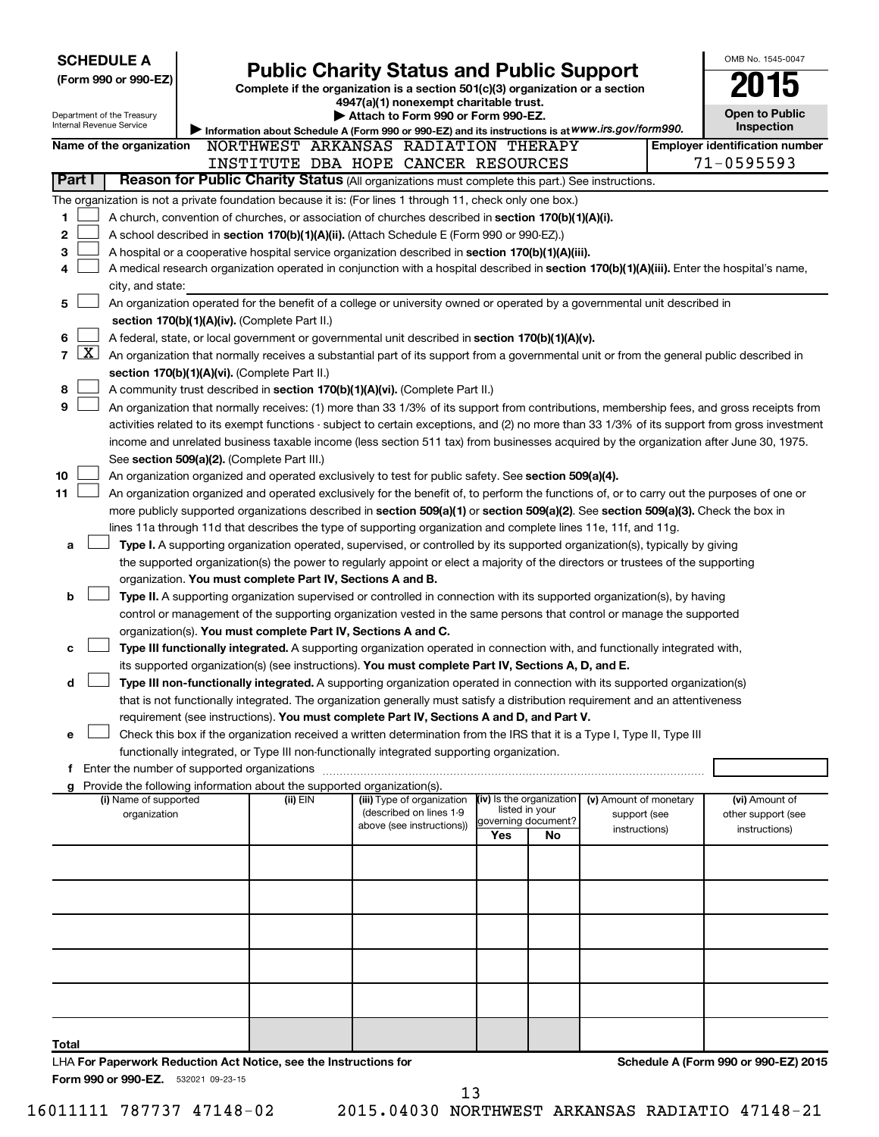| <b>SCHEDULE A</b>                   |                                                                                                                                                                                                                                                           |                                                                                                                         |     |                                            |                               | OMB No. 1545-0047                                   |
|-------------------------------------|-----------------------------------------------------------------------------------------------------------------------------------------------------------------------------------------------------------------------------------------------------------|-------------------------------------------------------------------------------------------------------------------------|-----|--------------------------------------------|-------------------------------|-----------------------------------------------------|
| (Form 990 or 990-EZ)                |                                                                                                                                                                                                                                                           | <b>Public Charity Status and Public Support</b>                                                                         |     |                                            |                               |                                                     |
|                                     |                                                                                                                                                                                                                                                           | Complete if the organization is a section 501(c)(3) organization or a section<br>4947(a)(1) nonexempt charitable trust. |     |                                            |                               |                                                     |
| Department of the Treasury          |                                                                                                                                                                                                                                                           | Attach to Form 990 or Form 990-EZ.                                                                                      |     |                                            |                               | <b>Open to Public</b>                               |
| Internal Revenue Service            | Information about Schedule A (Form 990 or 990-EZ) and its instructions is at WWW.irs.gov/form990.                                                                                                                                                         |                                                                                                                         |     |                                            |                               | Inspection                                          |
| Name of the organization            | NORTHWEST ARKANSAS RADIATION THERAPY                                                                                                                                                                                                                      |                                                                                                                         |     |                                            |                               | <b>Employer identification number</b><br>71-0595593 |
| Part I                              | INSTITUTE DBA HOPE CANCER RESOURCES<br>Reason for Public Charity Status (All organizations must complete this part.) See instructions.                                                                                                                    |                                                                                                                         |     |                                            |                               |                                                     |
|                                     |                                                                                                                                                                                                                                                           |                                                                                                                         |     |                                            |                               |                                                     |
| 1                                   | The organization is not a private foundation because it is: (For lines 1 through 11, check only one box.)<br>A church, convention of churches, or association of churches described in section 170(b)(1)(A)(i).                                           |                                                                                                                         |     |                                            |                               |                                                     |
| 2                                   | A school described in section 170(b)(1)(A)(ii). (Attach Schedule E (Form 990 or 990-EZ).)                                                                                                                                                                 |                                                                                                                         |     |                                            |                               |                                                     |
| з                                   | A hospital or a cooperative hospital service organization described in section 170(b)(1)(A)(iii).                                                                                                                                                         |                                                                                                                         |     |                                            |                               |                                                     |
| 4                                   | A medical research organization operated in conjunction with a hospital described in section 170(b)(1)(A)(iii). Enter the hospital's name,                                                                                                                |                                                                                                                         |     |                                            |                               |                                                     |
| city, and state:                    |                                                                                                                                                                                                                                                           |                                                                                                                         |     |                                            |                               |                                                     |
| 5                                   | An organization operated for the benefit of a college or university owned or operated by a governmental unit described in                                                                                                                                 |                                                                                                                         |     |                                            |                               |                                                     |
|                                     | section 170(b)(1)(A)(iv). (Complete Part II.)                                                                                                                                                                                                             |                                                                                                                         |     |                                            |                               |                                                     |
| 6                                   | A federal, state, or local government or governmental unit described in section 170(b)(1)(A)(v).                                                                                                                                                          |                                                                                                                         |     |                                            |                               |                                                     |
| $\mathbf{X}$<br>$\overline{7}$      | An organization that normally receives a substantial part of its support from a governmental unit or from the general public described in                                                                                                                 |                                                                                                                         |     |                                            |                               |                                                     |
|                                     | section 170(b)(1)(A)(vi). (Complete Part II.)                                                                                                                                                                                                             |                                                                                                                         |     |                                            |                               |                                                     |
| 8                                   | A community trust described in section 170(b)(1)(A)(vi). (Complete Part II.)                                                                                                                                                                              |                                                                                                                         |     |                                            |                               |                                                     |
| 9                                   | An organization that normally receives: (1) more than 33 1/3% of its support from contributions, membership fees, and gross receipts from                                                                                                                 |                                                                                                                         |     |                                            |                               |                                                     |
|                                     | activities related to its exempt functions - subject to certain exceptions, and (2) no more than 33 1/3% of its support from gross investment                                                                                                             |                                                                                                                         |     |                                            |                               |                                                     |
|                                     | income and unrelated business taxable income (less section 511 tax) from businesses acquired by the organization after June 30, 1975.                                                                                                                     |                                                                                                                         |     |                                            |                               |                                                     |
| 10                                  | See section 509(a)(2). (Complete Part III.)<br>An organization organized and operated exclusively to test for public safety. See section 509(a)(4).                                                                                                       |                                                                                                                         |     |                                            |                               |                                                     |
| 11                                  | An organization organized and operated exclusively for the benefit of, to perform the functions of, or to carry out the purposes of one or                                                                                                                |                                                                                                                         |     |                                            |                               |                                                     |
|                                     | more publicly supported organizations described in section 509(a)(1) or section 509(a)(2). See section 509(a)(3). Check the box in                                                                                                                        |                                                                                                                         |     |                                            |                               |                                                     |
|                                     | lines 11a through 11d that describes the type of supporting organization and complete lines 11e, 11f, and 11g.                                                                                                                                            |                                                                                                                         |     |                                            |                               |                                                     |
| a                                   | Type I. A supporting organization operated, supervised, or controlled by its supported organization(s), typically by giving                                                                                                                               |                                                                                                                         |     |                                            |                               |                                                     |
|                                     | the supported organization(s) the power to regularly appoint or elect a majority of the directors or trustees of the supporting                                                                                                                           |                                                                                                                         |     |                                            |                               |                                                     |
|                                     | organization. You must complete Part IV, Sections A and B.                                                                                                                                                                                                |                                                                                                                         |     |                                            |                               |                                                     |
| b                                   | Type II. A supporting organization supervised or controlled in connection with its supported organization(s), by having                                                                                                                                   |                                                                                                                         |     |                                            |                               |                                                     |
|                                     | control or management of the supporting organization vested in the same persons that control or manage the supported                                                                                                                                      |                                                                                                                         |     |                                            |                               |                                                     |
|                                     | organization(s). You must complete Part IV, Sections A and C.                                                                                                                                                                                             |                                                                                                                         |     |                                            |                               |                                                     |
| c                                   | Type III functionally integrated. A supporting organization operated in connection with, and functionally integrated with,                                                                                                                                |                                                                                                                         |     |                                            |                               |                                                     |
|                                     | its supported organization(s) (see instructions). You must complete Part IV, Sections A, D, and E.                                                                                                                                                        |                                                                                                                         |     |                                            |                               |                                                     |
| d                                   | Type III non-functionally integrated. A supporting organization operated in connection with its supported organization(s)<br>that is not functionally integrated. The organization generally must satisfy a distribution requirement and an attentiveness |                                                                                                                         |     |                                            |                               |                                                     |
|                                     | requirement (see instructions). You must complete Part IV, Sections A and D, and Part V.                                                                                                                                                                  |                                                                                                                         |     |                                            |                               |                                                     |
| e                                   | Check this box if the organization received a written determination from the IRS that it is a Type I, Type II, Type III                                                                                                                                   |                                                                                                                         |     |                                            |                               |                                                     |
|                                     | functionally integrated, or Type III non-functionally integrated supporting organization.                                                                                                                                                                 |                                                                                                                         |     |                                            |                               |                                                     |
|                                     |                                                                                                                                                                                                                                                           |                                                                                                                         |     |                                            |                               |                                                     |
|                                     | g Provide the following information about the supported organization(s).                                                                                                                                                                                  |                                                                                                                         |     |                                            |                               |                                                     |
| (i) Name of supported               | (ii) EIN                                                                                                                                                                                                                                                  | (iii) Type of organization<br>(described on lines 1-9                                                                   |     | (iv) Is the organization<br>listed in your | (v) Amount of monetary        | (vi) Amount of                                      |
| organization                        |                                                                                                                                                                                                                                                           | above (see instructions))                                                                                               |     | governing document?                        | support (see<br>instructions) | other support (see<br>instructions)                 |
|                                     |                                                                                                                                                                                                                                                           |                                                                                                                         | Yes | No                                         |                               |                                                     |
|                                     |                                                                                                                                                                                                                                                           |                                                                                                                         |     |                                            |                               |                                                     |
|                                     |                                                                                                                                                                                                                                                           |                                                                                                                         |     |                                            |                               |                                                     |
|                                     |                                                                                                                                                                                                                                                           |                                                                                                                         |     |                                            |                               |                                                     |
|                                     |                                                                                                                                                                                                                                                           |                                                                                                                         |     |                                            |                               |                                                     |
|                                     |                                                                                                                                                                                                                                                           |                                                                                                                         |     |                                            |                               |                                                     |
|                                     |                                                                                                                                                                                                                                                           |                                                                                                                         |     |                                            |                               |                                                     |
|                                     |                                                                                                                                                                                                                                                           |                                                                                                                         |     |                                            |                               |                                                     |
|                                     |                                                                                                                                                                                                                                                           |                                                                                                                         |     |                                            |                               |                                                     |
|                                     |                                                                                                                                                                                                                                                           |                                                                                                                         |     |                                            |                               |                                                     |
|                                     |                                                                                                                                                                                                                                                           |                                                                                                                         |     |                                            |                               |                                                     |
| Total                               |                                                                                                                                                                                                                                                           |                                                                                                                         |     |                                            |                               |                                                     |
| Form 990 or 990-EZ. 532021 09-23-15 | LHA For Paperwork Reduction Act Notice, see the Instructions for                                                                                                                                                                                          |                                                                                                                         |     |                                            |                               | Schedule A (Form 990 or 990-EZ) 2015                |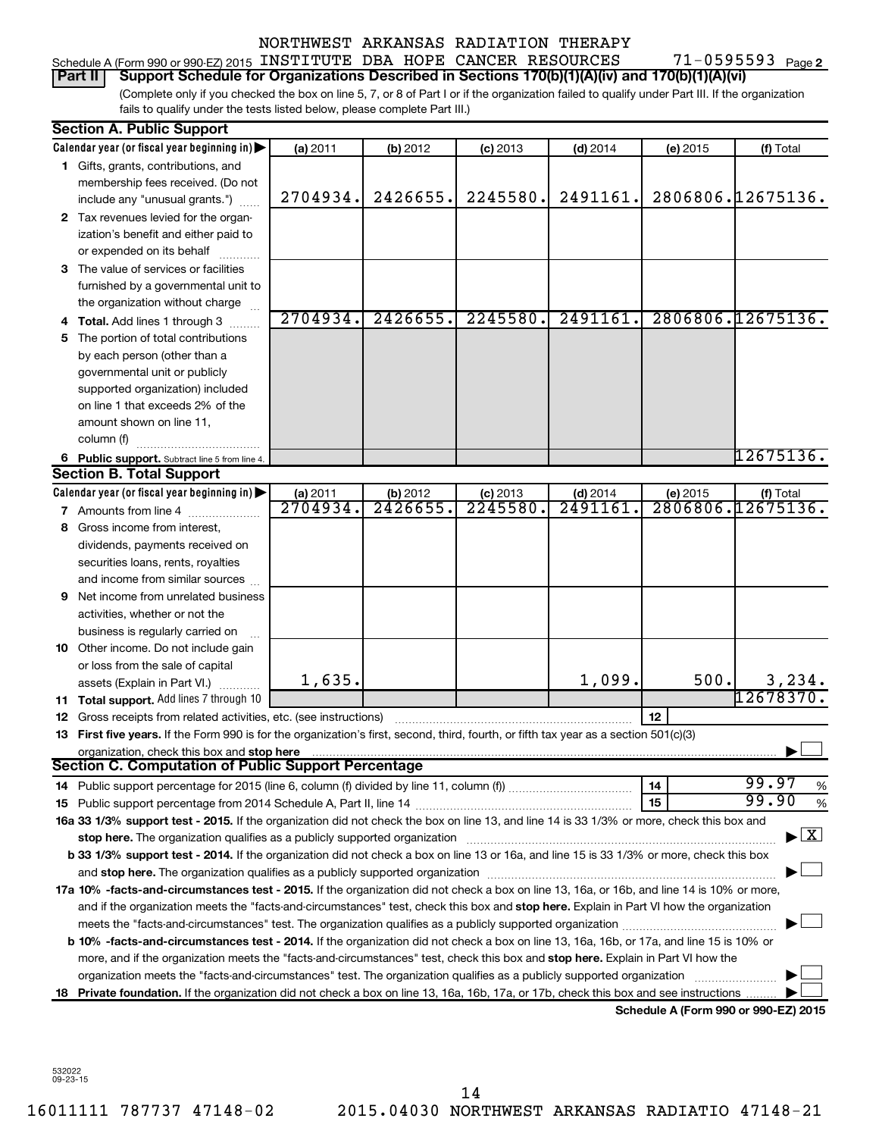#### 71-0595593 Page 2 Schedule A (Form 990 or 990-EZ) 2015 INSTITUTE DBA HOPE CANCER RESOURCES 71-0595593 Page

#### **Part II Support Schedule for Organizations Described in Sections 170(b)(1)(A)(iv) and 170(b)(1)(A)(vi)**

(Complete only if you checked the box on line 5, 7, or 8 of Part I or if the organization failed to qualify under Part III. If the organization fails to qualify under the tests listed below, please complete Part III.)

|     | <b>Section A. Public Support</b>                                                                                                                                                                                              |          |          |            |            |          |                                      |
|-----|-------------------------------------------------------------------------------------------------------------------------------------------------------------------------------------------------------------------------------|----------|----------|------------|------------|----------|--------------------------------------|
|     | Calendar year (or fiscal year beginning in)                                                                                                                                                                                   | (a) 2011 | (b) 2012 | $(c)$ 2013 | $(d)$ 2014 | (e) 2015 | (f) Total                            |
|     | 1 Gifts, grants, contributions, and                                                                                                                                                                                           |          |          |            |            |          |                                      |
|     | membership fees received. (Do not                                                                                                                                                                                             |          |          |            |            |          |                                      |
|     | include any "unusual grants.")                                                                                                                                                                                                | 2704934. | 2426655. | 2245580.   | 2491161.   |          | 2806806.12675136.                    |
|     | 2 Tax revenues levied for the organ-                                                                                                                                                                                          |          |          |            |            |          |                                      |
|     | ization's benefit and either paid to                                                                                                                                                                                          |          |          |            |            |          |                                      |
|     | or expended on its behalf                                                                                                                                                                                                     |          |          |            |            |          |                                      |
|     | 3 The value of services or facilities                                                                                                                                                                                         |          |          |            |            |          |                                      |
|     | furnished by a governmental unit to                                                                                                                                                                                           |          |          |            |            |          |                                      |
|     | the organization without charge                                                                                                                                                                                               |          |          |            |            |          |                                      |
|     | 4 Total. Add lines 1 through 3                                                                                                                                                                                                | 2704934. | 2426655. | 2245580.   | 2491161.   |          | 2806806.12675136.                    |
| 5.  | The portion of total contributions                                                                                                                                                                                            |          |          |            |            |          |                                      |
|     | by each person (other than a                                                                                                                                                                                                  |          |          |            |            |          |                                      |
|     | governmental unit or publicly                                                                                                                                                                                                 |          |          |            |            |          |                                      |
|     | supported organization) included                                                                                                                                                                                              |          |          |            |            |          |                                      |
|     | on line 1 that exceeds 2% of the                                                                                                                                                                                              |          |          |            |            |          |                                      |
|     | amount shown on line 11,                                                                                                                                                                                                      |          |          |            |            |          |                                      |
|     | column (f)                                                                                                                                                                                                                    |          |          |            |            |          |                                      |
|     | 6 Public support. Subtract line 5 from line 4.                                                                                                                                                                                |          |          |            |            |          | 12675136.                            |
|     | <b>Section B. Total Support</b>                                                                                                                                                                                               |          |          |            |            |          |                                      |
|     | Calendar year (or fiscal year beginning in)                                                                                                                                                                                   | (a) 2011 | (b) 2012 | $(c)$ 2013 | $(d)$ 2014 | (e) 2015 | (f) Total                            |
|     | <b>7</b> Amounts from line 4                                                                                                                                                                                                  | 2704934. | 2426655  | 2245580.   | 2491161    |          | 2806806.12675136.                    |
|     | 8 Gross income from interest,                                                                                                                                                                                                 |          |          |            |            |          |                                      |
|     | dividends, payments received on                                                                                                                                                                                               |          |          |            |            |          |                                      |
|     | securities loans, rents, royalties                                                                                                                                                                                            |          |          |            |            |          |                                      |
|     | and income from similar sources                                                                                                                                                                                               |          |          |            |            |          |                                      |
| 9   | Net income from unrelated business                                                                                                                                                                                            |          |          |            |            |          |                                      |
|     | activities, whether or not the                                                                                                                                                                                                |          |          |            |            |          |                                      |
|     | business is regularly carried on                                                                                                                                                                                              |          |          |            |            |          |                                      |
|     | 10 Other income. Do not include gain                                                                                                                                                                                          |          |          |            |            |          |                                      |
|     | or loss from the sale of capital                                                                                                                                                                                              |          |          |            |            |          |                                      |
|     | assets (Explain in Part VI.)                                                                                                                                                                                                  | 1,635.   |          |            | 1,099.     | 500.     | 3,234.                               |
|     | 11 Total support. Add lines 7 through 10                                                                                                                                                                                      |          |          |            |            |          | $12678370$ .                         |
|     | <b>12</b> Gross receipts from related activities, etc. (see instructions)                                                                                                                                                     |          |          |            |            | 12       |                                      |
|     | 13 First five years. If the Form 990 is for the organization's first, second, third, fourth, or fifth tax year as a section 501(c)(3)                                                                                         |          |          |            |            |          |                                      |
|     | organization, check this box and stop here                                                                                                                                                                                    |          |          |            |            |          |                                      |
|     | <b>Section C. Computation of Public Support Percentage</b>                                                                                                                                                                    |          |          |            |            |          |                                      |
|     |                                                                                                                                                                                                                               |          |          |            |            | 14       | 99.97<br>%                           |
|     |                                                                                                                                                                                                                               |          |          |            |            | 15       | 99.90<br>%                           |
|     | 16a 33 1/3% support test - 2015. If the organization did not check the box on line 13, and line 14 is 33 1/3% or more, check this box and                                                                                     |          |          |            |            |          |                                      |
|     | stop here. The organization qualifies as a publicly supported organization manufaction manufacture or the organization manufacture or the organization manufacture or the organization of the state of the state of the state |          |          |            |            |          | $\blacktriangleright$ $\mathbf{X}$   |
|     | b 33 1/3% support test - 2014. If the organization did not check a box on line 13 or 16a, and line 15 is 33 1/3% or more, check this box                                                                                      |          |          |            |            |          |                                      |
|     |                                                                                                                                                                                                                               |          |          |            |            |          |                                      |
|     | 17a 10% -facts-and-circumstances test - 2015. If the organization did not check a box on line 13, 16a, or 16b, and line 14 is 10% or more,                                                                                    |          |          |            |            |          |                                      |
|     | and if the organization meets the "facts-and-circumstances" test, check this box and stop here. Explain in Part VI how the organization                                                                                       |          |          |            |            |          |                                      |
|     |                                                                                                                                                                                                                               |          |          |            |            |          |                                      |
|     | b 10% -facts-and-circumstances test - 2014. If the organization did not check a box on line 13, 16a, 16b, or 17a, and line 15 is 10% or                                                                                       |          |          |            |            |          |                                      |
|     | more, and if the organization meets the "facts-and-circumstances" test, check this box and stop here. Explain in Part VI how the                                                                                              |          |          |            |            |          |                                      |
|     | organization meets the "facts-and-circumstances" test. The organization qualifies as a publicly supported organization                                                                                                        |          |          |            |            |          |                                      |
| 18. | Private foundation. If the organization did not check a box on line 13, 16a, 16b, 17a, or 17b, check this box and see instructions                                                                                            |          |          |            |            |          |                                      |
|     |                                                                                                                                                                                                                               |          |          |            |            |          | Schedule A (Form 990 or 990-EZ) 2015 |

532022 09-23-15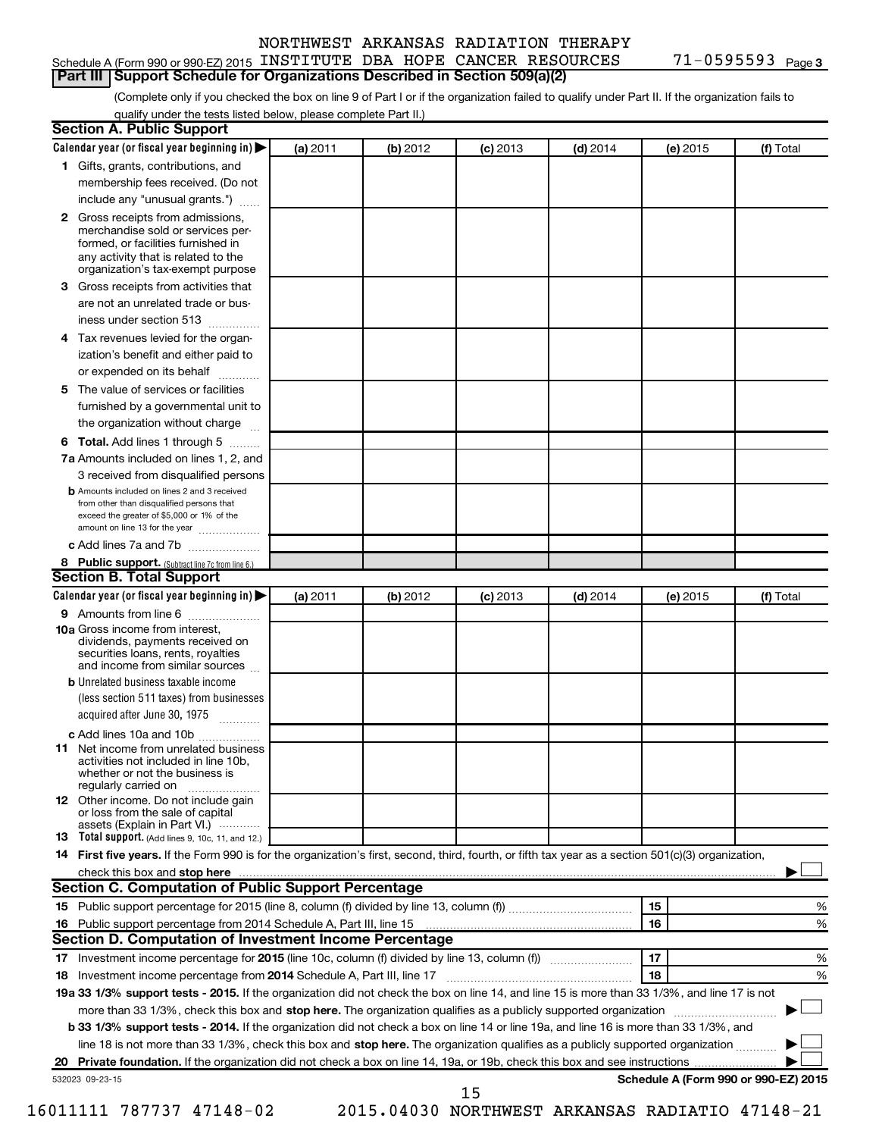#### Schedule A (Form 990 or 990-EZ) 2015 INSTITUTE DBA HOPE CANCER RESOURCES 71-0595593 Page

#### (Complete only if you checked the box on line 9 of Part I or if the organization failed to qualify under Part II. If the organization fails to **Part III Support Schedule for Organizations Described in Section 509(a)(2)**

qualify under the tests listed below, please complete Part II.)

|    | <b>Section A. Public Support</b>                                                                                                                                                 |          |          |            |            |          |                                      |
|----|----------------------------------------------------------------------------------------------------------------------------------------------------------------------------------|----------|----------|------------|------------|----------|--------------------------------------|
|    | Calendar year (or fiscal year beginning in)                                                                                                                                      | (a) 2011 | (b) 2012 | $(c)$ 2013 | $(d)$ 2014 | (e) 2015 | (f) Total                            |
|    | 1 Gifts, grants, contributions, and                                                                                                                                              |          |          |            |            |          |                                      |
|    | membership fees received. (Do not                                                                                                                                                |          |          |            |            |          |                                      |
|    | include any "unusual grants.")                                                                                                                                                   |          |          |            |            |          |                                      |
|    | 2 Gross receipts from admissions,<br>merchandise sold or services per-<br>formed, or facilities furnished in<br>any activity that is related to the                              |          |          |            |            |          |                                      |
|    | organization's tax-exempt purpose                                                                                                                                                |          |          |            |            |          |                                      |
| З. | Gross receipts from activities that                                                                                                                                              |          |          |            |            |          |                                      |
|    | are not an unrelated trade or bus-                                                                                                                                               |          |          |            |            |          |                                      |
|    | iness under section 513                                                                                                                                                          |          |          |            |            |          |                                      |
|    | 4 Tax revenues levied for the organ-                                                                                                                                             |          |          |            |            |          |                                      |
|    | ization's benefit and either paid to                                                                                                                                             |          |          |            |            |          |                                      |
|    | or expended on its behalf<br>.                                                                                                                                                   |          |          |            |            |          |                                      |
| 5. | The value of services or facilities                                                                                                                                              |          |          |            |            |          |                                      |
|    | furnished by a governmental unit to                                                                                                                                              |          |          |            |            |          |                                      |
|    | the organization without charge                                                                                                                                                  |          |          |            |            |          |                                      |
|    | <b>6 Total.</b> Add lines 1 through 5                                                                                                                                            |          |          |            |            |          |                                      |
|    | 7a Amounts included on lines 1, 2, and                                                                                                                                           |          |          |            |            |          |                                      |
|    | 3 received from disqualified persons                                                                                                                                             |          |          |            |            |          |                                      |
|    | <b>b</b> Amounts included on lines 2 and 3 received<br>from other than disqualified persons that<br>exceed the greater of \$5,000 or 1% of the<br>amount on line 13 for the year |          |          |            |            |          |                                      |
|    | c Add lines 7a and 7b                                                                                                                                                            |          |          |            |            |          |                                      |
|    | 8 Public support. (Subtract line 7c from line 6.)                                                                                                                                |          |          |            |            |          |                                      |
|    | <b>Section B. Total Support</b>                                                                                                                                                  |          |          |            |            |          |                                      |
|    | Calendar year (or fiscal year beginning in)                                                                                                                                      | (a) 2011 | (b) 2012 | $(c)$ 2013 | $(d)$ 2014 | (e) 2015 | (f) Total                            |
|    | 9 Amounts from line 6                                                                                                                                                            |          |          |            |            |          |                                      |
|    | <b>10a</b> Gross income from interest,<br>dividends, payments received on<br>securities loans, rents, royalties<br>and income from similar sources                               |          |          |            |            |          |                                      |
|    | <b>b</b> Unrelated business taxable income                                                                                                                                       |          |          |            |            |          |                                      |
|    | (less section 511 taxes) from businesses<br>acquired after June 30, 1975                                                                                                         |          |          |            |            |          |                                      |
|    | c Add lines 10a and 10b                                                                                                                                                          |          |          |            |            |          |                                      |
|    | <b>11</b> Net income from unrelated business<br>activities not included in line 10b.<br>whether or not the business is<br>regularly carried on                                   |          |          |            |            |          |                                      |
|    | <b>12</b> Other income. Do not include gain<br>or loss from the sale of capital<br>assets (Explain in Part VI.)                                                                  |          |          |            |            |          |                                      |
|    | <b>13</b> Total support. (Add lines 9, 10c, 11, and 12.)                                                                                                                         |          |          |            |            |          |                                      |
|    | 14 First five years. If the Form 990 is for the organization's first, second, third, fourth, or fifth tax year as a section 501(c)(3) organization,                              |          |          |            |            |          |                                      |
|    |                                                                                                                                                                                  |          |          |            |            |          |                                      |
|    | Section C. Computation of Public Support Percentage                                                                                                                              |          |          |            |            |          |                                      |
|    |                                                                                                                                                                                  |          |          |            |            | 15       | %                                    |
|    |                                                                                                                                                                                  |          |          |            |            | 16       | %                                    |
|    | Section D. Computation of Investment Income Percentage                                                                                                                           |          |          |            |            |          |                                      |
|    |                                                                                                                                                                                  |          |          |            |            | 17       | %                                    |
|    | 18 Investment income percentage from 2014 Schedule A, Part III, line 17                                                                                                          |          |          |            |            | 18       | %                                    |
|    | 19a 33 1/3% support tests - 2015. If the organization did not check the box on line 14, and line 15 is more than 33 1/3%, and line 17 is not                                     |          |          |            |            |          |                                      |
|    | more than 33 1/3%, check this box and stop here. The organization qualifies as a publicly supported organization                                                                 |          |          |            |            |          |                                      |
|    | b 33 1/3% support tests - 2014. If the organization did not check a box on line 14 or line 19a, and line 16 is more than 33 1/3%, and                                            |          |          |            |            |          |                                      |
|    | line 18 is not more than 33 1/3%, check this box and stop here. The organization qualifies as a publicly supported organization                                                  |          |          |            |            |          |                                      |
|    |                                                                                                                                                                                  |          |          |            |            |          |                                      |
|    | 532023 09-23-15                                                                                                                                                                  |          |          |            |            |          | Schedule A (Form 990 or 990-EZ) 2015 |
|    |                                                                                                                                                                                  |          |          | 15         |            |          |                                      |

16011111 787737 47148-02 2015.04030 NORTHWEST ARKANSAS RADIATIO 47148-21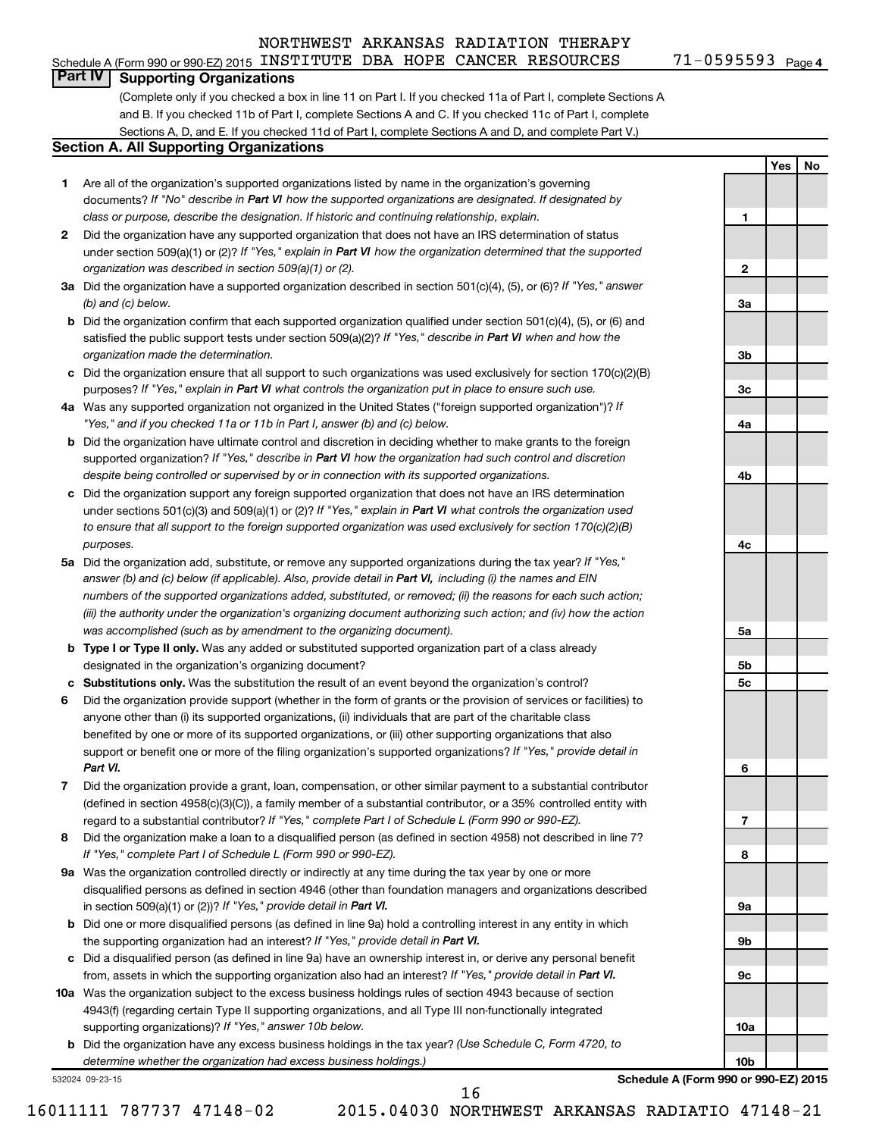#### Schedule A (Form 990 or 990-EZ) 2015 INSTITUTE DBA HOPE CANCER RESOURCES 71-0595593 Page

**Part IV Supporting Organizations**

(Complete only if you checked a box in line 11 on Part I. If you checked 11a of Part I, complete Sections A and B. If you checked 11b of Part I, complete Sections A and C. If you checked 11c of Part I, complete Sections A, D, and E. If you checked 11d of Part I, complete Sections A and D, and complete Part V.)

#### **Section A. All Supporting Organizations**

- **1** Are all of the organization's supported organizations listed by name in the organization's governing documents? If "No" describe in Part VI how the supported organizations are designated. If designated by *class or purpose, describe the designation. If historic and continuing relationship, explain.*
- **2** Did the organization have any supported organization that does not have an IRS determination of status under section 509(a)(1) or (2)? If "Yes," explain in Part VI how the organization determined that the supported *organization was described in section 509(a)(1) or (2).*
- **3a** Did the organization have a supported organization described in section 501(c)(4), (5), or (6)? If "Yes," answer *(b) and (c) below.*
- **b** Did the organization confirm that each supported organization qualified under section 501(c)(4), (5), or (6) and satisfied the public support tests under section 509(a)(2)? If "Yes," describe in Part VI when and how the *organization made the determination.*
- **c** Did the organization ensure that all support to such organizations was used exclusively for section 170(c)(2)(B) purposes? If "Yes," explain in Part VI what controls the organization put in place to ensure such use.
- **4 a** *If* Was any supported organization not organized in the United States ("foreign supported organization")? *"Yes," and if you checked 11a or 11b in Part I, answer (b) and (c) below.*
- **b** Did the organization have ultimate control and discretion in deciding whether to make grants to the foreign supported organization? If "Yes," describe in Part VI how the organization had such control and discretion *despite being controlled or supervised by or in connection with its supported organizations.*
- **c** Did the organization support any foreign supported organization that does not have an IRS determination under sections 501(c)(3) and 509(a)(1) or (2)? If "Yes," explain in Part VI what controls the organization used *to ensure that all support to the foreign supported organization was used exclusively for section 170(c)(2)(B) purposes.*
- **5a** Did the organization add, substitute, or remove any supported organizations during the tax year? If "Yes," answer (b) and (c) below (if applicable). Also, provide detail in Part VI, including (i) the names and EIN *numbers of the supported organizations added, substituted, or removed; (ii) the reasons for each such action; (iii) the authority under the organization's organizing document authorizing such action; and (iv) how the action was accomplished (such as by amendment to the organizing document).*
- **b Type I or Type II only.** Was any added or substituted supported organization part of a class already designated in the organization's organizing document?
- **c Substitutions only.**  Was the substitution the result of an event beyond the organization's control?
- **6** Did the organization provide support (whether in the form of grants or the provision of services or facilities) to support or benefit one or more of the filing organization's supported organizations? If "Yes," provide detail in anyone other than (i) its supported organizations, (ii) individuals that are part of the charitable class benefited by one or more of its supported organizations, or (iii) other supporting organizations that also *Part VI.*
- **7** Did the organization provide a grant, loan, compensation, or other similar payment to a substantial contributor regard to a substantial contributor? If "Yes," complete Part I of Schedule L (Form 990 or 990-EZ). (defined in section 4958(c)(3)(C)), a family member of a substantial contributor, or a 35% controlled entity with
- **8** Did the organization make a loan to a disqualified person (as defined in section 4958) not described in line 7? *If "Yes," complete Part I of Schedule L (Form 990 or 990-EZ).*
- **9 a** Was the organization controlled directly or indirectly at any time during the tax year by one or more in section 509(a)(1) or (2))? If "Yes," provide detail in Part VI. disqualified persons as defined in section 4946 (other than foundation managers and organizations described
- **b** Did one or more disqualified persons (as defined in line 9a) hold a controlling interest in any entity in which the supporting organization had an interest? If "Yes," provide detail in Part VI.
- **c** Did a disqualified person (as defined in line 9a) have an ownership interest in, or derive any personal benefit from, assets in which the supporting organization also had an interest? If "Yes," provide detail in Part VI.
- **10 a** Was the organization subject to the excess business holdings rules of section 4943 because of section supporting organizations)? If "Yes," answer 10b below. 4943(f) (regarding certain Type II supporting organizations, and all Type III non-functionally integrated
	- **b** Did the organization have any excess business holdings in the tax year? (Use Schedule C, Form 4720, to *determine whether the organization had excess business holdings.)*

532024 09-23-15

**Schedule A (Form 990 or 990-EZ) 2015**

**1**

**Yes No**

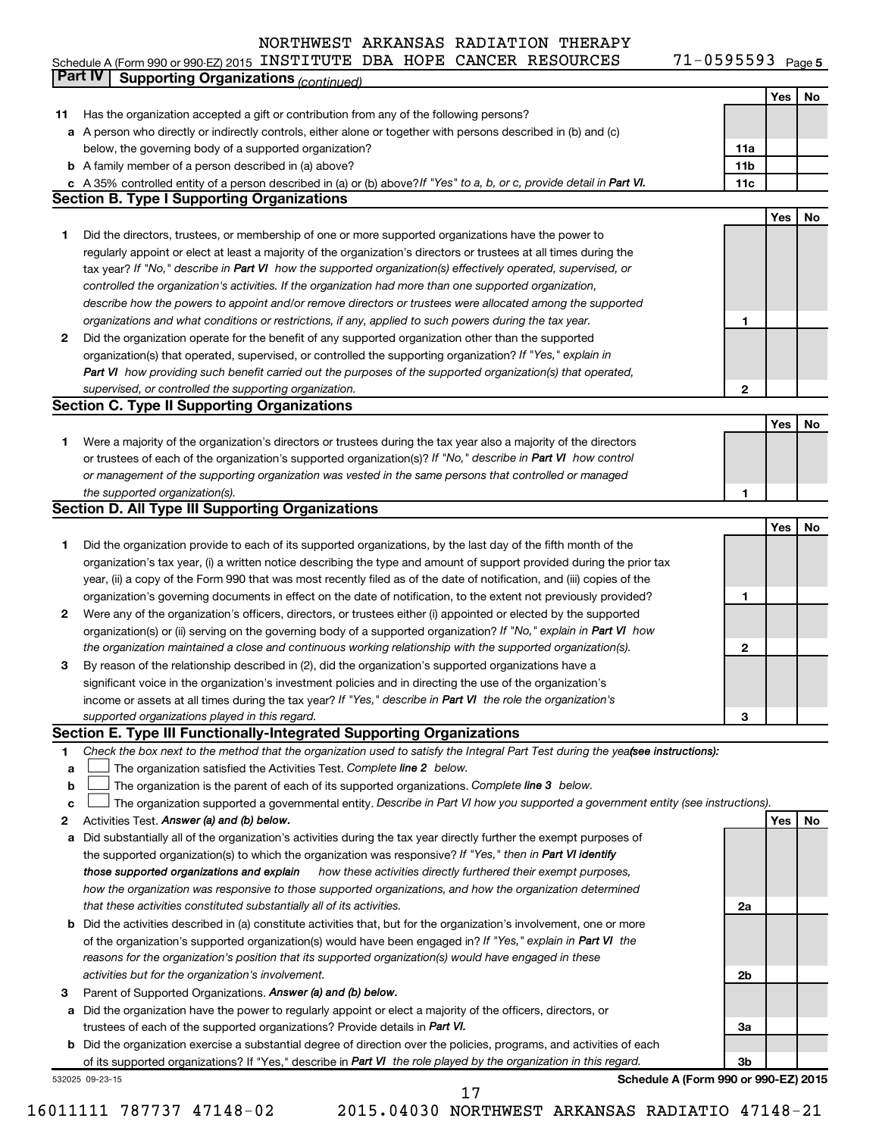71-0595593 Page 5 Schedule A (Form 990 or 990-EZ) 2015 INSTITUTE DBA HOPE CANCER RESOURCES 71-0595593 Page

|             | Part IV<br><b>Supporting Organizations (continued)</b>                                                                                                           |                 |     |    |
|-------------|------------------------------------------------------------------------------------------------------------------------------------------------------------------|-----------------|-----|----|
|             |                                                                                                                                                                  |                 | Yes | No |
| 11          | Has the organization accepted a gift or contribution from any of the following persons?                                                                          |                 |     |    |
|             | a A person who directly or indirectly controls, either alone or together with persons described in (b) and (c)                                                   |                 |     |    |
|             | below, the governing body of a supported organization?                                                                                                           | 11a             |     |    |
|             | <b>b</b> A family member of a person described in (a) above?                                                                                                     | 11 <sub>b</sub> |     |    |
|             | c A 35% controlled entity of a person described in (a) or (b) above? If "Yes" to a, b, or c, provide detail in Part VI.                                          | 11c             |     |    |
|             | <b>Section B. Type I Supporting Organizations</b>                                                                                                                |                 |     |    |
|             |                                                                                                                                                                  |                 | Yes | No |
| 1           | Did the directors, trustees, or membership of one or more supported organizations have the power to                                                              |                 |     |    |
|             | regularly appoint or elect at least a majority of the organization's directors or trustees at all times during the                                               |                 |     |    |
|             | tax year? If "No," describe in Part VI how the supported organization(s) effectively operated, supervised, or                                                    |                 |     |    |
|             | controlled the organization's activities. If the organization had more than one supported organization,                                                          |                 |     |    |
|             | describe how the powers to appoint and/or remove directors or trustees were allocated among the supported                                                        |                 |     |    |
|             | organizations and what conditions or restrictions, if any, applied to such powers during the tax year.                                                           | 1               |     |    |
| 2           | Did the organization operate for the benefit of any supported organization other than the supported                                                              |                 |     |    |
|             | organization(s) that operated, supervised, or controlled the supporting organization? If "Yes," explain in                                                       |                 |     |    |
|             | Part VI how providing such benefit carried out the purposes of the supported organization(s) that operated,                                                      |                 |     |    |
|             | supervised, or controlled the supporting organization.                                                                                                           | 2               |     |    |
|             | <b>Section C. Type II Supporting Organizations</b>                                                                                                               |                 |     |    |
|             |                                                                                                                                                                  |                 | Yes | No |
| 1           | Were a majority of the organization's directors or trustees during the tax year also a majority of the directors                                                 |                 |     |    |
|             | or trustees of each of the organization's supported organization(s)? If "No," describe in Part VI how control                                                    |                 |     |    |
|             | or management of the supporting organization was vested in the same persons that controlled or managed                                                           |                 |     |    |
|             | the supported organization(s).                                                                                                                                   | 1               |     |    |
|             | <b>Section D. All Type III Supporting Organizations</b>                                                                                                          |                 |     |    |
|             |                                                                                                                                                                  |                 | Yes | No |
| 1           | Did the organization provide to each of its supported organizations, by the last day of the fifth month of the                                                   |                 |     |    |
|             | organization's tax year, (i) a written notice describing the type and amount of support provided during the prior tax                                            |                 |     |    |
|             | year, (ii) a copy of the Form 990 that was most recently filed as of the date of notification, and (iii) copies of the                                           |                 |     |    |
|             | organization's governing documents in effect on the date of notification, to the extent not previously provided?                                                 | 1               |     |    |
| 2           | Were any of the organization's officers, directors, or trustees either (i) appointed or elected by the supported                                                 |                 |     |    |
|             | organization(s) or (ii) serving on the governing body of a supported organization? If "No," explain in Part VI how                                               |                 |     |    |
|             | the organization maintained a close and continuous working relationship with the supported organization(s).                                                      | $\mathbf{2}$    |     |    |
| 3           | By reason of the relationship described in (2), did the organization's supported organizations have a                                                            |                 |     |    |
|             | significant voice in the organization's investment policies and in directing the use of the organization's                                                       |                 |     |    |
|             | income or assets at all times during the tax year? If "Yes," describe in Part VI the role the organization's                                                     |                 |     |    |
|             | supported organizations played in this regard.                                                                                                                   | з               |     |    |
|             | Section E. Type III Functionally-Integrated Supporting Organizations                                                                                             |                 |     |    |
| 1           | Check the box next to the method that the organization used to satisfy the Integral Part Test during the yealsee instructions):                                  |                 |     |    |
| a           | The organization satisfied the Activities Test. Complete line 2 below.                                                                                           |                 |     |    |
| $\mathbf b$ | The organization is the parent of each of its supported organizations. Complete line 3 below.                                                                    |                 |     |    |
| c           | The organization supported a governmental entity. Describe in Part VI how you supported a government entity (see instructions).                                  |                 |     |    |
| 2<br>а      | Activities Test. Answer (a) and (b) below.<br>Did substantially all of the organization's activities during the tax year directly further the exempt purposes of |                 | Yes | No |
|             | the supported organization(s) to which the organization was responsive? If "Yes," then in Part VI identify                                                       |                 |     |    |
|             | those supported organizations and explain<br>how these activities directly furthered their exempt purposes,                                                      |                 |     |    |
|             | how the organization was responsive to those supported organizations, and how the organization determined                                                        |                 |     |    |
|             | that these activities constituted substantially all of its activities.                                                                                           | 2a              |     |    |
|             | <b>b</b> Did the activities described in (a) constitute activities that, but for the organization's involvement, one or more                                     |                 |     |    |
|             | of the organization's supported organization(s) would have been engaged in? If "Yes," explain in Part VI the                                                     |                 |     |    |
|             | reasons for the organization's position that its supported organization(s) would have engaged in these                                                           |                 |     |    |
|             | activities but for the organization's involvement.                                                                                                               | 2b              |     |    |
| з           | Parent of Supported Organizations. Answer (a) and (b) below.                                                                                                     |                 |     |    |
|             | a Did the organization have the power to regularly appoint or elect a majority of the officers, directors, or                                                    |                 |     |    |
|             | trustees of each of the supported organizations? Provide details in Part VI.                                                                                     | За              |     |    |
|             | <b>b</b> Did the organization exercise a substantial degree of direction over the policies, programs, and activities of each                                     |                 |     |    |
|             | of its supported organizations? If "Yes," describe in Part VI the role played by the organization in this regard.                                                | 3b              |     |    |
|             | Schedule A (Form 990 or 990-EZ) 2015<br>532025 09-23-15                                                                                                          |                 |     |    |
|             | 17                                                                                                                                                               |                 |     |    |

16011111 787737 47148-02 2015.04030 NORTHWEST ARKANSAS RADIATIO 47148-21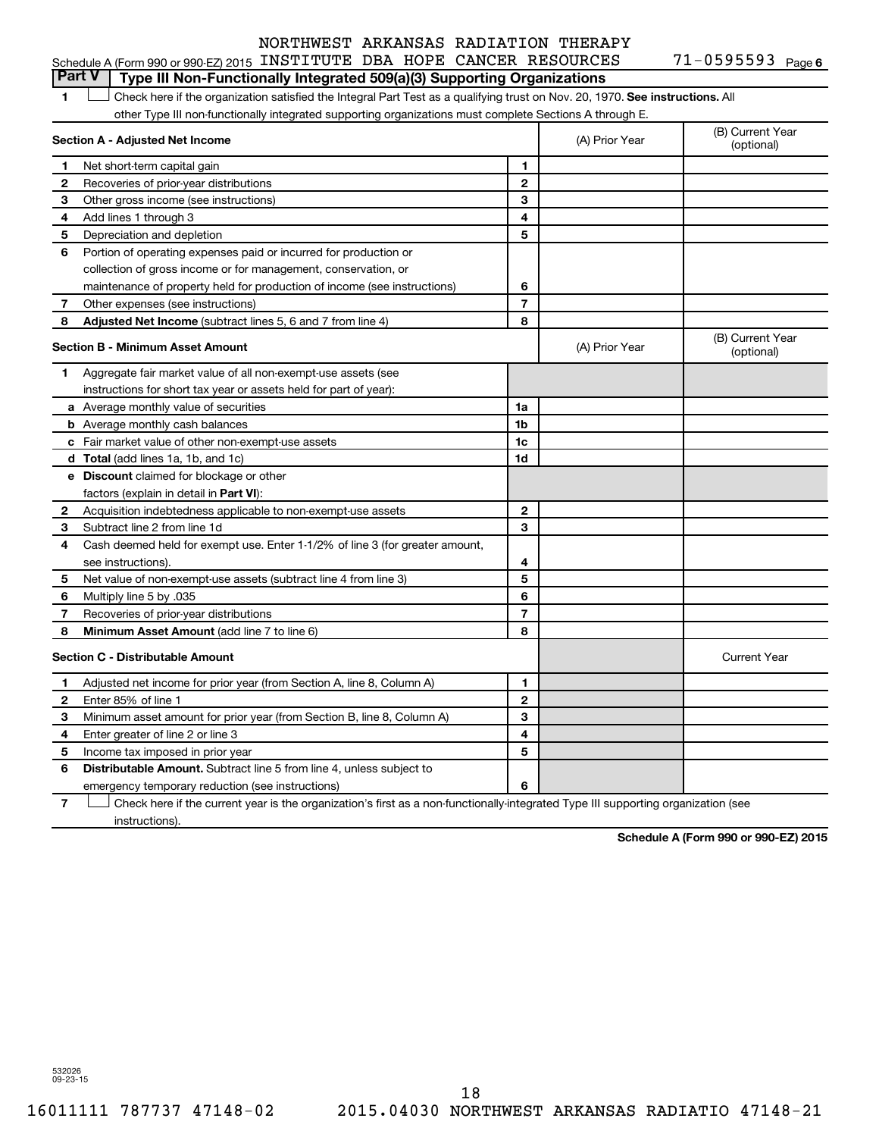#### Schedule A (Form 990 or 990-EZ) 2015 INSTITUTE DBA HOPE CANCER RESOURCES 71-0595593 Page

71-0595593 Page 6

1 **Letter on Reck here if the organization satisfied the Integral Part Test as a qualifying trust on Nov. 20, 1970. See instructions. All** other Type III non-functionally integrated supporting organizations must complete Sections A through E. **Part V Type III Non-Functionally Integrated 509(a)(3) Supporting Organizations** 

|              | Section A - Adjusted Net Income                                              |                | (A) Prior Year | (B) Current Year<br>(optional) |
|--------------|------------------------------------------------------------------------------|----------------|----------------|--------------------------------|
| 1            | Net short-term capital gain                                                  | 1              |                |                                |
| $\mathbf{2}$ | Recoveries of prior-year distributions                                       | $\mathbf{2}$   |                |                                |
| З            | Other gross income (see instructions)                                        | 3              |                |                                |
| 4            | Add lines 1 through 3                                                        | 4              |                |                                |
| 5            | Depreciation and depletion                                                   | 5              |                |                                |
| 6            | Portion of operating expenses paid or incurred for production or             |                |                |                                |
|              | collection of gross income or for management, conservation, or               |                |                |                                |
|              | maintenance of property held for production of income (see instructions)     | 6              |                |                                |
| 7            | Other expenses (see instructions)                                            | $\overline{7}$ |                |                                |
| 8            | Adjusted Net Income (subtract lines 5, 6 and 7 from line 4)                  | 8              |                |                                |
|              | <b>Section B - Minimum Asset Amount</b>                                      |                | (A) Prior Year | (B) Current Year<br>(optional) |
| 1            | Aggregate fair market value of all non-exempt-use assets (see                |                |                |                                |
|              | instructions for short tax year or assets held for part of year):            |                |                |                                |
|              | <b>a</b> Average monthly value of securities                                 | 1a             |                |                                |
|              | <b>b</b> Average monthly cash balances                                       | 1b             |                |                                |
|              | c Fair market value of other non-exempt-use assets                           | 1c             |                |                                |
|              | <b>d</b> Total (add lines 1a, 1b, and 1c)                                    | 1d             |                |                                |
|              | e Discount claimed for blockage or other                                     |                |                |                                |
|              | factors (explain in detail in Part VI):                                      |                |                |                                |
| $\mathbf{2}$ | Acquisition indebtedness applicable to non-exempt-use assets                 | $\mathbf{2}$   |                |                                |
| 3            | Subtract line 2 from line 1d                                                 | 3              |                |                                |
| 4            | Cash deemed held for exempt use. Enter 1-1/2% of line 3 (for greater amount, |                |                |                                |
|              | see instructions).                                                           | 4              |                |                                |
| 5            | Net value of non-exempt-use assets (subtract line 4 from line 3)             | 5              |                |                                |
| 6            | Multiply line 5 by .035                                                      | 6              |                |                                |
| 7            | Recoveries of prior-year distributions                                       | $\overline{7}$ |                |                                |
| 8            | Minimum Asset Amount (add line 7 to line 6)                                  | 8              |                |                                |
|              | <b>Section C - Distributable Amount</b>                                      |                |                | <b>Current Year</b>            |
| 1            | Adjusted net income for prior year (from Section A, line 8, Column A)        | 1              |                |                                |
| 2            | Enter 85% of line 1                                                          | $\mathbf{2}$   |                |                                |
| З            | Minimum asset amount for prior year (from Section B, line 8, Column A)       | 3              |                |                                |
| 4            | Enter greater of line 2 or line 3                                            | 4              |                |                                |
| 5            | Income tax imposed in prior year                                             | 5              |                |                                |
| 6            | Distributable Amount. Subtract line 5 from line 4, unless subject to         |                |                |                                |
|              | emergency temporary reduction (see instructions)                             | 6              |                |                                |
|              |                                                                              |                |                |                                |

**7** Check here if the current year is the organization's first as a non-functionally-integrated Type III supporting organization (see † instructions).

**Schedule A (Form 990 or 990-EZ) 2015**

532026 09-23-15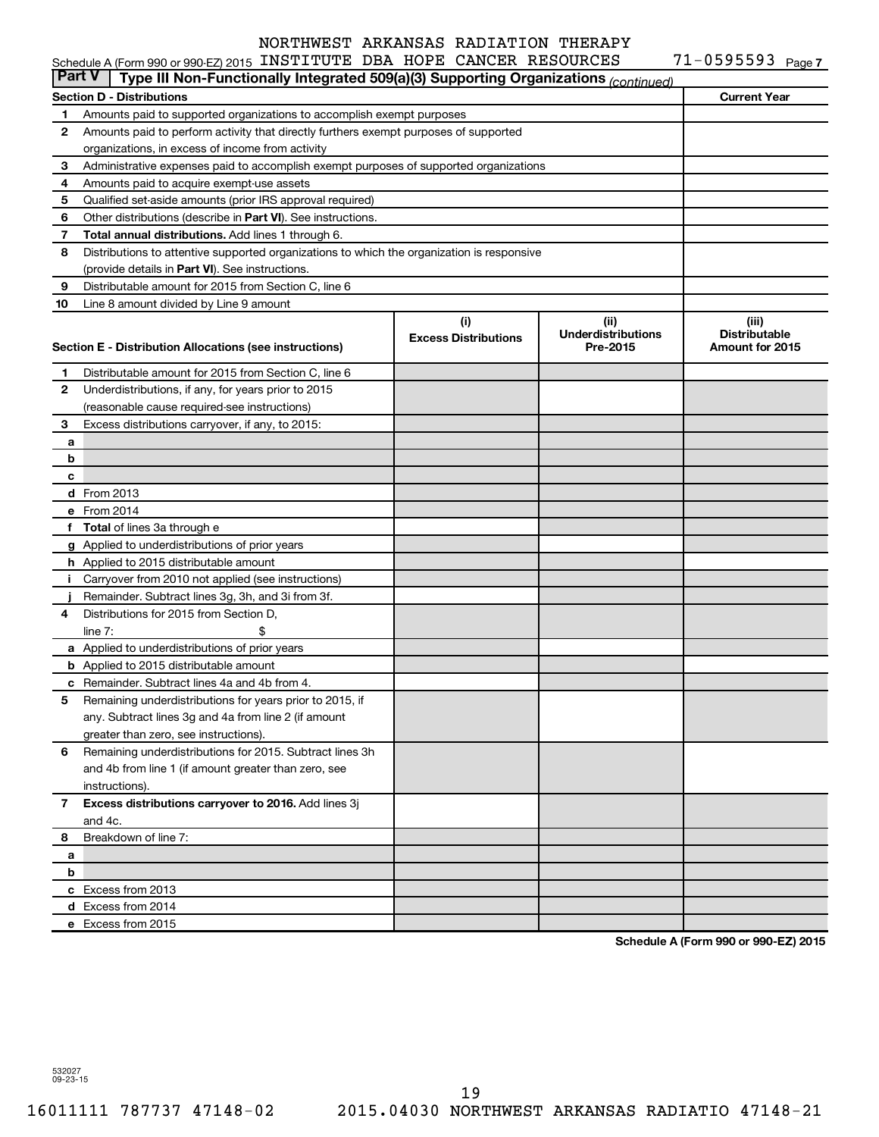|               | Schedule A (Form 990 or 990-EZ) 2015 INSTITUTE DBA HOPE CANCER RESOURCES                   |                                    |                                               | $71 - 0595593$ Page 7                            |
|---------------|--------------------------------------------------------------------------------------------|------------------------------------|-----------------------------------------------|--------------------------------------------------|
| <b>Part V</b> | Type III Non-Functionally Integrated 509(a)(3) Supporting Organizations (continued)        |                                    |                                               |                                                  |
|               | <b>Section D - Distributions</b>                                                           |                                    |                                               | <b>Current Year</b>                              |
| 1             | Amounts paid to supported organizations to accomplish exempt purposes                      |                                    |                                               |                                                  |
| 2             | Amounts paid to perform activity that directly furthers exempt purposes of supported       |                                    |                                               |                                                  |
|               | organizations, in excess of income from activity                                           |                                    |                                               |                                                  |
| 3             | Administrative expenses paid to accomplish exempt purposes of supported organizations      |                                    |                                               |                                                  |
| 4             | Amounts paid to acquire exempt-use assets                                                  |                                    |                                               |                                                  |
| 5             | Qualified set-aside amounts (prior IRS approval required)                                  |                                    |                                               |                                                  |
| 6             | Other distributions (describe in Part VI). See instructions.                               |                                    |                                               |                                                  |
| 7             | Total annual distributions. Add lines 1 through 6.                                         |                                    |                                               |                                                  |
| 8             | Distributions to attentive supported organizations to which the organization is responsive |                                    |                                               |                                                  |
|               | (provide details in Part VI). See instructions.                                            |                                    |                                               |                                                  |
| 9             | Distributable amount for 2015 from Section C, line 6                                       |                                    |                                               |                                                  |
| 10            | Line 8 amount divided by Line 9 amount                                                     |                                    |                                               |                                                  |
|               | Section E - Distribution Allocations (see instructions)                                    | (i)<br><b>Excess Distributions</b> | (ii)<br><b>Underdistributions</b><br>Pre-2015 | (iii)<br><b>Distributable</b><br>Amount for 2015 |
| 1             | Distributable amount for 2015 from Section C, line 6                                       |                                    |                                               |                                                  |
| 2             | Underdistributions, if any, for years prior to 2015                                        |                                    |                                               |                                                  |
|               | (reasonable cause required-see instructions)                                               |                                    |                                               |                                                  |
| 3             | Excess distributions carryover, if any, to 2015:                                           |                                    |                                               |                                                  |
| а             |                                                                                            |                                    |                                               |                                                  |
| b             |                                                                                            |                                    |                                               |                                                  |
| c             |                                                                                            |                                    |                                               |                                                  |
|               | d From 2013                                                                                |                                    |                                               |                                                  |
|               | e From 2014                                                                                |                                    |                                               |                                                  |
|               | f Total of lines 3a through e                                                              |                                    |                                               |                                                  |
|               | g Applied to underdistributions of prior years                                             |                                    |                                               |                                                  |
|               | h Applied to 2015 distributable amount                                                     |                                    |                                               |                                                  |
| Ť.            | Carryover from 2010 not applied (see instructions)                                         |                                    |                                               |                                                  |
|               | Remainder. Subtract lines 3g, 3h, and 3i from 3f.                                          |                                    |                                               |                                                  |
| 4             | Distributions for 2015 from Section D,                                                     |                                    |                                               |                                                  |
|               | line $7:$                                                                                  |                                    |                                               |                                                  |
|               | a Applied to underdistributions of prior years                                             |                                    |                                               |                                                  |
|               | <b>b</b> Applied to 2015 distributable amount                                              |                                    |                                               |                                                  |
|               | c Remainder. Subtract lines 4a and 4b from 4.                                              |                                    |                                               |                                                  |
|               | 5 Remaining underdistributions for years prior to 2015, if                                 |                                    |                                               |                                                  |
|               | any. Subtract lines 3g and 4a from line 2 (if amount                                       |                                    |                                               |                                                  |
|               | greater than zero, see instructions).                                                      |                                    |                                               |                                                  |
| 6             | Remaining underdistributions for 2015. Subtract lines 3h                                   |                                    |                                               |                                                  |
|               | and 4b from line 1 (if amount greater than zero, see                                       |                                    |                                               |                                                  |
|               | instructions).                                                                             |                                    |                                               |                                                  |
| 7             | Excess distributions carryover to 2016. Add lines 3j                                       |                                    |                                               |                                                  |
|               | and 4c.                                                                                    |                                    |                                               |                                                  |
| 8             | Breakdown of line 7:                                                                       |                                    |                                               |                                                  |
| а             |                                                                                            |                                    |                                               |                                                  |
| b             |                                                                                            |                                    |                                               |                                                  |
|               | c Excess from 2013                                                                         |                                    |                                               |                                                  |
|               | d Excess from 2014                                                                         |                                    |                                               |                                                  |
|               | e Excess from 2015                                                                         |                                    |                                               |                                                  |
|               |                                                                                            |                                    |                                               |                                                  |

**Schedule A (Form 990 or 990-EZ) 2015**

532027 09-23-15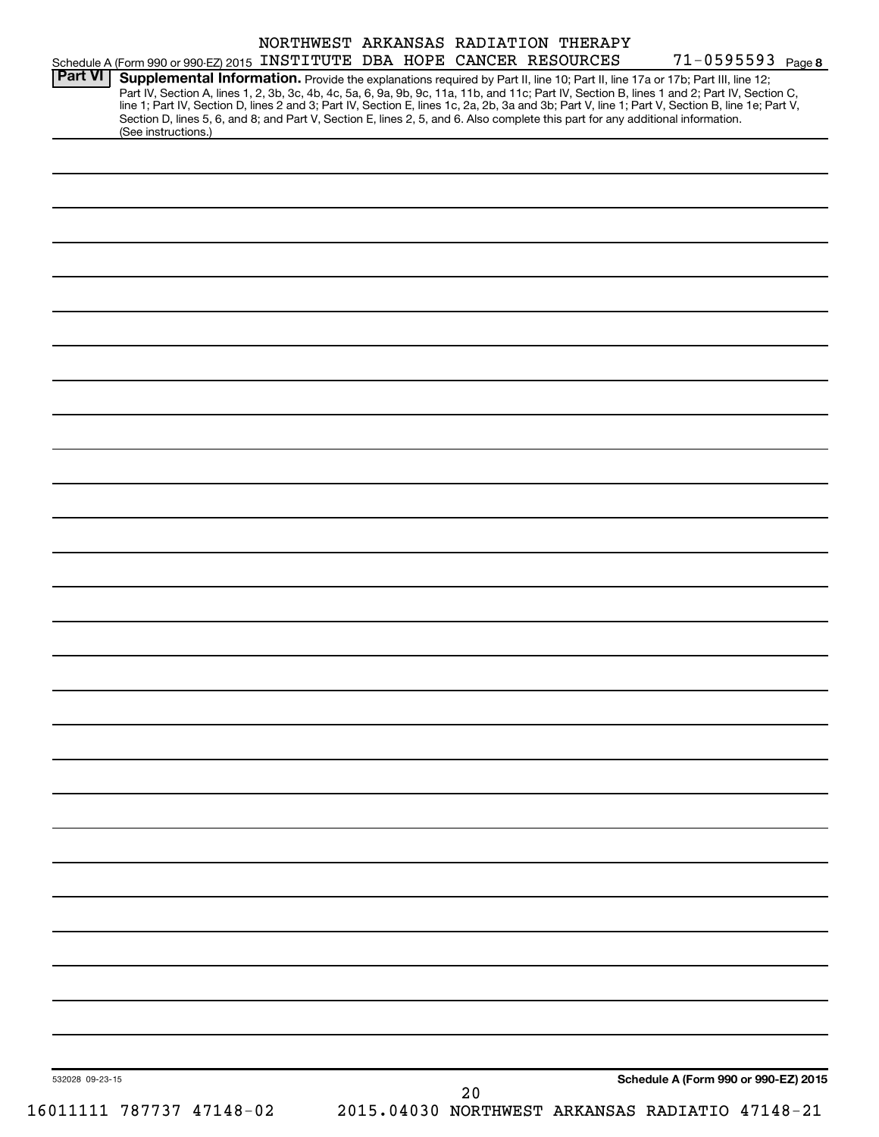|                 |                                                                                                                                                                                                           |  | NORTHWEST ARKANSAS RADIATION THERAPY | 71-0595593 Page 8                                                                                                                               |
|-----------------|-----------------------------------------------------------------------------------------------------------------------------------------------------------------------------------------------------------|--|--------------------------------------|-------------------------------------------------------------------------------------------------------------------------------------------------|
| Part VI         | Schedule A (Form 990 or 990-EZ) 2015 INSTITUTE DBA HOPE CANCER RESOURCES<br>Supplemental Information. Provide the explanations required by Part II, line 10; Part II, line 17a or 17b; Part III, line 12; |  |                                      | Part IV, Section A, lines 1, 2, 3b, 3c, 4b, 4c, 5a, 6, 9a, 9b, 9c, 11a, 11b, and 11c; Part IV, Section B, lines 1 and 2; Part IV, Section C,    |
|                 | Section D, lines 5, 6, and 8; and Part V, Section E, lines 2, 5, and 6. Also complete this part for any additional information.<br>(See instructions.)                                                    |  |                                      | line 1; Part IV, Section D, lines 2 and 3; Part IV, Section E, lines 1c, 2a, 2b, 3a and 3b; Part V, line 1; Part V, Section B, line 1e; Part V, |
|                 |                                                                                                                                                                                                           |  |                                      |                                                                                                                                                 |
|                 |                                                                                                                                                                                                           |  |                                      |                                                                                                                                                 |
|                 |                                                                                                                                                                                                           |  |                                      |                                                                                                                                                 |
|                 |                                                                                                                                                                                                           |  |                                      |                                                                                                                                                 |
|                 |                                                                                                                                                                                                           |  |                                      |                                                                                                                                                 |
|                 |                                                                                                                                                                                                           |  |                                      |                                                                                                                                                 |
|                 |                                                                                                                                                                                                           |  |                                      |                                                                                                                                                 |
|                 |                                                                                                                                                                                                           |  |                                      |                                                                                                                                                 |
|                 |                                                                                                                                                                                                           |  |                                      |                                                                                                                                                 |
|                 |                                                                                                                                                                                                           |  |                                      |                                                                                                                                                 |
|                 |                                                                                                                                                                                                           |  |                                      |                                                                                                                                                 |
|                 |                                                                                                                                                                                                           |  |                                      |                                                                                                                                                 |
|                 |                                                                                                                                                                                                           |  |                                      |                                                                                                                                                 |
|                 |                                                                                                                                                                                                           |  |                                      |                                                                                                                                                 |
|                 |                                                                                                                                                                                                           |  |                                      |                                                                                                                                                 |
|                 |                                                                                                                                                                                                           |  |                                      |                                                                                                                                                 |
|                 |                                                                                                                                                                                                           |  |                                      |                                                                                                                                                 |
|                 |                                                                                                                                                                                                           |  |                                      |                                                                                                                                                 |
|                 |                                                                                                                                                                                                           |  |                                      |                                                                                                                                                 |
|                 |                                                                                                                                                                                                           |  |                                      |                                                                                                                                                 |
|                 |                                                                                                                                                                                                           |  |                                      |                                                                                                                                                 |
|                 |                                                                                                                                                                                                           |  |                                      |                                                                                                                                                 |
|                 |                                                                                                                                                                                                           |  |                                      |                                                                                                                                                 |
|                 |                                                                                                                                                                                                           |  |                                      |                                                                                                                                                 |
|                 |                                                                                                                                                                                                           |  |                                      |                                                                                                                                                 |
|                 |                                                                                                                                                                                                           |  |                                      |                                                                                                                                                 |
|                 |                                                                                                                                                                                                           |  |                                      |                                                                                                                                                 |
|                 |                                                                                                                                                                                                           |  |                                      |                                                                                                                                                 |
| 532028 09-23-15 |                                                                                                                                                                                                           |  |                                      | Schedule A (Form 990 or 990-EZ) 2015                                                                                                            |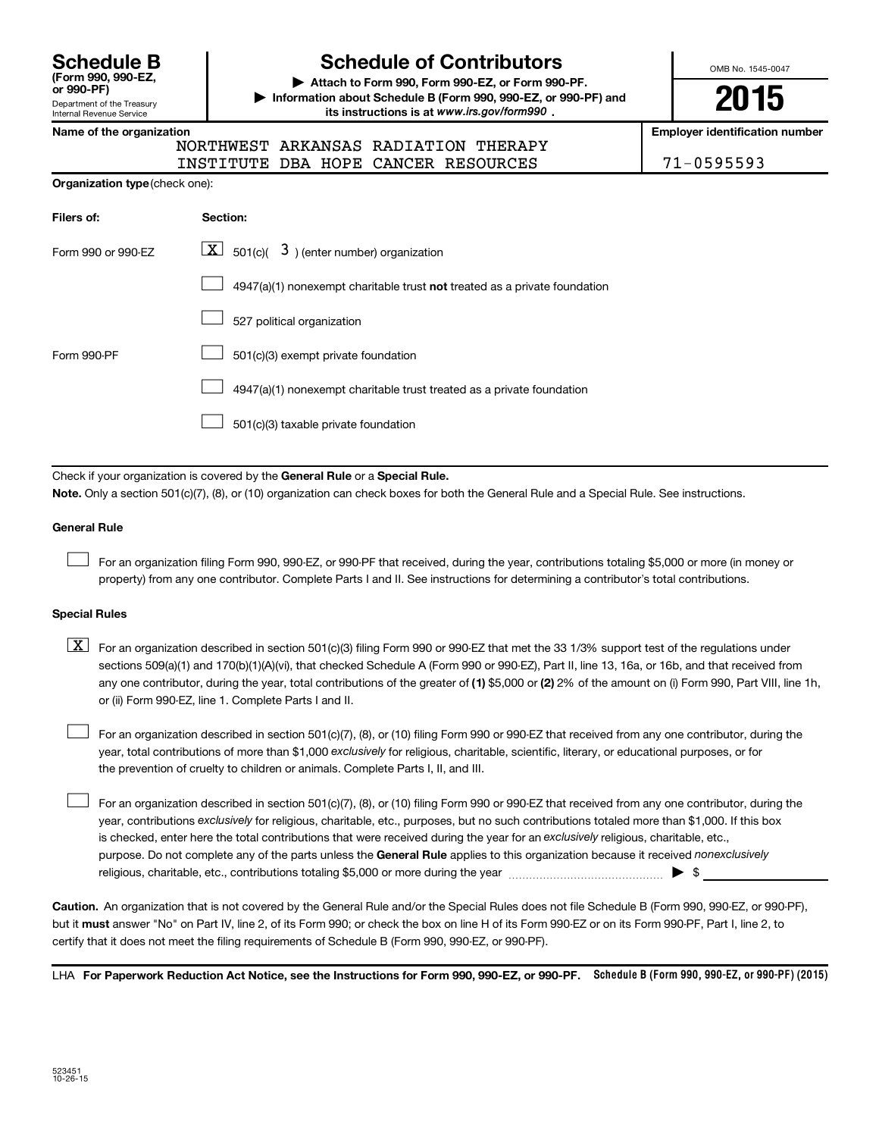**(Form 990, 990-EZ,**

#### Department of the Treasury Internal Revenue Service

# **Schedule B Schedule of Contributors**

**or 990-PF) | Attach to Form 990, Form 990-EZ, or Form 990-PF. | Information about Schedule B (Form 990, 990-EZ, or 990-PF) and** its instructions is at www.irs.gov/form990.

OMB No. 1545-0047

**2015**

**Name of the organization Employer identification number**

| ianic vi tilc vi yanızatıvn |  |  |      |  |
|-----------------------------|--|--|------|--|
|                             |  |  | חסרא |  |

NORTHWEST ARKANSAS RADIATION THERAPY INSTITUTE DBA HOPE CANCER RESOURCES 71-0595593

| Filers of:         | Section:                                                                    |
|--------------------|-----------------------------------------------------------------------------|
| Form 990 or 990-EZ | $\lfloor x \rfloor$ 501(c)( 3) (enter number) organization                  |
|                    | $4947(a)(1)$ nonexempt charitable trust not treated as a private foundation |
|                    | 527 political organization                                                  |
| Form 990-PF        | 501(c)(3) exempt private foundation                                         |
|                    | 4947(a)(1) nonexempt charitable trust treated as a private foundation       |
|                    | 501(c)(3) taxable private foundation                                        |

Check if your organization is covered by the General Rule or a Special Rule.

**Note.**  Only a section 501(c)(7), (8), or (10) organization can check boxes for both the General Rule and a Special Rule. See instructions.

#### **General Rule**

 $\Box$ 

For an organization filing Form 990, 990-EZ, or 990-PF that received, during the year, contributions totaling \$5,000 or more (in money or property) from any one contributor. Complete Parts I and II. See instructions for determining a contributor's total contributions.

#### **Special Rules**

any one contributor, during the year, total contributions of the greater of **(1)** \$5,000 or **(2)** 2% of the amount on (i) Form 990, Part VIII, line 1h,  $\boxed{\text{X}}$  For an organization described in section 501(c)(3) filing Form 990 or 990-EZ that met the 33 1/3% support test of the regulations under sections 509(a)(1) and 170(b)(1)(A)(vi), that checked Schedule A (Form 990 or 990-EZ), Part II, line 13, 16a, or 16b, and that received from or (ii) Form 990-EZ, line 1. Complete Parts I and II.

year, total contributions of more than \$1,000 *exclusively* for religious, charitable, scientific, literary, or educational purposes, or for For an organization described in section 501(c)(7), (8), or (10) filing Form 990 or 990-EZ that received from any one contributor, during the the prevention of cruelty to children or animals. Complete Parts I, II, and III.  $\Box$ 

purpose. Do not complete any of the parts unless the General Rule applies to this organization because it received nonexclusively year, contributions exclusively for religious, charitable, etc., purposes, but no such contributions totaled more than \$1,000. If this box is checked, enter here the total contributions that were received during the year for an exclusively religious, charitable, etc., For an organization described in section 501(c)(7), (8), or (10) filing Form 990 or 990-EZ that received from any one contributor, during the religious, charitable, etc., contributions totaling \$5,000 or more during the year  $\ldots$  $\ldots$  $\ldots$  $\ldots$  $\ldots$  $\ldots$  $\Box$ 

**Caution.** An organization that is not covered by the General Rule and/or the Special Rules does not file Schedule B (Form 990, 990-EZ, or 990-PF),  **must** but it answer "No" on Part IV, line 2, of its Form 990; or check the box on line H of its Form 990-EZ or on its Form 990-PF, Part I, line 2, to certify that it does not meet the filing requirements of Schedule B (Form 990, 990-EZ, or 990-PF).

LHA For Paperwork Reduction Act Notice, see the Instructions for Form 990, 990-EZ, or 990-PF. Schedule B (Form 990, 990-EZ, or 990-PF) (2015)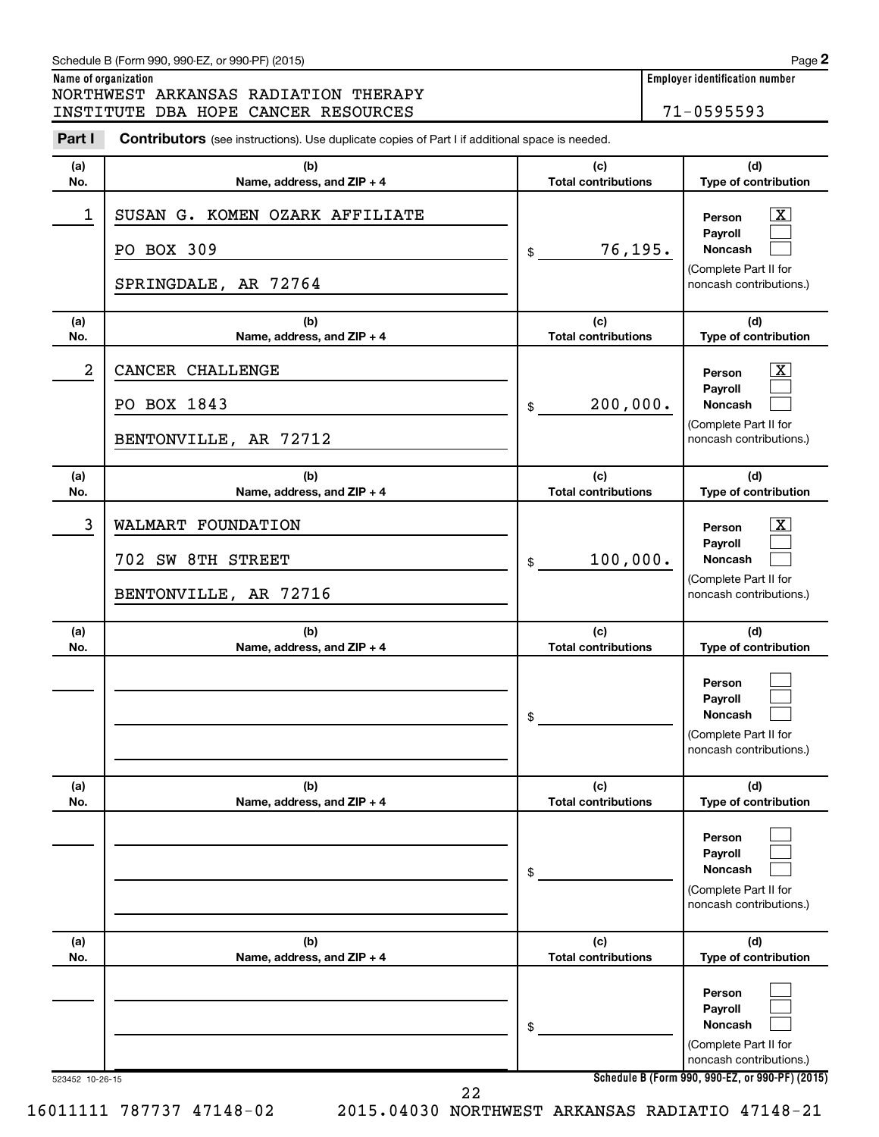|                      | Schedule B (Form 990, 990-EZ, or 990-PF) (2015)                                                |                                   | Page 2                                                                                  |
|----------------------|------------------------------------------------------------------------------------------------|-----------------------------------|-----------------------------------------------------------------------------------------|
| Name of organization | NORTHWEST ARKANSAS RADIATION THERAPY                                                           |                                   | <b>Employer identification number</b>                                                   |
|                      | INSTITUTE DBA HOPE CANCER RESOURCES                                                            |                                   | 71-0595593                                                                              |
| Part I               | Contributors (see instructions). Use duplicate copies of Part I if additional space is needed. |                                   |                                                                                         |
| (a)<br>No.           | (b)<br>Name, address, and ZIP + 4                                                              | (c)<br><b>Total contributions</b> | (d)<br>Type of contribution                                                             |
| $\mathbf 1$          | SUSAN G. KOMEN OZARK AFFILIATE                                                                 |                                   | x.<br>Person<br>Pavroll                                                                 |
|                      | PO BOX 309<br>SPRINGDALE, AR 72764                                                             | 76,195.<br>\$                     | Noncash<br>(Complete Part II for<br>noncash contributions.)                             |
| (a)<br>No.           | (b)<br>Name, address, and ZIP + 4                                                              | (c)<br><b>Total contributions</b> | (d)<br>Type of contribution                                                             |
| $\overline{a}$       | CANCER CHALLENGE                                                                               |                                   | x.<br>Person<br>Payroll                                                                 |
|                      | PO BOX 1843<br>BENTONVILLE, AR 72712                                                           | 200,000.<br>\$                    | Noncash<br>(Complete Part II for<br>noncash contributions.)                             |
| (a)<br>No.           | (b)<br>Name, address, and ZIP + 4                                                              | (c)<br><b>Total contributions</b> | (d)<br>Type of contribution                                                             |
| 3                    | WALMART FOUNDATION<br>702 SW 8TH STREET                                                        | 100,000.<br>\$                    | x.<br>Person<br>Payroll<br>Noncash                                                      |
|                      | BENTONVILLE, AR 72716                                                                          |                                   | (Complete Part II for<br>noncash contributions.)                                        |
| (a)<br>No.           | (b)<br>Name, address, and ZIP + 4                                                              | (c)<br><b>Total contributions</b> | (d)<br>Type of contribution                                                             |
|                      |                                                                                                | \$                                | Person<br>Payroll<br><b>Noncash</b><br>(Complete Part II for<br>noncash contributions.) |
| (a)<br>No.           | (b)<br>Name, address, and ZIP + 4                                                              | (c)<br><b>Total contributions</b> | (d)<br>Type of contribution                                                             |
|                      |                                                                                                | \$                                | Person<br>Payroll<br><b>Noncash</b><br>(Complete Part II for<br>noncash contributions.) |
| (a)<br>No.           | (b)<br>Name, address, and ZIP + 4                                                              | (c)<br><b>Total contributions</b> | (d)<br>Type of contribution                                                             |
|                      |                                                                                                | \$                                | Person<br>Payroll<br><b>Noncash</b><br>(Complete Part II for                            |
| 523452 10-26-15      | າາ                                                                                             |                                   | noncash contributions.)<br>Schedule B (Form 990, 990-EZ, or 990-PF) (2015)              |

22

16011111 787737 47148-02 2015.04030 NORTHWEST ARKANSAS RADIATIO 47148-21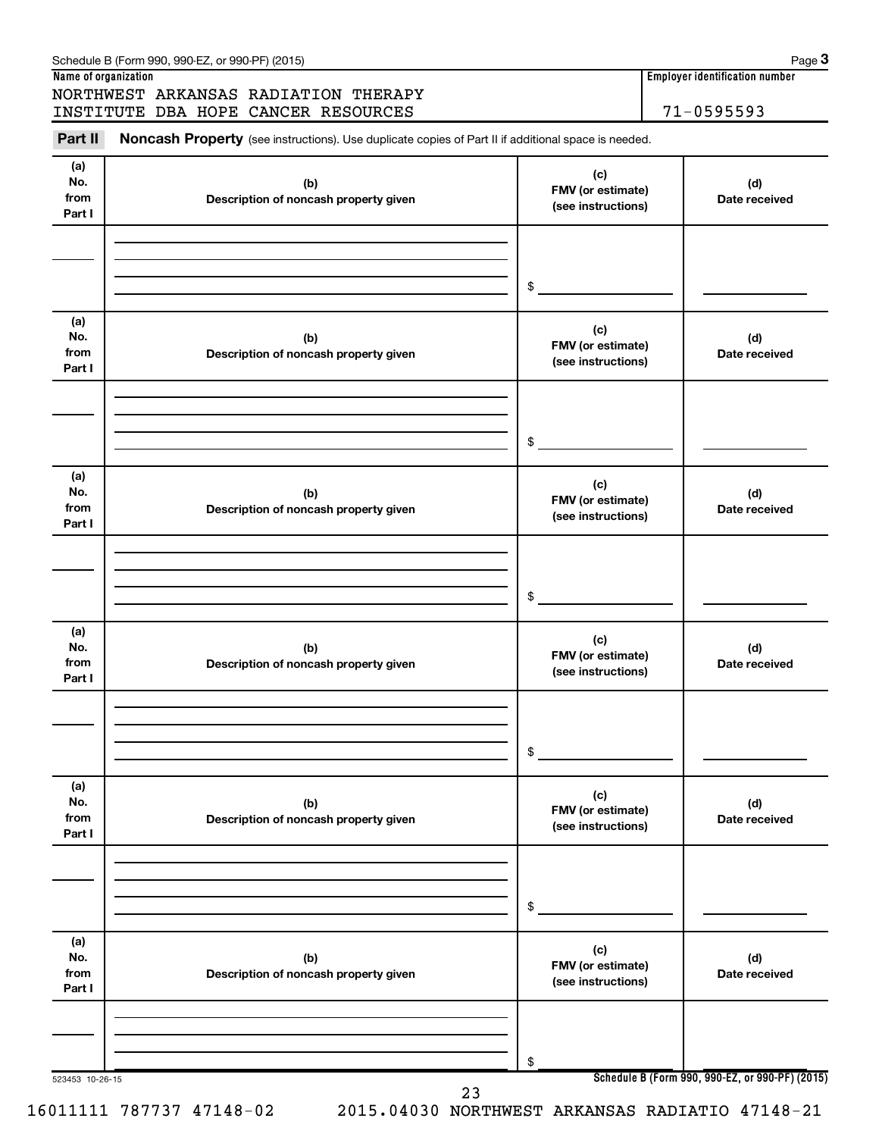|                              | INSTITUTE DBA HOPE CANCER RESOURCES                                                                 |                                                | $71 - 0595593$                                  |
|------------------------------|-----------------------------------------------------------------------------------------------------|------------------------------------------------|-------------------------------------------------|
| Part II                      | Noncash Property (see instructions). Use duplicate copies of Part II if additional space is needed. |                                                |                                                 |
| (a)<br>No.<br>from<br>Part I | (b)<br>Description of noncash property given                                                        | (c)<br>FMV (or estimate)<br>(see instructions) | (d)<br>Date received                            |
|                              |                                                                                                     | \$                                             |                                                 |
| (a)<br>No.<br>from<br>Part I | (b)<br>Description of noncash property given                                                        | (c)<br>FMV (or estimate)<br>(see instructions) | (d)<br>Date received                            |
|                              |                                                                                                     | \$                                             |                                                 |
| (a)<br>No.<br>from<br>Part I | (b)<br>Description of noncash property given                                                        | (c)<br>FMV (or estimate)<br>(see instructions) | (d)<br>Date received                            |
|                              |                                                                                                     | \$                                             |                                                 |
| (a)<br>No.<br>from<br>Part I | (b)<br>Description of noncash property given                                                        | (c)<br>FMV (or estimate)<br>(see instructions) | (d)<br>Date received                            |
|                              |                                                                                                     | \$                                             |                                                 |
| (a)<br>No.<br>from<br>Part I | (b)<br>Description of noncash property given                                                        | (c)<br>FMV (or estimate)<br>(see instructions) | (d)<br>Date received                            |
|                              |                                                                                                     | \$                                             |                                                 |
| (a)<br>No.<br>from<br>Part I | (b)<br>Description of noncash property given                                                        | (c)<br>FMV (or estimate)<br>(see instructions) | (d)<br>Date received                            |
|                              |                                                                                                     |                                                |                                                 |
| 523453 10-26-15              |                                                                                                     | \$                                             | Schedule B (Form 990, 990-EZ, or 990-PF) (2015) |

Schedule B (Form 990, 990-EZ, or 990-PF) (2015)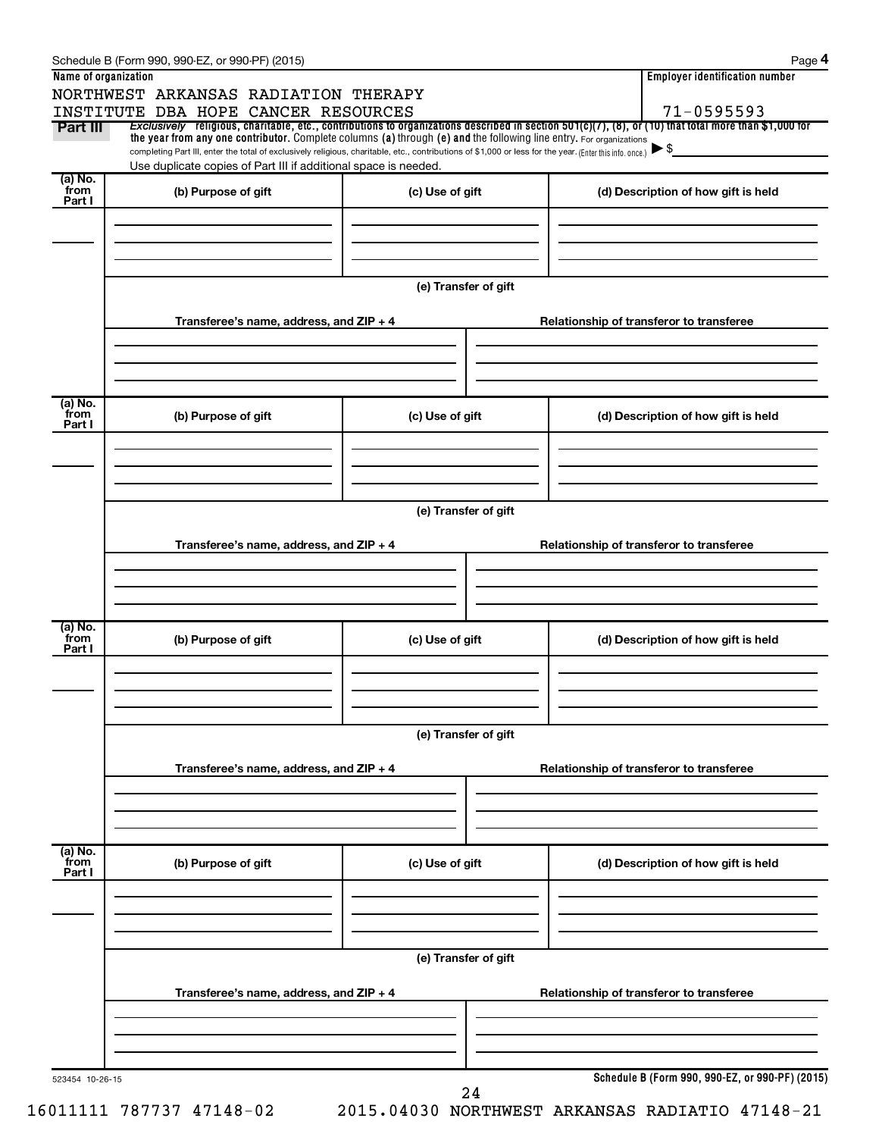|                           | Schedule B (Form 990, 990-EZ, or 990-PF) (2015)                                                                                                                                                                             |                      | Page 4                                                                                                                                                                 |  |  |  |  |  |
|---------------------------|-----------------------------------------------------------------------------------------------------------------------------------------------------------------------------------------------------------------------------|----------------------|------------------------------------------------------------------------------------------------------------------------------------------------------------------------|--|--|--|--|--|
| Name of organization      |                                                                                                                                                                                                                             |                      | <b>Employer identification number</b>                                                                                                                                  |  |  |  |  |  |
|                           | NORTHWEST ARKANSAS RADIATION THERAPY                                                                                                                                                                                        |                      |                                                                                                                                                                        |  |  |  |  |  |
| Part III                  | INSTITUTE DBA HOPE CANCER RESOURCES                                                                                                                                                                                         |                      | 71-0595593<br>Exclusively religious, charitable, etc., contributions to organizations described in section $501(c)(7)$ , (8), or (10) that total more than \$1,000 for |  |  |  |  |  |
|                           | the year from any one contributor. Complete columns (a) through (e) and the following line entry. For organizations                                                                                                         |                      |                                                                                                                                                                        |  |  |  |  |  |
|                           | completing Part III, enter the total of exclusively religious, charitable, etc., contributions of \$1,000 or less for the year. (Enter this info. once.)<br>Use duplicate copies of Part III if additional space is needed. |                      | ► \$                                                                                                                                                                   |  |  |  |  |  |
| (a) No.                   |                                                                                                                                                                                                                             |                      |                                                                                                                                                                        |  |  |  |  |  |
| from<br>Part I            | (b) Purpose of gift                                                                                                                                                                                                         | (c) Use of gift      | (d) Description of how gift is held                                                                                                                                    |  |  |  |  |  |
|                           |                                                                                                                                                                                                                             |                      |                                                                                                                                                                        |  |  |  |  |  |
|                           |                                                                                                                                                                                                                             |                      |                                                                                                                                                                        |  |  |  |  |  |
|                           |                                                                                                                                                                                                                             |                      |                                                                                                                                                                        |  |  |  |  |  |
|                           |                                                                                                                                                                                                                             | (e) Transfer of gift |                                                                                                                                                                        |  |  |  |  |  |
|                           |                                                                                                                                                                                                                             |                      |                                                                                                                                                                        |  |  |  |  |  |
|                           | Transferee's name, address, and ZIP + 4                                                                                                                                                                                     |                      | Relationship of transferor to transferee                                                                                                                               |  |  |  |  |  |
|                           |                                                                                                                                                                                                                             |                      |                                                                                                                                                                        |  |  |  |  |  |
|                           |                                                                                                                                                                                                                             |                      |                                                                                                                                                                        |  |  |  |  |  |
|                           |                                                                                                                                                                                                                             |                      |                                                                                                                                                                        |  |  |  |  |  |
| (a) No.                   |                                                                                                                                                                                                                             |                      |                                                                                                                                                                        |  |  |  |  |  |
| from<br>Part I            | (b) Purpose of gift                                                                                                                                                                                                         | (c) Use of gift      | (d) Description of how gift is held                                                                                                                                    |  |  |  |  |  |
|                           |                                                                                                                                                                                                                             |                      |                                                                                                                                                                        |  |  |  |  |  |
|                           |                                                                                                                                                                                                                             |                      |                                                                                                                                                                        |  |  |  |  |  |
|                           |                                                                                                                                                                                                                             |                      |                                                                                                                                                                        |  |  |  |  |  |
|                           |                                                                                                                                                                                                                             |                      |                                                                                                                                                                        |  |  |  |  |  |
|                           | (e) Transfer of gift                                                                                                                                                                                                        |                      |                                                                                                                                                                        |  |  |  |  |  |
|                           | Transferee's name, address, and ZIP + 4                                                                                                                                                                                     |                      | Relationship of transferor to transferee                                                                                                                               |  |  |  |  |  |
|                           |                                                                                                                                                                                                                             |                      |                                                                                                                                                                        |  |  |  |  |  |
|                           |                                                                                                                                                                                                                             |                      |                                                                                                                                                                        |  |  |  |  |  |
|                           |                                                                                                                                                                                                                             |                      |                                                                                                                                                                        |  |  |  |  |  |
| (a) No.                   |                                                                                                                                                                                                                             |                      |                                                                                                                                                                        |  |  |  |  |  |
| from<br>Part I            | (b) Purpose of gift                                                                                                                                                                                                         | (c) Use of gift      | (d) Description of how gift is held                                                                                                                                    |  |  |  |  |  |
|                           |                                                                                                                                                                                                                             |                      |                                                                                                                                                                        |  |  |  |  |  |
|                           |                                                                                                                                                                                                                             |                      |                                                                                                                                                                        |  |  |  |  |  |
|                           |                                                                                                                                                                                                                             |                      |                                                                                                                                                                        |  |  |  |  |  |
|                           |                                                                                                                                                                                                                             |                      |                                                                                                                                                                        |  |  |  |  |  |
|                           |                                                                                                                                                                                                                             | (e) Transfer of gift |                                                                                                                                                                        |  |  |  |  |  |
|                           | Transferee's name, address, and ZIP + 4                                                                                                                                                                                     |                      | Relationship of transferor to transferee                                                                                                                               |  |  |  |  |  |
|                           |                                                                                                                                                                                                                             |                      |                                                                                                                                                                        |  |  |  |  |  |
|                           |                                                                                                                                                                                                                             |                      |                                                                                                                                                                        |  |  |  |  |  |
|                           |                                                                                                                                                                                                                             |                      |                                                                                                                                                                        |  |  |  |  |  |
|                           |                                                                                                                                                                                                                             |                      |                                                                                                                                                                        |  |  |  |  |  |
| (a) No.<br>from<br>Part I | (b) Purpose of gift                                                                                                                                                                                                         | (c) Use of gift      | (d) Description of how gift is held                                                                                                                                    |  |  |  |  |  |
|                           |                                                                                                                                                                                                                             |                      |                                                                                                                                                                        |  |  |  |  |  |
|                           |                                                                                                                                                                                                                             |                      |                                                                                                                                                                        |  |  |  |  |  |
|                           |                                                                                                                                                                                                                             |                      |                                                                                                                                                                        |  |  |  |  |  |
|                           |                                                                                                                                                                                                                             |                      |                                                                                                                                                                        |  |  |  |  |  |
|                           |                                                                                                                                                                                                                             | (e) Transfer of gift |                                                                                                                                                                        |  |  |  |  |  |
|                           | Transferee's name, address, and ZIP + 4                                                                                                                                                                                     |                      | Relationship of transferor to transferee                                                                                                                               |  |  |  |  |  |
|                           |                                                                                                                                                                                                                             |                      |                                                                                                                                                                        |  |  |  |  |  |
|                           |                                                                                                                                                                                                                             |                      |                                                                                                                                                                        |  |  |  |  |  |
|                           |                                                                                                                                                                                                                             |                      |                                                                                                                                                                        |  |  |  |  |  |
|                           |                                                                                                                                                                                                                             |                      |                                                                                                                                                                        |  |  |  |  |  |
| 523454 10-26-15           |                                                                                                                                                                                                                             | 24                   | Schedule B (Form 990, 990-EZ, or 990-PF) (2015)                                                                                                                        |  |  |  |  |  |
|                           |                                                                                                                                                                                                                             |                      |                                                                                                                                                                        |  |  |  |  |  |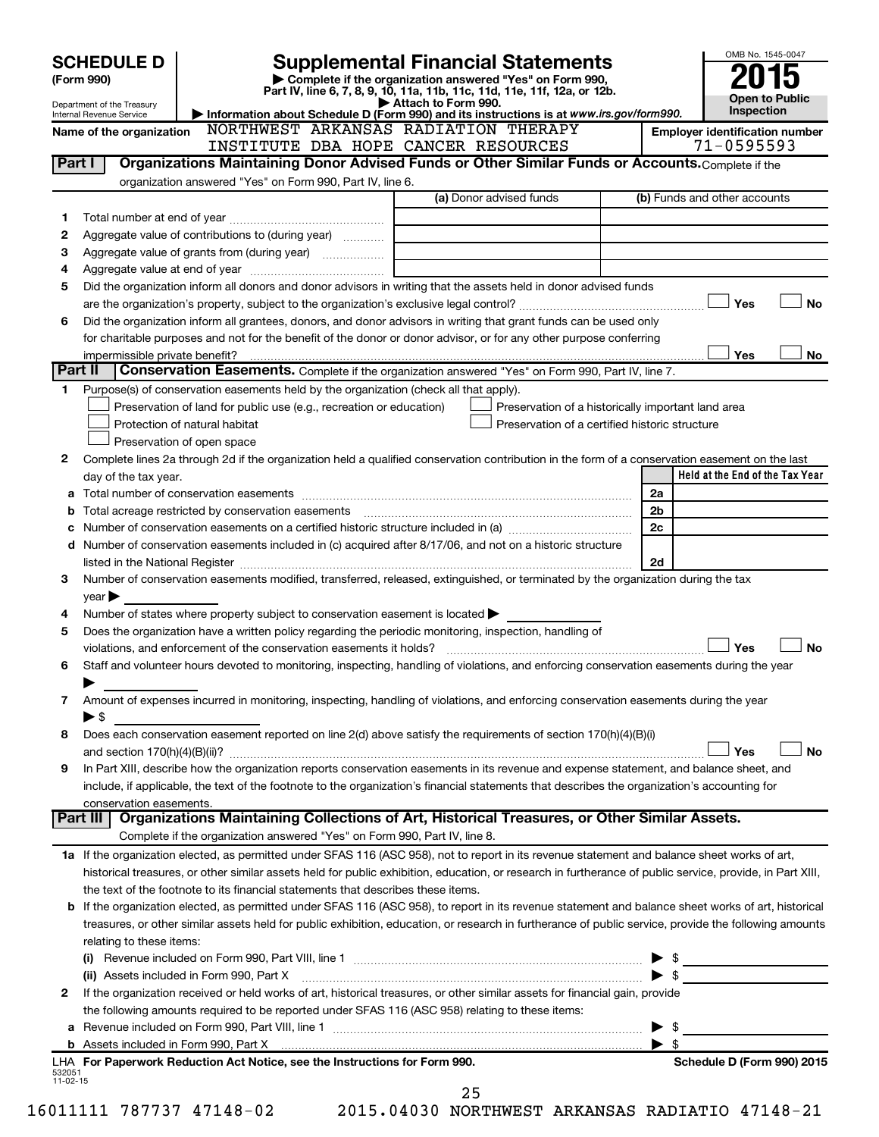|                    | <b>SCHEDULE D</b><br>(Form 990)                      |                                                                                                        | <b>Supplemental Financial Statements</b>                                                                                                                                                                                       | OMB No. 1545-0047                          |
|--------------------|------------------------------------------------------|--------------------------------------------------------------------------------------------------------|--------------------------------------------------------------------------------------------------------------------------------------------------------------------------------------------------------------------------------|--------------------------------------------|
|                    |                                                      |                                                                                                        | Complete if the organization answered "Yes" on Form 990,<br>Part IV, line 6, 7, 8, 9, 10, 11a, 11b, 11c, 11d, 11e, 11f, 12a, or 12b.                                                                                           |                                            |
|                    | Department of the Treasury                           |                                                                                                        | Attach to Form 990.<br>Information about Schedule D (Form 990) and its instructions is at www.irs.gov/form990.                                                                                                                 | <b>Open to Public</b><br><b>Inspection</b> |
|                    | Internal Revenue Service<br>Name of the organization | NORTHWEST ARKANSAS RADIATION THERAPY                                                                   |                                                                                                                                                                                                                                | <b>Employer identification number</b>      |
|                    |                                                      | INSTITUTE DBA HOPE CANCER RESOURCES                                                                    |                                                                                                                                                                                                                                | $71 - 0595593$                             |
| Part I             |                                                      |                                                                                                        | Organizations Maintaining Donor Advised Funds or Other Similar Funds or Accounts. Complete if the                                                                                                                              |                                            |
|                    |                                                      | organization answered "Yes" on Form 990, Part IV, line 6.                                              |                                                                                                                                                                                                                                |                                            |
|                    |                                                      |                                                                                                        | (a) Donor advised funds                                                                                                                                                                                                        | (b) Funds and other accounts               |
| 1                  |                                                      |                                                                                                        |                                                                                                                                                                                                                                |                                            |
| 2                  |                                                      | Aggregate value of contributions to (during year)                                                      |                                                                                                                                                                                                                                |                                            |
| 3                  |                                                      |                                                                                                        |                                                                                                                                                                                                                                |                                            |
| 4                  |                                                      |                                                                                                        |                                                                                                                                                                                                                                |                                            |
| 5                  |                                                      |                                                                                                        | Did the organization inform all donors and donor advisors in writing that the assets held in donor advised funds                                                                                                               |                                            |
|                    |                                                      |                                                                                                        |                                                                                                                                                                                                                                | Yes<br><b>No</b>                           |
| 6                  |                                                      |                                                                                                        | Did the organization inform all grantees, donors, and donor advisors in writing that grant funds can be used only                                                                                                              |                                            |
|                    |                                                      |                                                                                                        | for charitable purposes and not for the benefit of the donor or donor advisor, or for any other purpose conferring                                                                                                             |                                            |
|                    | impermissible private benefit?                       |                                                                                                        |                                                                                                                                                                                                                                | Yes<br>No                                  |
| Part II            |                                                      |                                                                                                        | Conservation Easements. Complete if the organization answered "Yes" on Form 990, Part IV, line 7.                                                                                                                              |                                            |
| 1                  |                                                      | Purpose(s) of conservation easements held by the organization (check all that apply).                  |                                                                                                                                                                                                                                |                                            |
|                    |                                                      | Preservation of land for public use (e.g., recreation or education)                                    | Preservation of a historically important land area                                                                                                                                                                             |                                            |
|                    |                                                      | Protection of natural habitat                                                                          | Preservation of a certified historic structure                                                                                                                                                                                 |                                            |
|                    |                                                      | Preservation of open space                                                                             |                                                                                                                                                                                                                                |                                            |
| 2                  |                                                      |                                                                                                        | Complete lines 2a through 2d if the organization held a qualified conservation contribution in the form of a conservation easement on the last                                                                                 |                                            |
|                    | day of the tax year.                                 |                                                                                                        |                                                                                                                                                                                                                                | Held at the End of the Tax Year            |
|                    |                                                      |                                                                                                        |                                                                                                                                                                                                                                | 2a                                         |
| b                  |                                                      | Total acreage restricted by conservation easements                                                     |                                                                                                                                                                                                                                | 2 <sub>b</sub>                             |
|                    |                                                      |                                                                                                        |                                                                                                                                                                                                                                | 2c                                         |
| d                  |                                                      |                                                                                                        | Number of conservation easements included in (c) acquired after 8/17/06, and not on a historic structure                                                                                                                       |                                            |
|                    |                                                      |                                                                                                        | listed in the National Register [111] [12] The Mational Register [11] Mathematic Material Mathematic Material Mathematic Mathematic Mathematic Mathematic Mathematic Mathematic Mathematic Mathematic Mathematic Mathematic Ma | 2d                                         |
| З                  |                                                      |                                                                                                        | Number of conservation easements modified, transferred, released, extinguished, or terminated by the organization during the tax                                                                                               |                                            |
|                    | year                                                 |                                                                                                        |                                                                                                                                                                                                                                |                                            |
| 4                  |                                                      | Number of states where property subject to conservation easement is located $\blacktriangleright$      |                                                                                                                                                                                                                                |                                            |
| 5                  |                                                      | Does the organization have a written policy regarding the periodic monitoring, inspection, handling of |                                                                                                                                                                                                                                |                                            |
|                    |                                                      |                                                                                                        |                                                                                                                                                                                                                                | Yes<br><b>No</b>                           |
| 6                  |                                                      |                                                                                                        | Staff and volunteer hours devoted to monitoring, inspecting, handling of violations, and enforcing conservation easements during the year                                                                                      |                                            |
|                    |                                                      |                                                                                                        |                                                                                                                                                                                                                                |                                            |
| 7                  |                                                      |                                                                                                        | Amount of expenses incurred in monitoring, inspecting, handling of violations, and enforcing conservation easements during the year                                                                                            |                                            |
|                    | ▶ \$                                                 |                                                                                                        |                                                                                                                                                                                                                                |                                            |
| 8                  |                                                      |                                                                                                        | Does each conservation easement reported on line 2(d) above satisfy the requirements of section 170(h)(4)(B)(i)                                                                                                                | Yes<br><b>No</b>                           |
|                    |                                                      |                                                                                                        | In Part XIII, describe how the organization reports conservation easements in its revenue and expense statement, and balance sheet, and                                                                                        |                                            |
| 9                  |                                                      |                                                                                                        | include, if applicable, the text of the footnote to the organization's financial statements that describes the organization's accounting for                                                                                   |                                            |
|                    | conservation easements.                              |                                                                                                        |                                                                                                                                                                                                                                |                                            |
|                    | Part III                                             |                                                                                                        | Organizations Maintaining Collections of Art, Historical Treasures, or Other Similar Assets.                                                                                                                                   |                                            |
|                    |                                                      | Complete if the organization answered "Yes" on Form 990, Part IV, line 8.                              |                                                                                                                                                                                                                                |                                            |
|                    |                                                      |                                                                                                        | 1a If the organization elected, as permitted under SFAS 116 (ASC 958), not to report in its revenue statement and balance sheet works of art,                                                                                  |                                            |
|                    |                                                      |                                                                                                        | historical treasures, or other similar assets held for public exhibition, education, or research in furtherance of public service, provide, in Part XIII,                                                                      |                                            |
|                    |                                                      | the text of the footnote to its financial statements that describes these items.                       |                                                                                                                                                                                                                                |                                            |
|                    |                                                      |                                                                                                        | <b>b</b> If the organization elected, as permitted under SFAS 116 (ASC 958), to report in its revenue statement and balance sheet works of art, historical                                                                     |                                            |
|                    |                                                      |                                                                                                        | treasures, or other similar assets held for public exhibition, education, or research in furtherance of public service, provide the following amounts                                                                          |                                            |
|                    | relating to these items:                             |                                                                                                        |                                                                                                                                                                                                                                |                                            |
|                    |                                                      |                                                                                                        |                                                                                                                                                                                                                                | $\triangleright$ \$                        |
|                    |                                                      | (ii) Assets included in Form 990, Part X                                                               |                                                                                                                                                                                                                                |                                            |
| 2                  |                                                      |                                                                                                        | If the organization received or held works of art, historical treasures, or other similar assets for financial gain, provide                                                                                                   |                                            |
|                    |                                                      | the following amounts required to be reported under SFAS 116 (ASC 958) relating to these items:        |                                                                                                                                                                                                                                |                                            |
| а                  |                                                      |                                                                                                        |                                                                                                                                                                                                                                | -\$<br>▶                                   |
|                    |                                                      |                                                                                                        |                                                                                                                                                                                                                                | $\blacktriangleright$ \$                   |
|                    |                                                      | LHA For Paperwork Reduction Act Notice, see the Instructions for Form 990.                             |                                                                                                                                                                                                                                | Schedule D (Form 990) 2015                 |
| 532051<br>11-02-15 |                                                      |                                                                                                        |                                                                                                                                                                                                                                |                                            |
|                    |                                                      |                                                                                                        | 25                                                                                                                                                                                                                             |                                            |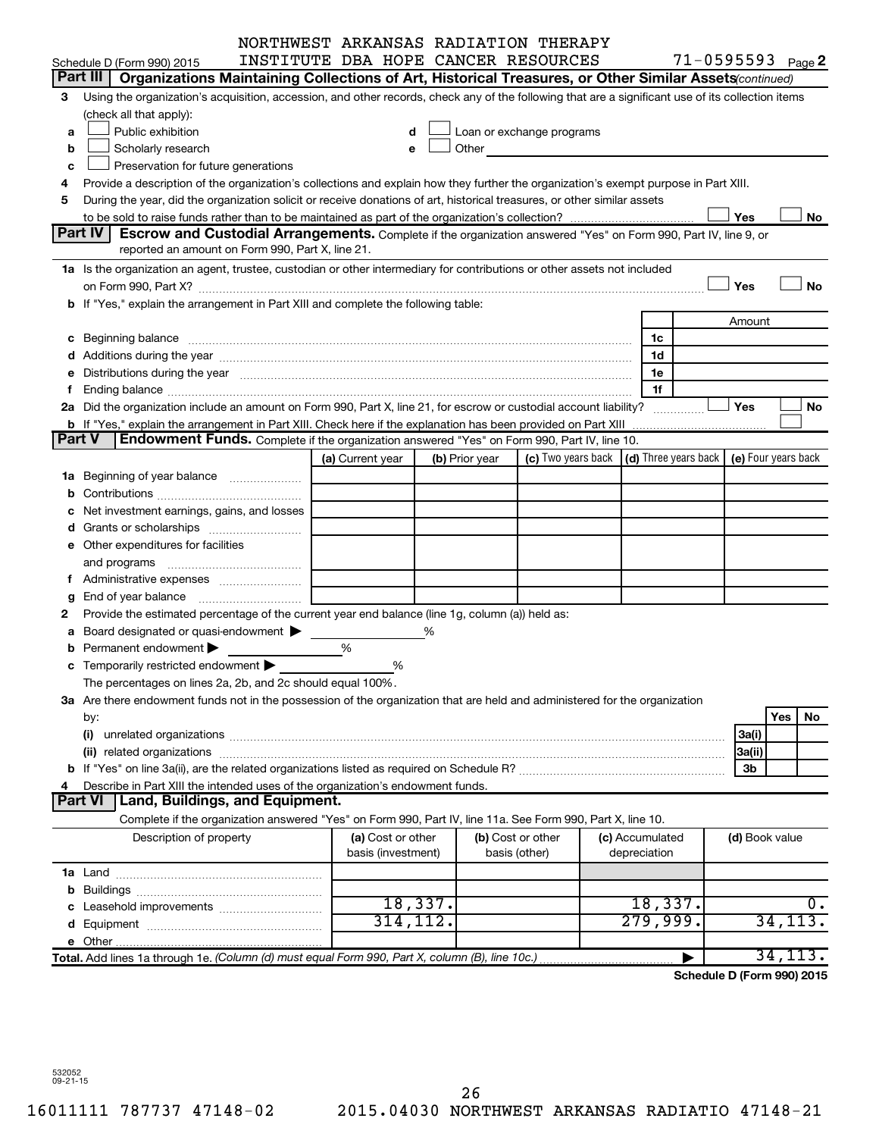|   |                                                                                                                                                                                                                                | NORTHWEST ARKANSAS RADIATION THERAPY    |                |                                                                                                                                                                                                                               |                                                                             |                       |           |
|---|--------------------------------------------------------------------------------------------------------------------------------------------------------------------------------------------------------------------------------|-----------------------------------------|----------------|-------------------------------------------------------------------------------------------------------------------------------------------------------------------------------------------------------------------------------|-----------------------------------------------------------------------------|-----------------------|-----------|
|   | Schedule D (Form 990) 2015                                                                                                                                                                                                     | INSTITUTE DBA HOPE CANCER RESOURCES     |                |                                                                                                                                                                                                                               |                                                                             | $71 - 0595593$ Page 2 |           |
|   | Part III  <br>Organizations Maintaining Collections of Art, Historical Treasures, or Other Similar Assets (continued)                                                                                                          |                                         |                |                                                                                                                                                                                                                               |                                                                             |                       |           |
| З | Using the organization's acquisition, accession, and other records, check any of the following that are a significant use of its collection items                                                                              |                                         |                |                                                                                                                                                                                                                               |                                                                             |                       |           |
|   | (check all that apply):                                                                                                                                                                                                        |                                         |                |                                                                                                                                                                                                                               |                                                                             |                       |           |
| a | Public exhibition                                                                                                                                                                                                              |                                         |                | Loan or exchange programs                                                                                                                                                                                                     |                                                                             |                       |           |
| b | Scholarly research                                                                                                                                                                                                             |                                         |                | Other and the contract of the contract of the contract of the contract of the contract of the contract of the contract of the contract of the contract of the contract of the contract of the contract of the contract of the |                                                                             |                       |           |
| c | Preservation for future generations                                                                                                                                                                                            |                                         |                |                                                                                                                                                                                                                               |                                                                             |                       |           |
| 4 | Provide a description of the organization's collections and explain how they further the organization's exempt purpose in Part XIII.                                                                                           |                                         |                |                                                                                                                                                                                                                               |                                                                             |                       |           |
| 5 | During the year, did the organization solicit or receive donations of art, historical treasures, or other similar assets                                                                                                       |                                         |                |                                                                                                                                                                                                                               |                                                                             |                       |           |
|   |                                                                                                                                                                                                                                |                                         |                |                                                                                                                                                                                                                               |                                                                             | Yes                   | No        |
|   | <b>Part IV</b><br>Escrow and Custodial Arrangements. Complete if the organization answered "Yes" on Form 990, Part IV, line 9, or                                                                                              |                                         |                |                                                                                                                                                                                                                               |                                                                             |                       |           |
|   | reported an amount on Form 990, Part X, line 21.                                                                                                                                                                               |                                         |                |                                                                                                                                                                                                                               |                                                                             |                       |           |
|   | 1a Is the organization an agent, trustee, custodian or other intermediary for contributions or other assets not included                                                                                                       |                                         |                |                                                                                                                                                                                                                               |                                                                             |                       |           |
|   |                                                                                                                                                                                                                                |                                         |                |                                                                                                                                                                                                                               |                                                                             | Yes                   | No        |
|   | b If "Yes," explain the arrangement in Part XIII and complete the following table:                                                                                                                                             |                                         |                |                                                                                                                                                                                                                               |                                                                             |                       |           |
|   |                                                                                                                                                                                                                                |                                         |                |                                                                                                                                                                                                                               |                                                                             | Amount                |           |
|   |                                                                                                                                                                                                                                |                                         |                |                                                                                                                                                                                                                               | 1c                                                                          |                       |           |
|   |                                                                                                                                                                                                                                |                                         |                |                                                                                                                                                                                                                               | 1d                                                                          |                       |           |
|   | e Distributions during the year manufactured and contained and contained and contained and contained and contained and contained and contained and contained and contained and contained and contained and contained and conta |                                         |                |                                                                                                                                                                                                                               | 1e                                                                          |                       |           |
|   |                                                                                                                                                                                                                                |                                         |                |                                                                                                                                                                                                                               | 1f                                                                          |                       |           |
|   | 2a Did the organization include an amount on Form 990, Part X, line 21, for escrow or custodial account liability?                                                                                                             |                                         |                |                                                                                                                                                                                                                               |                                                                             | Yes                   | No        |
|   | Endowment Funds. Complete if the organization answered "Yes" on Form 990, Part IV, line 10.<br>Part V                                                                                                                          |                                         |                |                                                                                                                                                                                                                               |                                                                             |                       |           |
|   |                                                                                                                                                                                                                                | (a) Current year                        | (b) Prior year |                                                                                                                                                                                                                               | (c) Two years back $\vert$ (d) Three years back $\vert$ (e) Four years back |                       |           |
|   |                                                                                                                                                                                                                                |                                         |                |                                                                                                                                                                                                                               |                                                                             |                       |           |
|   | <b>1a</b> Beginning of year balance                                                                                                                                                                                            |                                         |                |                                                                                                                                                                                                                               |                                                                             |                       |           |
|   |                                                                                                                                                                                                                                |                                         |                |                                                                                                                                                                                                                               |                                                                             |                       |           |
|   | Net investment earnings, gains, and losses                                                                                                                                                                                     |                                         |                |                                                                                                                                                                                                                               |                                                                             |                       |           |
|   | Grants or scholarships                                                                                                                                                                                                         |                                         |                |                                                                                                                                                                                                                               |                                                                             |                       |           |
|   | e Other expenditures for facilities                                                                                                                                                                                            |                                         |                |                                                                                                                                                                                                                               |                                                                             |                       |           |
|   | and programs                                                                                                                                                                                                                   |                                         |                |                                                                                                                                                                                                                               |                                                                             |                       |           |
|   |                                                                                                                                                                                                                                |                                         |                |                                                                                                                                                                                                                               |                                                                             |                       |           |
| g | Provide the estimated percentage of the current year end balance (line 1g, column (a)) held as:                                                                                                                                |                                         |                |                                                                                                                                                                                                                               |                                                                             |                       |           |
|   | Board designated or quasi-endowment                                                                                                                                                                                            |                                         | %              |                                                                                                                                                                                                                               |                                                                             |                       |           |
| а | Permanent endowment                                                                                                                                                                                                            | %                                       |                |                                                                                                                                                                                                                               |                                                                             |                       |           |
|   | <b>c</b> Temporarily restricted endowment $\blacktriangleright$                                                                                                                                                                | %                                       |                |                                                                                                                                                                                                                               |                                                                             |                       |           |
|   | The percentages on lines 2a, 2b, and 2c should equal 100%.                                                                                                                                                                     |                                         |                |                                                                                                                                                                                                                               |                                                                             |                       |           |
|   | 3a Are there endowment funds not in the possession of the organization that are held and administered for the organization                                                                                                     |                                         |                |                                                                                                                                                                                                                               |                                                                             |                       |           |
|   | by:                                                                                                                                                                                                                            |                                         |                |                                                                                                                                                                                                                               |                                                                             |                       | Yes<br>No |
|   | (i)                                                                                                                                                                                                                            |                                         |                |                                                                                                                                                                                                                               |                                                                             | 3a(i)                 |           |
|   |                                                                                                                                                                                                                                |                                         |                |                                                                                                                                                                                                                               |                                                                             | 3a(ii)                |           |
|   |                                                                                                                                                                                                                                |                                         |                |                                                                                                                                                                                                                               |                                                                             | 3b                    |           |
|   | Describe in Part XIII the intended uses of the organization's endowment funds.                                                                                                                                                 |                                         |                |                                                                                                                                                                                                                               |                                                                             |                       |           |
|   | <b>Land, Buildings, and Equipment.</b><br><b>Part VI</b>                                                                                                                                                                       |                                         |                |                                                                                                                                                                                                                               |                                                                             |                       |           |
|   | Complete if the organization answered "Yes" on Form 990, Part IV, line 11a. See Form 990, Part X, line 10.                                                                                                                     |                                         |                |                                                                                                                                                                                                                               |                                                                             |                       |           |
|   | Description of property                                                                                                                                                                                                        | (a) Cost or other<br>basis (investment) |                | (b) Cost or other<br>basis (other)                                                                                                                                                                                            | (c) Accumulated<br>depreciation                                             | (d) Book value        |           |
|   |                                                                                                                                                                                                                                |                                         |                |                                                                                                                                                                                                                               |                                                                             |                       |           |
|   |                                                                                                                                                                                                                                |                                         |                |                                                                                                                                                                                                                               |                                                                             |                       |           |
|   |                                                                                                                                                                                                                                |                                         | 18,337.        |                                                                                                                                                                                                                               | 18,337.                                                                     |                       | ο.        |
|   |                                                                                                                                                                                                                                | 314, 112.                               |                |                                                                                                                                                                                                                               | 279,999.                                                                    |                       | 34, 113.  |
|   |                                                                                                                                                                                                                                |                                         |                |                                                                                                                                                                                                                               |                                                                             |                       |           |
|   | Total. Add lines 1a through 1e. (Column (d) must equal Form 990, Part X, column (B), line 10c.)                                                                                                                                |                                         |                |                                                                                                                                                                                                                               |                                                                             |                       | 34,113.   |
|   |                                                                                                                                                                                                                                |                                         |                |                                                                                                                                                                                                                               |                                                                             |                       |           |

**Schedule D (Form 990) 2015**

532052 09-21-15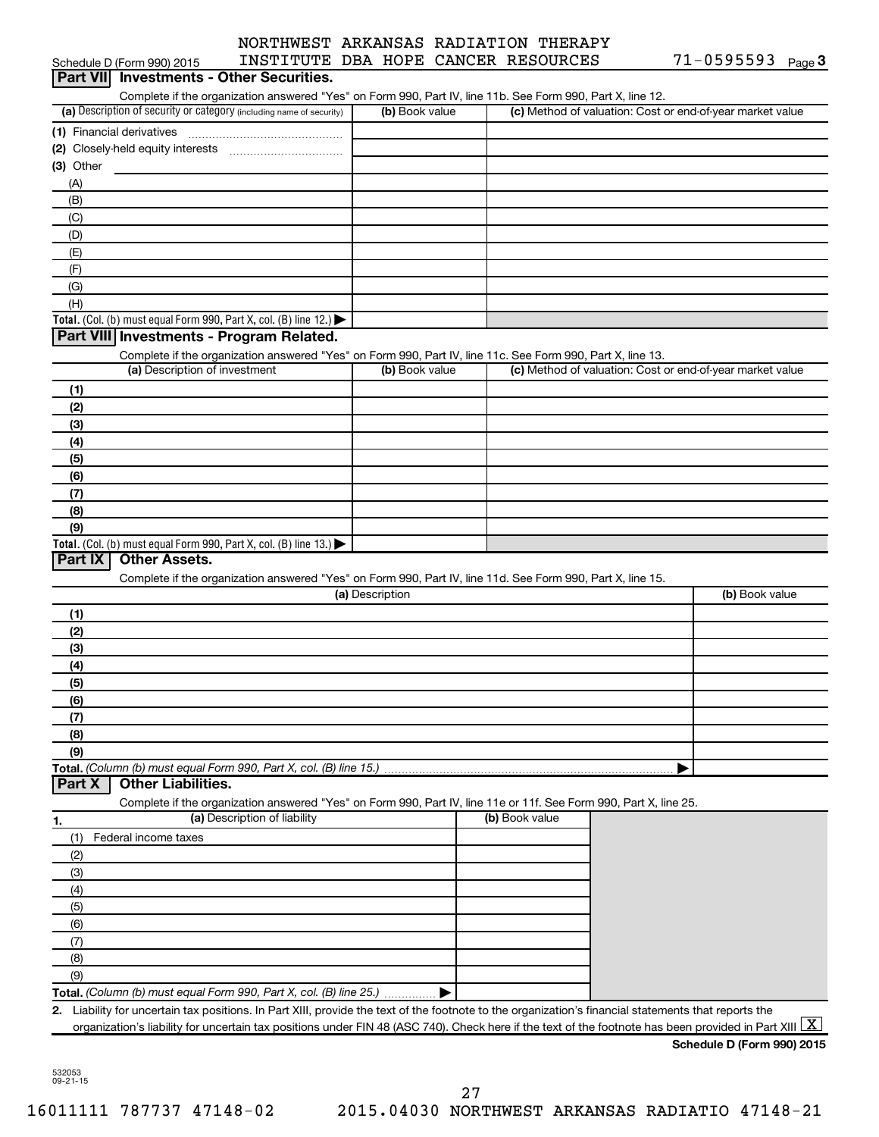|           | Schedule D (Form 990) 2015               | INSTITUTE DBA HOPE CANCER RESOURCES                                                                                                                                             |                 |                |                | 71-0595593                                                | Page 3 |
|-----------|------------------------------------------|---------------------------------------------------------------------------------------------------------------------------------------------------------------------------------|-----------------|----------------|----------------|-----------------------------------------------------------|--------|
|           | Part VII Investments - Other Securities. |                                                                                                                                                                                 |                 |                |                |                                                           |        |
|           |                                          | Complete if the organization answered "Yes" on Form 990, Part IV, line 11b. See Form 990, Part X, line 12.                                                                      |                 |                |                |                                                           |        |
|           |                                          | (a) Description of security or category (including name of security)                                                                                                            |                 | (b) Book value |                | (c) Method of valuation: Cost or end-of-year market value |        |
|           |                                          |                                                                                                                                                                                 |                 |                |                |                                                           |        |
|           |                                          |                                                                                                                                                                                 |                 |                |                |                                                           |        |
| (3) Other |                                          |                                                                                                                                                                                 |                 |                |                |                                                           |        |
| (A)       |                                          |                                                                                                                                                                                 |                 |                |                |                                                           |        |
| (B)       |                                          |                                                                                                                                                                                 |                 |                |                |                                                           |        |
| (C)       |                                          |                                                                                                                                                                                 |                 |                |                |                                                           |        |
| (D)       |                                          |                                                                                                                                                                                 |                 |                |                |                                                           |        |
| (E)       |                                          |                                                                                                                                                                                 |                 |                |                |                                                           |        |
| (F)       |                                          |                                                                                                                                                                                 |                 |                |                |                                                           |        |
| (G)       |                                          |                                                                                                                                                                                 |                 |                |                |                                                           |        |
| (H)       |                                          |                                                                                                                                                                                 |                 |                |                |                                                           |        |
|           |                                          | Total. (Col. (b) must equal Form 990, Part X, col. (B) line 12.)                                                                                                                |                 |                |                |                                                           |        |
|           | Part VIII Investments - Program Related. |                                                                                                                                                                                 |                 |                |                |                                                           |        |
|           |                                          |                                                                                                                                                                                 |                 |                |                |                                                           |        |
|           | (a) Description of investment            | Complete if the organization answered "Yes" on Form 990, Part IV, line 11c. See Form 990, Part X, line 13.                                                                      |                 | (b) Book value |                | (c) Method of valuation: Cost or end-of-year market value |        |
|           |                                          |                                                                                                                                                                                 |                 |                |                |                                                           |        |
| (1)       |                                          |                                                                                                                                                                                 |                 |                |                |                                                           |        |
| (2)       |                                          |                                                                                                                                                                                 |                 |                |                |                                                           |        |
| (3)       |                                          |                                                                                                                                                                                 |                 |                |                |                                                           |        |
| (4)       |                                          |                                                                                                                                                                                 |                 |                |                |                                                           |        |
| (5)       |                                          |                                                                                                                                                                                 |                 |                |                |                                                           |        |
| (6)       |                                          |                                                                                                                                                                                 |                 |                |                |                                                           |        |
| (7)       |                                          |                                                                                                                                                                                 |                 |                |                |                                                           |        |
| (8)       |                                          |                                                                                                                                                                                 |                 |                |                |                                                           |        |
| (9)       |                                          |                                                                                                                                                                                 |                 |                |                |                                                           |        |
|           |                                          | Total. (Col. (b) must equal Form 990, Part X, col. (B) line 13.) $\blacktriangleright$                                                                                          |                 |                |                |                                                           |        |
| Part IX   | <b>Other Assets.</b>                     |                                                                                                                                                                                 |                 |                |                |                                                           |        |
|           |                                          | Complete if the organization answered "Yes" on Form 990, Part IV, line 11d. See Form 990, Part X, line 15.                                                                      |                 |                |                |                                                           |        |
|           |                                          |                                                                                                                                                                                 | (a) Description |                |                | (b) Book value                                            |        |
| (1)       |                                          |                                                                                                                                                                                 |                 |                |                |                                                           |        |
| (2)       |                                          |                                                                                                                                                                                 |                 |                |                |                                                           |        |
| (3)       |                                          |                                                                                                                                                                                 |                 |                |                |                                                           |        |
| (4)       |                                          |                                                                                                                                                                                 |                 |                |                |                                                           |        |
| (5)       |                                          |                                                                                                                                                                                 |                 |                |                |                                                           |        |
| (6)       |                                          |                                                                                                                                                                                 |                 |                |                |                                                           |        |
| (7)       |                                          |                                                                                                                                                                                 |                 |                |                |                                                           |        |
| (8)       |                                          |                                                                                                                                                                                 |                 |                |                |                                                           |        |
| (9)       |                                          |                                                                                                                                                                                 |                 |                |                |                                                           |        |
|           |                                          | Total. (Column (b) must equal Form 990, Part X, col. (B) line 15.)                                                                                                              |                 |                |                |                                                           |        |
| Part X    | <b>Other Liabilities.</b>                |                                                                                                                                                                                 |                 |                |                |                                                           |        |
|           |                                          | Complete if the organization answered "Yes" on Form 990, Part IV, line 11e or 11f. See Form 990, Part X, line 25.                                                               |                 |                |                |                                                           |        |
| 1.        |                                          | (a) Description of liability                                                                                                                                                    |                 |                | (b) Book value |                                                           |        |
| (1)       | Federal income taxes                     |                                                                                                                                                                                 |                 |                |                |                                                           |        |
| (2)       |                                          |                                                                                                                                                                                 |                 |                |                |                                                           |        |
| (3)       |                                          |                                                                                                                                                                                 |                 |                |                |                                                           |        |
| (4)       |                                          |                                                                                                                                                                                 |                 |                |                |                                                           |        |
| (5)       |                                          |                                                                                                                                                                                 |                 |                |                |                                                           |        |
| (6)       |                                          |                                                                                                                                                                                 |                 |                |                |                                                           |        |
| (7)       |                                          |                                                                                                                                                                                 |                 |                |                |                                                           |        |
| (8)       |                                          |                                                                                                                                                                                 |                 |                |                |                                                           |        |
| (9)       |                                          |                                                                                                                                                                                 |                 |                |                |                                                           |        |
|           |                                          | Total. (Column (b) must equal Form 990, Part X, col. (B) line 25.)                                                                                                              |                 |                |                |                                                           |        |
|           |                                          | 2. Liability for uncertain tax positions. In Part XIII, provide the text of the footnote to the organization's financial statements that reports the                            |                 |                |                |                                                           |        |
|           |                                          | organization's liability for uncertain tax positions under FIN 48 (ASC 740). Check here if the text of the footnote has been provided in Part XIII $\lfloor \texttt{X} \rfloor$ |                 |                |                |                                                           |        |
|           |                                          |                                                                                                                                                                                 |                 |                |                | Schedule D (Form 990) 2015                                |        |

532053 09-21-15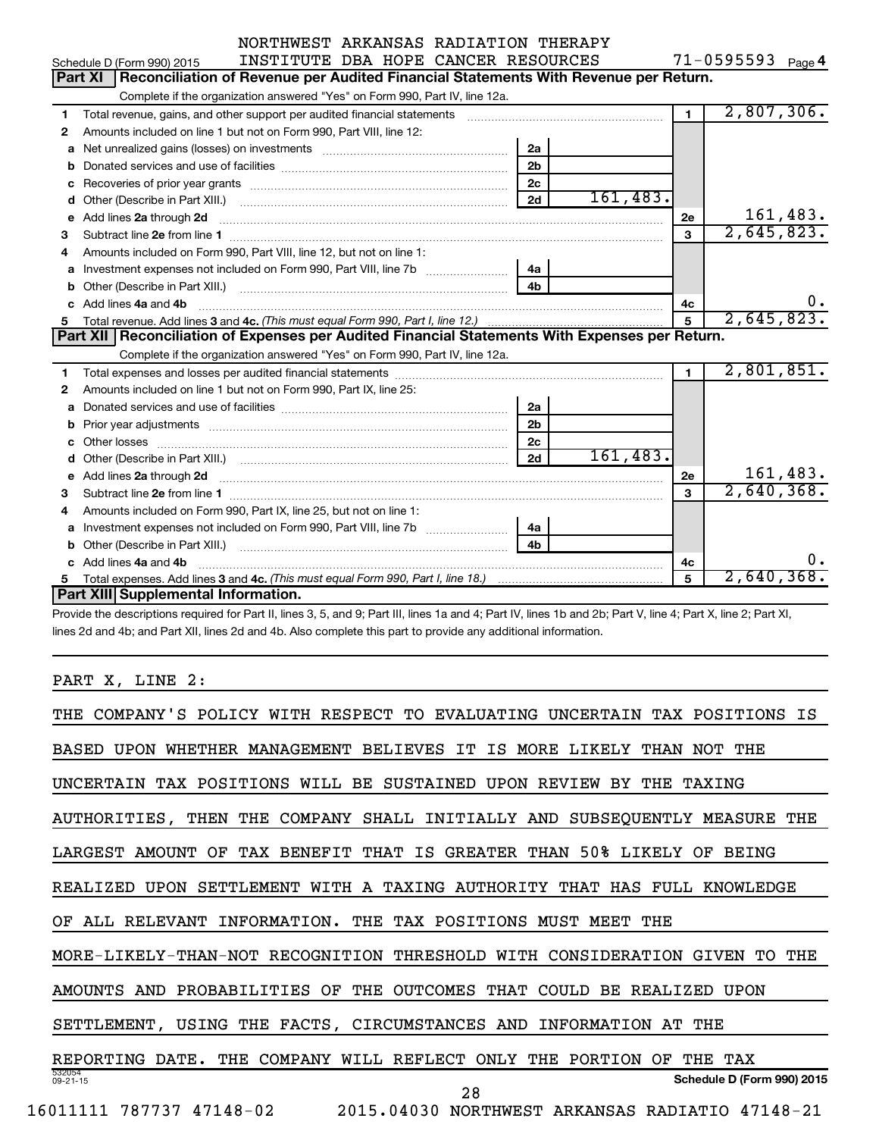| NORTHWEST ARKANSAS RADIATION THERAPY |  |  |  |
|--------------------------------------|--|--|--|
| ruamimining and dinang praainara     |  |  |  |

**4**  $71 - 0595593$ 

|    | Schedule D (Form 990) 2015<br>INSTITUTE DBA HOPE CANCER RESOURCES                                          |                | $11 - 0595593$ Page 4 |          |
|----|------------------------------------------------------------------------------------------------------------|----------------|-----------------------|----------|
|    | Part XI<br>Reconciliation of Revenue per Audited Financial Statements With Revenue per Return.             |                |                       |          |
|    | Complete if the organization answered "Yes" on Form 990, Part IV, line 12a.                                |                |                       |          |
| 1  | Total revenue, gains, and other support per audited financial statements                                   |                | 2,807,306.            |          |
| 2  | Amounts included on line 1 but not on Form 990, Part VIII, line 12:                                        |                |                       |          |
| a  | 2a                                                                                                         |                |                       |          |
| b  | 2 <sub>b</sub>                                                                                             |                |                       |          |
| с  | 2 <sub>c</sub>                                                                                             |                |                       |          |
| d  | 2d                                                                                                         | 161,483.       |                       |          |
| e  | Add lines 2a through 2d                                                                                    | 2е             |                       | 161,483. |
| З  |                                                                                                            | 3              | 2,645,823.            |          |
| 4  | Amounts included on Form 990, Part VIII, line 12, but not on line 1:                                       |                |                       |          |
| a  |                                                                                                            |                |                       |          |
| b  | 4 <sub>b</sub>                                                                                             |                |                       |          |
|    |                                                                                                            | 4c             |                       | ο.       |
| c. | Add lines 4a and 4b                                                                                        |                |                       |          |
| 5  |                                                                                                            | 5              | 2,645,823.            |          |
|    | Part XII   Reconciliation of Expenses per Audited Financial Statements With Expenses per Return.           |                |                       |          |
|    | Complete if the organization answered "Yes" on Form 990, Part IV, line 12a.                                |                |                       |          |
| 1  |                                                                                                            | $\blacksquare$ | 2,801,851.            |          |
| 2  | Amounts included on line 1 but not on Form 990, Part IX, line 25:                                          |                |                       |          |
| a  | 2a                                                                                                         |                |                       |          |
| b  | 2 <sub>b</sub>                                                                                             |                |                       |          |
| c  | 2c                                                                                                         |                |                       |          |
|    | 2d                                                                                                         | 161,483.       |                       |          |
|    | e Add lines 2a through 2d <b>[10]</b> [10] <b>All and Provide Add lines 2a</b> through 2d <b>[10] html</b> | 2е             |                       | 161,483. |
| З  |                                                                                                            | 3              | 2,640,368.            |          |
| 4  | Amounts included on Form 990, Part IX, line 25, but not on line 1:                                         |                |                       |          |
| a  | 4a                                                                                                         |                |                       |          |
| b  | 4 <sub>b</sub>                                                                                             |                |                       |          |
|    | c Add lines 4a and 4b                                                                                      | 4c             |                       | ο.       |
| 5. | Part XIII Supplemental Information.                                                                        | 5              | $2,640,368$ .         |          |

Provide the descriptions required for Part II, lines 3, 5, and 9; Part III, lines 1a and 4; Part IV, lines 1b and 2b; Part V, line 4; Part X, line 2; Part XI, lines 2d and 4b; and Part XII, lines 2d and 4b. Also complete this part to provide any additional information.

## PART X, LINE 2:

| COMPANY'S POLICY WITH RESPECT TO<br>THE.<br>EVALUATING<br>UNCERTAIN TAX POSITIONS<br>ΙS                       |
|---------------------------------------------------------------------------------------------------------------|
| WHETHER MANAGEMENT BELIEVES<br>ΙS<br>MORE LIKELY<br><b>BASED</b><br><b>UPON</b><br>IT<br>THAN<br>THE.<br>NOT. |
| TAX POSITIONS WILL<br>SUSTAINED<br>BE<br>UPON<br>REVIEW<br>THE<br><b>UNCERTAIN</b><br>BY.<br><b>TAXING</b>    |
| SHALL INITIALLY AND SUBSEQUENTLY MEASURE THE<br>AUTHORITIES, THEN THE<br>COMPANY                              |
| THAN 50% LIKELY OF<br>GREATER<br>LARGEST<br>AMOUNT<br>OF<br>TAX BENEFIT THAT<br>IS<br><b>BEING</b>            |
| SETTLEMENT WITH A TAXING AUTHORITY<br>REALIZED<br><b>UPON</b><br>THAT HAS FULL KNOWLEDGE                      |
| ALL RELEVANT<br>INFORMATION.<br>THE<br>TAX POSITIONS<br>MUST MEET<br>THE<br>ΟF                                |
| MORE-LIKELY-THAN-NOT RECOGNITION<br>THRESHOLD<br>WITH CONSIDERATION<br>THE<br>TO.<br>GIVEN                    |
| PROBABILITIES<br>THE<br>OUTCOMES<br>THAT<br>AMOUNTS<br>AND<br>OF<br>COULD<br>BE.<br>REALIZED<br><b>UPON</b>   |
| SETTLEMENT,<br>USING THE FACTS, CIRCUMSTANCES<br>INFORMATION<br>THE<br>AND<br>AТ                              |
| REPORTING<br>COMPANY<br>REFLECT<br>ONLY<br>PORTION<br>THE<br>TAX<br>DATE.<br>THE<br>WILL<br>THE<br>OF         |
| 532054<br>Schedule D (Form 990) 2015<br>$09 - 21 - 15$<br>28                                                  |
| 787737 47148-02<br>2015.04030<br>16011111<br><b>NORTHWEST</b><br>ARKANSAS<br>RADIATIO 47148-21                |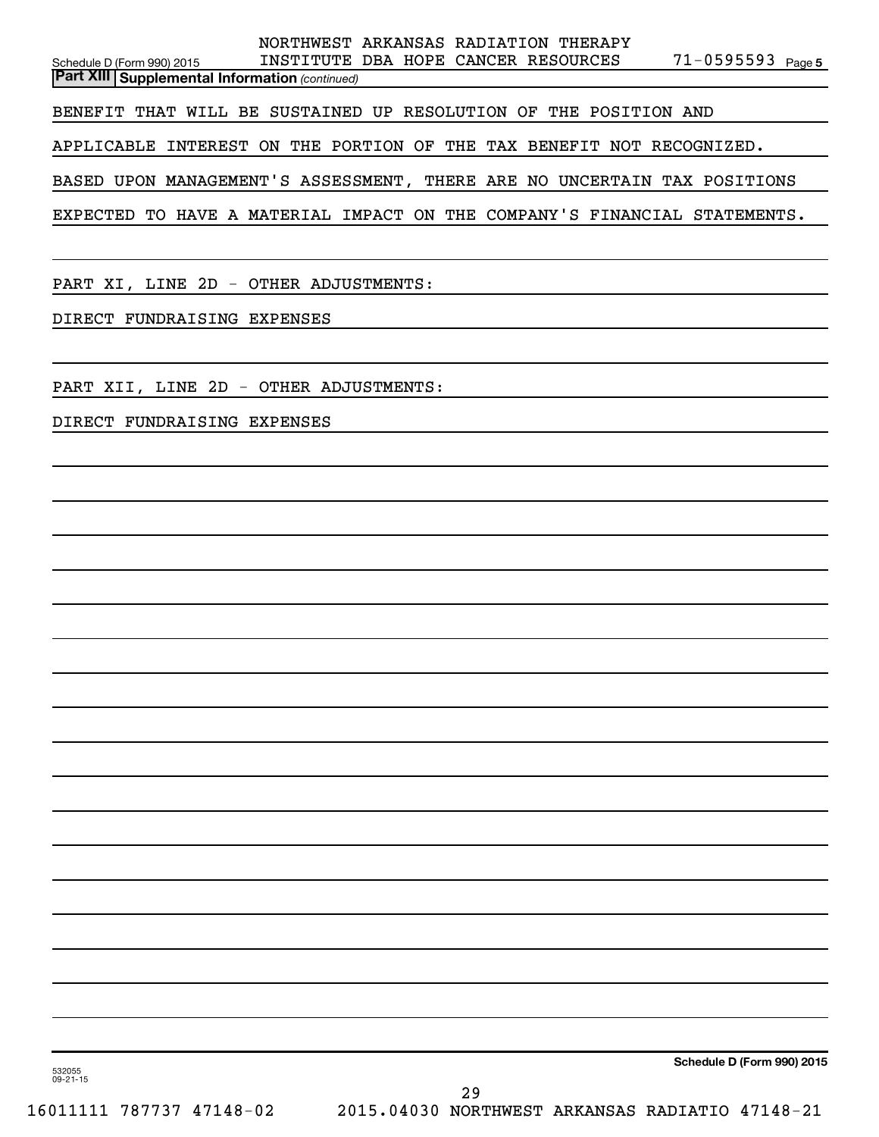|                                                                  |                                                                           | NORTHWEST ARKANSAS RADIATION THERAPY |  |                       |  |  |  |  |  |
|------------------------------------------------------------------|---------------------------------------------------------------------------|--------------------------------------|--|-----------------------|--|--|--|--|--|
| Schedule D (Form 990) 2015                                       |                                                                           | INSTITUTE DBA HOPE CANCER RESOURCES  |  | $71 - 0595593$ Page 5 |  |  |  |  |  |
| <b>Part XIII   Supplemental Information (continued)</b>          |                                                                           |                                      |  |                       |  |  |  |  |  |
| BENEFIT THAT WILL BE SUSTAINED UP RESOLUTION OF THE POSITION AND |                                                                           |                                      |  |                       |  |  |  |  |  |
|                                                                  | APPLICABLE INTEREST ON THE PORTION OF THE TAX BENEFIT NOT RECOGNIZED.     |                                      |  |                       |  |  |  |  |  |
|                                                                  | BASED UPON MANAGEMENT'S ASSESSMENT, THERE ARE NO UNCERTAIN TAX POSITIONS  |                                      |  |                       |  |  |  |  |  |
|                                                                  | EXPECTED TO HAVE A MATERIAL IMPACT ON THE COMPANY'S FINANCIAL STATEMENTS. |                                      |  |                       |  |  |  |  |  |
|                                                                  |                                                                           |                                      |  |                       |  |  |  |  |  |

PART XI, LINE 2D - OTHER ADJUSTMENTS:

DIRECT FUNDRAISING EXPENSES

PART XII, LINE 2D - OTHER ADJUSTMENTS:

DIRECT FUNDRAISING EXPENSES

**Schedule D (Form 990) 2015**

532055 09-21-15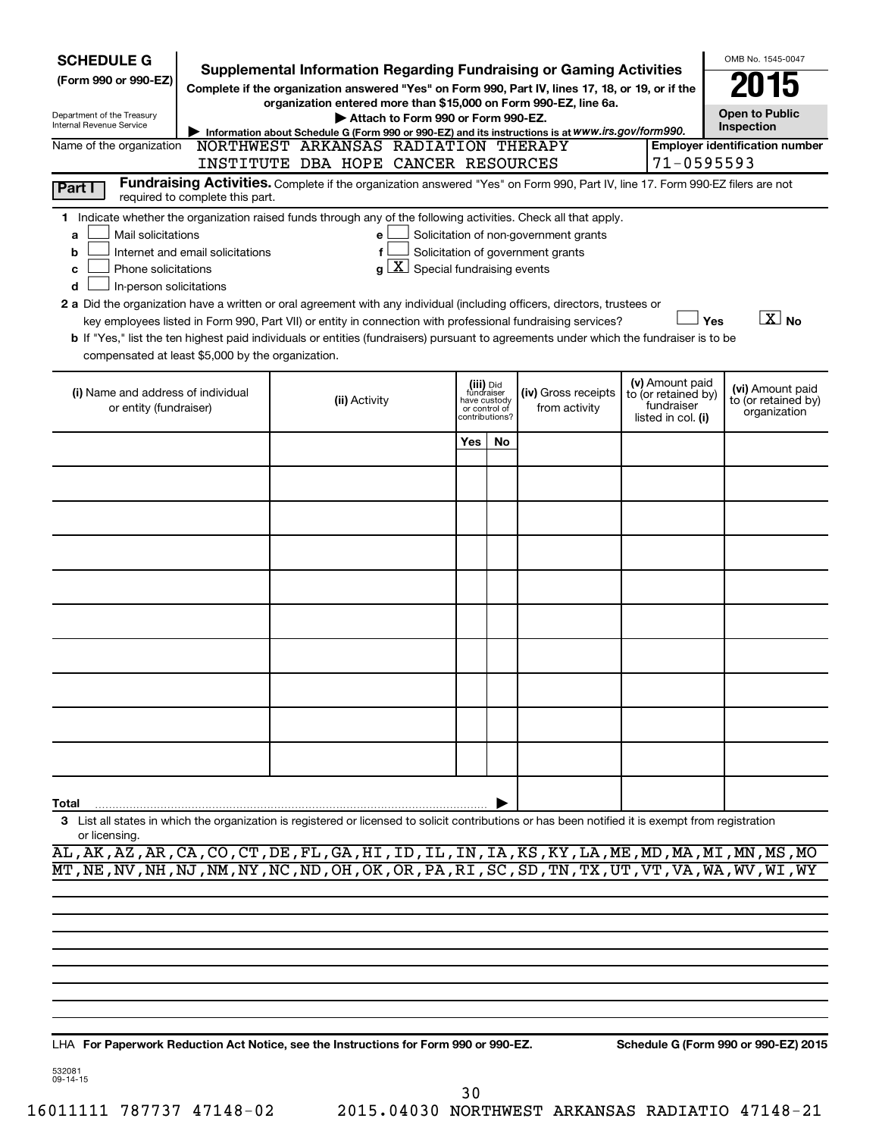| <b>SCHEDULE G</b><br>(Form 990 or 990-EZ)<br>Department of the Treasury<br>Internal Revenue Service<br>Name of the organization                                                                                                                                                                                                                                                                                                                                                                                                                                                                                                                                                                                                                                                                                                                                  | <b>Supplemental Information Regarding Fundraising or Gaming Activities</b><br>Complete if the organization answered "Yes" on Form 990, Part IV, lines 17, 18, or 19, or if the<br>organization entered more than \$15,000 on Form 990-EZ, line 6a.<br>Attach to Form 990 or Form 990-EZ.<br>Information about Schedule G (Form 990 or 990-EZ) and its instructions is at WWW.irs.gov/form990.<br><b>Employer identification number</b><br>NORTHWEST ARKANSAS RADIATION THERAPY<br>INSTITUTE DBA HOPE CANCER RESOURCES |               |  |                                                                            |    |                                      |  |                                                                            |                                                         |  |
|------------------------------------------------------------------------------------------------------------------------------------------------------------------------------------------------------------------------------------------------------------------------------------------------------------------------------------------------------------------------------------------------------------------------------------------------------------------------------------------------------------------------------------------------------------------------------------------------------------------------------------------------------------------------------------------------------------------------------------------------------------------------------------------------------------------------------------------------------------------|-----------------------------------------------------------------------------------------------------------------------------------------------------------------------------------------------------------------------------------------------------------------------------------------------------------------------------------------------------------------------------------------------------------------------------------------------------------------------------------------------------------------------|---------------|--|----------------------------------------------------------------------------|----|--------------------------------------|--|----------------------------------------------------------------------------|---------------------------------------------------------|--|
| 71-0595593<br>Fundraising Activities. Complete if the organization answered "Yes" on Form 990, Part IV, line 17. Form 990-EZ filers are not<br>Part I<br>required to complete this part.                                                                                                                                                                                                                                                                                                                                                                                                                                                                                                                                                                                                                                                                         |                                                                                                                                                                                                                                                                                                                                                                                                                                                                                                                       |               |  |                                                                            |    |                                      |  |                                                                            |                                                         |  |
| 1 Indicate whether the organization raised funds through any of the following activities. Check all that apply.<br>Solicitation of non-government grants<br>Mail solicitations<br>e<br>a<br>Solicitation of government grants<br>Internet and email solicitations<br>b<br>$\mathbf{X}$<br>Special fundraising events<br>Phone solicitations<br>C<br>a<br>In-person solicitations<br>d<br>2 a Did the organization have a written or oral agreement with any individual (including officers, directors, trustees or<br>$\boxed{\text{X}}$ No<br>Yes<br>key employees listed in Form 990, Part VII) or entity in connection with professional fundraising services?<br>b If "Yes," list the ten highest paid individuals or entities (fundraisers) pursuant to agreements under which the fundraiser is to be<br>compensated at least \$5,000 by the organization. |                                                                                                                                                                                                                                                                                                                                                                                                                                                                                                                       |               |  |                                                                            |    |                                      |  |                                                                            |                                                         |  |
| (i) Name and address of individual<br>or entity (fundraiser)                                                                                                                                                                                                                                                                                                                                                                                                                                                                                                                                                                                                                                                                                                                                                                                                     |                                                                                                                                                                                                                                                                                                                                                                                                                                                                                                                       | (ii) Activity |  | (iii) Did<br>fundraiser<br>have custody<br>or control of<br>contributions? |    | (iv) Gross receipts<br>from activity |  | (v) Amount paid<br>to (or retained by)<br>fundraiser<br>listed in col. (i) | (vi) Amount paid<br>to (or retained by)<br>organization |  |
|                                                                                                                                                                                                                                                                                                                                                                                                                                                                                                                                                                                                                                                                                                                                                                                                                                                                  |                                                                                                                                                                                                                                                                                                                                                                                                                                                                                                                       |               |  | Yes                                                                        | No |                                      |  |                                                                            |                                                         |  |
|                                                                                                                                                                                                                                                                                                                                                                                                                                                                                                                                                                                                                                                                                                                                                                                                                                                                  |                                                                                                                                                                                                                                                                                                                                                                                                                                                                                                                       |               |  |                                                                            |    |                                      |  |                                                                            |                                                         |  |
|                                                                                                                                                                                                                                                                                                                                                                                                                                                                                                                                                                                                                                                                                                                                                                                                                                                                  |                                                                                                                                                                                                                                                                                                                                                                                                                                                                                                                       |               |  |                                                                            |    |                                      |  |                                                                            |                                                         |  |
|                                                                                                                                                                                                                                                                                                                                                                                                                                                                                                                                                                                                                                                                                                                                                                                                                                                                  |                                                                                                                                                                                                                                                                                                                                                                                                                                                                                                                       |               |  |                                                                            |    |                                      |  |                                                                            |                                                         |  |
|                                                                                                                                                                                                                                                                                                                                                                                                                                                                                                                                                                                                                                                                                                                                                                                                                                                                  |                                                                                                                                                                                                                                                                                                                                                                                                                                                                                                                       |               |  |                                                                            |    |                                      |  |                                                                            |                                                         |  |
|                                                                                                                                                                                                                                                                                                                                                                                                                                                                                                                                                                                                                                                                                                                                                                                                                                                                  |                                                                                                                                                                                                                                                                                                                                                                                                                                                                                                                       |               |  |                                                                            |    |                                      |  |                                                                            |                                                         |  |
|                                                                                                                                                                                                                                                                                                                                                                                                                                                                                                                                                                                                                                                                                                                                                                                                                                                                  |                                                                                                                                                                                                                                                                                                                                                                                                                                                                                                                       |               |  |                                                                            |    |                                      |  |                                                                            |                                                         |  |
|                                                                                                                                                                                                                                                                                                                                                                                                                                                                                                                                                                                                                                                                                                                                                                                                                                                                  |                                                                                                                                                                                                                                                                                                                                                                                                                                                                                                                       |               |  |                                                                            |    |                                      |  |                                                                            |                                                         |  |
|                                                                                                                                                                                                                                                                                                                                                                                                                                                                                                                                                                                                                                                                                                                                                                                                                                                                  |                                                                                                                                                                                                                                                                                                                                                                                                                                                                                                                       |               |  |                                                                            |    |                                      |  |                                                                            |                                                         |  |
|                                                                                                                                                                                                                                                                                                                                                                                                                                                                                                                                                                                                                                                                                                                                                                                                                                                                  |                                                                                                                                                                                                                                                                                                                                                                                                                                                                                                                       |               |  |                                                                            |    |                                      |  |                                                                            |                                                         |  |
| Total<br>3 List all states in which the organization is registered or licensed to solicit contributions or has been notified it is exempt from registration<br>or licensing.                                                                                                                                                                                                                                                                                                                                                                                                                                                                                                                                                                                                                                                                                     |                                                                                                                                                                                                                                                                                                                                                                                                                                                                                                                       |               |  |                                                                            |    |                                      |  |                                                                            |                                                         |  |

AL,AK,AZ,AR,CA,CO,CT,DE,FL,GA,HI,ID,IL,IN,IA,KS,KY,LA,ME,MD,MA,MI,MN,MS,MO MT,NE,NV,NH,NJ,NM,NY,NC,ND,OH,OK,OR,PA,RI,SC,SD,TN,TX,UT,VT,VA,WA,WV,WI,WY

**For Paperwork Reduction Act Notice, see the Instructions for Form 990 or 990-EZ. Schedule G (Form 990 or 990-EZ) 2015** LHA

532081 09-14-15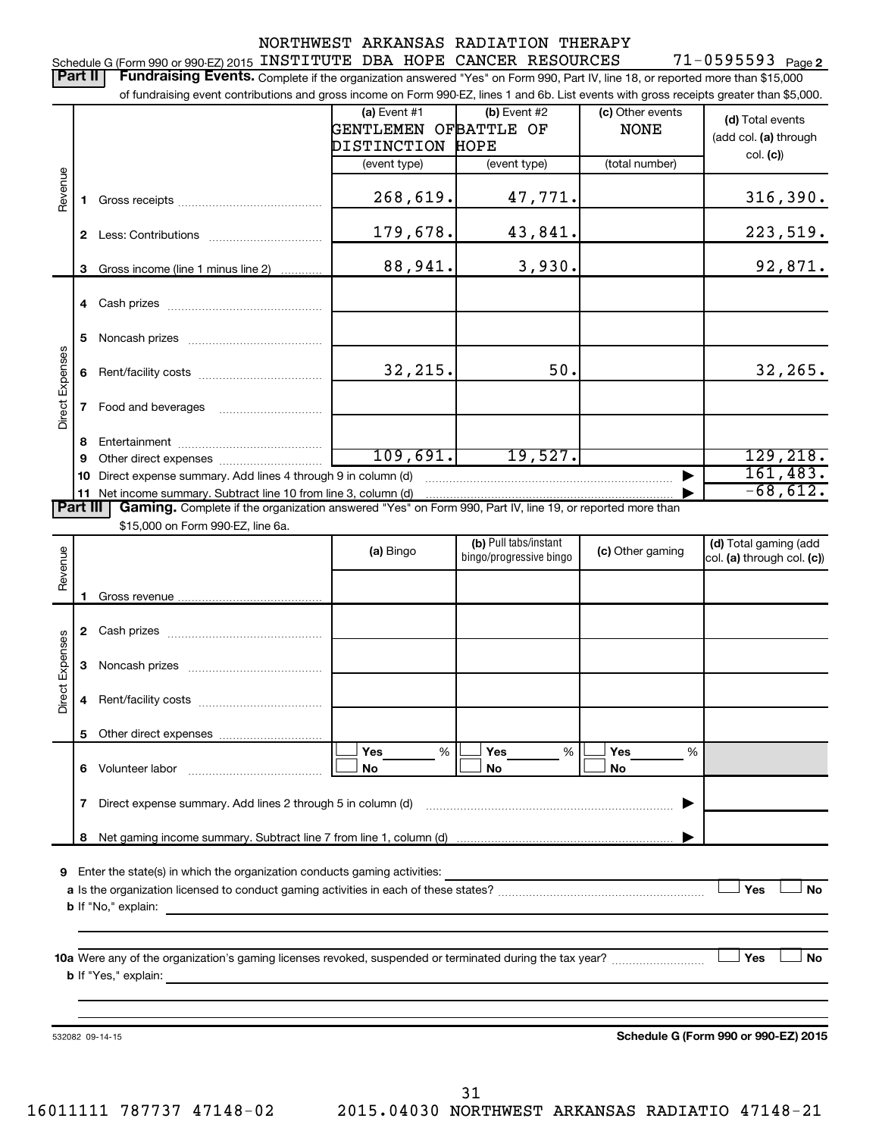|                 |          |                                                                                                                                                                                                                                                                            |                       | NORTHWEST ARKANSAS RADIATION THERAPY |                  |                                      |
|-----------------|----------|----------------------------------------------------------------------------------------------------------------------------------------------------------------------------------------------------------------------------------------------------------------------------|-----------------------|--------------------------------------|------------------|--------------------------------------|
|                 | Part II  | Schedule G (Form 990 or 990-EZ) 2015 INSTITUTE DBA HOPE CANCER RESOURCES                                                                                                                                                                                                   |                       |                                      |                  | $71 - 0595593$ Page 2                |
|                 |          | Fundraising Events. Complete if the organization answered "Yes" on Form 990, Part IV, line 18, or reported more than \$15,000<br>of fundraising event contributions and gross income on Form 990-EZ, lines 1 and 6b. List events with gross receipts greater than \$5,000. |                       |                                      |                  |                                      |
|                 |          |                                                                                                                                                                                                                                                                            | (a) Event #1          | (b) Event #2                         | (c) Other events |                                      |
|                 |          |                                                                                                                                                                                                                                                                            | GENTLEMEN OFBATTLE OF |                                      | <b>NONE</b>      | (d) Total events                     |
|                 |          |                                                                                                                                                                                                                                                                            | DISTINCTION HOPE      |                                      |                  | (add col. (a) through                |
|                 |          |                                                                                                                                                                                                                                                                            | (event type)          | (event type)                         | (total number)   | col. (c)                             |
| Revenue         |          |                                                                                                                                                                                                                                                                            |                       |                                      |                  |                                      |
|                 | 1.       |                                                                                                                                                                                                                                                                            | 268,619.              | 47,771.                              |                  | 316,390.                             |
|                 |          |                                                                                                                                                                                                                                                                            | 179,678.              | 43,841.                              |                  | 223,519.                             |
|                 | 3        | Gross income (line 1 minus line 2)                                                                                                                                                                                                                                         | 88,941.               | 3,930.                               |                  | 92,871.                              |
|                 |          |                                                                                                                                                                                                                                                                            |                       |                                      |                  |                                      |
|                 |          |                                                                                                                                                                                                                                                                            |                       |                                      |                  |                                      |
|                 |          |                                                                                                                                                                                                                                                                            |                       |                                      |                  |                                      |
|                 | 5        |                                                                                                                                                                                                                                                                            |                       |                                      |                  |                                      |
|                 |          |                                                                                                                                                                                                                                                                            | 32, 215.              | 50.                                  |                  | 32, 265.                             |
|                 | 6        |                                                                                                                                                                                                                                                                            |                       |                                      |                  |                                      |
| Direct Expenses | 7        |                                                                                                                                                                                                                                                                            |                       |                                      |                  |                                      |
|                 |          |                                                                                                                                                                                                                                                                            |                       |                                      |                  |                                      |
|                 | 8        |                                                                                                                                                                                                                                                                            |                       |                                      |                  |                                      |
|                 | 9        |                                                                                                                                                                                                                                                                            | 109,691.              | 19,527.                              |                  | 129, 218.                            |
|                 | 10       | Direct expense summary. Add lines 4 through 9 in column (d)                                                                                                                                                                                                                |                       |                                      |                  | 161,483.<br>$-68,612.$               |
|                 | Part III | 11 Net income summary. Subtract line 10 from line 3, column (d)<br>Gaming. Complete if the organization answered "Yes" on Form 990, Part IV, line 19, or reported more than                                                                                                |                       |                                      |                  |                                      |
|                 |          | \$15,000 on Form 990-EZ, line 6a.                                                                                                                                                                                                                                          |                       |                                      |                  |                                      |
|                 |          |                                                                                                                                                                                                                                                                            | (a) Bingo             | (b) Pull tabs/instant                | (c) Other gaming | (d) Total gaming (add                |
| Revenue         |          |                                                                                                                                                                                                                                                                            |                       | bingo/progressive bingo              |                  | col. (a) through col. (c))           |
|                 |          |                                                                                                                                                                                                                                                                            |                       |                                      |                  |                                      |
|                 | 1        |                                                                                                                                                                                                                                                                            |                       |                                      |                  |                                      |
|                 |          |                                                                                                                                                                                                                                                                            |                       |                                      |                  |                                      |
|                 |          |                                                                                                                                                                                                                                                                            |                       |                                      |                  |                                      |
| Expenses        |          |                                                                                                                                                                                                                                                                            |                       |                                      |                  |                                      |
| Direct          |          |                                                                                                                                                                                                                                                                            |                       |                                      |                  |                                      |
|                 | 4        |                                                                                                                                                                                                                                                                            |                       |                                      |                  |                                      |
|                 | 5        |                                                                                                                                                                                                                                                                            |                       |                                      |                  |                                      |
|                 |          |                                                                                                                                                                                                                                                                            | Yes<br>%              | Yes<br>%                             | Yes<br>%         |                                      |
|                 |          | 6 Volunteer labor                                                                                                                                                                                                                                                          | <b>No</b>             | No                                   | No               |                                      |
|                 |          |                                                                                                                                                                                                                                                                            |                       |                                      |                  |                                      |
|                 | 7        | Direct expense summary. Add lines 2 through 5 in column (d)                                                                                                                                                                                                                |                       |                                      |                  |                                      |
|                 | 8        |                                                                                                                                                                                                                                                                            |                       |                                      |                  |                                      |
|                 |          |                                                                                                                                                                                                                                                                            |                       |                                      |                  |                                      |
|                 |          | 9 Enter the state(s) in which the organization conducts gaming activities:                                                                                                                                                                                                 |                       |                                      |                  |                                      |
|                 |          |                                                                                                                                                                                                                                                                            |                       |                                      |                  | Yes<br>No                            |
|                 |          |                                                                                                                                                                                                                                                                            |                       |                                      |                  |                                      |
|                 |          |                                                                                                                                                                                                                                                                            |                       |                                      |                  |                                      |
|                 |          |                                                                                                                                                                                                                                                                            |                       |                                      |                  | No<br>Yes                            |
|                 |          | <b>b</b> If "Yes," explain:<br>and the control of the control of the control of the control of the control of the control of the control of the                                                                                                                            |                       |                                      |                  |                                      |
|                 |          |                                                                                                                                                                                                                                                                            |                       |                                      |                  |                                      |
|                 |          |                                                                                                                                                                                                                                                                            |                       |                                      |                  |                                      |
|                 |          | 532082 09-14-15                                                                                                                                                                                                                                                            |                       |                                      |                  | Schedule G (Form 990 or 990-EZ) 2015 |
|                 |          |                                                                                                                                                                                                                                                                            |                       |                                      |                  |                                      |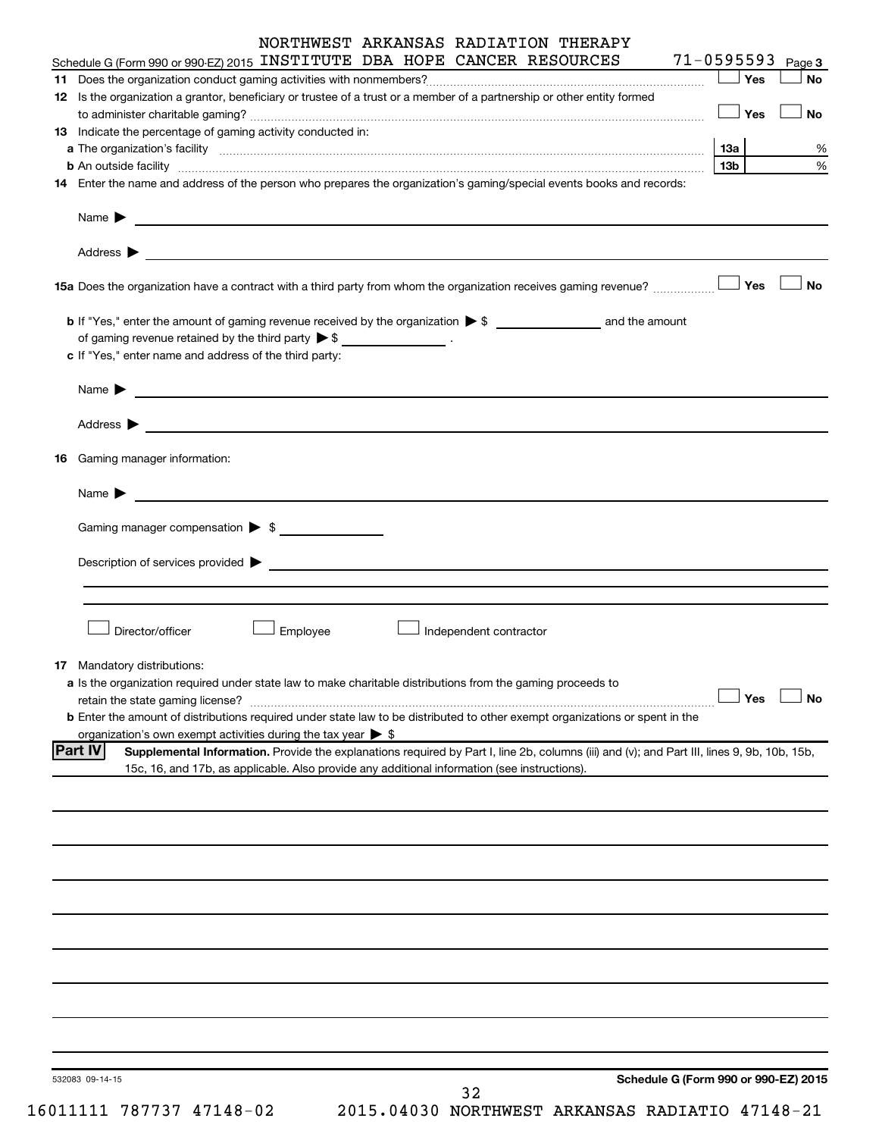|    |                                                                                                                                                                                                                                     |          |                        | NORTHWEST ARKANSAS RADIATION THERAPY                                                                                                        |                                      |           |
|----|-------------------------------------------------------------------------------------------------------------------------------------------------------------------------------------------------------------------------------------|----------|------------------------|---------------------------------------------------------------------------------------------------------------------------------------------|--------------------------------------|-----------|
|    | Schedule G (Form 990 or 990-EZ) 2015 INSTITUTE DBA HOPE CANCER RESOURCES                                                                                                                                                            |          |                        |                                                                                                                                             | $71 - 0595593$ Page 3                |           |
|    |                                                                                                                                                                                                                                     |          |                        |                                                                                                                                             | $\Box$ Yes                           | <b>No</b> |
|    | 12 Is the organization a grantor, beneficiary or trustee of a trust or a member of a partnership or other entity formed                                                                                                             |          |                        |                                                                                                                                             |                                      |           |
|    | 13 Indicate the percentage of gaming activity conducted in:                                                                                                                                                                         |          |                        |                                                                                                                                             | $\Box$ Yes                           | <b>No</b> |
|    |                                                                                                                                                                                                                                     |          |                        |                                                                                                                                             | 13а                                  | %         |
|    | <b>b</b> An outside facility with an account of the control of the control of the control of the control of the control of the control of the control of the control of the control of the control of the control of the control of |          |                        |                                                                                                                                             | 13 <sub>b</sub>                      | $\%$      |
|    | 14 Enter the name and address of the person who prepares the organization's gaming/special events books and records:                                                                                                                |          |                        |                                                                                                                                             |                                      |           |
|    | Name $\blacktriangleright$<br><u> 1989 - Johann Stoff, amerikansk politiker (* 1908)</u>                                                                                                                                            |          |                        |                                                                                                                                             |                                      |           |
|    | Address $\begin{array}{ c c c c c }\n\hline\n& & & \\\hline\n& & & \\\hline\n& & & \\\hline\n\end{array}$                                                                                                                           |          |                        |                                                                                                                                             |                                      |           |
|    |                                                                                                                                                                                                                                     |          |                        |                                                                                                                                             |                                      | <b>No</b> |
|    |                                                                                                                                                                                                                                     |          |                        |                                                                                                                                             |                                      |           |
|    | of gaming revenue retained by the third party $\triangleright$ \$ _________________.                                                                                                                                                |          |                        |                                                                                                                                             |                                      |           |
|    | c If "Yes," enter name and address of the third party:                                                                                                                                                                              |          |                        |                                                                                                                                             |                                      |           |
|    |                                                                                                                                                                                                                                     |          |                        |                                                                                                                                             |                                      |           |
|    | Name $\blacktriangleright$<br><u> 1989 - Johann John Stone, marking fan de Amerikaanske kommunister fan de Amerikaanske kommunister fan de Frys</u>                                                                                 |          |                        |                                                                                                                                             |                                      |           |
|    |                                                                                                                                                                                                                                     |          |                        |                                                                                                                                             |                                      |           |
| 16 | Gaming manager information:                                                                                                                                                                                                         |          |                        |                                                                                                                                             |                                      |           |
|    | Name $\blacktriangleright$<br><u>and the contract of the contract of the contract of the contract of the contract of the contract of the contract of</u>                                                                            |          |                        |                                                                                                                                             |                                      |           |
|    | Gaming manager compensation > \$                                                                                                                                                                                                    |          |                        |                                                                                                                                             |                                      |           |
|    |                                                                                                                                                                                                                                     |          |                        |                                                                                                                                             |                                      |           |
|    | Description of services provided > example and the contract of the contract of the contract of the contract of                                                                                                                      |          |                        |                                                                                                                                             |                                      |           |
|    |                                                                                                                                                                                                                                     |          |                        |                                                                                                                                             |                                      |           |
|    |                                                                                                                                                                                                                                     |          |                        |                                                                                                                                             |                                      |           |
|    | Director/officer                                                                                                                                                                                                                    | Employee | Independent contractor |                                                                                                                                             |                                      |           |
|    |                                                                                                                                                                                                                                     |          |                        |                                                                                                                                             |                                      |           |
|    | 17 Mandatory distributions:                                                                                                                                                                                                         |          |                        |                                                                                                                                             |                                      |           |
|    | a Is the organization required under state law to make charitable distributions from the gaming proceeds to<br>retain the state gaming license?                                                                                     |          |                        |                                                                                                                                             | Yes                                  | <b>No</b> |
|    | b Enter the amount of distributions required under state law to be distributed to other exempt organizations or spent in the                                                                                                        |          |                        |                                                                                                                                             |                                      |           |
|    | organization's own exempt activities during the tax year $\triangleright$ \$                                                                                                                                                        |          |                        |                                                                                                                                             |                                      |           |
|    | <b>Part IV</b>                                                                                                                                                                                                                      |          |                        | Supplemental Information. Provide the explanations required by Part I, line 2b, columns (iii) and (v); and Part III, lines 9, 9b, 10b, 15b, |                                      |           |
|    | 15c, 16, and 17b, as applicable. Also provide any additional information (see instructions).                                                                                                                                        |          |                        |                                                                                                                                             |                                      |           |
|    |                                                                                                                                                                                                                                     |          |                        |                                                                                                                                             |                                      |           |
|    |                                                                                                                                                                                                                                     |          |                        |                                                                                                                                             |                                      |           |
|    |                                                                                                                                                                                                                                     |          |                        |                                                                                                                                             |                                      |           |
|    |                                                                                                                                                                                                                                     |          |                        |                                                                                                                                             |                                      |           |
|    |                                                                                                                                                                                                                                     |          |                        |                                                                                                                                             |                                      |           |
|    |                                                                                                                                                                                                                                     |          |                        |                                                                                                                                             |                                      |           |
|    |                                                                                                                                                                                                                                     |          |                        |                                                                                                                                             |                                      |           |
|    |                                                                                                                                                                                                                                     |          |                        |                                                                                                                                             |                                      |           |
|    |                                                                                                                                                                                                                                     |          |                        |                                                                                                                                             |                                      |           |
|    |                                                                                                                                                                                                                                     |          |                        |                                                                                                                                             |                                      |           |
|    |                                                                                                                                                                                                                                     |          |                        |                                                                                                                                             |                                      |           |
|    |                                                                                                                                                                                                                                     |          |                        |                                                                                                                                             |                                      |           |
|    |                                                                                                                                                                                                                                     |          |                        |                                                                                                                                             |                                      |           |
|    |                                                                                                                                                                                                                                     |          |                        |                                                                                                                                             |                                      |           |
|    | 532083 09-14-15                                                                                                                                                                                                                     |          |                        |                                                                                                                                             | Schedule G (Form 990 or 990-EZ) 2015 |           |
|    |                                                                                                                                                                                                                                     |          | 32                     |                                                                                                                                             |                                      |           |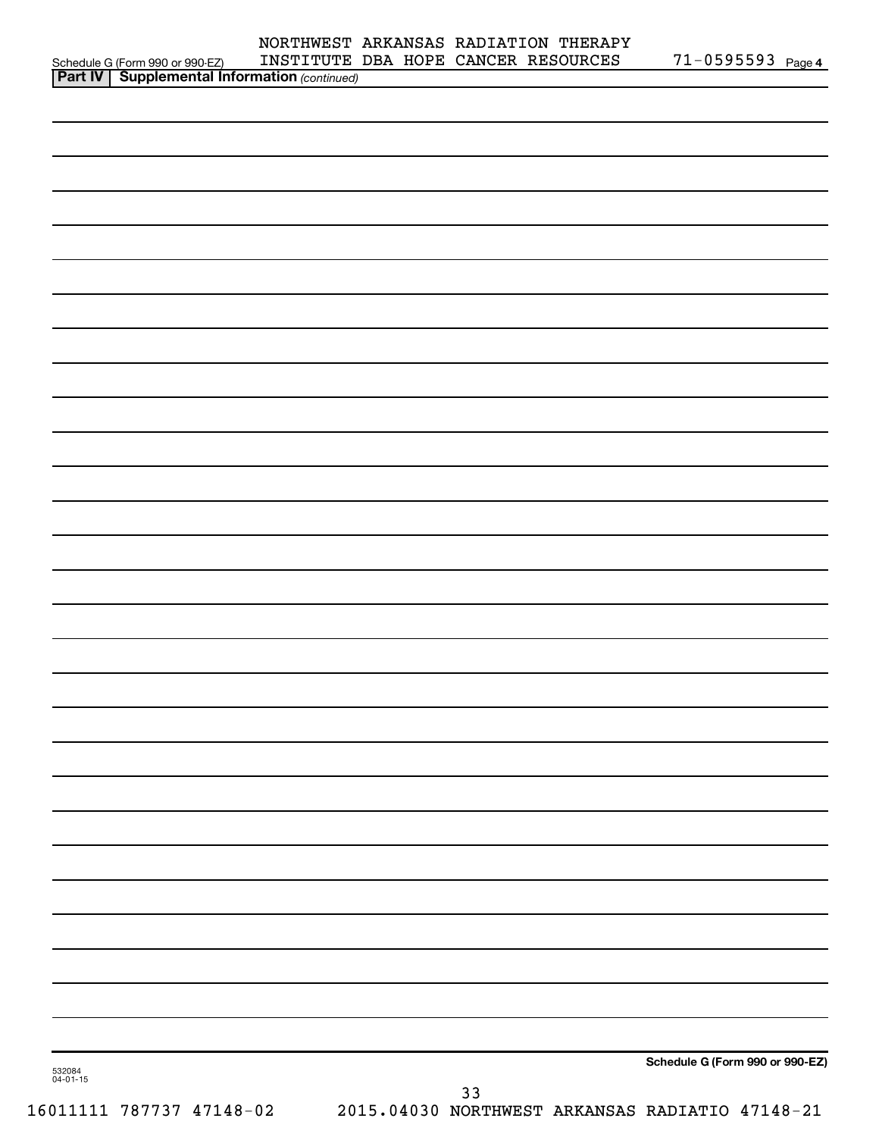|                                                                                                    |  | NORTHWEST ARKANSAS RADIATION THERAPY |                       |
|----------------------------------------------------------------------------------------------------|--|--------------------------------------|-----------------------|
|                                                                                                    |  | INSTITUTE DBA HOPE CANCER RESOURCES  | $71 - 0595593$ Page 4 |
| Schedule G (Form 990 or 990-EZ) INSTITUTE<br><b>Part IV   Supplemental Information</b> (continued) |  |                                      |                       |
|                                                                                                    |  |                                      |                       |
|                                                                                                    |  |                                      |                       |
|                                                                                                    |  |                                      |                       |
|                                                                                                    |  |                                      |                       |
|                                                                                                    |  |                                      |                       |
|                                                                                                    |  |                                      |                       |
|                                                                                                    |  |                                      |                       |
|                                                                                                    |  |                                      |                       |
|                                                                                                    |  |                                      |                       |
|                                                                                                    |  |                                      |                       |
|                                                                                                    |  |                                      |                       |
|                                                                                                    |  |                                      |                       |
|                                                                                                    |  |                                      |                       |
|                                                                                                    |  |                                      |                       |
|                                                                                                    |  |                                      |                       |
|                                                                                                    |  |                                      |                       |
|                                                                                                    |  |                                      |                       |
|                                                                                                    |  |                                      |                       |
|                                                                                                    |  |                                      |                       |
|                                                                                                    |  |                                      |                       |
|                                                                                                    |  |                                      |                       |
|                                                                                                    |  |                                      |                       |
|                                                                                                    |  |                                      |                       |
|                                                                                                    |  |                                      |                       |
|                                                                                                    |  |                                      |                       |
|                                                                                                    |  |                                      |                       |
|                                                                                                    |  |                                      |                       |
|                                                                                                    |  |                                      |                       |
|                                                                                                    |  |                                      |                       |
|                                                                                                    |  |                                      |                       |
|                                                                                                    |  |                                      |                       |
|                                                                                                    |  |                                      |                       |
|                                                                                                    |  |                                      |                       |
|                                                                                                    |  |                                      |                       |
|                                                                                                    |  |                                      |                       |
|                                                                                                    |  |                                      |                       |
|                                                                                                    |  |                                      |                       |
|                                                                                                    |  |                                      |                       |
|                                                                                                    |  |                                      |                       |
|                                                                                                    |  |                                      |                       |
|                                                                                                    |  |                                      |                       |
|                                                                                                    |  |                                      |                       |
|                                                                                                    |  |                                      |                       |
|                                                                                                    |  |                                      |                       |
|                                                                                                    |  |                                      |                       |

**Schedule G (Form 990 or 990-EZ)**

532084 04-01-15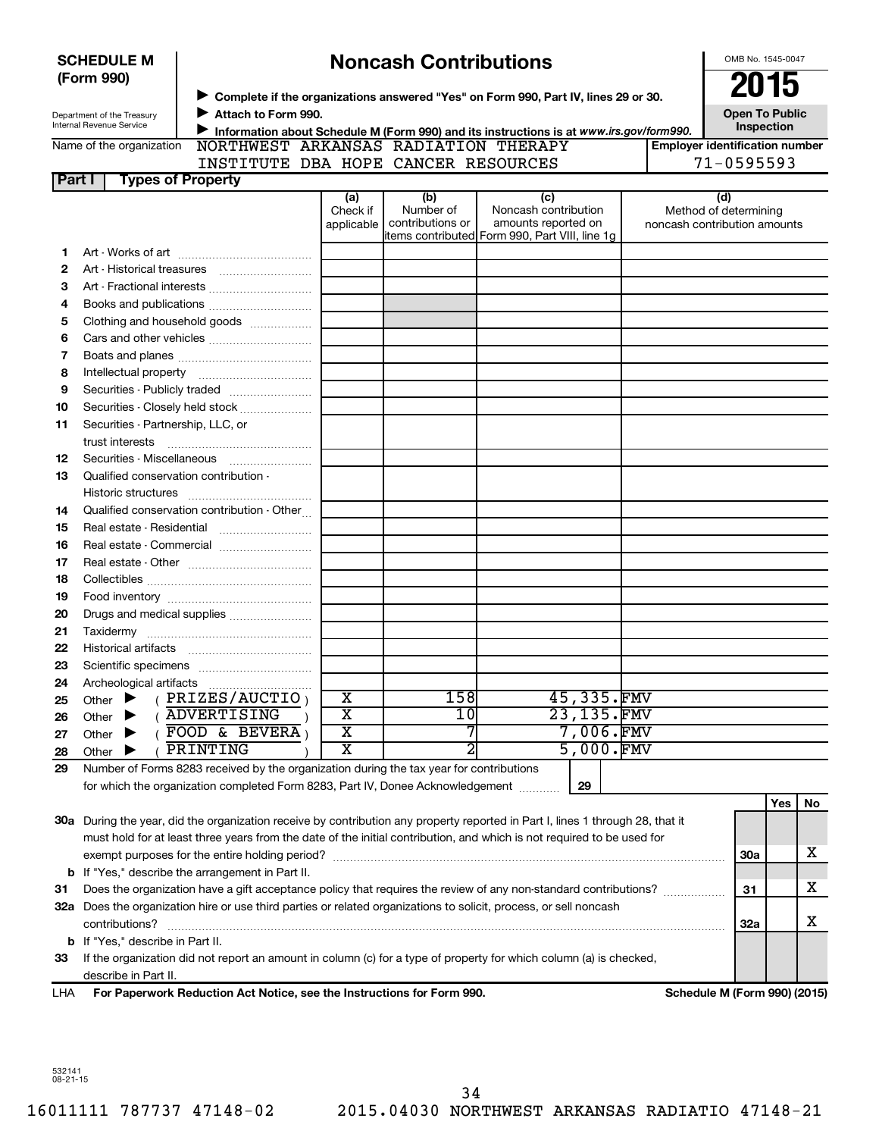|        | <b>SCHEDULE M</b>                                                                                                                                                                                                                    |  |                                                                                                                                | <b>Noncash Contributions</b> |                  |                                                                       |    |            |                                       | OMB No. 1545-0047            |            |    |
|--------|--------------------------------------------------------------------------------------------------------------------------------------------------------------------------------------------------------------------------------------|--|--------------------------------------------------------------------------------------------------------------------------------|------------------------------|------------------|-----------------------------------------------------------------------|----|------------|---------------------------------------|------------------------------|------------|----|
|        | (Form 990)                                                                                                                                                                                                                           |  |                                                                                                                                |                              |                  |                                                                       |    |            |                                       |                              | 2015       |    |
|        |                                                                                                                                                                                                                                      |  | Complete if the organizations answered "Yes" on Form 990, Part IV, lines 29 or 30.                                             |                              |                  |                                                                       |    |            |                                       |                              |            |    |
|        | Department of the Treasury<br>Internal Revenue Service                                                                                                                                                                               |  | Attach to Form 990.                                                                                                            |                              |                  |                                                                       |    |            |                                       | <b>Open To Public</b>        |            |    |
|        |                                                                                                                                                                                                                                      |  | Information about Schedule M (Form 990) and its instructions is at www.irs.gov/form990.                                        |                              |                  |                                                                       |    |            |                                       |                              | Inspection |    |
|        | Name of the organization                                                                                                                                                                                                             |  | NORTHWEST ARKANSAS RADIATION THERAPY<br>INSTITUTE DBA HOPE CANCER RESOURCES                                                    |                              |                  |                                                                       |    |            | <b>Employer identification number</b> | $71 - 0595593$               |            |    |
| Part I |                                                                                                                                                                                                                                      |  | <b>Types of Property</b>                                                                                                       |                              |                  |                                                                       |    |            |                                       |                              |            |    |
|        |                                                                                                                                                                                                                                      |  |                                                                                                                                | (a)                          | (b)              | (c)                                                                   |    |            |                                       | (d)                          |            |    |
|        |                                                                                                                                                                                                                                      |  |                                                                                                                                | Check if                     | Number of        | Noncash contribution                                                  |    |            |                                       | Method of determining        |            |    |
|        |                                                                                                                                                                                                                                      |  |                                                                                                                                | applicable                   | contributions or | amounts reported on<br>items contributed Form 990, Part VIII, line 1g |    |            | noncash contribution amounts          |                              |            |    |
| 1      |                                                                                                                                                                                                                                      |  |                                                                                                                                |                              |                  |                                                                       |    |            |                                       |                              |            |    |
| 2      |                                                                                                                                                                                                                                      |  |                                                                                                                                |                              |                  |                                                                       |    |            |                                       |                              |            |    |
| З      |                                                                                                                                                                                                                                      |  |                                                                                                                                |                              |                  |                                                                       |    |            |                                       |                              |            |    |
| 4      |                                                                                                                                                                                                                                      |  |                                                                                                                                |                              |                  |                                                                       |    |            |                                       |                              |            |    |
| 5      |                                                                                                                                                                                                                                      |  | Clothing and household goods                                                                                                   |                              |                  |                                                                       |    |            |                                       |                              |            |    |
| 6      |                                                                                                                                                                                                                                      |  |                                                                                                                                |                              |                  |                                                                       |    |            |                                       |                              |            |    |
| 7      |                                                                                                                                                                                                                                      |  |                                                                                                                                |                              |                  |                                                                       |    |            |                                       |                              |            |    |
| 8      |                                                                                                                                                                                                                                      |  |                                                                                                                                |                              |                  |                                                                       |    |            |                                       |                              |            |    |
| 9      |                                                                                                                                                                                                                                      |  |                                                                                                                                |                              |                  |                                                                       |    |            |                                       |                              |            |    |
| 10     |                                                                                                                                                                                                                                      |  | Securities - Closely held stock                                                                                                |                              |                  |                                                                       |    |            |                                       |                              |            |    |
| 11     |                                                                                                                                                                                                                                      |  | Securities - Partnership, LLC, or                                                                                              |                              |                  |                                                                       |    |            |                                       |                              |            |    |
|        | trust interests                                                                                                                                                                                                                      |  |                                                                                                                                |                              |                  |                                                                       |    |            |                                       |                              |            |    |
| 12     |                                                                                                                                                                                                                                      |  |                                                                                                                                |                              |                  |                                                                       |    |            |                                       |                              |            |    |
| 13     |                                                                                                                                                                                                                                      |  | Qualified conservation contribution -                                                                                          |                              |                  |                                                                       |    |            |                                       |                              |            |    |
|        |                                                                                                                                                                                                                                      |  |                                                                                                                                |                              |                  |                                                                       |    |            |                                       |                              |            |    |
| 14     |                                                                                                                                                                                                                                      |  | Qualified conservation contribution - Other                                                                                    |                              |                  |                                                                       |    |            |                                       |                              |            |    |
| 15     |                                                                                                                                                                                                                                      |  |                                                                                                                                |                              |                  |                                                                       |    |            |                                       |                              |            |    |
| 16     |                                                                                                                                                                                                                                      |  | Real estate - Commercial                                                                                                       |                              |                  |                                                                       |    |            |                                       |                              |            |    |
| 17     |                                                                                                                                                                                                                                      |  |                                                                                                                                |                              |                  |                                                                       |    |            |                                       |                              |            |    |
| 18     |                                                                                                                                                                                                                                      |  |                                                                                                                                |                              |                  |                                                                       |    |            |                                       |                              |            |    |
| 19     |                                                                                                                                                                                                                                      |  |                                                                                                                                |                              |                  |                                                                       |    |            |                                       |                              |            |    |
| 20     |                                                                                                                                                                                                                                      |  | Drugs and medical supplies                                                                                                     |                              |                  |                                                                       |    |            |                                       |                              |            |    |
| 21     |                                                                                                                                                                                                                                      |  |                                                                                                                                |                              |                  |                                                                       |    |            |                                       |                              |            |    |
| 22     |                                                                                                                                                                                                                                      |  |                                                                                                                                |                              |                  |                                                                       |    |            |                                       |                              |            |    |
| 23     |                                                                                                                                                                                                                                      |  |                                                                                                                                |                              |                  |                                                                       |    |            |                                       |                              |            |    |
| 24     |                                                                                                                                                                                                                                      |  |                                                                                                                                |                              |                  |                                                                       |    |            |                                       |                              |            |    |
| 25     | Other                                                                                                                                                                                                                                |  | PRIZES/AUCTIO                                                                                                                  | х                            | 158              |                                                                       |    | 45,335.FMV |                                       |                              |            |    |
| 26     | Other                                                                                                                                                                                                                                |  | <b>ADVERTISING</b>                                                                                                             | $\overline{\text{X}}$        | 10               |                                                                       |    | 23,135.FMV |                                       |                              |            |    |
| 27     | Other                                                                                                                                                                                                                                |  | FOOD & BEVERA                                                                                                                  | $\overline{\text{X}}$        | 7                |                                                                       |    | 7,006.FMV  |                                       |                              |            |    |
| 28     | Other                                                                                                                                                                                                                                |  | PRINTING                                                                                                                       | $\overline{\mathbf{x}}$      | $\overline{2}$   |                                                                       |    | 5,000.FMV  |                                       |                              |            |    |
| 29     |                                                                                                                                                                                                                                      |  | Number of Forms 8283 received by the organization during the tax year for contributions                                        |                              |                  |                                                                       |    |            |                                       |                              |            |    |
|        |                                                                                                                                                                                                                                      |  | for which the organization completed Form 8283, Part IV, Donee Acknowledgement                                                 |                              |                  |                                                                       | 29 |            |                                       |                              |            |    |
|        |                                                                                                                                                                                                                                      |  |                                                                                                                                |                              |                  |                                                                       |    |            |                                       |                              | Yes        | No |
|        |                                                                                                                                                                                                                                      |  | 30a During the year, did the organization receive by contribution any property reported in Part I, lines 1 through 28, that it |                              |                  |                                                                       |    |            |                                       |                              |            |    |
|        |                                                                                                                                                                                                                                      |  | must hold for at least three years from the date of the initial contribution, and which is not required to be used for         |                              |                  |                                                                       |    |            |                                       |                              |            | x  |
|        |                                                                                                                                                                                                                                      |  | exempt purposes for the entire holding period?<br><b>b</b> If "Yes," describe the arrangement in Part II.                      |                              |                  |                                                                       |    |            |                                       | <b>30a</b>                   |            |    |
| 31     |                                                                                                                                                                                                                                      |  |                                                                                                                                |                              |                  |                                                                       |    |            |                                       | 31                           |            | x  |
|        | Does the organization have a gift acceptance policy that requires the review of any non-standard contributions?<br>32a Does the organization hire or use third parties or related organizations to solicit, process, or sell noncash |  |                                                                                                                                |                              |                  |                                                                       |    |            |                                       |                              |            |    |
|        | contributions?                                                                                                                                                                                                                       |  |                                                                                                                                |                              |                  |                                                                       |    | <b>32a</b> |                                       | x                            |            |    |
|        |                                                                                                                                                                                                                                      |  |                                                                                                                                |                              |                  |                                                                       |    |            |                                       |                              |            |    |
| 33     | <b>b</b> If "Yes," describe in Part II.<br>If the organization did not report an amount in column (c) for a type of property for which column (a) is checked,                                                                        |  |                                                                                                                                |                              |                  |                                                                       |    |            |                                       |                              |            |    |
|        | describe in Part II.                                                                                                                                                                                                                 |  |                                                                                                                                |                              |                  |                                                                       |    |            |                                       |                              |            |    |
| LHA    |                                                                                                                                                                                                                                      |  | For Paperwork Reduction Act Notice, see the Instructions for Form 990.                                                         |                              |                  |                                                                       |    |            |                                       | Schedule M (Form 990) (2015) |            |    |
|        |                                                                                                                                                                                                                                      |  |                                                                                                                                |                              |                  |                                                                       |    |            |                                       |                              |            |    |

532141 08-21-15

16011111 787737 47148-02 2015.04030 NORTHWEST ARKANSAS RADIATIO 47148-21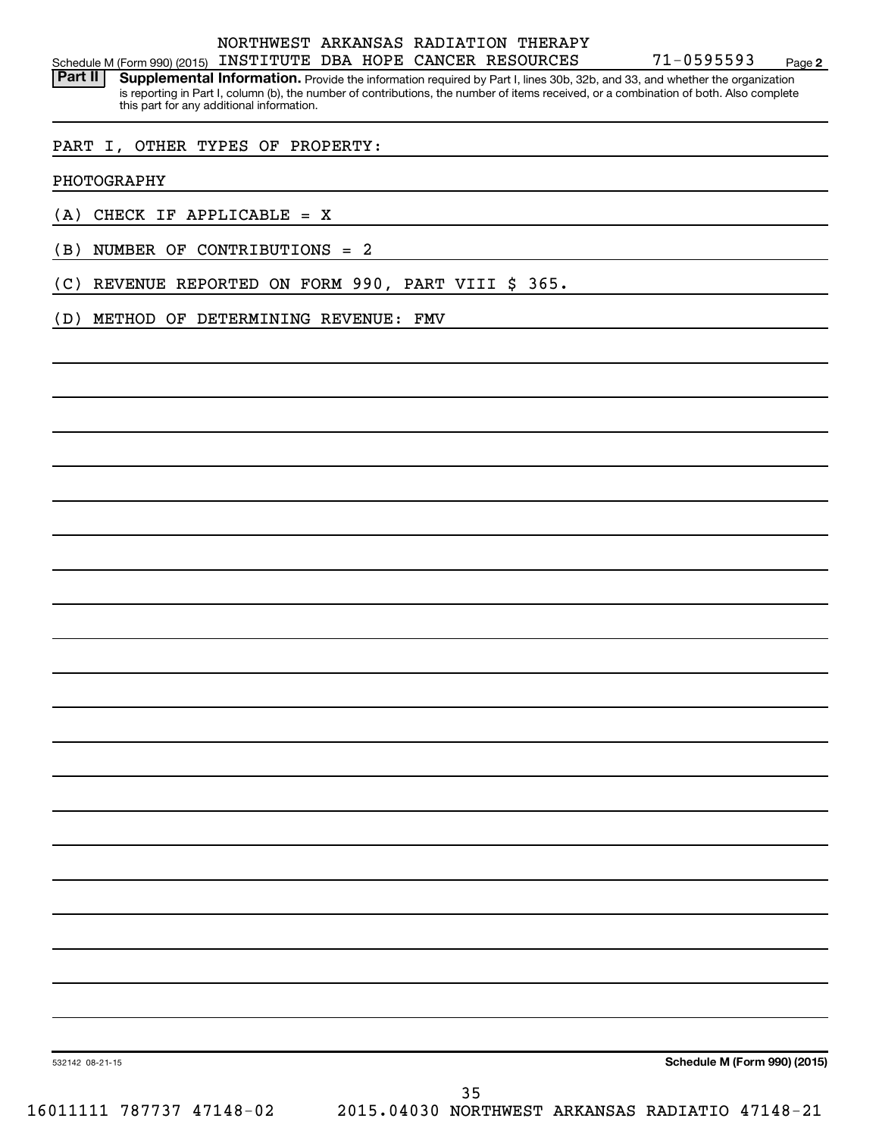#### Schedule M (Form 990) (2015) INSTITUTE DBA HOPE CANCER RESOURCES  $71-0595593$  Page NORTHWEST ARKANSAS RADIATION THERAPY

Part II | Supplemental Information. Provide the information required by Part I, lines 30b, 32b, and 33, and whether the organization is reporting in Part I, column (b), the number of contributions, the number of items received, or a combination of both. Also complete this part for any additional information.

#### PART I, OTHER TYPES OF PROPERTY:

PHOTOGRAPHY

(A) CHECK IF APPLICABLE = X

(B) NUMBER OF CONTRIBUTIONS = 2

(C) REVENUE REPORTED ON FORM 990, PART VIII \$ 365.

(D) METHOD OF DETERMINING REVENUE: FMV

**Schedule M (Form 990) (2015)**

**2**

532142 08-21-15

16011111 787737 47148-02 2015.04030 NORTHWEST ARKANSAS RADIATIO 47148-21 35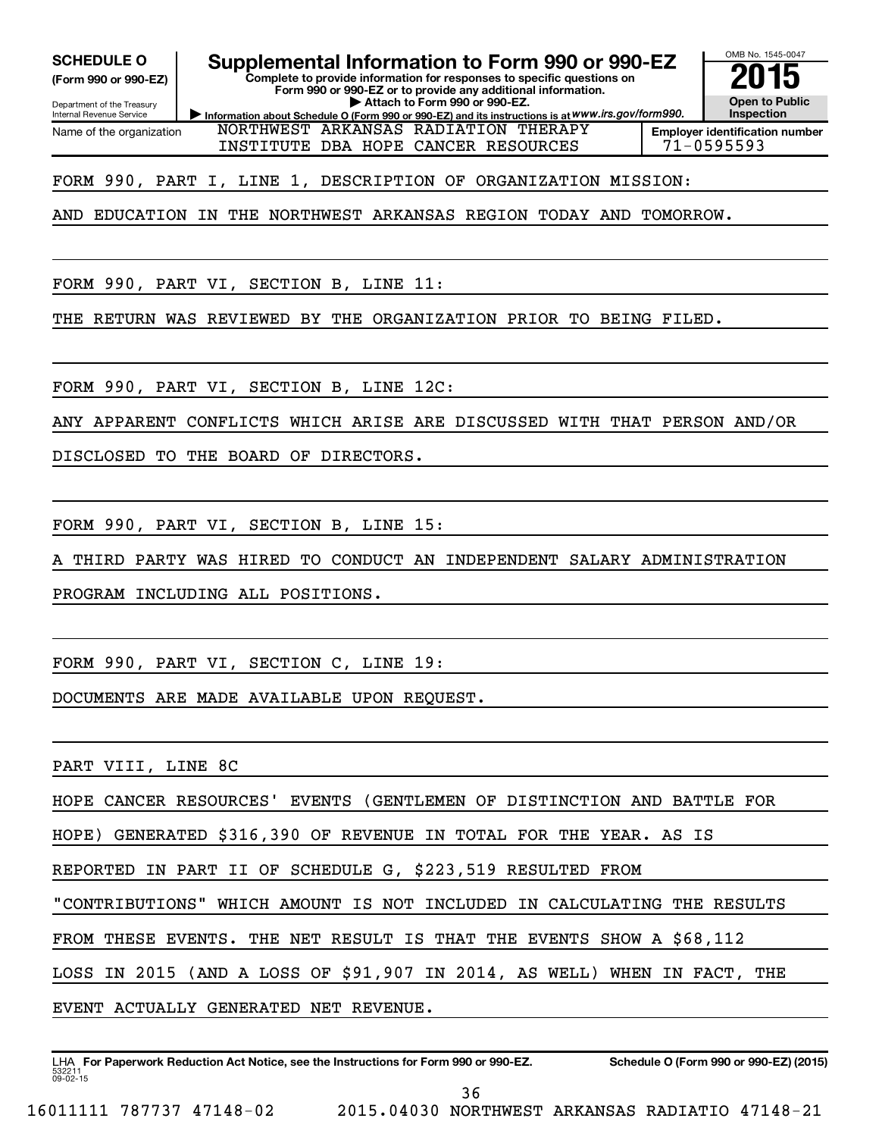**(Form 990 or 990-EZ)**

Department of the Treasury Internal Revenue Service Name of the organization

**SCHEDULE O Supplemental Information to Form 990 or 990-EZ 2015**<br>(Form 990 or 990-EZ) Complete to provide information for responses to specific questions on

**Complete to provide information for responses to specific questions on Form 990 or 990-EZ or to provide any additional information. | Attach to Form 990 or 990-EZ.**

**Information about Schedule O (Form 990 or 990-EZ) and its instructions is at WWW.irs.gov/form990.** NORTHWEST ARKANSAS RADIATION THERAPY INSTITUTE DBA HOPE CANCER RESOURCES  $171-0595593$ 



#### FORM 990, PART I, LINE 1, DESCRIPTION OF ORGANIZATION MISSION:

AND EDUCATION IN THE NORTHWEST ARKANSAS REGION TODAY AND TOMORROW.

FORM 990, PART VI, SECTION B, LINE 11:

THE RETURN WAS REVIEWED BY THE ORGANIZATION PRIOR TO BEING FILED.

FORM 990, PART VI, SECTION B, LINE 12C:

ANY APPARENT CONFLICTS WHICH ARISE ARE DISCUSSED WITH THAT PERSON AND/OR

DISCLOSED TO THE BOARD OF DIRECTORS.

FORM 990, PART VI, SECTION B, LINE 15:

THIRD PARTY WAS HIRED TO CONDUCT AN INDEPENDENT SALARY ADMINISTRATION

PROGRAM INCLUDING ALL POSITIONS.

FORM 990, PART VI, SECTION C, LINE 19:

DOCUMENTS ARE MADE AVAILABLE UPON REQUEST.

PART VIII, LINE 8C

HOPE CANCER RESOURCES' EVENTS (GENTLEMEN OF DISTINCTION AND BATTLE FOR

HOPE) GENERATED \$316,390 OF REVENUE IN TOTAL FOR THE YEAR. AS IS

REPORTED IN PART II OF SCHEDULE G, \$223,519 RESULTED FROM

"CONTRIBUTIONS" WHICH AMOUNT IS NOT INCLUDED IN CALCULATING THE RESULTS

FROM THESE EVENTS. THE NET RESULT IS THAT THE EVENTS SHOW A \$68,112

LOSS IN 2015 (AND A LOSS OF \$91,907 IN 2014, AS WELL) WHEN IN FACT, THE

EVENT ACTUALLY GENERATED NET REVENUE.

532211  $09 - 02 - 15$ LHA For Paperwork Reduction Act Notice, see the Instructions for Form 990 or 990-EZ. Schedule O (Form 990 or 990-EZ) (2015)

36

16011111 787737 47148-02 2015.04030 NORTHWEST ARKANSAS RADIATIO 47148-21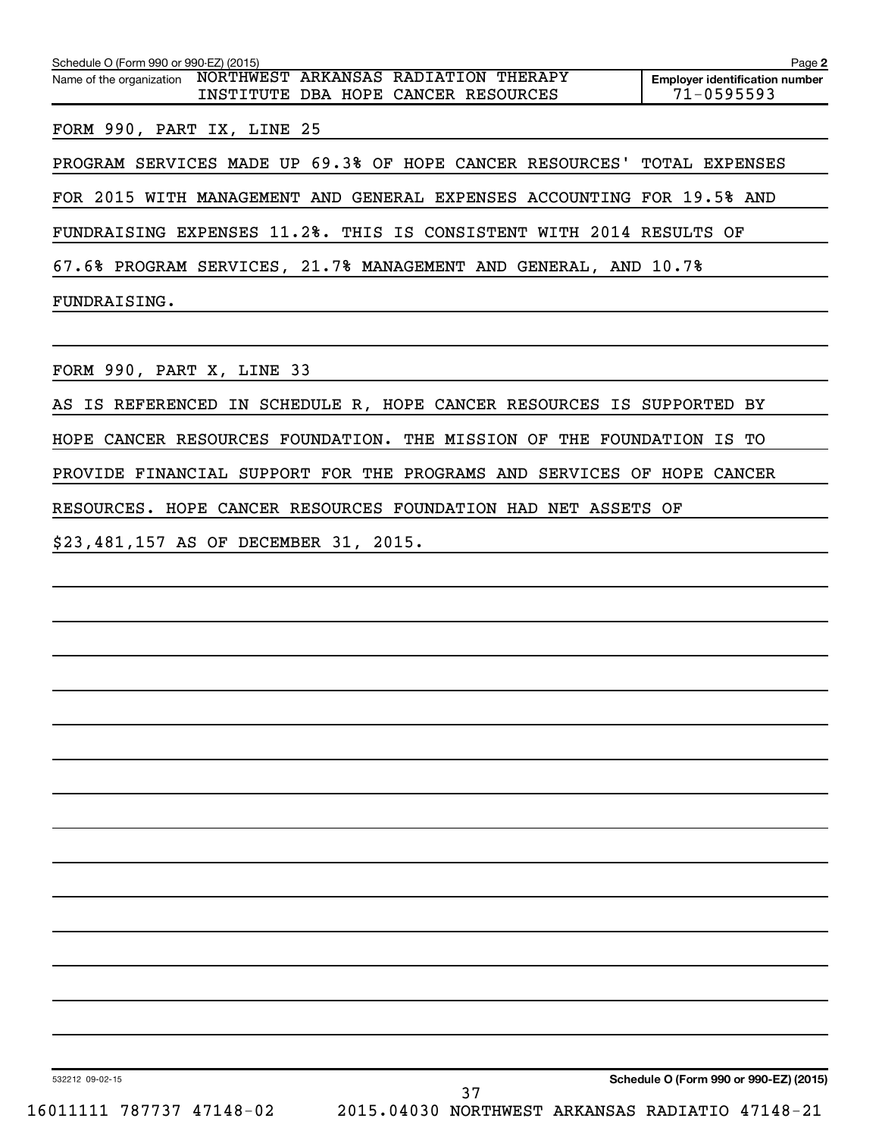| Schedule O (Form 990 or 990-EZ) (2015)                                                                  | Page 2                                              |
|---------------------------------------------------------------------------------------------------------|-----------------------------------------------------|
| NORTHWEST ARKANSAS RADIATION THERAPY<br>Name of the organization<br>INSTITUTE DBA HOPE CANCER RESOURCES | <b>Employer identification number</b><br>71-0595593 |
| FORM 990, PART IX, LINE 25                                                                              |                                                     |
| PROGRAM SERVICES MADE UP 69.3% OF HOPE CANCER RESOURCES' TOTAL EXPENSES                                 |                                                     |
| FOR 2015 WITH MANAGEMENT AND GENERAL EXPENSES ACCOUNTING FOR 19.5% AND                                  |                                                     |
| FUNDRAISING EXPENSES 11.2%. THIS IS CONSISTENT WITH 2014 RESULTS OF                                     |                                                     |
| 67.6% PROGRAM SERVICES, 21.7% MANAGEMENT AND GENERAL, AND 10.7%                                         |                                                     |
| FUNDRAISING.                                                                                            |                                                     |
|                                                                                                         |                                                     |
| FORM 990, PART X, LINE 33                                                                               |                                                     |
| AS IS REFERENCED IN SCHEDULE R, HOPE CANCER RESOURCES IS SUPPORTED BY                                   |                                                     |
| HOPE CANCER RESOURCES FOUNDATION. THE MISSION OF THE FOUNDATION IS TO                                   |                                                     |
| PROVIDE FINANCIAL SUPPORT FOR THE PROGRAMS AND SERVICES OF HOPE CANCER                                  |                                                     |
| RESOURCES. HOPE CANCER RESOURCES FOUNDATION HAD NET ASSETS OF                                           |                                                     |

\$23,481,157 AS OF DECEMBER 31, 2015.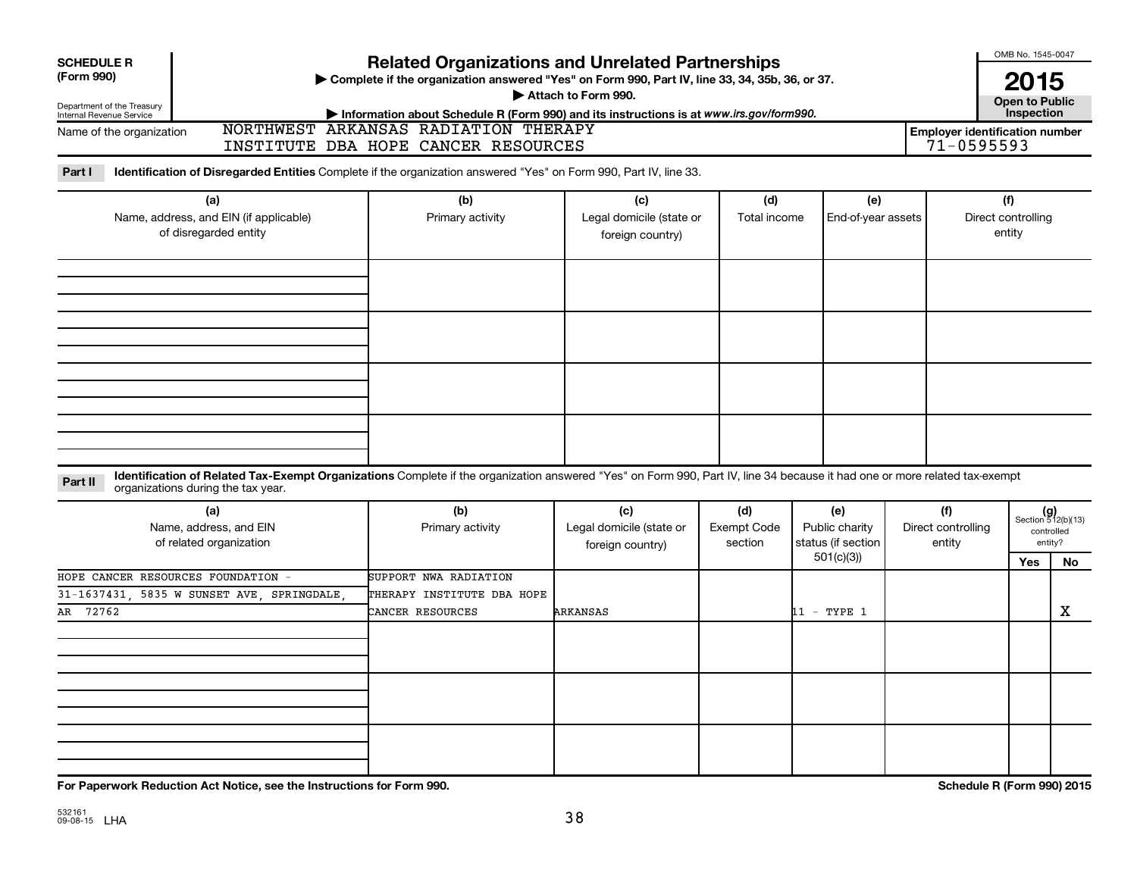| <b>SCHEDULE R</b><br>(Form 990)                                        |                                                                                                                                                                                                                  | <b>Related Organizations and Unrelated Partnerships</b><br>> Complete if the organization answered "Yes" on Form 990, Part IV, line 33, 34, 35b, 36, or 37. | OMB No. 1545-0047<br>2015                           |                               |                                                          |                                     |                                                         |                                                             |
|------------------------------------------------------------------------|------------------------------------------------------------------------------------------------------------------------------------------------------------------------------------------------------------------|-------------------------------------------------------------------------------------------------------------------------------------------------------------|-----------------------------------------------------|-------------------------------|----------------------------------------------------------|-------------------------------------|---------------------------------------------------------|-------------------------------------------------------------|
| Department of the Treasury<br>Internal Revenue Service                 |                                                                                                                                                                                                                  | Information about Schedule R (Form 990) and its instructions is at www.irs.gov/form990.                                                                     | Attach to Form 990.                                 |                               |                                                          |                                     | <b>Open to Public</b><br>Inspection                     |                                                             |
| Name of the organization                                               |                                                                                                                                                                                                                  | NORTHWEST ARKANSAS RADIATION THERAPY<br>INSTITUTE DBA HOPE CANCER RESOURCES                                                                                 |                                                     |                               |                                                          |                                     | <b>Employer identification number</b><br>$71 - 0595593$ |                                                             |
| Part I                                                                 | Identification of Disregarded Entities Complete if the organization answered "Yes" on Form 990, Part IV, line 33.                                                                                                |                                                                                                                                                             |                                                     |                               |                                                          |                                     |                                                         |                                                             |
| (a)<br>Name, address, and EIN (if applicable)<br>of disregarded entity |                                                                                                                                                                                                                  | (b)<br>Primary activity                                                                                                                                     | (c)<br>Legal domicile (state or<br>foreign country) | (d)<br>Total income           | (e)<br>End-of-year assets                                |                                     | (f)<br>Direct controlling<br>entity                     |                                                             |
|                                                                        |                                                                                                                                                                                                                  |                                                                                                                                                             |                                                     |                               |                                                          |                                     |                                                         |                                                             |
| Part II                                                                | Identification of Related Tax-Exempt Organizations Complete if the organization answered "Yes" on Form 990, Part IV, line 34 because it had one or more related tax-exempt<br>organizations during the tax year. |                                                                                                                                                             |                                                     |                               |                                                          |                                     |                                                         |                                                             |
|                                                                        | (a)<br>Name, address, and EIN<br>of related organization                                                                                                                                                         | (b)<br>Primary activity                                                                                                                                     | (c)<br>Legal domicile (state or<br>foreign country) | (d)<br>Exempt Code<br>section | (e)<br>Public charity<br>status (if section<br>501(c)(3) | (f)<br>Direct controlling<br>entity | <b>Yes</b>                                              | $(g)$<br>Section 512(b)(13)<br>controlled<br>entity?<br>No. |
| AR 72762                                                               | HOPE CANCER RESOURCES FOUNDATION -<br>31-1637431, 5835 W SUNSET AVE, SPRINGDALE,                                                                                                                                 | SUPPORT NWA RADIATION<br>THERAPY INSTITUTE DBA HOPE<br>CANCER RESOURCES                                                                                     | ARKANSAS                                            |                               | 11 - TYPE 1                                              |                                     |                                                         | х                                                           |
|                                                                        |                                                                                                                                                                                                                  |                                                                                                                                                             |                                                     |                               |                                                          |                                     |                                                         |                                                             |
|                                                                        |                                                                                                                                                                                                                  |                                                                                                                                                             |                                                     |                               |                                                          |                                     |                                                         |                                                             |
|                                                                        |                                                                                                                                                                                                                  |                                                                                                                                                             |                                                     |                               |                                                          |                                     |                                                         |                                                             |

**For Paperwork Reduction Act Notice, see the Instructions for Form 990. Schedule R (Form 990) 2015**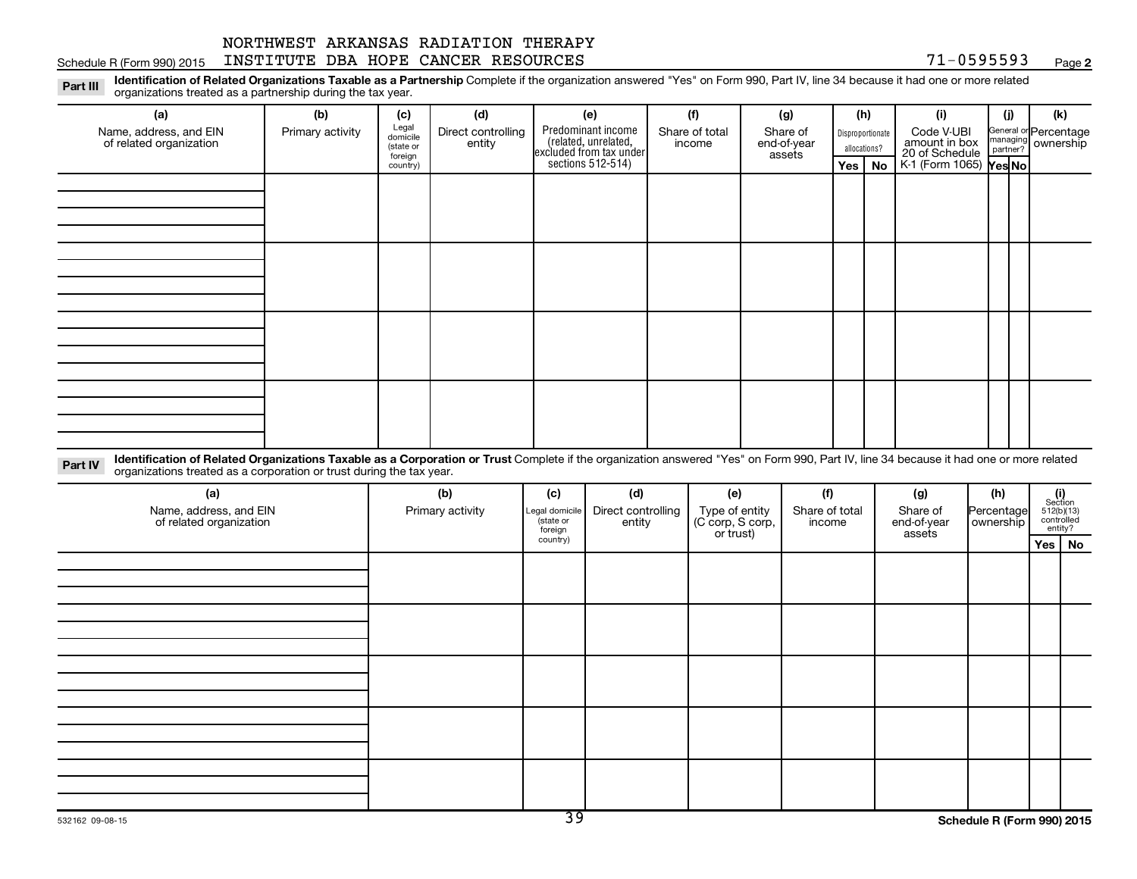#### Schedule R (Form 990) 2015 INSTITUTE DBA HOPE CANCER RESOURCES 71-0595593 Page

**2**

Part III Identification of Related Organizations Taxable as a Partnership Complete if the organization answered "Yes" on Form 990, Part IV, line 34 because it had one or more related<br>Read to the organizations tracted as a organizations treated as a partnership during the tax year.

| (a)                                                                                                                                                                                                                            | (b)              | (c)                                                   | (d)                          | (e)                                                                                           | (f)                      | (g)                               | (h)                     |                        | (i)                                                                            | (j) | (k)                                                     |
|--------------------------------------------------------------------------------------------------------------------------------------------------------------------------------------------------------------------------------|------------------|-------------------------------------------------------|------------------------------|-----------------------------------------------------------------------------------------------|--------------------------|-----------------------------------|-------------------------|------------------------|--------------------------------------------------------------------------------|-----|---------------------------------------------------------|
| Name, address, and EIN<br>of related organization                                                                                                                                                                              | Primary activity | Legal<br>domicile<br>(state or<br>foreign<br>country) | Direct controlling<br>entity | Predominant income<br>(related, unrelated,<br>excluded from tax under<br>sections $512-514$ ) | Share of total<br>income | Share of<br>end-of-year<br>assets | allocations?<br>Yes $ $ | Disproportionate<br>No | Code V-UBI<br>amount in box<br>20 of Schedule<br>K 1 (Form 1065) <b>Yes No</b> |     | General or Percentage<br>managing ownership<br>partner? |
|                                                                                                                                                                                                                                |                  |                                                       |                              |                                                                                               |                          |                                   |                         |                        |                                                                                |     |                                                         |
|                                                                                                                                                                                                                                |                  |                                                       |                              |                                                                                               |                          |                                   |                         |                        |                                                                                |     |                                                         |
|                                                                                                                                                                                                                                |                  |                                                       |                              |                                                                                               |                          |                                   |                         |                        |                                                                                |     |                                                         |
| Libratification of Delated Quantications Terrebly as a Quanticular Turnh Quanticate (Cities considering provided Wealth an Equan 000, Dell W. Hand 6.4 hours on the data an account of the data of the field and account of th |                  |                                                       |                              |                                                                                               |                          |                                   |                         |                        |                                                                                |     |                                                         |

Part IV Identification of Related Organizations Taxable as a Corporation or Trust Complete if the organization answered "Yes" on Form 990, Part IV, line 34 because it had one or more related<br>Comparison tracted as a comprat organizations treated as a corporation or trust during the tax year.

| (a)<br>Name, address, and EIN<br>of related organization | (b)<br>Primary activity | (c)<br>Legal domicile<br>(state or<br>foreign | (d)<br>Direct controlling<br>entity | (e)<br>Type of entity<br>(C corp, S corp,<br>or trust) | (f)<br>Share of total<br>income | (g)<br>Share of<br>end-of-year<br>assets | (h)<br>Percentage<br>  ownership | $\begin{array}{c} \textbf{(i)}\\ \text{Section}\\ 512 \text{(b)} \text{(13)}\\ \text{controlled}\end{array}$<br>entity? |
|----------------------------------------------------------|-------------------------|-----------------------------------------------|-------------------------------------|--------------------------------------------------------|---------------------------------|------------------------------------------|----------------------------------|-------------------------------------------------------------------------------------------------------------------------|
|                                                          |                         | country)                                      |                                     |                                                        |                                 |                                          |                                  | Yes   No                                                                                                                |
|                                                          |                         |                                               |                                     |                                                        |                                 |                                          |                                  |                                                                                                                         |
|                                                          |                         |                                               |                                     |                                                        |                                 |                                          |                                  |                                                                                                                         |
|                                                          |                         |                                               |                                     |                                                        |                                 |                                          |                                  |                                                                                                                         |
|                                                          |                         |                                               |                                     |                                                        |                                 |                                          |                                  |                                                                                                                         |
|                                                          |                         |                                               |                                     |                                                        |                                 |                                          |                                  |                                                                                                                         |
|                                                          |                         |                                               |                                     |                                                        |                                 |                                          |                                  |                                                                                                                         |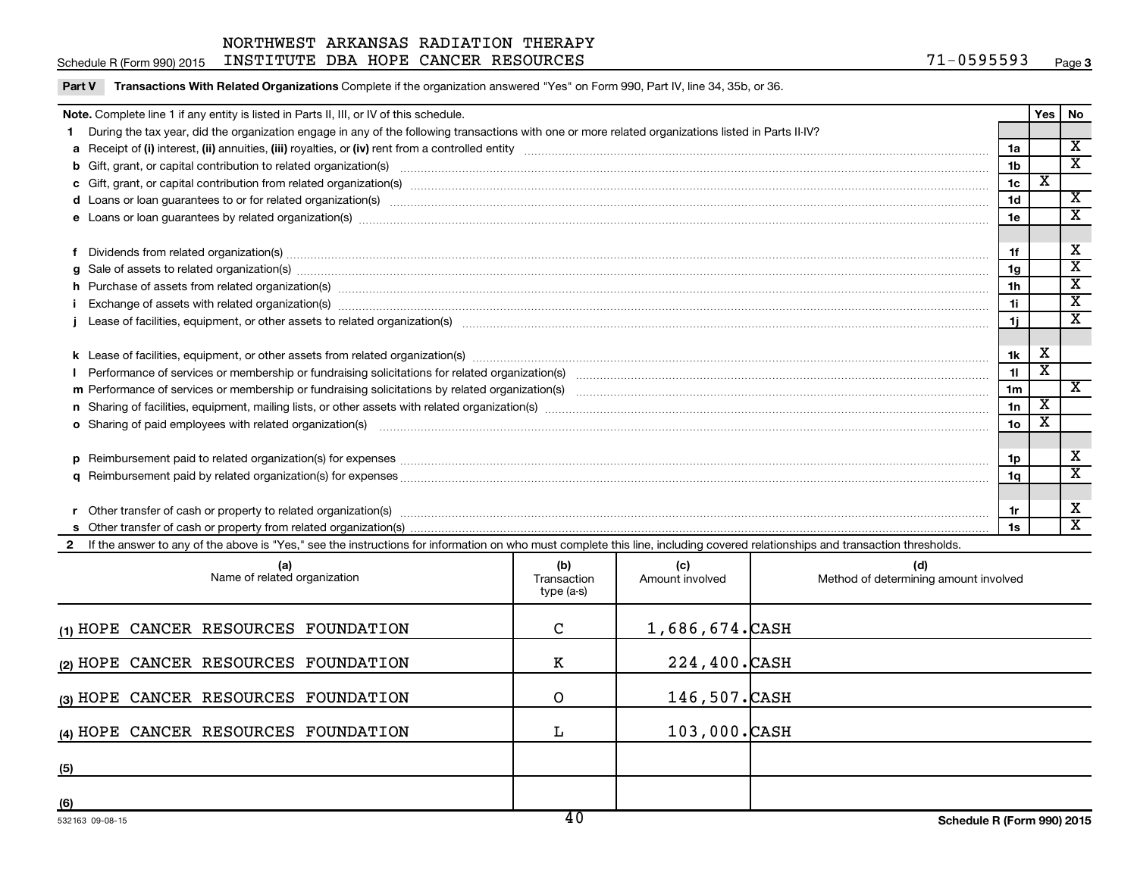Schedule R (Form 990) 2015 INSTITUTE DBA HOPE CANCER RESOURCES 71-0595593 Page

Part V Transactions With Related Organizations Complete if the organization answered "Yes" on Form 990, Part IV, line 34, 35b, or 36.

| Note. Complete line 1 if any entity is listed in Parts II, III, or IV of this schedule.                                                                                                                                        |                 | Yes   No                |                         |
|--------------------------------------------------------------------------------------------------------------------------------------------------------------------------------------------------------------------------------|-----------------|-------------------------|-------------------------|
| During the tax year, did the organization engage in any of the following transactions with one or more related organizations listed in Parts II-IV?                                                                            |                 |                         |                         |
|                                                                                                                                                                                                                                | 1a              |                         | X                       |
|                                                                                                                                                                                                                                | 1 <sub>b</sub>  |                         | $\overline{\texttt{x}}$ |
|                                                                                                                                                                                                                                | 1 <sub>c</sub>  | х                       |                         |
|                                                                                                                                                                                                                                | 1 <sub>d</sub>  |                         | $\overline{\textbf{x}}$ |
|                                                                                                                                                                                                                                | 1e              |                         | x                       |
|                                                                                                                                                                                                                                |                 |                         |                         |
| Dividends from related organization(s) manufacture contraction and contract the contract of the contract of the contract of the contract of the contract of the contract of the contract of the contract of the contract of th | 1f              |                         | х                       |
| g Sale of assets to related organization(s) www.assettion.com/www.assettion.com/www.assettion.com/www.assettion.com/www.assettion.com/www.assettion.com/www.assettion.com/www.assettion.com/www.assettion.com/www.assettion.co | 1g              |                         | $\overline{\mathbf{x}}$ |
|                                                                                                                                                                                                                                | 1h              |                         | $\overline{\textbf{x}}$ |
|                                                                                                                                                                                                                                | 1i              |                         | $\overline{\textbf{x}}$ |
|                                                                                                                                                                                                                                | 1j.             |                         | X                       |
|                                                                                                                                                                                                                                |                 |                         |                         |
|                                                                                                                                                                                                                                | 1k              | х                       |                         |
|                                                                                                                                                                                                                                | 11              | $\overline{\texttt{x}}$ |                         |
|                                                                                                                                                                                                                                | 1 <sub>m</sub>  |                         | $\mathbf{x}$            |
|                                                                                                                                                                                                                                | 1n              | X                       |                         |
| <b>o</b> Sharing of paid employees with related organization(s)                                                                                                                                                                | 10 <sub>o</sub> | х                       |                         |
|                                                                                                                                                                                                                                |                 |                         |                         |
|                                                                                                                                                                                                                                | 1p              |                         | х                       |
|                                                                                                                                                                                                                                | 1q              |                         | $\overline{\texttt{x}}$ |
|                                                                                                                                                                                                                                |                 |                         |                         |
|                                                                                                                                                                                                                                | 1r              |                         | х                       |
|                                                                                                                                                                                                                                | 1s              |                         | $\mathbf x$             |
| 2 If the answer to any of the above is "Yes," see the instructions for information on who must complete this line, including covered relationships and transaction thresholds.                                                 |                 |                         |                         |

| (a)<br>Name of related organization  | (b)<br>Transaction<br>type (a-s) | (c)<br>Amount involved | (d)<br>Method of determining amount involved |
|--------------------------------------|----------------------------------|------------------------|----------------------------------------------|
| (1) HOPE CANCER RESOURCES FOUNDATION | C                                | $1,686,674.$ CASH      |                                              |
| (2) HOPE CANCER RESOURCES FOUNDATION | к                                | 224,400.CASH           |                                              |
| (3) HOPE CANCER RESOURCES FOUNDATION | O                                | 146,507. CASH          |                                              |
| (4) HOPE CANCER RESOURCES FOUNDATION |                                  | 103,000.CASH           |                                              |
| (5)                                  |                                  |                        |                                              |
| (6)                                  |                                  |                        |                                              |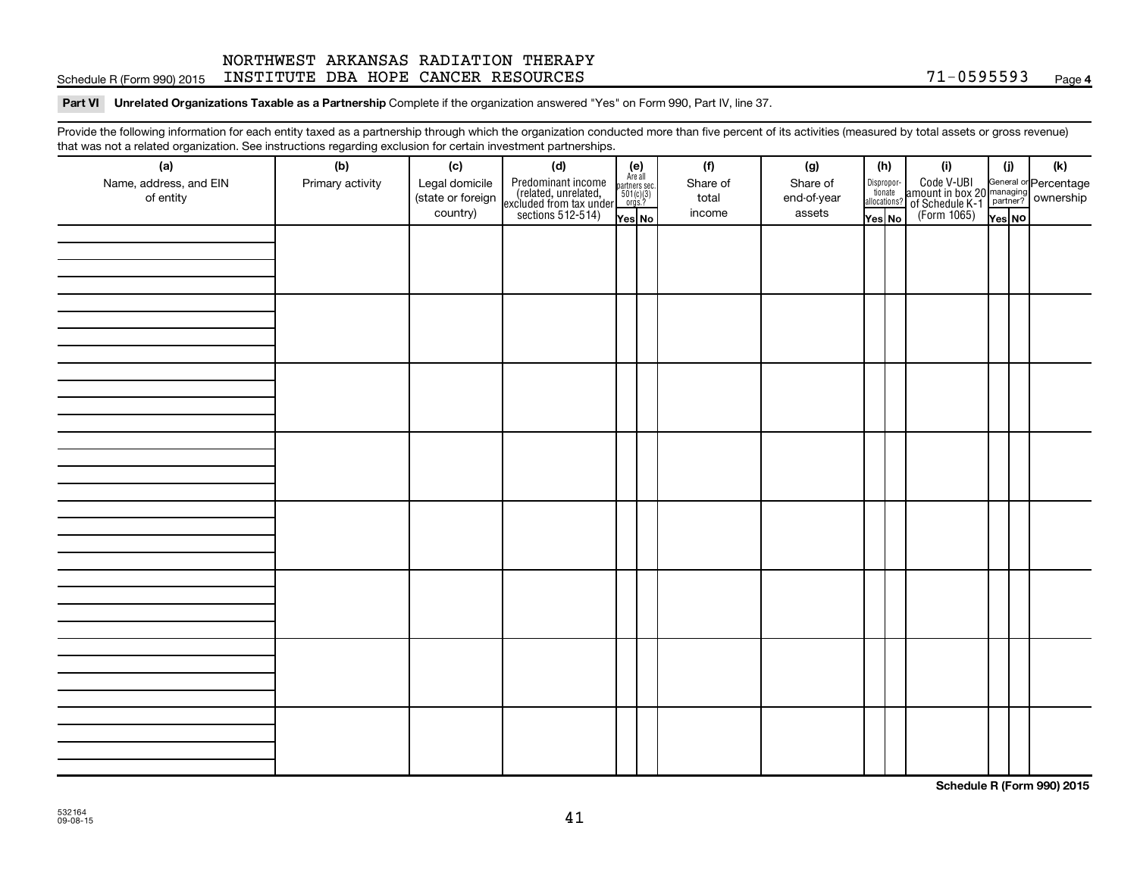#### Schedule R (Form 990) 2015 INSTITUTE DBA HOPE CANCER RESOURCES 71-0595593 Page NORTHWEST ARKANSAS RADIATION THERAPY

#### Part VI Unrelated Organizations Taxable as a Partnership Complete if the organization answered "Yes" on Form 990, Part IV, line 37.

Provide the following information for each entity taxed as a partnership through which the organization conducted more than five percent of its activities (measured by total assets or gross revenue) that was not a related organization. See instructions regarding exclusion for certain investment partnerships.

| that was not a related erganization. Occ included for regarding excludion for cortain investment partnerships.<br>(a) | (b)              | (c)               | (d)                                                                                        |                                                          | (f)      | (g)         |              | (h)                   | (i)                                                                                                                                                                                                                                                       | (j)    | (k) |
|-----------------------------------------------------------------------------------------------------------------------|------------------|-------------------|--------------------------------------------------------------------------------------------|----------------------------------------------------------|----------|-------------|--------------|-----------------------|-----------------------------------------------------------------------------------------------------------------------------------------------------------------------------------------------------------------------------------------------------------|--------|-----|
| Name, address, and EIN                                                                                                | Primary activity | Legal domicile    | Predominant income<br>(related, unrelated,<br>excluded from tax under<br>sections 512-514) | (e)<br>Are all<br>partners sec.<br>$501(c)(3)$<br>orgs.? | Share of | Share of    |              | Dispropor-<br>tionate | Code V-UBI<br>amount in box 20 managing<br>2 of Schedule K-1<br>Form 1065)<br>The No Managing<br>The No Managing<br>The No Managing<br>The No Managing<br>The No Managing<br>The No Managing<br>The No Managing<br>The No Managing<br>The No Managing<br> |        |     |
| of entity                                                                                                             |                  | (state or foreign |                                                                                            |                                                          | total    | end-of-year | allocations? |                       |                                                                                                                                                                                                                                                           |        |     |
|                                                                                                                       |                  | country)          |                                                                                            | Yes No                                                   | income   | assets      | Yes No       |                       |                                                                                                                                                                                                                                                           | Yes NO |     |
|                                                                                                                       |                  |                   |                                                                                            |                                                          |          |             |              |                       |                                                                                                                                                                                                                                                           |        |     |
|                                                                                                                       |                  |                   |                                                                                            |                                                          |          |             |              |                       |                                                                                                                                                                                                                                                           |        |     |
|                                                                                                                       |                  |                   |                                                                                            |                                                          |          |             |              |                       |                                                                                                                                                                                                                                                           |        |     |
|                                                                                                                       |                  |                   |                                                                                            |                                                          |          |             |              |                       |                                                                                                                                                                                                                                                           |        |     |
|                                                                                                                       |                  |                   |                                                                                            |                                                          |          |             |              |                       |                                                                                                                                                                                                                                                           |        |     |
|                                                                                                                       |                  |                   |                                                                                            |                                                          |          |             |              |                       |                                                                                                                                                                                                                                                           |        |     |
|                                                                                                                       |                  |                   |                                                                                            |                                                          |          |             |              |                       |                                                                                                                                                                                                                                                           |        |     |
|                                                                                                                       |                  |                   |                                                                                            |                                                          |          |             |              |                       |                                                                                                                                                                                                                                                           |        |     |
|                                                                                                                       |                  |                   |                                                                                            |                                                          |          |             |              |                       |                                                                                                                                                                                                                                                           |        |     |
|                                                                                                                       |                  |                   |                                                                                            |                                                          |          |             |              |                       |                                                                                                                                                                                                                                                           |        |     |
|                                                                                                                       |                  |                   |                                                                                            |                                                          |          |             |              |                       |                                                                                                                                                                                                                                                           |        |     |
|                                                                                                                       |                  |                   |                                                                                            |                                                          |          |             |              |                       |                                                                                                                                                                                                                                                           |        |     |
|                                                                                                                       |                  |                   |                                                                                            |                                                          |          |             |              |                       |                                                                                                                                                                                                                                                           |        |     |
|                                                                                                                       |                  |                   |                                                                                            |                                                          |          |             |              |                       |                                                                                                                                                                                                                                                           |        |     |
|                                                                                                                       |                  |                   |                                                                                            |                                                          |          |             |              |                       |                                                                                                                                                                                                                                                           |        |     |
|                                                                                                                       |                  |                   |                                                                                            |                                                          |          |             |              |                       |                                                                                                                                                                                                                                                           |        |     |
|                                                                                                                       |                  |                   |                                                                                            |                                                          |          |             |              |                       |                                                                                                                                                                                                                                                           |        |     |
|                                                                                                                       |                  |                   |                                                                                            |                                                          |          |             |              |                       |                                                                                                                                                                                                                                                           |        |     |
|                                                                                                                       |                  |                   |                                                                                            |                                                          |          |             |              |                       |                                                                                                                                                                                                                                                           |        |     |
|                                                                                                                       |                  |                   |                                                                                            |                                                          |          |             |              |                       |                                                                                                                                                                                                                                                           |        |     |
|                                                                                                                       |                  |                   |                                                                                            |                                                          |          |             |              |                       |                                                                                                                                                                                                                                                           |        |     |
|                                                                                                                       |                  |                   |                                                                                            |                                                          |          |             |              |                       |                                                                                                                                                                                                                                                           |        |     |
|                                                                                                                       |                  |                   |                                                                                            |                                                          |          |             |              |                       |                                                                                                                                                                                                                                                           |        |     |
|                                                                                                                       |                  |                   |                                                                                            |                                                          |          |             |              |                       |                                                                                                                                                                                                                                                           |        |     |
|                                                                                                                       |                  |                   |                                                                                            |                                                          |          |             |              |                       |                                                                                                                                                                                                                                                           |        |     |
|                                                                                                                       |                  |                   |                                                                                            |                                                          |          |             |              |                       |                                                                                                                                                                                                                                                           |        |     |
|                                                                                                                       |                  |                   |                                                                                            |                                                          |          |             |              |                       |                                                                                                                                                                                                                                                           |        |     |
|                                                                                                                       |                  |                   |                                                                                            |                                                          |          |             |              |                       |                                                                                                                                                                                                                                                           |        |     |
|                                                                                                                       |                  |                   |                                                                                            |                                                          |          |             |              |                       |                                                                                                                                                                                                                                                           |        |     |
|                                                                                                                       |                  |                   |                                                                                            |                                                          |          |             |              |                       |                                                                                                                                                                                                                                                           |        |     |

**Schedule R (Form 990) 2015**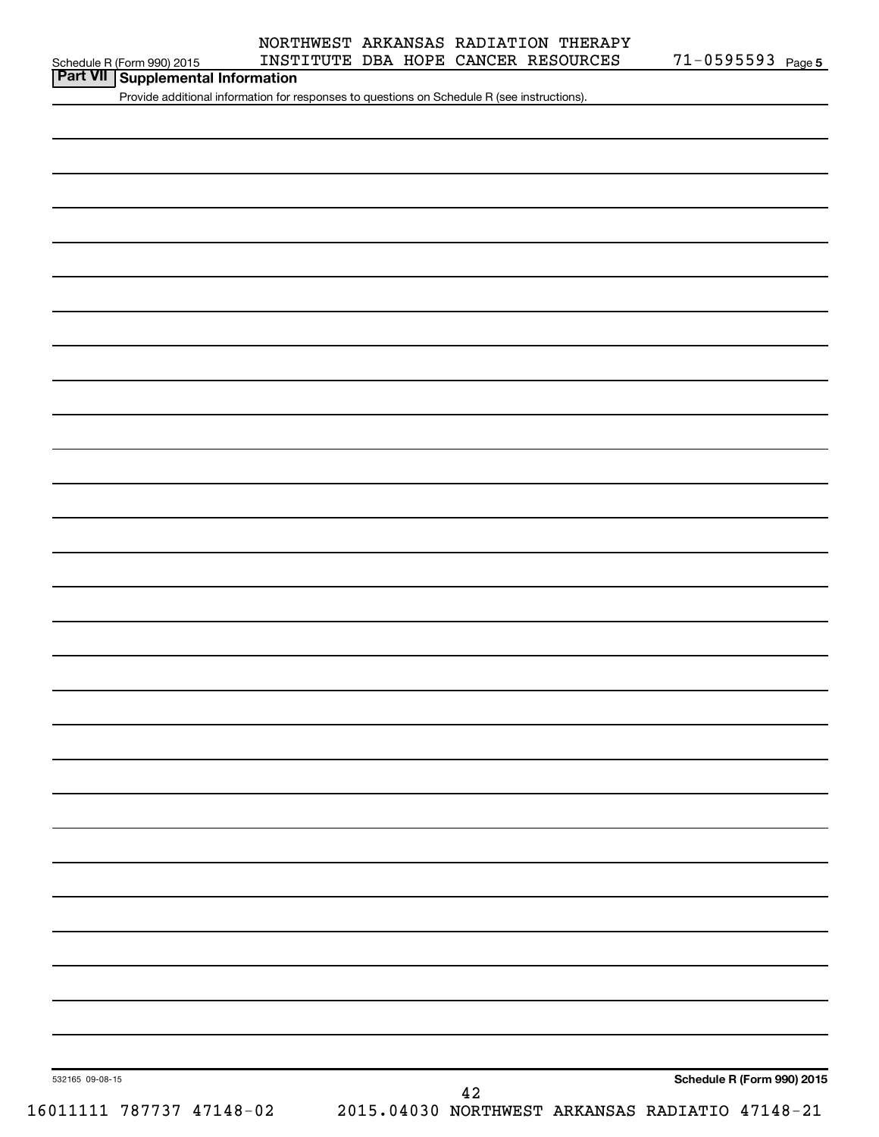# **Part VII Schedule R (Form 990) 2015 INST**<br>**Part VII Supplemental Information**

Provide additional information for responses to questions on Schedule R (see instructions).

532165 09-08-15